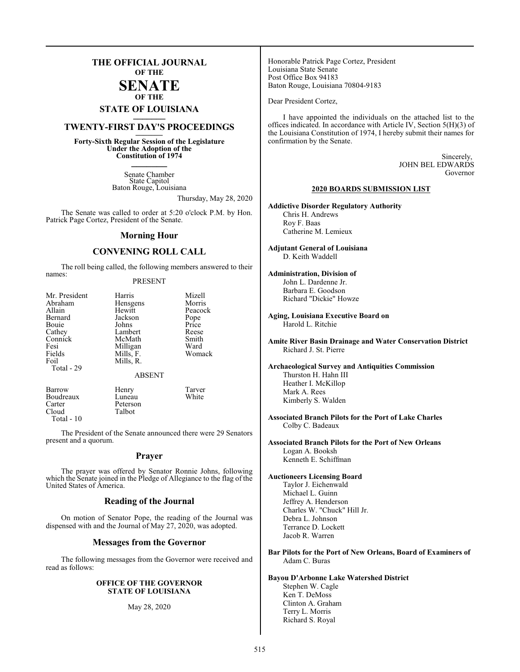## **THE OFFICIAL JOURNAL OF THE**

## **SENATE OF THE**

# **STATE OF LOUISIANA \_\_\_\_\_\_\_**

## **TWENTY-FIRST DAY'S PROCEEDINGS \_\_\_\_\_\_\_**

**Forty-Sixth Regular Session of the Legislature Under the Adoption of the Constitution of 1974 \_\_\_\_\_\_\_**

> Senate Chamber State Capitol Baton Rouge, Louisiana

> > Thursday, May 28, 2020

The Senate was called to order at 5:20 o'clock P.M. by Hon. Patrick Page Cortez, President of the Senate.

### **Morning Hour**

## **CONVENING ROLL CALL**

The roll being called, the following members answered to their names:

### PRESENT

| Mr. President<br>Abraham<br>Allain<br>Bernard<br>Bouie<br>Cathey<br>Connick<br>Fesi<br>Fields<br>Foil<br>Total - 29 | Harris<br>Hensgens<br>Hewitt<br>Jackson<br>Johns<br>Lambert<br>McMath<br>Milligan<br>Mills, F.<br>Mills, R.<br><b>ABSENT</b> | Mizell<br>Morris<br>Peacock<br>Pope<br>Price<br>Reese<br>Smith<br>Ward<br>Womack |
|---------------------------------------------------------------------------------------------------------------------|------------------------------------------------------------------------------------------------------------------------------|----------------------------------------------------------------------------------|
|                                                                                                                     |                                                                                                                              |                                                                                  |
|                                                                                                                     |                                                                                                                              |                                                                                  |

Barrow Henry Tarver Boudreaux<br>Carter Carter Peterson Talbot Total - 10

The President of the Senate announced there were 29 Senators present and a quorum.

### **Prayer**

The prayer was offered by Senator Ronnie Johns, following which the Senate joined in the Pledge of Allegiance to the flag of the United States of America.

### **Reading of the Journal**

On motion of Senator Pope, the reading of the Journal was dispensed with and the Journal of May 27, 2020, was adopted.

### **Messages from the Governor**

The following messages from the Governor were received and read as follows:

### **OFFICE OF THE GOVERNOR STATE OF LOUISIANA**

### May 28, 2020

Honorable Patrick Page Cortez, President Louisiana State Senate Post Office Box 94183 Baton Rouge, Louisiana 70804-9183

Dear President Cortez,

I have appointed the individuals on the attached list to the offices indicated. In accordance with Article IV, Section 5(H)(3) of the Louisiana Constitution of 1974, I hereby submit their names for confirmation by the Senate.

> Sincerely, JOHN BEL EDWARDS Governor

### **2020 BOARDS SUBMISSION LIST**

**Addictive Disorder Regulatory Authority** Chris H. Andrews Roy F. Baas Catherine M. Lemieux

**Adjutant General of Louisiana** D. Keith Waddell

### **Administration, Division of**

John L. Dardenne Jr. Barbara E. Goodson Richard "Dickie" Howze

**Aging, Louisiana Executive Board on** Harold L. Ritchie

**Amite River Basin Drainage and Water Conservation District**  Richard J. St. Pierre

### **Archaeological Survey and Antiquities Commission** Thurston H. Hahn III Heather I. McKillop Mark A. Rees Kimberly S. Walden

**Associated Branch Pilots for the Port of Lake Charles** Colby C. Badeaux

**Associated Branch Pilots for the Port of New Orleans** Logan A. Booksh Kenneth E. Schiffman

## **Auctioneers Licensing Board**

Taylor J. Eichenwald Michael L. Guinn Jeffrey A. Henderson Charles W. "Chuck" Hill Jr. Debra L. Johnson Terrance D. Lockett Jacob R. Warren

**Bar Pilots for the Port of New Orleans, Board of Examiners of**  Adam C. Buras

**Bayou D'Arbonne Lake Watershed District**  Stephen W. Cagle Ken T. DeMoss Clinton A. Graham Terry L. Morris Richard S. Royal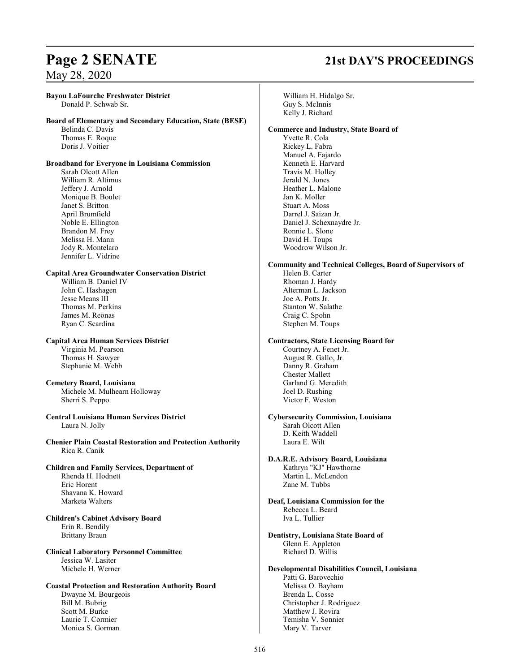### **Bayou LaFourche Freshwater District**

Donald P. Schwab Sr.

### **Board of Elementary and Secondary Education, State (BESE)**

Belinda C. Davis Thomas E. Roque Doris J. Voitier

## **Broadband for Everyone in Louisiana Commission**

Sarah Olcott Allen William R. Altimus Jeffery J. Arnold Monique B. Boulet Janet S. Britton April Brumfield Noble E. Ellington Brandon M. Frey Melissa H. Mann Jody R. Montelaro Jennifer L. Vidrine

### **Capital Area Groundwater Conservation District**

William B. Daniel IV John C. Hashagen Jesse Means III Thomas M. Perkins James M. Reonas Ryan C. Scardina

## **Capital Area Human Services District** Virginia M. Pearson

Thomas H. Sawyer Stephanie M. Webb

### **Cemetery Board, Louisiana** Michele M. Mulhearn Holloway Sherri S. Peppo

**Central Louisiana Human Services District**  Laura N. Jolly

**Chenier Plain Coastal Restoration and Protection Authority** Rica R. Canik

### **Children and Family Services, Department of** Rhenda H. Hodnett Eric Horent Shavana K. Howard Marketa Walters

**Children's Cabinet Advisory Board** Erin R. Bendily Brittany Braun

### **Clinical Laboratory Personnel Committee**  Jessica W. Lasiter Michele H. Werner

### **Coastal Protection and Restoration Authority Board** Dwayne M. Bourgeois Bill M. Bubrig Scott M. Burke Laurie T. Cormier Monica S. Gorman

# **Page 2 SENATE 21st DAY'S PROCEEDINGS**

William H. Hidalgo Sr. Guy S. McInnis Kelly J. Richard

### **Commerce and Industry, State Board of**

Yvette R. Cola Rickey L. Fabra Manuel A. Fajardo Kenneth E. Harvard Travis M. Holley Jerald N. Jones Heather L. Malone Jan K. Moller Stuart A. Moss Darrel J. Saizan Jr. Daniel J. Schexnaydre Jr. Ronnie L. Slone David H. Toups Woodrow Wilson Jr.

## **Community and Technical Colleges, Board of Supervisors of**

Helen B. Carter Rhoman J. Hardy Alterman L. Jackson Joe A. Potts Jr. Stanton W. Salathe Craig C. Spohn Stephen M. Toups

### **Contractors, State Licensing Board for**

Courtney A. Fenet Jr. August R. Gallo, Jr. Danny R. Graham Chester Mallett Garland G. Meredith Joel D. Rushing Victor F. Weston

### **Cybersecurity Commission, Louisiana** Sarah Olcott Allen D. Keith Waddell

Laura E. Wilt

- **D.A.R.E. Advisory Board, Louisiana** Kathryn "KJ" Hawthorne Martin L. McLendon Zane M. Tubbs
- **Deaf, Louisiana Commission for the**  Rebecca L. Beard Iva L. Tullier
- **Dentistry, Louisiana State Board of**  Glenn E. Appleton Richard D. Willis

### **Developmental Disabilities Council, Louisiana** Patti G. Barovechio Melissa O. Bayham Brenda L. Cosse Christopher J. Rodriguez Matthew J. Rovira Temisha V. Sonnier Mary V. Tarver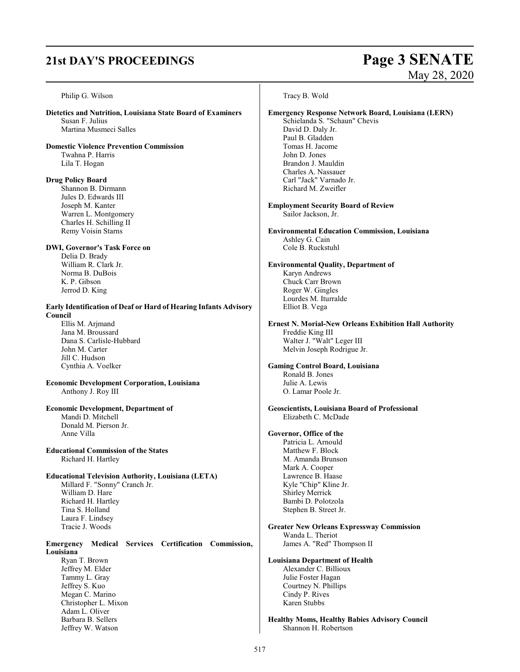# **21st DAY'S PROCEEDINGS Page 3 SENATE**

Jeffrey W. Watson

# May 28, 2020

Philip G. Wilson **Dietetics and Nutrition, Louisiana State Board of Examiners** Susan F. Julius Martina Musmeci Salles **Domestic Violence Prevention Commission** Twahna P. Harris Lila T. Hogan **Drug Policy Board** Shannon B. Dirmann Jules D. Edwards III Joseph M. Kanter Warren L. Montgomery Charles H. Schilling II Remy Voisin Starns **DWI, Governor's Task Force on** Delia D. Brady William R. Clark Jr. Norma B. DuBois K. P. Gibson Jerrod D. King **Early Identification of Deaf or Hard of Hearing Infants Advisory Council** Ellis M. Arjmand Jana M. Broussard Dana S. Carlisle-Hubbard John M. Carter Jill C. Hudson Cynthia A. Voelker **Economic Development Corporation, Louisiana** Anthony J. Roy III **Economic Development, Department of**  Mandi D. Mitchell Donald M. Pierson Jr. Anne Villa **Educational Commission of the States**  Richard H. Hartley **Educational Television Authority, Louisiana (LETA)** Millard F. "Sonny" Cranch Jr. William D. Hare Richard H. Hartley Tina S. Holland Laura F. Lindsey Tracie J. Woods **Emergency Medical Services Certification Commission, Louisiana** Ryan T. Brown Jeffrey M. Elder Tammy L. Gray Jeffrey S. Kuo Megan C. Marino Christopher L. Mixon Adam L. Oliver Barbara B. Sellers Tracy B. Wold **Emergency Response Network Board, Louisiana (LERN)** Schielanda S. "Schaun" Chevis David D. Daly Jr. Paul B. Gladden Tomas H. Jacome John D. Jones Brandon J. Mauldin Charles A. Nassauer Carl "Jack" Varnado Jr. Richard M. Zweifler **Employment Security Board of Review** Sailor Jackson, Jr. **Environmental Education Commission, Louisiana** Ashley G. Cain Cole B. Ruckstuhl **Environmental Quality, Department of**  Karyn Andrews Chuck Carr Brown Roger W. Gingles Lourdes M. Iturralde Elliot B. Vega **Ernest N. Morial-New Orleans Exhibition Hall Authority** Freddie King III Walter J. "Walt" Leger III Melvin Joseph Rodrigue Jr. **Gaming Control Board, Louisiana** Ronald B. Jones Julie A. Lewis O. Lamar Poole Jr. **Geoscientists, Louisiana Board of Professional**  Elizabeth C. McDade **Governor, Office of the** Patricia L. Arnould Matthew F. Block M. Amanda Brunson Mark A. Cooper Lawrence B. Haase Kyle "Chip" Kline Jr. Shirley Merrick Bambi D. Polotzola Stephen B. Street Jr. **Greater New Orleans Expressway Commission** Wanda L. Theriot James A. "Red" Thompson II **Louisiana Department of Health** Alexander C. Billioux Julie Foster Hagan Courtney N. Phillips Cindy P. Rives Karen Stubbs **Healthy Moms, Healthy Babies Advisory Council**

Shannon H. Robertson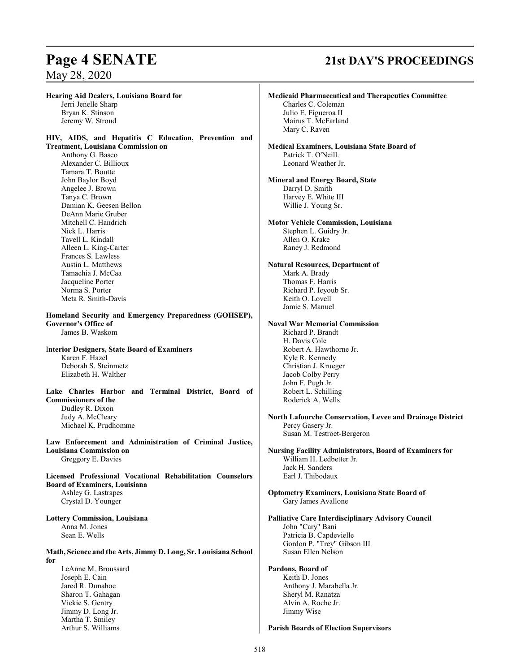# **Page 4 SENATE 21st DAY'S PROCEEDINGS**

**Hearing Aid Dealers, Louisiana Board for**  Jerri Jenelle Sharp Bryan K. Stinson Jeremy W. Stroud **HIV, AIDS, and Hepatitis C Education, Prevention and Treatment, Louisiana Commission on** Anthony G. Basco Alexander C. Billioux Tamara T. Boutte John Baylor Boyd Angelee J. Brown Tanya C. Brown Damian K. Geesen Bellon DeAnn Marie Gruber Mitchell C. Handrich Nick L. Harris Tavell L. Kindall Alleen L. King-Carter Frances S. Lawless Austin L. Matthews Tamachia J. McCaa Jacqueline Porter Norma S. Porter Meta R. Smith-Davis **Homeland Security and Emergency Preparedness (GOHSEP), Governor's Office of**  James B. Waskom I**nterior Designers, State Board of Examiners**  Karen F. Hazel Deborah S. Steinmetz Elizabeth H. Walther **Lake Charles Harbor and Terminal District, Board of Commissioners of the** Dudley R. Dixon Judy A. McCleary Michael K. Prudhomme **Law Enforcement and Administration of Criminal Justice, Louisiana Commission on** Greggory E. Davies **Licensed Professional Vocational Rehabilitation Counselors Board of Examiners, Louisiana** Ashley G. Lastrapes Crystal D. Younger **Lottery Commission, Louisiana** Anna M. Jones Sean E. Wells **Math, Science and the Arts, Jimmy D. Long, Sr. Louisiana School for**  LeAnne M. Broussard Joseph E. Cain Jared R. Dunahoe Sharon T. Gahagan Vickie S. Gentry Jimmy D. Long Jr. Martha T. Smiley Arthur S. Williams **Medicaid Pharmaceutical and Therapeutics Committee** Charles C. Coleman Julio E. Figueroa II Mairus T. McFarland Mary C. Raven **Medical Examiners, Louisiana State Board of**  Patrick T. O'Neill. Leonard Weather Jr. **Mineral and Energy Board, State** Darryl D. Smith Harvey E. White III Willie J. Young Sr. **Motor Vehicle Commission, Louisiana** Stephen L. Guidry Jr. Allen O. Krake Raney J. Redmond **Natural Resources, Department of** Mark A. Brady Thomas F. Harris Richard P. Ieyoub Sr. Keith O. Lovell Jamie S. Manuel **Naval War Memorial Commission** Richard P. Brandt H. Davis Cole Robert A. Hawthorne Jr. Kyle R. Kennedy Christian J. Krueger Jacob Colby Perry John F. Pugh Jr. Robert L. Schilling Roderick A. Wells **North Lafourche Conservation, Levee and Drainage District** Percy Gasery Jr. Susan M. Testroet-Bergeron **Nursing Facility Administrators, Board of Examiners for** William H. Ledbetter Jr. Jack H. Sanders Earl J. Thibodaux **Optometry Examiners, Louisiana State Board of**  Gary James Avallone **Palliative Care Interdisciplinary Advisory Council** John "Cary" Bani Patricia B. Capdevielle Gordon P. "Trey" Gibson III Susan Ellen Nelson **Pardons, Board of**  Keith D. Jones Anthony J. Marabella Jr. Sheryl M. Ranatza Alvin A. Roche Jr. Jimmy Wise **Parish Boards of Election Supervisors**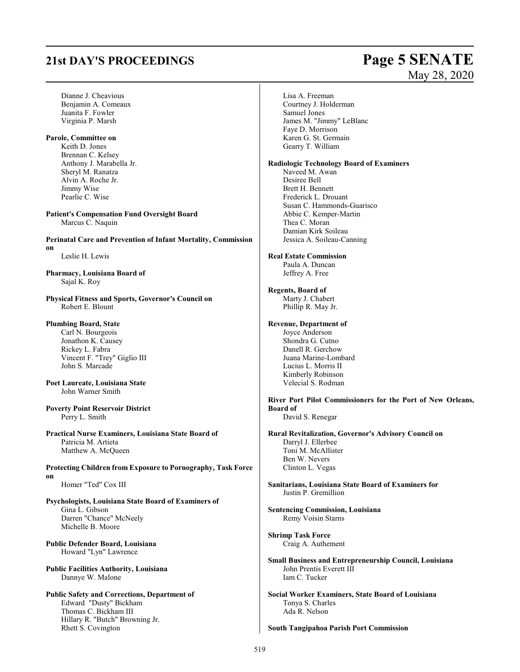# **21st DAY'S PROCEEDINGS Page 5 SENATE**

- Dianne J. Cheavious Benjamin A. Comeaux Juanita F. Fowler Virginia P. Marsh
- **Parole, Committee on** Keith D. Jones Brennan C. Kelsey Anthony J. Marabella Jr. Sheryl M. Ranatza Alvin A. Roche Jr. Jimmy Wise Pearlie C. Wise

**Patient's Compensation Fund Oversight Board** Marcus C. Naquin

**Perinatal Care and Prevention of Infant Mortality, Commission on**

Leslie H. Lewis

**Pharmacy, Louisiana Board of**  Sajal K. Roy

**Physical Fitness and Sports, Governor's Council on** Robert E. Blount

## **Plumbing Board, State**

Carl N. Bourgeois Jonathon K. Causey Rickey L. Fabra Vincent F. "Trey" Giglio III John S. Marcade

- **Poet Laureate, Louisiana State**  John Warner Smith
- **Poverty Point Reservoir District** Perry L. Smith

**Practical Nurse Examiners, Louisiana State Board of**  Patricia M. Artieta Matthew A. McQueen

**Protecting Children from Exposure to Pornography, Task Force on**

Homer "Ted" Cox III

- **Psychologists, Louisiana State Board of Examiners of** Gina L. Gibson Darren "Chance" McNeely Michelle B. Moore
- **Public Defender Board, Louisiana** Howard "Lyn" Lawrence
- **Public Facilities Authority, Louisiana** Dannye W. Malone

### **Public Safety and Corrections, Department of**  Edward "Dusty" Bickham Thomas C. Bickham III Hillary R. "Butch" Browning Jr. Rhett S. Covington

# May 28, 2020

Lisa A. Freeman Courtney J. Holderman Samuel Jones James M. "Jimmy" LeBlanc Faye D. Morrison Karen G. St. Germain Gearry T. William

### **Radiologic Technology Board of Examiners**

Naveed M. Awan Desiree Bell Brett H. Bennett Frederick L. Drouant Susan C. Hammonds-Guarisco Abbie C. Kemper-Martin Thea C. Moran Damian Kirk Soileau Jessica A. Soileau-Canning

### **Real Estate Commission**

Paula A. Duncan Jeffrey A. Free

## **Regents, Board of**

Marty J. Chabert Phillip R. May Jr.

### **Revenue, Department of**

Joyce Anderson Shondra G. Cutno Danell R. Gerchow Juana Marine-Lombard Lucius L. Morris II Kimberly Robinson Velecial S. Rodman

**River Port Pilot Commissioners for the Port of New Orleans, Board of**  David S. Renegar

**Rural Revitalization, Governor's Advisory Council on** Darryl J. Ellerbee Toni M. McAllister Ben W. Nevers Clinton L. Vegas

- **Sanitarians, Louisiana State Board of Examiners for** Justin P. Gremillion
- **Sentencing Commission, Louisiana** Remy Voisin Starns
- **Shrimp Task Force** Craig A. Authement
- **Small Business and Entrepreneurship Council, Louisiana** John Prentis Everett III Iam C. Tucker
- **Social Worker Examiners, State Board of Louisiana** Tonya S. Charles Ada R. Nelson

### **South Tangipahoa Parish Port Commission**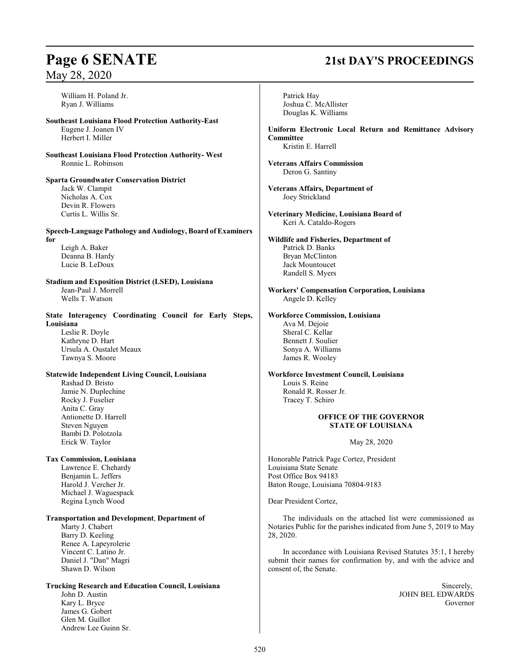William H. Poland Jr. Ryan J. Williams

### **Southeast Louisiana Flood Protection Authority-East**  Eugene J. Joanen IV Herbert I. Miller

**Southeast Louisiana Flood Protection Authority- West** Ronnie L. Robinson

**Sparta Groundwater Conservation District**  Jack W. Clampit Nicholas A. Cox Devin R. Flowers Curtis L. Willis Sr.

**Speech-Language Pathology and Audiology, Board of Examiners for**

Leigh A. Baker Deanna B. Hardy Lucie B. LeDoux

### **Stadium and Exposition District (LSED), Louisiana** Jean-Paul J. Morrell Wells T. Watson

**State Interagency Coordinating Council for Early Steps, Louisiana** Leslie R. Doyle

Kathryne D. Hart Ursula A. Oustalet Meaux Tawnya S. Moore

## **Statewide Independent Living Council, Louisiana**

Rashad D. Bristo Jamie N. Duplechine Rocky J. Fuselier Anita C. Gray Antionette D. Harrell Steven Nguyen Bambi D. Polotzola Erick W. Taylor

### **Tax Commission, Louisiana**

Lawrence E. Chehardy Benjamin L. Jeffers Harold J. Vercher Jr. Michael J. Waguespack Regina Lynch Wood

### **Transportation and Development**, **Department of**

Marty J. Chabert Barry D. Keeling Renee A. Lapeyrolerie Vincent C. Latino Jr. Daniel J. "Dan" Magri Shawn D. Wilson

Glen M. Guillot Andrew Lee Guinn Sr.

### **Trucking Research and Education Council, Louisiana** John D. Austin Kary L. Bryce James G. Gobert

**Page 6 SENATE 21st DAY'S PROCEEDINGS**

Patrick Hay Joshua C. McAllister Douglas K. Williams **Uniform Electronic Local Return and Remittance Advisory Committee** Kristin E. Harrell **Veterans Affairs Commission** Deron G. Santiny **Veterans Affairs, Department of**  Joey Strickland **Veterinary Medicine, Louisiana Board of** Keri A. Cataldo-Rogers **Wildlife and Fisheries, Department of**  Patrick D. Banks Bryan McClinton Jack Mountoucet Randell S. Myers **Workers' Compensation Corporation, Louisiana** Angele D. Kelley **Workforce Commission, Louisiana** Ava M. Dejoie Sheral C. Kellar Bennett J. Soulier Sonya A. Williams James R. Wooley **Workforce Investment Council, Louisiana** Louis S. Reine Ronald R. Rosser Jr. Tracey T. Schiro **OFFICE OF THE GOVERNOR STATE OF LOUISIANA** May 28, 2020 Honorable Patrick Page Cortez, President Louisiana State Senate Post Office Box 94183 Baton Rouge, Louisiana 70804-9183 Dear President Cortez, The individuals on the attached list were commissioned as Notaries Public for the parishes indicated from June 5, 2019 to May 28, 2020. In accordance with Louisiana Revised Statutes 35:1, I hereby submit their names for confirmation by, and with the advice and consent of, the Senate. Sincerely, JOHN BEL EDWARDS Governor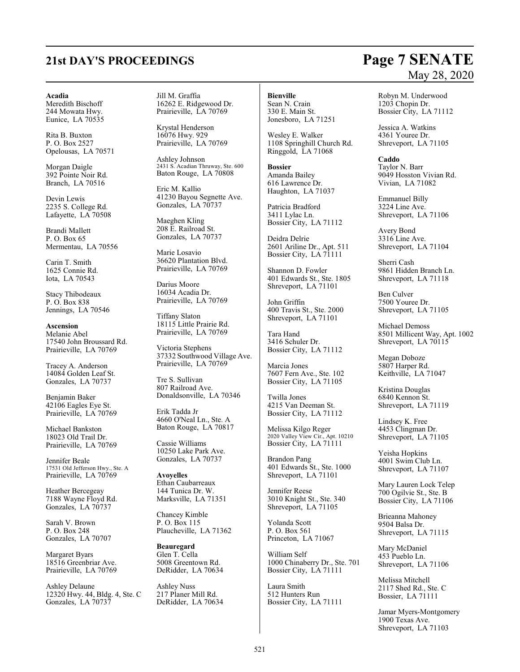# **21st DAY'S PROCEEDINGS Page 7 SENATE**

### **Acadia**

Meredith Bischoff 244 Mowata Hwy. Eunice, LA 70535

Rita B. Buxton P. O. Box 2527 Opelousas, LA 70571

Morgan Daigle 392 Pointe Noir Rd. Branch, LA 70516

Devin Lewis 2235 S. College Rd. Lafayette, LA 70508

Brandi Mallett P. O. Box 65 Mermentau, LA 70556

Carin T. Smith 1625 Connie Rd. Iota, LA 70543

Stacy Thibodeaux P. O. Box 838 Jennings, LA 70546

### **Ascension**

Melanie Abel 17540 John Broussard Rd. Prairieville, LA 70769

Tracey A. Anderson 14084 Golden Leaf St. Gonzales, LA 70737

Benjamin Baker 42106 Eagles Eye St. Prairieville, LA 70769

Michael Bankston 18023 Old Trail Dr. Prairieville, LA 70769

Jennifer Beale 17531 Old Jefferson Hwy., Ste. A Prairieville, LA 70769

Heather Bercegeay 7188 Wayne Floyd Rd. Gonzales, LA 70737

Sarah V. Brown P. O. Box 248 Gonzales, LA 70707

Margaret Byars 18516 Greenbriar Ave. Prairieville, LA 70769

Ashley Delaune 12320 Hwy. 44, Bldg. 4, Ste. C Gonzales, LA 70737

Jill M. Graffia 16262 E. Ridgewood Dr. Prairieville, LA 70769

Krystal Henderson 16076 Hwy. 929 Prairieville, LA 70769

Ashley Johnson 2431 S. Acadian Thruway, Ste. 600 Baton Rouge, LA 70808

Eric M. Kallio 41230 Bayou Segnette Ave. Gonzales, LA 70737

Maeghen Kling 208 E. Railroad St. Gonzales, LA 70737

Marie Losavio 36620 Plantation Blvd. Prairieville, LA 70769

Darius Moore 16034 Acadia Dr. Prairieville, LA 70769

Tiffany Slaton 18115 Little Prairie Rd. Prairieville, LA 70769

Victoria Stephens 37332 Southwood Village Ave. Prairieville, LA 70769

Tre S. Sullivan 807 Railroad Ave. Donaldsonville, LA 70346

Erik Tadda Jr 4660 O'Neal Ln., Ste. A Baton Rouge, LA 70817

Cassie Williams 10250 Lake Park Ave. Gonzales, LA 70737

**Avoyelles** Ethan Caubarreaux 144 Tunica Dr. W. Marksville, LA 71351

Chancey Kimble P. O. Box 115 Plaucheville, LA 71362

**Beauregard** Glen T. Cella 5008 Greentown Rd. DeRidder, LA 70634

Ashley Nuss 217 Planer Mill Rd. DeRidder, LA 70634

### **Bienville**

Sean N. Crain 330 E. Main St. Jonesboro, LA 71251

Wesley E. Walker 1108 Springhill Church Rd. Ringgold, LA 71068

**Bossier** Amanda Bailey 616 Lawrence Dr. Haughton, LA 71037

Patricia Bradford 3411 Lylac Ln. Bossier City, LA 71112

Deidra Delrie 2601 Ariline Dr., Apt. 511 Bossier City, LA 71111

Shannon D. Fowler 401 Edwards St., Ste. 1805 Shreveport, LA 71101

John Griffin 400 Travis St., Ste. 2000 Shreveport, LA 71101

Tara Hand 3416 Schuler Dr. Bossier City, LA 71112

Marcia Jones 7607 Fern Ave., Ste. 102 Bossier City, LA 71105

Twilla Jones 4215 Van Deeman St. Bossier City, LA 71112

Melissa Kilgo Reger 2020 Valley View Cir., Apt. 10210 Bossier City, LA 71111

Brandon Pang 401 Edwards St., Ste. 1000 Shreveport, LA 71101

Jennifer Reese 3010 Knight St., Ste. 340 Shreveport, LA 71105

Yolanda Scott P. O. Box 561 Princeton, LA 71067

William Self 1000 Chinaberry Dr., Ste. 701 Bossier City, LA 71111

Laura Smith 512 Hunters Run Bossier City, LA 71111

## Robyn M. Underwood 1203 Chopin Dr.

Bossier City, LA 71112

Jessica A. Watkins 4361 Youree Dr. Shreveport, LA 71105

**Caddo** Taylor N. Barr 9049 Hosston Vivian Rd. Vivian, LA 71082

Emmanuel Billy 3224 Line Ave. Shreveport, LA 71106

Avery Bond 3316 Line Ave. Shreveport, LA 71104

Sherri Cash 9861 Hidden Branch Ln. Shreveport, LA 71118

Ben Culver 7500 Youree Dr. Shreveport, LA 71105

Michael Demoss 8501 Millicent Way, Apt. 1002 Shreveport, LA 70115

Megan Doboze 5807 Harper Rd. Keithville, LA 71047

Kristina Douglas 6840 Kennon St. Shreveport, LA 71119

Lindsey K. Free 4453 Clingman Dr. Shreveport, LA 71105

Yeisha Hopkins 4001 Swim Club Ln. Shreveport, LA 71107

Mary Lauren Lock Telep 700 Ogilvie St., Ste. B Bossier City, LA 71106

Brieanna Mahoney 9504 Balsa Dr. Shreveport, LA 71115

Mary McDaniel 453 Pueblo Ln. Shreveport, LA 71106

Melissa Mitchell 2117 Shed Rd., Ste. C Bossier, LA 71111

Jamar Myers-Montgomery 1900 Texas Ave. Shreveport, LA 71103

# May 28, 2020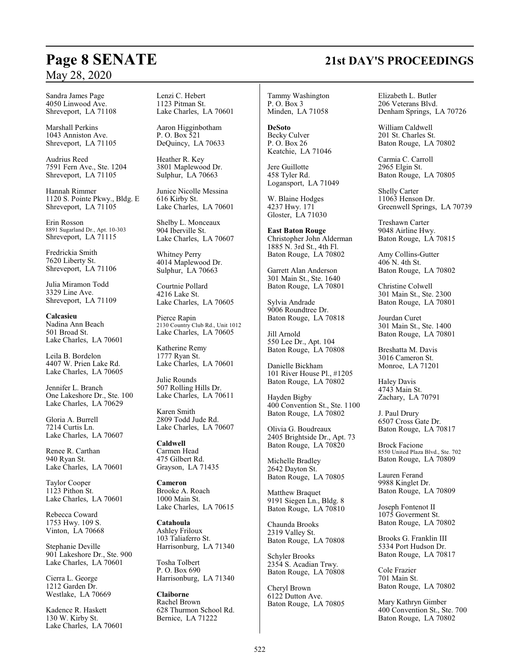## **Page 8 SENATE 21st DAY'S PROCEEDINGS**

Sandra James Page 4050 Linwood Ave. Shreveport, LA 71108

Marshall Perkins 1043 Anniston Ave. Shreveport, LA 71105

Audrius Reed 7591 Fern Ave., Ste. 1204 Shreveport, LA 71105

Hannah Rimmer 1120 S. Pointe Pkwy., Bldg. E Shreveport, LA 71105

Erin Rosson 8891 Sugarland Dr., Apt. 10-303 Shreveport, LA 71115

Fredrickia Smith 7620 Liberty St. Shreveport, LA 71106

Julia Miramon Todd 3329 Line Ave. Shreveport, LA 71109

**Calcasieu** Nadina Ann Beach 501 Broad St. Lake Charles, LA 70601

Leila B. Bordelon 4407 W. Prien Lake Rd. Lake Charles, LA 70605

Jennifer L. Branch One Lakeshore Dr., Ste. 100 Lake Charles, LA 70629

Gloria A. Burrell 7214 Curtis Ln. Lake Charles, LA 70607

Renee R. Carthan 940 Ryan St. Lake Charles, LA 70601

Taylor Cooper 1123 Pithon St. Lake Charles, LA 70601

Rebecca Coward 1753 Hwy. 109 S. Vinton, LA 70668

Stephanie Deville 901 Lakeshore Dr., Ste. 900 Lake Charles, LA 70601

Cierra L. George 1212 Garden Dr. Westlake, LA 70669

Kadence R. Haskett 130 W. Kirby St. Lake Charles, LA 70601 Lenzi C. Hebert 1123 Pitman St. Lake Charles, LA 70601

Aaron Higginbotham P. O. Box 521 DeQuincy, LA 70633

Heather R. Key 3801 Maplewood Dr. Sulphur, LA 70663

Junice Nicolle Messina 616 Kirby St. Lake Charles, LA 70601

Shelby L. Monceaux 904 Iberville St. Lake Charles, LA 70607

Whitney Perry 4014 Maplewood Dr. Sulphur, LA 70663

Courtnie Pollard 4216 Lake St. Lake Charles, LA 70605

Pierce Rapin 2130 Country Club Rd., Unit 1012 Lake Charles, LA 70605

Katherine Remy 1777 Ryan St. Lake Charles, LA 70601

Julie Rounds 507 Rolling Hills Dr. Lake Charles, LA 70611

Karen Smith 2809 Todd Jude Rd. Lake Charles, LA 70607

**Caldwell** Carmen Head 475 Gilbert Rd. Grayson, LA 71435

**Cameron** Brooke A. Roach 1000 Main St. Lake Charles, LA 70615

**Catahoula** Ashley Friloux 103 Taliaferro St. Harrisonburg, LA 71340

Tosha Tolbert P. O. Box 690 Harrisonburg, LA 71340

**Claiborne** Rachel Brown 628 Thurmon School Rd. Bernice, LA 71222

Tammy Washington P. O. Box 3 Minden, LA 71058

**DeSoto** Becky Culver P. O. Box 26 Keatchie, LA 71046

Jere Guillotte 458 Tyler Rd. Logansport, LA 71049

W. Blaine Hodges 4237 Hwy. 171 Gloster, LA 71030

**East Baton Rouge** Christopher John Alderman 1885 N. 3rd St., 4th Fl. Baton Rouge, LA 70802

Garrett Alan Anderson 301 Main St., Ste. 1640 Baton Rouge, LA 70801

Sylvia Andrade 9006 Roundtree Dr. Baton Rouge, LA 70818

Jill Arnold 550 Lee Dr., Apt. 104 Baton Rouge, LA 70808

Danielle Bickham 101 River House Pl., #1205 Baton Rouge, LA 70802

Hayden Bigby 400 Convention St., Ste. 1100 Baton Rouge, LA 70802

Olivia G. Boudreaux 2405 Brightside Dr., Apt. 73 Baton Rouge, LA 70820

Michelle Bradley 2642 Dayton St. Baton Rouge, LA 70805

Matthew Braquet 9191 Siegen Ln., Bldg. 8 Baton Rouge, LA 70810

Chaunda Brooks 2319 Valley St. Baton Rouge, LA 70808

Schyler Brooks 2354 S. Acadian Trwy. Baton Rouge, LA 70808

Cheryl Brown 6122 Dutton Ave. Baton Rouge, LA 70805 Elizabeth L. Butler 206 Veterans Blvd. Denham Springs, LA 70726

William Caldwell 201 St. Charles St. Baton Rouge, LA 70802

Carmia C. Carroll 2965 Elgin St. Baton Rouge, LA 70805

Shelly Carter 11063 Henson Dr. Greenwell Springs, LA 70739

Treshawn Carter 9048 Airline Hwy. Baton Rouge, LA 70815

Amy Collins-Gutter 406 N. 4th St. Baton Rouge, LA 70802

Christine Colwell 301 Main St., Ste. 2300 Baton Rouge, LA 70801

Jourdan Curet 301 Main St., Ste. 1400 Baton Rouge, LA 70801

Breshatta M. Davis 3016 Cameron St. Monroe, LA 71201

Haley Davis 4743 Main St. Zachary, LA 70791

J. Paul Drury 6507 Cross Gate Dr. Baton Rouge, LA 70817

Brock Facione 8550 United Plaza Blvd., Ste. 702 Baton Rouge, LA 70809

Lauren Ferand 9988 Kinglet Dr. Baton Rouge, LA 70809

Joseph Fontenot II 1075 Goverment St. Baton Rouge, LA 70802

Brooks G. Franklin III 5334 Port Hudson Dr. Baton Rouge, LA 70817

Cole Frazier 701 Main St. Baton Rouge, LA 70802

Mary Kathryn Gimber 400 Convention St., Ste. 700 Baton Rouge, LA 70802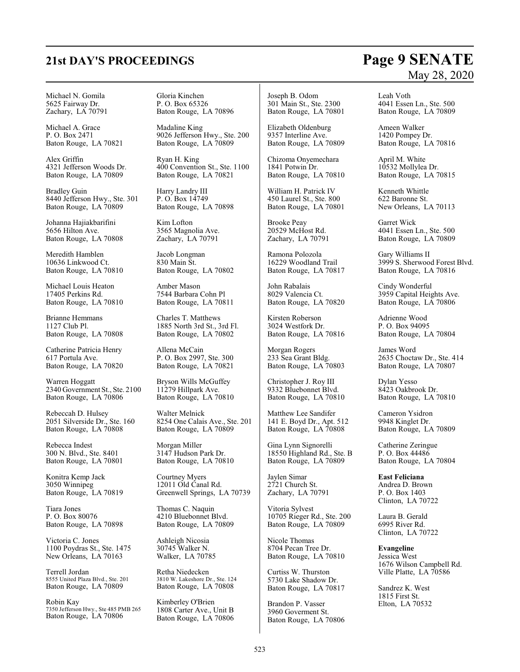# **21st DAY'S PROCEEDINGS Page 9 SENATE**

### Michael N. Gomila 5625 Fairway Dr. Zachary, LA 70791

Michael A. Grace P. O. Box 2471 Baton Rouge, LA 70821

Alex Griffin 4321 Jefferson Woods Dr. Baton Rouge, LA 70809

Bradley Guin 8440 Jefferson Hwy., Ste. 301 Baton Rouge, LA 70809

Johanna Hajiakbarifini 5656 Hilton Ave. Baton Rouge, LA 70808

Meredith Hamblen 10636 Linkwood Ct. Baton Rouge, LA 70810

Michael Louis Heaton 17405 Perkins Rd. Baton Rouge, LA 70810

Brianne Hemmans 1127 Club Pl. Baton Rouge, LA 70808

Catherine Patricia Henry 617 Portula Ave. Baton Rouge, LA 70820

Warren Hoggatt 2340 Government St., Ste. 2100 Baton Rouge, LA 70806

Rebeccah D. Hulsey 2051 Silverside Dr., Ste. 160 Baton Rouge, LA 70808

Rebecca Indest 300 N. Blvd., Ste. 8401 Baton Rouge, LA 70801

Konitra Kemp Jack 3050 Winnipeg Baton Rouge, LA 70819

Tiara Jones P. O. Box 80076 Baton Rouge, LA 70898

Victoria C. Jones 1100 Poydras St., Ste. 1475 New Orleans, LA 70163

Terrell Jordan 8555 United Plaza Blvd., Ste. 201 Baton Rouge, LA 70809

Robin Kay 7350 Jefferson Hwy., Ste 485 PMB 265 Baton Rouge, LA 70806

Gloria Kinchen P. O. Box 65326 Baton Rouge, LA 70896

Madaline King 9026 Jefferson Hwy., Ste. 200 Baton Rouge, LA 70809

Ryan H. King 400 Convention St., Ste. 1100 Baton Rouge, LA 70821

Harry Landry III P. O. Box 14749 Baton Rouge, LA 70898

Kim Lofton 3565 Magnolia Ave. Zachary, LA 70791

Jacob Longman 830 Main St. Baton Rouge, LA 70802

Amber Mason 7544 Barbara Cohn Pl Baton Rouge, LA 70811

Charles T. Matthews 1885 North 3rd St., 3rd Fl. Baton Rouge, LA 70802

Allena McCain P. O. Box 2997, Ste. 300 Baton Rouge, LA 70821

Bryson Wills McGuffey 11279 Hillpark Ave. Baton Rouge, LA 70810

Walter Melnick 8254 One Calais Ave., Ste. 201 Baton Rouge, LA 70809

Morgan Miller 3147 Hudson Park Dr. Baton Rouge, LA 70810

Courtney Myers 12011 Old Canal Rd. Greenwell Springs, LA 70739

Thomas C. Naquin 4210 Bluebonnet Blvd. Baton Rouge, LA 70809

Ashleigh Nicosia 30745 Walker N. Walker, LA 70785

Retha Niedecken 3810 W. Lakeshore Dr., Ste. 124 Baton Rouge, LA 70808

Kimberley O'Brien 1808 Carter Ave., Unit B Baton Rouge, LA 70806 Joseph B. Odom 301 Main St., Ste. 2300 Baton Rouge, LA 70801

Elizabeth Oldenburg 9357 Interline Ave. Baton Rouge, LA 70809

Chizoma Onyemechara 1841 Potwin Dr. Baton Rouge, LA 70810

William H. Patrick IV 450 Laurel St., Ste. 800 Baton Rouge, LA 70801

Brooke Peay 20529 McHost Rd. Zachary, LA 70791

Ramona Polozola 16229 Woodland Trail Baton Rouge, LA 70817

John Rabalais 8029 Valencia Ct. Baton Rouge, LA 70820

Kirsten Roberson 3024 Westfork Dr. Baton Rouge, LA 70816

Morgan Rogers 233 Sea Grant Bldg. Baton Rouge, LA 70803

Christopher J. Roy III 9332 Bluebonnet Blvd. Baton Rouge, LA 70810

Matthew Lee Sandifer 141 E. Boyd Dr., Apt. 512 Baton Rouge, LA 70808

Gina Lynn Signorelli 18550 Highland Rd., Ste. B Baton Rouge, LA 70809

Jaylen Simar 2721 Church St. Zachary, LA 70791

Vitoria Sylvest 10705 Rieger Rd., Ste. 200 Baton Rouge, LA 70809

Nicole Thomas 8704 Pecan Tree Dr. Baton Rouge, LA 70810

Curtiss W. Thurston 5730 Lake Shadow Dr. Baton Rouge, LA 70817

Brandon P. Vasser 3960 Goverment St. Baton Rouge, LA 70806

# May 28, 2020

Leah Voth 4041 Essen Ln., Ste. 500 Baton Rouge, LA 70809

Ameen Walker 1420 Pompey Dr. Baton Rouge, LA 70816

April M. White 10532 Mollylea Dr. Baton Rouge, LA 70815

Kenneth Whittle 622 Baronne St. New Orleans, LA 70113

Garret Wick 4041 Essen Ln., Ste. 500 Baton Rouge, LA 70809

Gary Williams II 3999 S. Sherwood Forest Blvd. Baton Rouge, LA 70816

Cindy Wonderful 3959 Capital Heights Ave. Baton Rouge, LA 70806

Adrienne Wood P. O. Box 94095 Baton Rouge, LA 70804

James Word 2635 Choctaw Dr., Ste. 414 Baton Rouge, LA 70807

Dylan Yesso 8423 Oakbrook Dr. Baton Rouge, LA 70810

Cameron Ysidron 9948 Kinglet Dr. Baton Rouge, LA 70809

Catherine Zeringue P. O. Box 44486 Baton Rouge, LA 70804

**East Feliciana** Andrea D. Brown P. O. Box 1403 Clinton, LA 70722

Laura B. Gerald 6995 River Rd. Clinton, LA 70722

**Evangeline** Jessica West 1676 Wilson Campbell Rd. Ville Platte, LA 70586

Sandrez K. West 1815 First St. Elton, LA 70532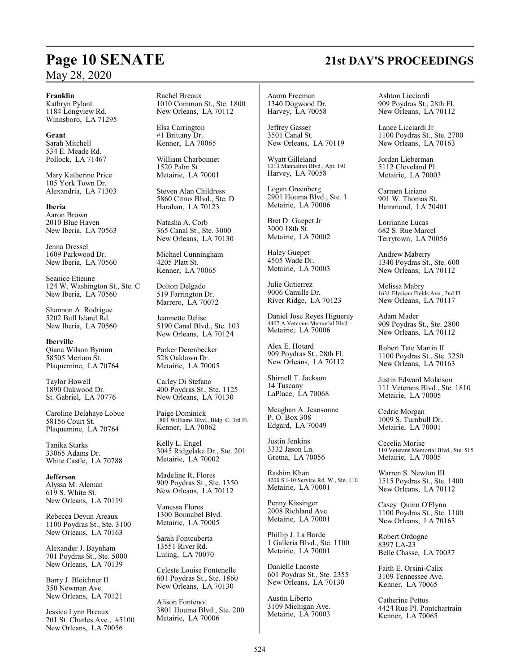### **Franklin**

Kathryn Pylant 1184 Longview Rd. Winnsboro, LA 71295

**Grant** Sarah Mitchell 534 E. Meade Rd. Pollock, LA 71467

Mary Katherine Price 105 York Town Dr. Alexandria, LA 71303

**Iberia** Aaron Brown 2010 Blue Haven New Iberia, LA 70563

Jenna Dressel 1609 Parkwood Dr. New Iberia, LA 70560

Seanice Etienne 124 W. Washington St., Ste. C New Iberia, LA 70560

Shannon A. Rodrigue 5202 Bull Island Rd. New Iberia, LA 70560

**Iberville** Qiana Wilson Bynum 58505 Meriam St. Plaquemine, LA 70764

Taylor Howell 1890 Oakwood Dr. St. Gabriel, LA 70776

Caroline Delahaye Lobue 58156 Court St. Plaquemine, LA 70764

Tanika Starks 33065 Adams Dr. White Castle, LA 70788

**Jefferson** Alyssa M. Aleman 619 S. White St. New Orleans, LA 70119

Rebecca Devun Areaux 1100 Poydras St., Ste. 3100 New Orleans, LA 70163

Alexander J. Baynham 701 Poydras St., Ste. 5000 New Orleans, LA 70139

Barry J. Bleichner II 350 Newman Ave. New Orleans, LA 70121

Jessica Lynn Breaux 201 St. Charles Ave., #5100 New Orleans, LA 70056

Rachel Breaux 1010 Common St., Ste. 1800 New Orleans, LA 70112

Elsa Carrington #1 Brittany Dr. Kenner, LA 70065

William Charbonnet 1520 Palm St. Metairie, LA 70001

Steven Alan Childress 5860 Citrus Blvd., Ste. D Harahan, LA 70123

Natasha A. Corb 365 Canal St., Ste. 3000 New Orleans, LA 70130

Michael Cunningham 4205 Platt St. Kenner, LA 70065

Dolton Delgado 519 Farrington Dr. Marrero, LA 70072

Jeannette Delise 5190 Canal Blvd., Ste. 103 New Orleans, LA 70124

Parker Derenbecker 528 Oaklawn Dr. Metairie, LA 70005

Carley Di Stefano 400 Poydras St., Ste. 1125 New Orleans, LA 70130

Paige Dominick 1801 Williams Blvd., Bldg. C, 3rd Fl. Kenner, LA 70062

Kelly L. Engel 3045 Ridgelake Dr., Ste. 201 Metairie, LA 70002

Madeline R. Flores 909 Poydras St., Ste. 1350 New Orleans, LA 70112

Vanessa Flores 1300 Bonnabel Blvd. Metairie, LA 70005

Sarah Fontcuberta 13551 River Rd. Luling, LA 70070

Celeste Louise Fontenelle 601 Poydras St., Ste. 1860 New Orleans, LA 70130

Alison Fontenot 3801 Houma Blvd., Ste. 200 Metairie, LA 70006

Aaron Freeman 1340 Dogwood Dr. Harvey, LA 70058

Jeffrey Gasser 3501 Canal St. New Orleans, LA 70119

Wyatt Gilleland 1013 Manhattan Blvd., Apt. 191 Harvey, LA 70058

Logan Greenberg 2901 Houma Blvd., Ste. 1 Metairie, LA 70006

Bret D. Guepet Jr 3000 18th St. Metairie, LA 70002

Haley Guepet 4505 Wade Dr. Metairie, LA 70003

Julie Gutierrez 9006 Camille Dr. River Ridge, LA 70123

Daniel Jose Reyes Higuerey 4407 A Veterans Memorial Blvd. Metairie, LA 70006

Alex E. Hotard 909 Poydras St., 28th Fl. New Orleans, LA 70112

Shirnell T. Jackson 14 Tuscany LaPlace, LA 70068

Meaghan A. Jeansonne P. O. Box 308 Edgard, LA 70049

Justin Jenkins 3332 Jason Ln. Gretna, LA 70056

Rashim Khan 4200 S I-10 Service Rd. W., Ste. 110 Metairie, LA 70001

Penny Kissinger 2008 Richland Ave. Metairie, LA 70001

Phillip J. La Borde 1 Galleria Blvd., Ste. 1100 Metairie, LA 70001

Danielle Lacoste 601 Poydras St., Ste. 2355 New Orleans, LA 70130

Austin Liberto 3109 Michigan Ave. Metairie, LA 70003 Ashton Licciardi 909 Poydras St., 28th Fl. New Orleans, LA 70112

Lance Licciardi Jr 1100 Poydras St., Ste. 2700 New Orleans, LA 70163

Jordan Lieberman 5112 Cleveland Pl. Metairie, LA 70003

Carmen Liriano 901 W. Thomas St. Hammond, LA 70401

Lorrianne Lucas 682 S. Rue Marcel Terrytown, LA 70056

Andrew Maberry 1340 Poydras St., Ste. 600 New Orleans, LA 70112

Melissa Mabry 1631 Elysisan Fields Ave., 2nd Fl. New Orleans, LA 70117

Adam Mader 909 Poydras St., Ste. 2800 New Orleans, LA 70112

Robert Tate Martin II 1100 Poydras St., Ste. 3250 New Orleans, LA 70163

Justin Edward Molaison 111 Veterans Blvd., Ste. 1810 Metairie, LA 70005

Cedric Morgan 1009 S. Turnbull Dr. Metairie, LA 70001

Cecelia Morise 110 Veterans Memorial Blvd., Ste. 515 Metairie, LA 70005

Warren S. Newton III 1515 Poydras St., Ste. 1400 New Orleans, LA 70112

Casey Quinn O'Flynn 1100 Poydras St., Ste. 1100 New Orleans, LA 70163

Robert Ordogne 8397 LA-23 Belle Chasse, LA 70037

Faith E. Orsini-Calix 3109 Tennessee Ave. Kenner, LA 70065

Catherine Pettus 4424 Rue Pl. Pontchartrain Kenner, LA 70065

## **Page 10 SENATE 21st DAY'S PROCEEDINGS**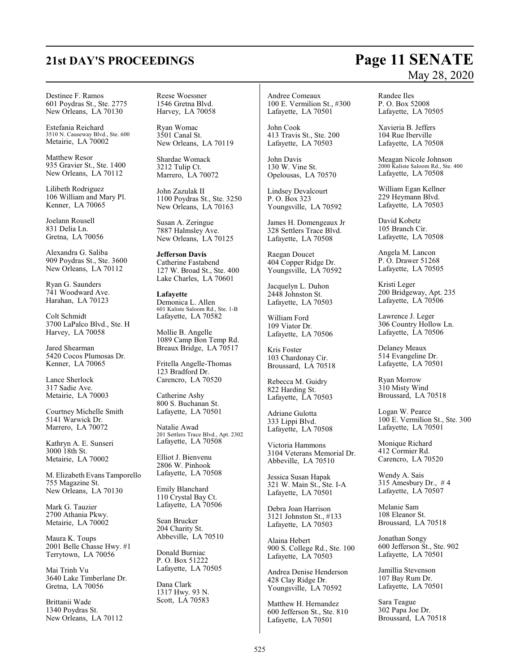### Destinee F. Ramos 601 Poydras St., Ste. 2775 New Orleans, LA 70130

Estefania Reichard 3510 N. Causeway Blvd., Ste. 600 Metairie, LA 70002

Matthew Resor 935 Gravier St., Ste. 1400 New Orleans, LA 70112

Lilibeth Rodriguez 106 William and Mary Pl. Kenner, LA 70065

Joelann Rousell 831 Delia Ln. Gretna, LA 70056

Alexandra G. Saliba 909 Poydras St., Ste. 3600 New Orleans, LA 70112

Ryan G. Saunders 741 Woodward Ave. Harahan, LA 70123

Colt Schmidt 3700 LaPalco Blvd., Ste. H Harvey, LA 70058

Jared Shearman 5420 Cocos Plumosas Dr. Kenner, LA 70065

Lance Sherlock 317 Sadie Ave. Metairie, LA 70003

Courtney Michelle Smith 5141 Warwick Dr. Marrero, LA 70072

Kathryn A. E. Sunseri 3000 18th St. Metairie, LA 70002

M. Elizabeth Evans Tamporello 755 Magazine St. New Orleans, LA 70130

Mark G. Tauzier 2700 Athania Pkwy. Metairie, LA 70002

Maura K. Toups 2001 Belle Chasse Hwy. #1 Terrytown, LA 70056

Mai Trinh Vu 3640 Lake Timberlane Dr. Gretna, LA 70056

Brittanii Wade 1340 Poydras St. New Orleans, LA 70112 Reese Woessner 1546 Gretna Blvd. Harvey, LA 70058

Ryan Womac 3501 Canal St. New Orleans, LA 70119

Shardae Womack 3212 Tulip Ct. Marrero, LA 70072

John Zazulak II 1100 Poydras St., Ste. 3250 New Orleans, LA 70163

Susan A. Zeringue 7887 Halmsley Ave. New Orleans, LA 70125

**Jefferson Davis** Catherine Fastabend 127 W. Broad St., Ste. 400 Lake Charles, LA 70601

**Lafayette** Demonica L. Allen 601 Kaliste Saloom Rd., Ste. 1-B Lafayette, LA 70582

Mollie B. Angelle 1089 Camp Bon Temp Rd. Breaux Bridge, LA 70517

Fritella Angelle-Thomas 123 Bradford Dr. Carencro, LA 70520

Catherine Ashy 800 S. Buchanan St. Lafayette, LA 70501

Natalie Awad 201 Settlers Trace Blvd., Apt. 2302 Lafayette, LA 70508

Elliot J. Bienvenu 2806 W. Pinhook Lafayette, LA 70508

Emily Blanchard 110 Crystal Bay Ct. Lafayette, LA 70506

Sean Brucker 204 Charity St. Abbeville, LA 70510

Donald Burniac P. O. Box 51222 Lafayette, LA 70505

Dana Clark 1317 Hwy. 93 N. Scott, LA 70583

Andree Comeaux 100 E. Vermilion St., #300 Lafayette, LA 70501

John Cook 413 Travis St., Ste. 200 Lafayette, LA 70503

John Davis 130 W. Vine St. Opelousas, LA 70570

Lindsey Devalcourt P. O. Box 323 Youngsville, LA 70592

James H. Domengeaux Jr 328 Settlers Trace Blvd. Lafayette, LA 70508

Raegan Doucet 404 Copper Ridge Dr. Youngsville, LA 70592

Jacquelyn L. Duhon 2448 Johnston St. Lafayette, LA 70503

William Ford 109 Viator Dr. Lafayette, LA 70506

Kris Foster 103 Chardonay Cir. Broussard, LA 70518

Rebecca M. Guidry 822 Harding St. Lafayette, LA 70503

Adriane Gulotta 333 Lippi Blvd. Lafayette, LA 70508

Victoria Hammons 3104 Veterans Memorial Dr. Abbeville, LA 70510

Jessica Susan Hapak 321 W. Main St., Ste. I-A Lafayette, LA 70501

Debra Joan Harrison 3121 Johnston St., #133 Lafayette, LA 70503

Alaina Hebert 900 S. College Rd., Ste. 100 Lafayette, LA 70503

Andrea Denise Henderson 428 Clay Ridge Dr. Youngsville, LA 70592

Matthew H. Hernandez 600 Jefferson St., Ste. 810 Lafayette, LA 70501

Randee Iles P. O. Box 52008 Lafayette, LA 70505

Xavieria B. Jeffers 104 Rue Iberville Lafayette, LA 70508

Meagan Nicole Johnson 2000 Kaliste Saloom Rd., Ste. 400 Lafayette, LA 70508

William Egan Kellner 229 Heymann Blvd. Lafayette, LA 70503

David Kobetz 105 Branch Cir. Lafayette, LA 70508

Angela M. Lancon P. O. Drawer 51268 Lafayette, LA 70505

Kristi Leger 200 Bridgeway, Apt. 235 Lafayette, LA 70506

Lawrence J. Leger 306 Country Hollow Ln. Lafayette, LA 70506

Delaney Meaux 514 Evangeline Dr. Lafayette, LA 70501

Ryan Morrow 310 Misty Wind Broussard, LA 70518

Logan W. Pearce 100 E. Vermilion St., Ste. 300 Lafayette, LA 70501

Monique Richard 412 Cormier Rd. Carencro, LA 70520

Wendy A. Sais 315 Amesbury Dr., # 4 Lafayette, LA 70507

Melanie Sam 108 Eleanor St. Broussard, LA 70518

Jonathan Songy 600 Jefferson St., Ste. 902 Lafayette, LA 70501

Jamillia Stevenson 107 Bay Rum Dr. Lafayette, LA 70501

Sara Teague 302 Papa Joe Dr. Broussard, LA 70518

## **21st DAY'S PROCEEDINGS Page 11 SENATE** May 28, 2020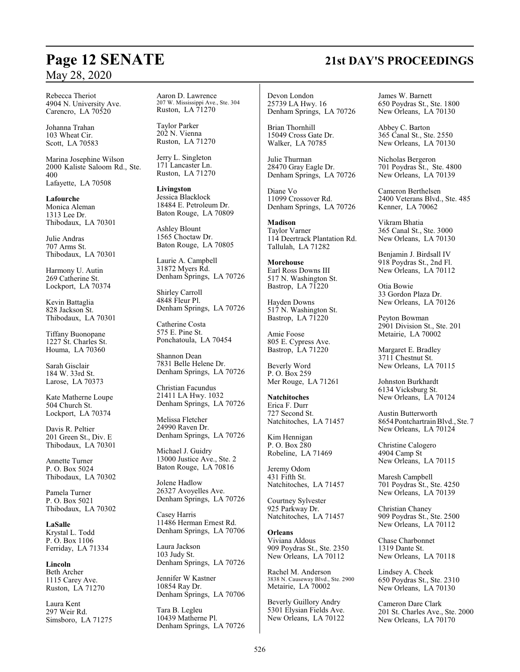Rebecca Theriot 4904 N. University Ave. Carencro, LA 70520

Johanna Trahan 103 Wheat Cir. Scott, LA 70583

Marina Josephine Wilson 2000 Kaliste Saloom Rd., Ste. 400 Lafayette, LA 70508

**Lafourche** Monica Aleman 1313 Lee Dr. Thibodaux, LA 70301

Julie Andras 707 Arms St. Thibodaux, LA 70301

Harmony U. Autin 269 Catherine St. Lockport, LA 70374

Kevin Battaglia 828 Jackson St. Thibodaux, LA 70301

Tiffany Buonopane 1227 St. Charles St. Houma, LA 70360

Sarah Gisclair 184 W. 33rd St. Larose, LA 70373

Kate Matherne Loupe 504 Church St. Lockport, LA 70374

Davis R. Peltier 201 Green St., Div. E Thibodaux, LA 70301

Annette Turner P. O. Box 5024 Thibodaux, LA 70302

Pamela Turner P. O. Box 5021 Thibodaux, LA 70302

**LaSalle** Krystal L. Todd P. O. Box 1106 Ferriday, LA 71334

**Lincoln** Beth Archer 1115 Carey Ave. Ruston, LA 71270

Laura Kent 297 Weir Rd. Simsboro, LA 71275 Aaron D. Lawrence 207 W. Mississippi Ave., Ste. 304 Ruston, LA 71270

Taylor Parker 202 N. Vienna Ruston, LA 71270

Jerry L. Singleton 171 Lancaster Ln. Ruston, LA 71270

**Livingston** Jessica Blacklock 18484 E. Petroleum Dr. Baton Rouge, LA 70809

Ashley Blount 1565 Choctaw Dr. Baton Rouge, LA 70805

Laurie A. Campbell 31872 Myers Rd. Denham Springs, LA 70726

Shirley Carroll 4848 Fleur Pl. Denham Springs, LA 70726

Catherine Costa 575 E. Pine St. Ponchatoula, LA 70454

Shannon Dean 7831 Belle Helene Dr. Denham Springs, LA 70726

Christian Facundus 21411 LA Hwy. 1032 Denham Springs, LA 70726

Melissa Fletcher 24990 Raven Dr. Denham Springs, LA 70726

Michael J. Guidry 13000 Justice Ave., Ste. 2 Baton Rouge, LA 70816

Jolene Hadlow 26327 Avoyelles Ave. Denham Springs, LA 70726

Casey Harris 11486 Herman Ernest Rd. Denham Springs, LA 70706

Laura Jackson 103 Judy St. Denham Springs, LA 70726

Jennifer W Kastner 10854 Ray Dr. Denham Springs, LA 70706

Tara B. Legleu 10439 Matherne Pl. Denham Springs, LA 70726

Devon London 25739 LA Hwy. 16 Denham Springs, LA 70726

Brian Thornhill 15049 Cross Gate Dr. Walker, LA 70785

Julie Thurman 28470 Gray Eagle Dr. Denham Springs, LA 70726

Diane Vo 11099 Crossover Rd. Denham Springs, LA 70726

**Madison** Taylor Varner 114 Deertrack Plantation Rd. Tallulah, LA 71282

**Morehouse** Earl Ross Downs III 517 N. Washington St. Bastrop, LA 71220

Hayden Downs 517 N. Washington St. Bastrop, LA 71220

Amie Foose 805 E. Cypress Ave. Bastrop, LA 71220

Beverly Word P. O. Box 259 Mer Rouge, LA 71261

**Natchitoches** Erica F. Durr 727 Second St. Natchitoches, LA 71457

Kim Hennigan P. O. Box 280 Robeline, LA 71469

Jeremy Odom 431 Fifth St. Natchitoches, LA 71457

Courtney Sylvester 925 Parkway Dr. Natchitoches, LA 71457

**Orleans** Viviana Aldous 909 Poydras St., Ste. 2350 New Orleans, LA 70112

Rachel M. Anderson 3838 N. Causeway Blvd., Ste. 2900 Metairie, LA 70002

Beverly Guillory Andry 5301 Elysian Fields Ave. New Orleans, LA 70122 James W. Barnett 650 Poydras St., Ste. 1800 New Orleans, LA 70130

Abbey C. Barton 365 Canal St., Ste. 2550 New Orleans, LA 70130

Nicholas Bergeron 701 Poydras St., Ste. 4800 New Orleans, LA 70139

Cameron Berthelsen 2400 Veterans Blvd., Ste. 485 Kenner, LA 70062

Vikram Bhatia 365 Canal St., Ste. 3000 New Orleans, LA 70130

Benjamin J. Birdsall IV 918 Poydras St., 2nd Fl. New Orleans, LA 70112

Otia Bowie 33 Gordon Plaza Dr. New Orleans, LA 70126

Peyton Bowman 2901 Division St., Ste. 201 Metairie, LA 70002

Margaret E. Bradley 3711 Chestnut St. New Orleans, LA 70115

Johnston Burkhardt 6134 Vicksburg St. New Orleans, LA 70124

Austin Butterworth 8654 PontchartrainBlvd., Ste. 7 New Orleans, LA 70124

Christine Calogero 4904 Camp St New Orleans, LA 70115

Maresh Campbell 701 Poydras St., Ste. 4250 New Orleans, LA 70139

Christian Chaney 909 Poydras St., Ste. 2500 New Orleans, LA 70112

Chase Charbonnet 1319 Dante St. New Orleans, LA 70118

Lindsey A. Cheek 650 Poydras St., Ste. 2310 New Orleans, LA 70130

Cameron Dare Clark 201 St. Charles Ave., Ste. 2000 New Orleans, LA 70170

# **Page 12 SENATE 21st DAY'S PROCEEDINGS**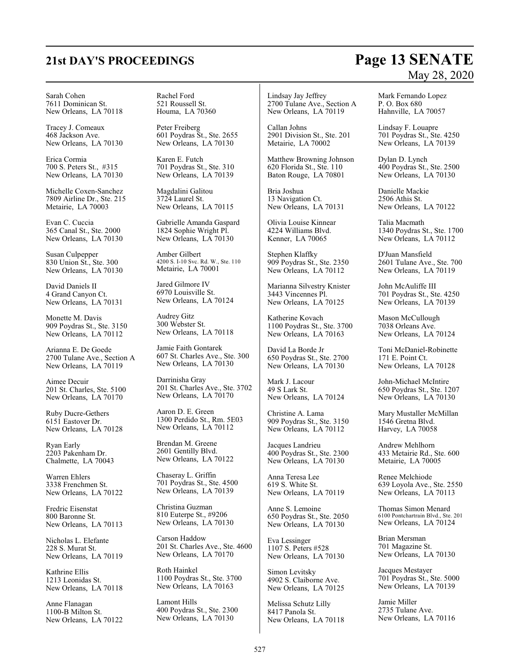# **21st DAY'S PROCEEDINGS Page 13 SENATE** May 28, 2020

Sarah Cohen 7611 Dominican St. New Orleans, LA 70118

Tracey J. Comeaux 468 Jackson Ave. New Orleans, LA 70130

Erica Cormia 700 S. Peters St., #315 New Orleans, LA 70130

Michelle Coxen-Sanchez 7809 Airline Dr., Ste. 215 Metairie, LA 70003

Evan C. Cuccia 365 Canal St., Ste. 2000 New Orleans, LA 70130

Susan Culpepper 830 Union St., Ste. 300 New Orleans, LA 70130

David Daniels II 4 Grand Canyon Ct. New Orleans, LA 70131

Monette M. Davis 909 Poydras St., Ste. 3150 New Orleans, LA 70112

Arianna E. De Goede 2700 Tulane Ave., Section A New Orleans, LA 70119

Aimee Decuir 201 St. Charles, Ste. 5100 New Orleans, LA 70170

Ruby Ducre-Gethers 6151 Eastover Dr. New Orleans, LA 70128

Ryan Early 2203 Pakenham Dr. Chalmette, LA 70043

Warren Ehlers 3338 Frenchmen St. New Orleans, LA 70122

Fredric Eisenstat 800 Baronne St. New Orleans, LA 70113

Nicholas L. Elefante 228 S. Murat St. New Orleans, LA 70119

Kathrine Ellis 1213 Leonidas St. New Orleans, LA 70118

Anne Flanagan 1100-B Milton St. New Orleans, LA 70122 Rachel Ford 521 Roussell St. Houma, LA 70360

Peter Freiberg 601 Poydras St., Ste. 2655 New Orleans, LA 70130

Karen E. Futch 701 Poydras St., Ste. 310 New Orleans, LA 70139

Magdalini Galitou 3724 Laurel St. New Orleans, LA 70115

Gabrielle Amanda Gaspard 1824 Sophie Wright Pl. New Orleans, LA 70130

Amber Gilbert 4200 S. I-10 Svc. Rd. W., Ste. 110 Metairie, LA 70001

Jared Gilmore IV 6970 Louisville St. New Orleans, LA 70124

Audrey Gitz 300 Webster St. New Orleans, LA 70118

Jamie Faith Gontarek 607 St. Charles Ave., Ste. 300 New Orleans, LA 70130

Darrinisha Gray 201 St. Charles Ave., Ste. 3702 New Orleans, LA 70170

Aaron D. E. Green 1300 Perdido St., Rm. 5E03 New Orleans, LA 70112

Brendan M. Greene 2601 Gentilly Blvd. New Orleans, LA 70122

Chaseray L. Griffin 701 Poydras St., Ste. 4500 New Orleans, LA 70139

Christina Guzman 810 Euterpe St., #9206 New Orleans, LA 70130

Carson Haddow 201 St. Charles Ave., Ste. 4600 New Orleans, LA 70170

Roth Hainkel 1100 Poydras St., Ste. 3700 New Orleans, LA 70163

Lamont Hills 400 Poydras St., Ste. 2300 New Orleans, LA 70130

Lindsay Jay Jeffrey 2700 Tulane Ave., Section A New Orleans, LA 70119

Callan Johns 2901 Division St., Ste. 201 Metairie, LA 70002

Matthew Browning Johnson 620 Florida St., Ste. 110 Baton Rouge, LA 70801

Bria Joshua 13 Navigation Ct. New Orleans, LA 70131

Olivia Louise Kinnear 4224 Williams Blvd. Kenner, LA 70065

Stephen Klaffky 909 Poydras St., Ste. 2350 New Orleans, LA 70112

Marianna Silvestry Knister 3443 Vincennes Pl. New Orleans, LA 70125

Katherine Kovach 1100 Poydras St., Ste. 3700 New Orleans, LA 70163

David La Borde Jr 650 Poydras St., Ste. 2700 New Orleans, LA 70130

Mark J. Lacour 49 S Lark St. New Orleans, LA 70124

Christine A. Lama 909 Poydras St., Ste. 3150 New Orleans, LA 70112

Jacques Landrieu 400 Poydras St., Ste. 2300 New Orleans, LA 70130

Anna Teresa Lee 619 S. White St. New Orleans, LA 70119

Anne S. Lemoine 650 Poydras St., Ste. 2050 New Orleans, LA 70130

Eva Lessinger 1107 S. Peters #528 New Orleans, LA 70130

Simon Levitsky 4902 S. Claiborne Ave. New Orleans, LA 70125

Melissa Schutz Lilly 8417 Panola St. New Orleans, LA 70118 Mark Fernando Lopez P. O. Box 680 Hahnville, LA 70057

Lindsay F. Louapre 701 Poydras St., Ste. 4250 New Orleans, LA 70139

Dylan D. Lynch 400 Poydras St., Ste. 2500 New Orleans, LA 70130

Danielle Mackie 2506 Athis St. New Orleans, LA 70122

Talia Macmath 1340 Poydras St., Ste. 1700 New Orleans, LA 70112

D'Juan Mansfield 2601 Tulane Ave., Ste. 700 New Orleans, LA 70119

John McAuliffe III 701 Poydras St., Ste. 4250 New Orleans, LA 70139

Mason McCullough 7038 Orleans Ave. New Orleans, LA 70124

Toni McDaniel-Robinette 171 E. Point Ct. New Orleans, LA 70128

John-Michael McIntire 650 Poydras St., Ste. 1207 New Orleans, LA 70130

Mary Mustaller McMillan 1546 Gretna Blvd. Harvey, LA 70058

Andrew Mehlhorn 433 Metairie Rd., Ste. 600 Metairie, LA 70005

Renee Melchiode 639 Loyola Ave., Ste. 2550 New Orleans, LA 70113

Thomas Simon Menard 6100 Pontchartrain Blvd., Ste. 201 New Orleans, LA 70124

Brian Mersman 701 Magazine St. New Orleans, LA 70130

Jacques Mestayer 701 Poydras St., Ste. 5000 New Orleans, LA 70139

Jamie Miller 2735 Tulane Ave. New Orleans, LA 70116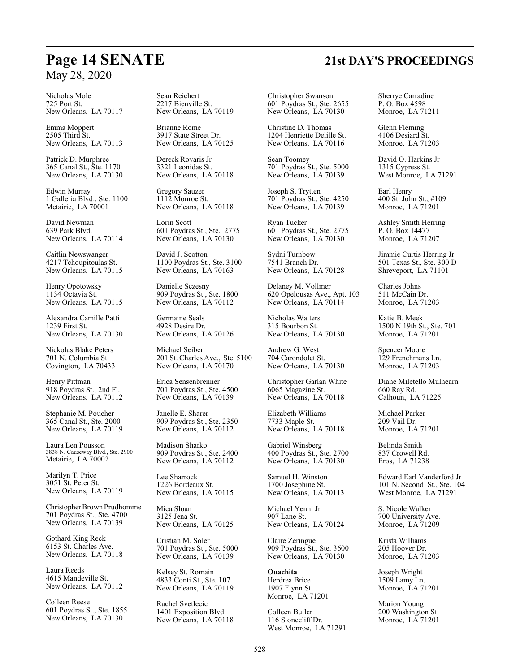Nicholas Mole 725 Port St. New Orleans, LA 70117

Emma Moppert 2505 Third St. New Orleans, LA 70113

Patrick D. Murphree 365 Canal St., Ste. 1170 New Orleans, LA 70130

Edwin Murray 1 Galleria Blvd., Ste. 1100 Metairie, LA 70001

David Newman 639 Park Blvd. New Orleans, LA 70114

Caitlin Newswanger 4217 Tchoupitoulas St. New Orleans, LA 70115

Henry Opotowsky 1134 Octavia St. New Orleans, LA 70115

Alexandra Camille Patti 1239 First St. New Orleans, LA 70130

Nickolas Blake Peters 701 N. Columbia St. Covington, LA 70433

Henry Pittman 918 Poydras St., 2nd Fl. New Orleans, LA 70112

Stephanie M. Poucher 365 Canal St., Ste. 2000 New Orleans, LA 70119

Laura Len Pousson 3838 N. Causeway Blvd., Ste. 2900 Metairie, LA 70002

Marilyn T. Price 3051 St. Peter St. New Orleans, LA 70119

Christopher Brown Prudhomme 701 Poydras St., Ste. 4700 New Orleans, LA 70139

Gothard King Reck 6153 St. Charles Ave. New Orleans, LA 70118

Laura Reeds 4615 Mandeville St. New Orleans, LA 70112

Colleen Reese 601 Poydras St., Ste. 1855 New Orleans, LA 70130

Sean Reichert 2217 Bienville St. New Orleans, LA 70119

Brianne Rome 3917 State Street Dr. New Orleans, LA 70125

Dereck Rovaris Jr 3321 Leonidas St. New Orleans, LA 70118

Gregory Sauzer 1112 Monroe St. New Orleans, LA 70118

Lorin Scott 601 Poydras St., Ste. 2775 New Orleans, LA 70130

David J. Scotton 1100 Poydras St., Ste. 3100 New Orleans, LA 70163

Danielle Sczesny 909 Poydras St., Ste. 1800 New Orleans, LA 70112

Germaine Seals 4928 Desire Dr. New Orleans, LA 70126

Michael Seibert 201 St. Charles Ave., Ste. 5100 New Orleans, LA 70170

Erica Sensenbrenner 701 Poydras St., Ste. 4500 New Orleans, LA 70139

Janelle E. Sharer 909 Poydras St., Ste. 2350 New Orleans, LA 70112

Madison Sharko 909 Poydras St., Ste. 2400 New Orleans, LA 70112

Lee Sharrock 1226 Bordeaux St. New Orleans, LA 70115

Mica Sloan 3125 Jena St. New Orleans, LA 70125

Cristian M. Soler 701 Poydras St., Ste. 5000 New Orleans, LA 70139

Kelsey St. Romain 4833 Conti St., Ste. 107 New Orleans, LA 70119

Rachel Svetlecic 1401 Exposition Blvd. New Orleans, LA 70118

Christopher Swanson 601 Poydras St., Ste. 2655 New Orleans, LA 70130

Christine D. Thomas 1204 Henriette Delille St. New Orleans, LA 70116

Sean Toomey 701 Poydras St., Ste. 5000 New Orleans, LA 70139

Joseph S. Trytten 701 Poydras St., Ste. 4250 New Orleans, LA 70139

Ryan Tucker 601 Poydras St., Ste. 2775 New Orleans, LA 70130

Sydni Turnbow 7541 Branch Dr. New Orleans, LA 70128

Delaney M. Vollmer 620 Opelousas Ave., Apt. 103 New Orleans, LA 70114

Nicholas Watters 315 Bourbon St. New Orleans, LA 70130

Andrew G. West 704 Carondolet St. New Orleans, LA 70130

Christopher Garlan White 6065 Magazine St. New Orleans, LA 70118

Elizabeth Williams 7733 Maple St. New Orleans, LA 70118

Gabriel Winsberg 400 Poydras St., Ste. 2700 New Orleans, LA 70130

Samuel H. Winston 1700 Josephine St. New Orleans, LA 70113

Michael Yenni Jr 907 Lane St. New Orleans, LA 70124

Claire Zeringue 909 Poydras St., Ste. 3600 New Orleans, LA 70130

**Ouachita** Herdrea Brice 1907 Flynn St. Monroe, LA 71201

Colleen Butler 116 Stonecliff Dr. West Monroe, LA 71291 Sherrye Carradine P. O. Box 4598 Monroe, LA 71211

Glenn Fleming 4106 Desiard St. Monroe, LA 71203

David O. Harkins Jr 1315 Cypress St. West Monroe, LA 71291

Earl Henry 400 St. John St., #109 Monroe, LA 71201

Ashley Smith Herring P. O. Box 14477 Monroe, LA 71207

Jimmie Curtis Herring Jr 501 Texas St., Ste. 300 D Shreveport, LA 71101

Charles Johns 511 McCain Dr. Monroe, LA 71203

Katie B. Meek 1500 N 19th St., Ste. 701 Monroe, LA 71201

Spencer Moore 129 Frenchmans Ln. Monroe, LA 71203

Diane Miletello Mulhearn 660 Ray Rd. Calhoun, LA 71225

Michael Parker 209 Vail Dr. Monroe, LA 71201

Belinda Smith 837 Crowell Rd. Eros, LA 71238

Edward Earl Vanderford Jr 101 N. Second St., Ste. 104 West Monroe, LA 71291

S. Nicole Walker 700 University Ave. Monroe, LA 71209

Krista Williams 205 Hoover Dr. Monroe, LA 71203

Joseph Wright 1509 Lamy Ln. Monroe, LA 71201

Marion Young 200 Washington St. Monroe, LA 71201

## **Page 14 SENATE 21st DAY'S PROCEEDINGS**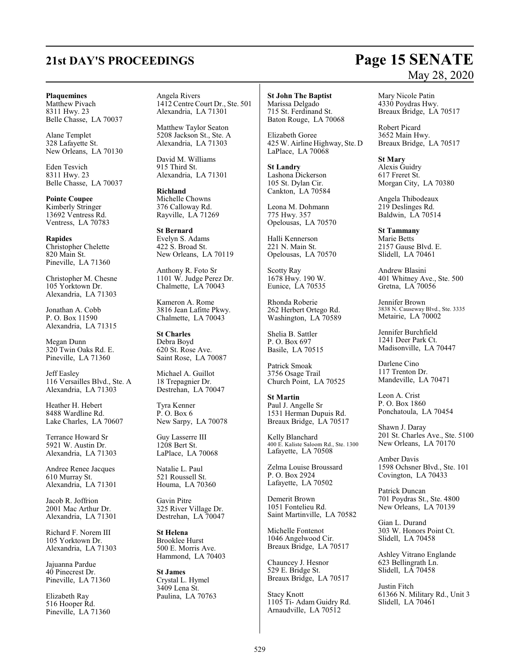# **21st DAY'S PROCEEDINGS Page 15 SENATE**

### **Plaquemines**

Matthew Pivach 8311 Hwy. 23 Belle Chasse, LA 70037

Alane Templet 328 Lafayette St. New Orleans, LA 70130

Eden Tesvich 8311 Hwy. 23 Belle Chasse, LA 70037

**Pointe Coupee** Kimberly Stringer 13692 Ventress Rd. Ventress, LA 70783

**Rapides** Christopher Chelette 820 Main St. Pineville, LA 71360

Christopher M. Chesne 105 Yorktown Dr. Alexandria, LA 71303

Jonathan A. Cobb P. O. Box 11590 Alexandria, LA 71315

Megan Dunn 320 Twin Oaks Rd. E. Pineville, LA 71360

Jeff Easley 116 Versailles Blvd., Ste. A Alexandria, LA 71303

Heather H. Hebert 8488 Wardline Rd. Lake Charles, LA 70607

Terrance Howard Sr 5921 W. Austin Dr. Alexandria, LA 71303

Andree Renee Jacques 610 Murray St. Alexandria, LA 71301

Jacob R. Joffrion 2001 Mac Arthur Dr. Alexandria, LA 71301

Richard F. Norem III 105 Yorktown Dr. Alexandria, LA 71303

Jajuanna Pardue 40 Pinecrest Dr. Pineville, LA 71360

Elizabeth Ray 516 Hooper Rd. Pineville, LA 71360 Angela Rivers 1412 Centre Court Dr., Ste. 501 Alexandria, LA 71301

Matthew Taylor Seaton 5208 Jackson St., Ste. A Alexandria, LA 71303

David M. Williams 915 Third St. Alexandria, LA 71301

**Richland** Michelle Chowns 376 Calloway Rd. Rayville, LA 71269

**St Bernard** Evelyn S. Adams 422 S. Broad St. New Orleans, LA 70119

Anthony R. Foto Sr 1101 W. Judge Perez Dr. Chalmette, LA 70043

Kameron A. Rome 3816 Jean Lafitte Pkwy. Chalmette, LA 70043

**St Charles** Debra Boyd 620 St. Rose Ave. Saint Rose, LA 70087

Michael A. Guillot 18 Trepagnier Dr. Destrehan, LA 70047

Tyra Kenner P. O. Box 6 New Sarpy, LA 70078

Guy Lasserre III 1208 Bert St. LaPlace, LA 70068

Natalie L. Paul 521 Roussell St. Houma, LA 70360

Gavin Pitre 325 River Village Dr. Destrehan, LA 70047

**St Helena** Brooklee Hurst 500 E. Morris Ave. Hammond, LA 70403

**St James** Crystal L. Hymel 3409 Lena St. Paulina, LA 70763

**St John The Baptist** Marissa Delgado 715 St. Ferdinand St. Baton Rouge, LA 70068

Elizabeth Goree 425 W. Airline Highway, Ste. D LaPlace, LA 70068

**St Landry** Lashona Dickerson 105 St. Dylan Cir. Cankton, LA 70584

Leona M. Dohmann 775 Hwy. 357 Opelousas, LA 70570

Halli Kennerson 221 N. Main St. Opelousas, LA 70570

Scotty Ray 1678 Hwy. 190 W. Eunice, LA 70535

Rhonda Roberie 262 Herbert Ortego Rd. Washington, LA 70589

Shelia B. Sattler P. O. Box 697 Basile, LA 70515

Patrick Smoak 3756 Osage Trail Church Point, LA 70525

**St Martin** Paul J. Angelle Sr 1531 Herman Dupuis Rd. Breaux Bridge, LA 70517

Kelly Blanchard 400 E. Kaliste Saloom Rd., Ste. 1300 Lafayette, LA 70508

Zelma Louise Broussard P. O. Box 2924 Lafayette, LA 70502

Demerit Brown 1051 Fontelieu Rd. Saint Martinville, LA 70582

Michelle Fontenot 1046 Angelwood Cir. Breaux Bridge, LA 70517

Chauncey J. Hesnor 529 E. Bridge St. Breaux Bridge, LA 70517

Stacy Knott 1105 Ti- Adam Guidry Rd. Arnaudville, LA 70512

# May 28, 2020

Mary Nicole Patin 4330 Poydras Hwy. Breaux Bridge, LA 70517

Robert Picard 3652 Main Hwy. Breaux Bridge, LA 70517

**St Mary** Alexis Guidry 617 Freret St. Morgan City, LA 70380

Angela Thibodeaux 219 Deslinges Rd. Baldwin, LA 70514

**St Tammany** Marie Betts 2157 Gause Blvd. E. Slidell, LA 70461

Andrew Blasini 401 Whitney Ave., Ste. 500 Gretna, LA 70056

Jennifer Brown 3838 N. Causeway Blvd., Ste. 3335 Metairie, LA 70002

Jennifer Burchfield 1241 Deer Park Ct. Madisonville, LA 70447

Darlene Cino 117 Trenton Dr. Mandeville, LA 70471

Leon A. Crist P. O. Box 1860 Ponchatoula, LA 70454

Shawn J. Daray 201 St. Charles Ave., Ste. 5100 New Orleans, LA 70170

Amber Davis 1598 Ochsner Blvd., Ste. 101 Covington, LA 70433

Patrick Duncan 701 Poydras St., Ste. 4800 New Orleans, LA 70139

Gian L. Durand 303 W. Honors Point Ct. Slidell, LA 70458

Ashley Vitrano Englande 623 Bellingrath Ln. Slidell, LA 70458

Justin Fitch 61366 N. Military Rd., Unit 3 Slidell, LA 70461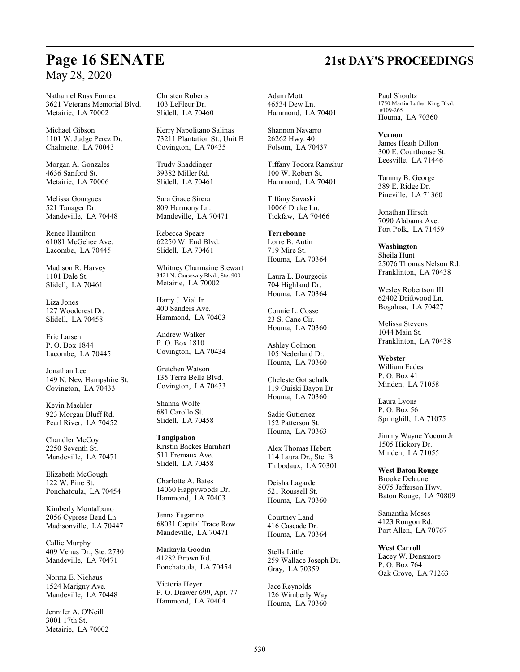Nathaniel Russ Fornea 3621 Veterans Memorial Blvd. Metairie, LA 70002

Michael Gibson 1101 W. Judge Perez Dr. Chalmette, LA 70043

Morgan A. Gonzales 4636 Sanford St. Metairie, LA 70006

Melissa Gourgues 521 Tanager Dr. Mandeville, LA 70448

Renee Hamilton 61081 McGehee Ave. Lacombe, LA 70445

Madison R. Harvey 1101 Dale St. Slidell, LA 70461

Liza Jones 127 Woodcrest Dr. Slidell, LA 70458

Eric Larsen P. O. Box 1844 Lacombe, LA 70445

Jonathan Lee 149 N. New Hampshire St. Covington, LA 70433

Kevin Maehler 923 Morgan Bluff Rd. Pearl River, LA 70452

Chandler McCoy 2250 Seventh St. Mandeville, LA 70471

Elizabeth McGough 122 W. Pine St. Ponchatoula, LA 70454

Kimberly Montalbano 2056 Cypress Bend Ln. Madisonville, LA 70447

Callie Murphy 409 Venus Dr., Ste. 2730 Mandeville, LA 70471

Norma E. Niehaus 1524 Marigny Ave. Mandeville, LA 70448

Jennifer A. O'Neill 3001 17th St. Metairie, LA 70002 Christen Roberts 103 LeFleur Dr. Slidell, LA 70460

Kerry Napolitano Salinas 73211 Plantation St., Unit B Covington, LA 70435

Trudy Shaddinger 39382 Miller Rd. Slidell, LA 70461

Sara Grace Sirera 809 Harmony Ln. Mandeville, LA 70471

Rebecca Spears 62250 W. End Blvd. Slidell, LA 70461

Whitney Charmaine Stewart 3421 N. Causeway Blvd., Ste. 900 Metairie, LA 70002

Harry J. Vial Jr 400 Sanders Ave. Hammond, LA 70403

Andrew Walker P. O. Box 1810 Covington, LA 70434

Gretchen Watson 135 Terra Bella Blvd. Covington, LA 70433

Shanna Wolfe 681 Carollo St. Slidell, LA 70458

**Tangipahoa** Kristin Backes Barnhart 511 Fremaux Ave. Slidell, LA 70458

Charlotte A. Bates 14060 Happywoods Dr. Hammond, LA 70403

Jenna Fugarino 68031 Capital Trace Row Mandeville, LA 70471

Markayla Goodin 41282 Brown Rd. Ponchatoula, LA 70454

Victoria Heyer P. O. Drawer 699, Apt. 77 Hammond, LA 70404

Adam Mott 46534 Dew Ln. Hammond, LA 70401

Shannon Navarro 26262 Hwy. 40 Folsom, LA 70437

Tiffany Todora Ramshur 100 W. Robert St. Hammond, LA 70401

Tiffany Savaski 10066 Drake Ln. Tickfaw, LA 70466

**Terrebonne** Lorre B. Autin 719 Mire St. Houma, LA 70364

Laura L. Bourgeois 704 Highland Dr. Houma, LA 70364

Connie L. Cosse 23 S. Cane Cir. Houma, LA 70360

Ashley Golmon 105 Nederland Dr. Houma, LA 70360

Cheleste Gottschalk 119 Ouiski Bayou Dr. Houma, LA 70360

Sadie Gutierrez 152 Patterson St. Houma, LA 70363

Alex Thomas Hebert 114 Laura Dr., Ste. B Thibodaux, LA 70301

Deisha Lagarde 521 Roussell St. Houma, LA 70360

Courtney Land 416 Cascade Dr. Houma, LA 70364

Stella Little 259 Wallace Joseph Dr. Gray, LA 70359

Jace Reynolds 126 Wimberly Way Houma, LA 70360

Paul Shoultz 1750 Martin Luther King Blvd. #109-265 Houma, LA 70360

**Vernon** James Heath Dillon 300 E. Courthouse St. Leesville, LA 71446

Tammy B. George 389 E. Ridge Dr. Pineville, LA 71360

Jonathan Hirsch 7090 Alabama Ave. Fort Polk, LA 71459

**Washington** Sheila Hunt 25076 Thomas Nelson Rd. Franklinton, LA 70438

Wesley Robertson III 62402 Driftwood Ln. Bogalusa, LA 70427

Melissa Stevens 1044 Main St. Franklinton, LA 70438

**Webster** William Eades P. O. Box 41 Minden, LA 71058

Laura Lyons P. O. Box 56 Springhill, LA 71075

Jimmy Wayne Yocom Jr 1505 Hickory Dr. Minden, LA 71055

**West Baton Rouge** Brooke Delaune 8075 Jefferson Hwy. Baton Rouge, LA 70809

Samantha Moses 4123 Rougon Rd. Port Allen, LA 70767

**West Carroll** Lacey W. Densmore P. O. Box 764 Oak Grove, LA 71263

# **Page 16 SENATE 21st DAY'S PROCEEDINGS**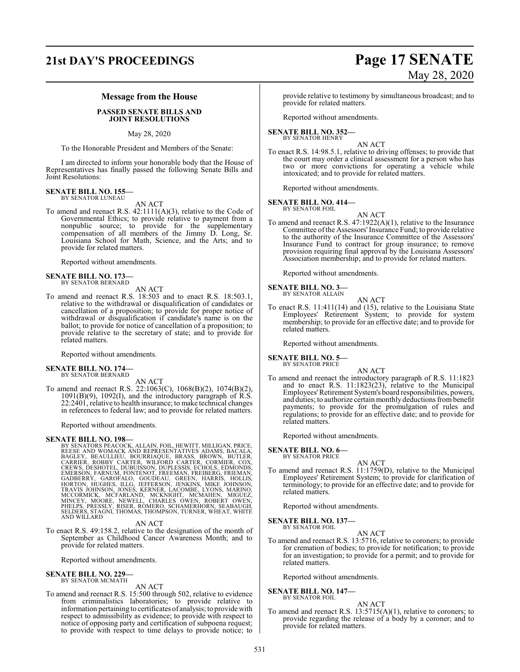## **21st DAY'S PROCEEDINGS Page 17 SENATE**

# May 28, 2020

### **Message from the House**

### **PASSED SENATE BILLS AND JOINT RESOLUTIONS**

May 28, 2020

To the Honorable President and Members of the Senate:

I am directed to inform your honorable body that the House of Representatives has finally passed the following Senate Bills and Joint Resolutions:

## **SENATE BILL NO. 155—** BY SENATOR LUNEAU

AN ACT

To amend and reenact R.S. 42:1111(A)(3), relative to the Code of Governmental Ethics; to provide relative to payment from a nonpublic source; to provide for the supplementary compensation of all members of the Jimmy D. Long, Sr. Louisiana School for Math, Science, and the Arts; and to provide for related matters.

Reported without amendments.

### **SENATE BILL NO. 173—** BY SENATOR BERNARD

AN ACT

To amend and reenact R.S. 18:503 and to enact R.S. 18:503.1, relative to the withdrawal or disqualification of candidates or cancellation of a proposition; to provide for proper notice of withdrawal or disqualification if candidate's name is on the ballot; to provide for notice of cancellation of a proposition; to provide relative to the secretary of state; and to provide for related matters.

Reported without amendments.

### **SENATE BILL NO. 174—** BY SENATOR BERNARD

AN ACT

To amend and reenact R.S. 22:1063(C), 1068(B)(2), 1074(B)(2), 1091(B)(9), 1092(I), and the introductory paragraph of R.S. 22:2401, relative to health insurance; to make technical changes in references to federal law; and to provide for related matters.

Reported without amendments.

**SENATE BILL NO. 198**<br>BY SENATORS PEACOCK, ALLAIN, FOIL, HEWITT, MILLIGAN, PRICE,<br>BY SENATORS PEACOCK, ALLAIN, FOIL, HEWITT, MILLIGAN, BACALA,<br>BAGLEY, BEAULLIEU, BOURRIAQUE, BRASS, BROWN, BUTLER,<br>CARRIER, ROBBY CARTER, WIL

AN ACT

To enact R.S. 49:158.2, relative to the designation of the month of September as Childhood Cancer Awareness Month; and to provide for related matters.

Reported without amendments.

**SENATE BILL NO. 229—** BY SENATOR MCMATH

### AN ACT

To amend and reenact R.S. 15:500 through 502, relative to evidence from criminalistics laboratories; to provide relative to information pertaining to certificates of analysis; to provide with respect to admissibility as evidence; to provide with respect to notice of opposing party and certification of subpoena request; to provide with respect to time delays to provide notice; to

provide relative to testimony by simultaneous broadcast; and to provide for related matters.

Reported without amendments.

### **SENATE BILL NO. 352—** BY SENATOR HENRY

AN ACT

To enact R.S. 14:98.5.1, relative to driving offenses; to provide that the court may order a clinical assessment for a person who has two or more convictions for operating a vehicle while intoxicated; and to provide for related matters.

Reported without amendments.

## **SENATE BILL NO. 414—**<br>BY SENATOR FOIL

AN ACT

To amend and reenact R.S. 47:1922(A)(1), relative to the Insurance Committee ofthe Assessors'Insurance Fund; to provide relative to the authority of the Insurance Committee of the Assessors' Insurance Fund to contract for group insurance; to remove provision requiring final approval by the Louisiana Assessors' Association membership; and to provide for related matters.

Reported without amendments.

## **SENATE BILL NO. 3—**<br>BY SENATOR ALLAIN

To enact R.S. 11:411(14) and (15), relative to the Louisiana State Employees' Retirement System; to provide for system membership; to provide for an effective date; and to provide for related matters.

AN ACT

Reported without amendments.

### **SENATE BILL NO. 5—** BY SENATOR PRICE

- AN ACT
- To amend and reenact the introductory paragraph of R.S. 11:1823 and to enact R.S. 11:1823(23), relative to the Municipal Employees'Retirement System's board responsibilities, powers, and duties; to authorize certain monthly deductions frombenefit payments; to provide for the promulgation of rules and regulations; to provide for an effective date; and to provide for related matters.

Reported without amendments.

**SENATE BILL NO. 6—**

BY SENATOR PRICE

AN ACT To amend and reenact R.S. 11:1759(D), relative to the Municipal Employees' Retirement System; to provide for clarification of terminology; to provide for an effective date; and to provide for related matters.

Reported without amendments.

**SENATE BILL NO. 137—**

BY SENATOR FOIL

AN ACT To amend and reenact R.S. 13:5716, relative to coroners; to provide for cremation of bodies; to provide for notification; to provide for an investigation; to provide for a permit; and to provide for related matters.

Reported without amendments.

### **SENATE BILL NO. 147—** BY SENATOR FOIL

### AN ACT

To amend and reenact R.S. 13:5715(A)(1), relative to coroners; to provide regarding the release of a body by a coroner; and to provide for related matters.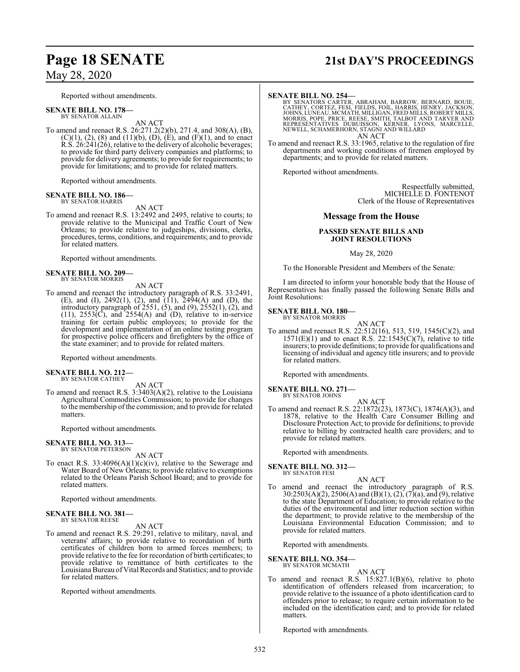Reported without amendments.

**SENATE BILL NO. 178—** BY SENATOR ALLAIN

AN ACT To amend and reenact R.S. 26:271.2(2)(b), 271.4, and 308(A), (B),  $(C)(1)$ ,  $(2)$ ,  $(8)$  and  $(11)(b)$ ,  $(D)$ ,  $(E)$ , and  $(F)(1)$ , and to enact R.S. 26:241(26), relative to the delivery of alcoholic beverages; to provide for third party delivery companies and platforms; to provide for delivery agreements; to provide for requirements; to provide for limitations; and to provide for related matters.

Reported without amendments.

### **SENATE BILL NO. 186—** BY SENATOR HARRIS

AN ACT

To amend and reenact R.S. 13:2492 and 2495, relative to courts; to provide relative to the Municipal and Traffic Court of New Orleans; to provide relative to judgeships, divisions, clerks, procedures, terms, conditions, and requirements; and to provide for related matters.

Reported without amendments.

### **SENATE BILL NO. 209—** BY SENATOR MORRIS

AN ACT

To amend and reenact the introductory paragraph of R.S. 33:2491, (E), and (I), 2492(1), (2), and (11), 2494(A) and (D), the introductory paragraph of 2551, (5), and (9), 2552(1), (2), and  $(11)$ ,  $2553(\overrightarrow{C})$ , and  $2554(\overrightarrow{A})$  and  $(\overrightarrow{D})$ , relative to in-service training for certain public employees; to provide for the development and implementation of an online testing program for prospective police officers and firefighters by the office of the state examiner; and to provide for related matters.

Reported without amendments.

## **SENATE BILL NO. 212—** BY SENATOR CATHEY

AN ACT

To amend and reenact R.S. 3:3403(A)(2), relative to the Louisiana Agricultural Commodities Commission; to provide for changes to the membership of the commission; and to provide for related matters.

Reported without amendments.

### **SENATE BILL NO. 313—** BY SENATOR PETERSON

AN ACT

To enact R.S.  $33:4096(A)(1)(c)(iv)$ , relative to the Sewerage and Water Board of New Orleans; to provide relative to exemptions related to the Orleans Parish School Board; and to provide for related matters.

Reported without amendments.

### **SENATE BILL NO. 381—** BY SENATOR REESE

AN ACT

To amend and reenact R.S. 29:291, relative to military, naval, and veterans' affairs; to provide relative to recordation of birth certificates of children born to armed forces members; to provide relative to the fee for recordation of birth certificates; to provide relative to remittance of birth certificates to the LouisianaBureau of Vital Records and Statistics; and to provide for related matters.

Reported without amendments.

# **Page 18 SENATE 21st DAY'S PROCEEDINGS**

### **SENATE BILL NO. 254—**

BY SENATORS CARTER, ABRAHAM, BARROW, BERNARD, BOUIE,<br>CATHEY, CORTEZ, FESI, FIELDS, FOIL, HARRIS, HENRY, JACKSON,<br>JOHNS, LUNEAU, MCMATH, MILLIGAN, FRED MILLS, ROBERT MILLS,<br>MORRIS, POPE, PRICE, REESE, SMITH, TALBOT AND TARV AN ACT

To amend and reenact R.S. 33:1965, relative to the regulation of fire departments and working conditions of firemen employed by departments; and to provide for related matters.

Reported without amendments.

Respectfully submitted, MICHELLE D. FONTENOT Clerk of the House of Representatives

### **Message from the House**

### **PASSED SENATE BILLS AND JOINT RESOLUTIONS**

May 28, 2020

To the Honorable President and Members of the Senate:

I am directed to inform your honorable body that the House of Representatives has finally passed the following Senate Bills and Joint Resolutions:

**SENATE BILL NO. 180—** BY SENATOR MORRIS

AN ACT

To amend and reenact R.S. 22:512(16), 513, 519, 1545(C)(2), and  $1571(E)(1)$  and to enact R.S.  $22:1545(C)(7)$ , relative to title insurers; to provide definitions; to provide for qualifications and licensing of individual and agency title insurers; and to provide for related matters.

Reported with amendments.

**SENATE BILL NO. 271—** BY SENATOR JOHNS

- AN ACT
- To amend and reenact R.S. 22:1872(23), 1873(C), 1874(A)(3), and 1878, relative to the Health Care Consumer Billing and Disclosure Protection Act; to provide for definitions; to provide relative to billing by contracted health care providers; and to provide for related matters.

Reported with amendments.

**SENATE BILL NO. 312—** BY SENATOR FESI

AN ACT

To amend and reenact the introductory paragraph of R.S. 30:2503(A)(2), 2506(A) and (B)(1), (2), (7)(a), and (9), relative to the state Department of Education; to provide relative to the duties of the environmental and litter reduction section within the department; to provide relative to the membership of the Louisiana Environmental Education Commission; and to provide for related matters.

Reported with amendments.

**SENATE BILL NO. 354—** BY SENATOR MCMATH

AN ACT

To amend and reenact R.S. 15:827.1(B)(6), relative to photo identification of offenders released from incarceration; to provide relative to the issuance of a photo identification card to offenders prior to release; to require certain information to be included on the identification card; and to provide for related matters.

Reported with amendments.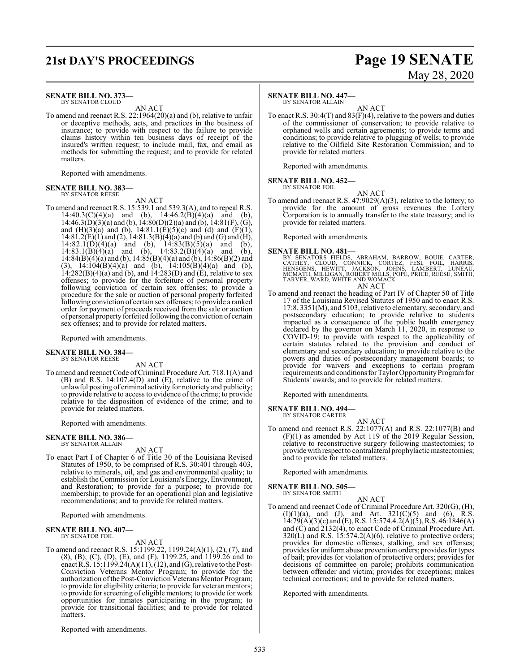## **21st DAY'S PROCEEDINGS Page 19 SENATE**

### **SENATE BILL NO. 373—**

BY SENATOR CLOUD AN ACT

To amend and reenact R.S. 22:1964(20)(a) and (b), relative to unfair or deceptive methods, acts, and practices in the business of insurance; to provide with respect to the failure to provide claims history within ten business days of receipt of the insured's written request; to include mail, fax, and email as methods for submitting the request; and to provide for related matters.

Reported with amendments.

### **SENATE BILL NO. 383—** BY SENATOR REESE

AN ACT

To amend and reenact R.S. 15:539.1 and 539.3(A), and to repeal R.S.  $14:40.3(C)(4)(a)$  and (b),  $14:46.2(B)(4)(a)$  and (b), 14:46.3(D)(3)(a) and (b), 14:80(D)(2)(a) and (b), 14:81(F), (G), and  $(H)(3)(a)$  and  $(b)$ , 14:81.1 $(E)(5)(c)$  and  $(d)$  and  $(F)(1)$ ,  $14:81.2(E)(1)$  and  $(2)$ ,  $14:81.3(B)(4)(a)$  and  $(b)$  and  $(G)$  and  $(H)$ ,  $14:82.1(D)(4)(a)$  and (b),  $14:83(B)(5)(a)$  and (b), 14:83.1(B)(4)(a) and (b), 14:83.2(B)(4)(a) and (b), 14:83.1(B)(4)(a) and (b), 14:83.2(B)(4)(a) and (b), 14:84(B)(4)(a) and (b), 14:84(B)(4)(a) and (b), 14:85(B)(4)(a) and (b), 14:86(B)(2) and (3),  $14:104(B)(4)(a)$  and (b),  $14:105(B)(4)(a)$  and (b),  $14:282(B)(4)(a)$  and (b), and  $14:283(D)$  and (E), relative to sex offenses; to provide for the forfeiture of personal property following conviction of certain sex offenses; to provide a procedure for the sale or auction of personal property forfeited following conviction of certain sex offenses; to provide a ranked order for payment of proceeds received from the sale or auction of personal property forfeited following the conviction of certain sex offenses; and to provide for related matters.

Reported with amendments.

## **SENATE BILL NO. 384—** BY SENATOR REESE

AN ACT

To amend and reenact Code of Criminal Procedure Art. 718.1(A) and (B) and R.S. 14:107.4(D) and (E), relative to the crime of unlawful posting of criminal activity for notoriety and publicity; to provide relative to access to evidence of the crime; to provide relative to the disposition of evidence of the crime; and to provide for related matters.

Reported with amendments.

## **SENATE BILL NO. 386—** BY SENATOR ALLAIN

AN ACT

To enact Part I of Chapter 6 of Title 30 of the Louisiana Revised Statutes of 1950, to be comprised of R.S. 30:401 through 403, relative to minerals, oil, and gas and environmental quality; to establish the Commission for Louisiana's Energy, Environment, and Restoration; to provide for a purpose; to provide for membership; to provide for an operational plan and legislative recommendations; and to provide for related matters.

Reported with amendments.

### **SENATE BILL NO. 407—**

matters.

BY SENATOR FOIL

AN ACT To amend and reenact R.S. 15:1199.22, 1199.24(A)(1), (2), (7), and (8), (B), (C), (D), (E), and (F), 1199.25, and 1199.26 and to enact R.S.  $15:1199.24(A)(11), (12)$ , and (G), relative to the Post-Conviction Veterans Mentor Program; to provide for the authorization ofthe Post-Conviction Veterans Mentor Program; to provide for eligibility criteria; to provide for veteran mentors; to provide for screening of eligible mentors; to provide for work opportunities for inmates participating in the program; to

provide for transitional facilities; and to provide for related

## **SENATE BILL NO. 447—**

BY SENATOR ALLAIN

AN ACT To enact R.S. 30:4(T) and 83(F)(4), relative to the powers and duties of the commissioner of conservation; to provide relative to orphaned wells and certain agreements; to provide terms and conditions; to provide relative to plugging of wells; to provide relative to the Oilfield Site Restoration Commission; and to provide for related matters.

Reported with amendments.

**SENATE BILL NO. 452—**

BY SENATOR FOIL

AN ACT To amend and reenact R.S. 47:9029(A)(3), relative to the lottery; to provide for the amount of gross revenues the Lottery Corporation is to annually transfer to the state treasury; and to

provide for related matters. Reported with amendments.

**SENATE BILL NO. 481—**<br>BY SENATORS FIELDS, ABRAHAM, BARROW, BOUIE, CARTER,<br>CATHEY, CLOUD, CONNICK, CORTEZ, FESI, FOIL, HARRIS,<br>HENSGENS, HEWITT, JACKSON, JOHNS, LAMBERT, LUNEAU,<br>MCMATH, MILLIGAN, ROBERT MILLS, POPE, PRICE, AN ACT

To amend and reenact the heading of Part IV of Chapter 50 of Title 17 of the Louisiana Revised Statutes of 1950 and to enact R.S. 17:8, 3351(M), and 5103, relative to elementary, secondary, and postsecondary education; to provide relative to students impacted as a consequence of the public health emergency declared by the governor on March 11, 2020, in response to COVID-19; to provide with respect to the applicability of certain statutes related to the provision and conduct of elementary and secondary education; to provide relative to the powers and duties of postsecondary management boards; to provide for waivers and exceptions to certain program requirements and conditions for Taylor Opportunity Program for Students' awards; and to provide for related matters.

Reported with amendments.

### **SENATE BILL NO. 494—**

BY SENATOR CARTER AN ACT

To amend and reenact R.S. 22:1077(A) and R.S. 22:1077(B) and (F)(1) as amended by Act 119 of the 2019 Regular Session, relative to reconstructive surgery following mastectomies; to provide with respect to contralateral prophylactic mastectomies; and to provide for related matters.

Reported with amendments.

### **SENATE BILL NO. 505—** BY SENATOR SMITH

AN ACT To amend and reenact Code of Criminal Procedure Art. 320(G), (H),  $(I)(1)(a)$ , and  $(J)$ , and Art.  $321(C)(5)$  and  $(6)$ , R.S.  $14:79(A)(3)(c)$  and (E), R.S. 15:574.4.2(A)(5), R.S. 46:1846(A) and (C) and 2132(4), to enact Code of Criminal Procedure Art.  $320(L)$  and R.S. 15:574.2(A)(6), relative to protective orders; provides for domestic offenses, stalking, and sex offenses; provides for uniformabuse prevention orders; provides for types of bail; provides for violation of protective orders; provides for decisions of committee on parole; prohibits communication between offender and victim; provides for exceptions; makes technical corrections; and to provide for related matters.

Reported with amendments.

Reported with amendments.

# May 28, 2020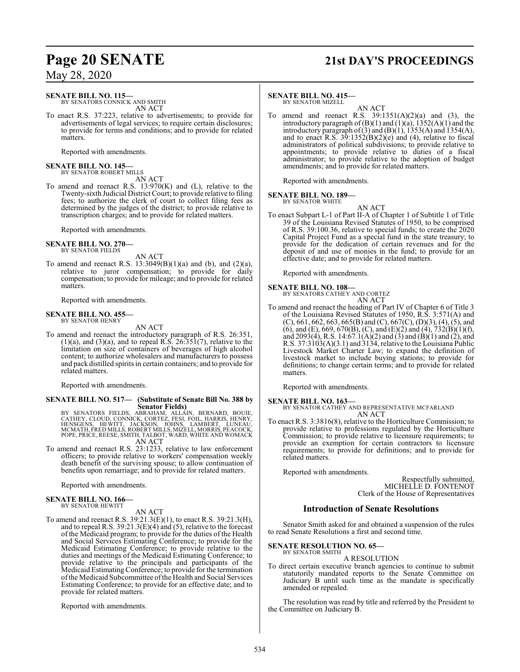## **Page 20 SENATE 21st DAY'S PROCEEDINGS**

May 28, 2020

### **SENATE BILL NO. 115—**

BY SENATORS CONNICK AND SMITH AN ACT

To enact R.S. 37:223, relative to advertisements; to provide for advertisements of legal services; to require certain disclosures; to provide for terms and conditions; and to provide for related matters.

Reported with amendments.

# **SENATE BILL NO. 145—** BY SENATOR ROBERT MILLS

AN ACT

To amend and reenact R.S. 13:970(K) and (L), relative to the Twenty-sixth Judicial District Court; to provide relative to filing fees; to authorize the clerk of court to collect filing fees as determined by the judges of the district; to provide relative to transcription charges; and to provide for related matters.

Reported with amendments.

### **SENATE BILL NO. 270—** BY SENATOR FIELDS

AN ACT

To amend and reenact R.S.  $13:3049(B)(1)(a)$  and  $(b)$ , and  $(2)(a)$ , relative to juror compensation; to provide for daily compensation; to provide for mileage; and to provide for related matters.

Reported with amendments.

### **SENATE BILL NO. 455—** BY SENATOR HENRY

AN ACT

To amend and reenact the introductory paragraph of R.S. 26:351,  $(1)(a)$ , and  $(3)(a)$ , and to repeal R.S. 26:351(7), relative to the limitation on size of containers of beverages of high alcohol content; to authorize wholesalers and manufacturers to possess and pack distilled spirits in certain containers; and to provide for related matters.

Reported with amendments.

# **SENATE BILL NO. 517— (Substitute of Senate Bill No. 388 by**

Senator Fields)<br>
BY SENATORS FIELDS, ABRAHAM, ALLAIN, BERNARD, BOUIE,<br>
CATHEY, CLOUD, CONNICK, CORTEZ, FESI, FOIL, HARRIS, HENRY,<br>
HENSGENS, HEWITT, JACKSON, JOHNS, LAMBERT, LUNEAU,<br>
MCMATH, FRED MILLS, ROBERT MILLS, MIZEL

To amend and reenact R.S. 23:1233, relative to law enforcement officers; to provide relative to workers' compensation weekly death benefit of the surviving spouse; to allow continuation of benefits upon remarriage; and to provide for related matters.

Reported with amendments.

### **SENATE BILL NO. 166—** BY SENATOR HEWITT

AN ACT

To amend and reenact R.S. 39:21.3(E)(1), to enact R.S. 39:21.3(H), and to repeal R.S. 39:21.3(E)(4) and (5), relative to the forecast of the Medicaid program; to provide for the duties of the Health and Social Services Estimating Conference; to provide for the Medicaid Estimating Conference; to provide relative to the duties and meetings of the Medicaid Estimating Conference; to provide relative to the principals and participants of the Medicaid EstimatingConference; to provide for the termination ofthe Medicaid Subcommittee ofthe Health and Social Services Estimating Conference; to provide for an effective date; and to provide for related matters.

Reported with amendments.

### **SENATE BILL NO. 415—**

BY SENATOR MIZELL

AN ACT To amend and reenact R.S.  $39:1351(A)(2)(a)$  and  $(3)$ , the introductory paragraph of  $(B)(1)$  and  $(1)(a)$ ,  $1352(A)(1)$  and the introductory paragraph of (3) and  $(B)(1)$ , 1353(A) and 1354(A), and to enact R.S.  $39:1352(B)(2)(e)$  and (4), relative to fiscal administrators of political subdivisions; to provide relative to appointments; to provide relative to duties of a fiscal administrator; to provide relative to the adoption of budget amendments; and to provide for related matters.

Reported with amendments.

### **SENATE BILL NO. 189—** BY SENATOR WHITE

AN ACT

To enact Subpart L-1 of Part II-A of Chapter 1 of Subtitle 1 of Title 39 of the Louisiana Revised Statutes of 1950, to be comprised of R.S. 39:100.36, relative to special funds; to create the 2020 Capital Project Fund as a special fund in the state treasury; to provide for the dedication of certain revenues and for the deposit of and use of monies in the fund; to provide for an effective date; and to provide for related matters.

Reported with amendments.

**SENATE BILL NO. 108—** BY SENATORS CATHEY AND CORTEZ AN ACT

To amend and reenact the heading of Part IV of Chapter 6 of Title 3 of the Louisiana Revised Statutes of 1950, R.S. 3:571(A) and  $(C)$ , 661, 662, 663, 665(B) and  $(C)$ , 667(C), (D)(3), (4), (5), and (6), and (E), 669, 670(B), (C), and (E)(2) and (4),  $\overline{732(B)(1)}(f)$ , and 2093(4), R.S. 14:67.1(A)(2) and (3) and (B)(1) and (2), and R.S.  $37:3103(A)(3.1)$  and  $3134$ , relative to the Louisiana Public Livestock Market Charter Law; to expand the definition of livestock market to include buying stations; to provide for definitions; to change certain terms; and to provide for related matters.

Reported with amendments.

**SENATE BILL NO. 163—** BY SENATOR CATHEY AND REPRESENTATIVE MCFARLAND AN ACT

To enact R.S. 3:3816(8), relative to the Horticulture Commission; to provide relative to professions regulated by the Horticulture Commission; to provide relative to licensure requirements; to provide an exemption for certain contractors to licensure requirements; to provide for definitions; and to provide for related matters.

Reported with amendments.

Respectfully submitted, MICHELLE D. FONTENOT Clerk of the House of Representatives

### **Introduction of Senate Resolutions**

Senator Smith asked for and obtained a suspension of the rules to read Senate Resolutions a first and second time.

### **SENATE RESOLUTION NO. 65—** BY SENATOR SMITH

A RESOLUTION

To direct certain executive branch agencies to continue to submit statutorily mandated reports to the Senate Committee on Judiciary B until such time as the mandate is specifically amended or repealed.

The resolution was read by title and referred by the President to the Committee on Judiciary B.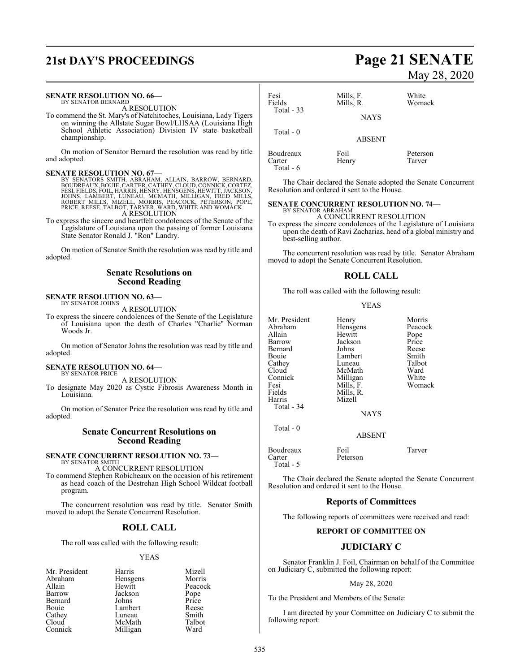# **21st DAY'S PROCEEDINGS Page 21 SENATE**

### **SENATE RESOLUTION NO. 66—** BY SENATOR BERNARD

A RESOLUTION

To commend the St. Mary's of Natchitoches, Louisiana, Lady Tigers on winning the Allstate Sugar Bowl/LHSAA (Louisiana High School Athletic Association) Division IV state basketball championship.

On motion of Senator Bernard the resolution was read by title and adopted.

**SENATE RESOLUTION NO. 67—**<br>BY SENATORS SMITH, ABRAHAM, ALLAIN, BARROW, BERNARD,<br>BOUDREAUX, BOUIE, CARTER, CATHEY, CLOUD, CONNICK, CORTEZ,<br>FESI, FIELDS, FOIL, HARRIS, HENRY, HENSGENS, HEWITT, JACKSON, JOHNS, LAMBERT, LUNEAU, MCMATH, MILLIGAN, FRED MILLS, ROBERT MILLS, MIZELL, MORRIS, PEACOCK, PETERSON, POPE, PRICE, REESE, TALBOT, TARVER, WARD, WHITE AND WOMACK A RESOLUTION

To express the sincere and heartfelt condolences of the Senate of the Legislature of Louisiana upon the passing of former Louisiana State Senator Ronald J. "Ron" Landry.

On motion of Senator Smith the resolution was read by title and adopted.

### **Senate Resolutions on Second Reading**

### **SENATE RESOLUTION NO. 63—**

BY SENATOR JOHNS A RESOLUTION

To express the sincere condolences of the Senate of the Legislature of Louisiana upon the death of Charles "Charlie" Norman Woods Jr.

On motion of Senator Johns the resolution was read by title and adopted.

### **SENATE RESOLUTION NO. 64—**

BY SENATOR PRICE A RESOLUTION

To designate May 2020 as Cystic Fibrosis Awareness Month in Louisiana.

On motion of Senator Price the resolution was read by title and adopted.

### **Senate Concurrent Resolutions on Second Reading**

## **SENATE CONCURRENT RESOLUTION NO. 73—**

BY SENATOR SMITH A CONCURRENT RESOLUTION

To commend Stephen Robicheaux on the occasion of his retirement as head coach of the Destrehan High School Wildcat football program.

The concurrent resolution was read by title. Senator Smith moved to adopt the Senate Concurrent Resolution.

### **ROLL CALL**

The roll was called with the following result:

### YEAS

|          | Mizell        |
|----------|---------------|
| Hensgens | Morris        |
| Hewitt   | Peacock       |
| Jackson  | Pope<br>Price |
| Johns    |               |
| Lambert  | Reese         |
| Luneau   | Smith         |
| McMath   | Talbot        |
| Milligan | Ward          |
|          | Harris        |

# May 28, 2020

| Fesi<br>Fields<br>Total - 33     | Mills, F.<br>Mills, R.<br><b>NAYS</b> | White<br>Womack    |
|----------------------------------|---------------------------------------|--------------------|
| Total $-0$                       | <b>ABSENT</b>                         |                    |
| Boudreaux<br>Carter<br>Total - 6 | Foil<br>Henry                         | Peterson<br>Tarver |

The Chair declared the Senate adopted the Senate Concurrent Resolution and ordered it sent to the House.

### **SENATE CONCURRENT RESOLUTION NO. 74—** BY SENATOR ABRAHAM

A CONCURRENT RESOLUTION To express the sincere condolences of the Legislature of Louisiana upon the death of Ravi Zacharias, head of a global ministry and best-selling author.

The concurrent resolution was read by title. Senator Abraham moved to adopt the Senate Concurrent Resolution.

### **ROLL CALL**

The roll was called with the following result:

### YEAS

Peacock<br>Pope

White Womack

|         | Morris                                                            |
|---------|-------------------------------------------------------------------|
|         | Peacoc                                                            |
| Hewitt  | Pope                                                              |
| Jackson | Price                                                             |
| Johns   | Reese                                                             |
| Lambert | Smith                                                             |
| Luneau  | Talbot                                                            |
| McMath  | Ward                                                              |
|         | White                                                             |
|         | Woma                                                              |
|         |                                                                   |
|         |                                                                   |
|         |                                                                   |
| NAYS    |                                                                   |
|         | Henry<br>Hensgens<br>Milligan<br>Mills, F.<br>Mills, R.<br>Mizell |

Total - 0

ABSENT

Boudreaux Foil Tarver<br>Carter Peterson Tarver Peterson Total - 5

The Chair declared the Senate adopted the Senate Concurrent Resolution and ordered it sent to the House.

### **Reports of Committees**

The following reports of committees were received and read:

### **REPORT OF COMMITTEE ON**

### **JUDICIARY C**

Senator Franklin J. Foil, Chairman on behalf of the Committee on Judiciary C, submitted the following report:

### May 28, 2020

To the President and Members of the Senate:

I am directed by your Committee on Judiciary C to submit the following report: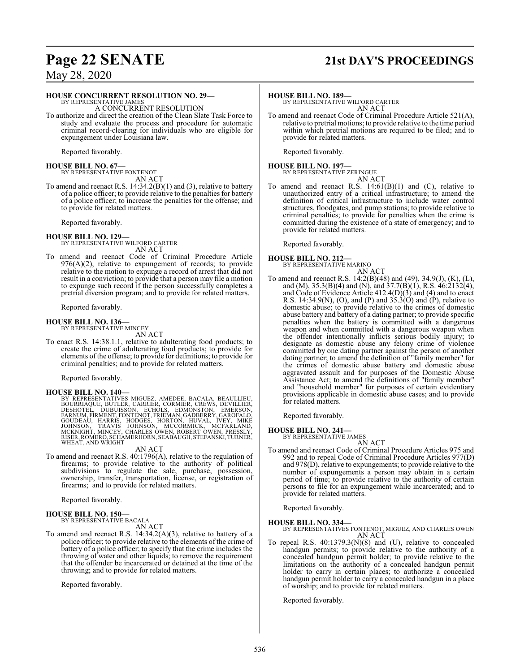## **Page 22 SENATE 21st DAY'S PROCEEDINGS**

## May 28, 2020

### **HOUSE CONCURRENT RESOLUTION NO. 29—**

BY REPRESENTATIVE JAMES A CONCURRENT RESOLUTION

To authorize and direct the creation of the Clean Slate Task Force to study and evaluate the process and procedure for automatic criminal record-clearing for individuals who are eligible for expungement under Louisiana law.

Reported favorably.

**HOUSE BILL NO. 67—** BY REPRESENTATIVE FONTENOT AN ACT

To amend and reenact R.S. 14:34.2(B)(1) and (3), relative to battery of a police officer; to provide relative to the penalties for battery of a police officer; to increase the penalties for the offense; and to provide for related matters.

Reported favorably.

**HOUSE BILL NO. 129—** BY REPRESENTATIVE WILFORD CARTER AN ACT

To amend and reenact Code of Criminal Procedure Article  $976(A)(2)$ , relative to expungement of records; to provide relative to the motion to expunge a record of arrest that did not result in a conviction; to provide that a person may file a motion to expunge such record if the person successfully completes a pretrial diversion program; and to provide for related matters.

Reported favorably.

## **HOUSE BILL NO. 136—** BY REPRESENTATIVE MINCEY

AN ACT

To enact R.S. 14:38.1.1, relative to adulterating food products; to create the crime of adulterating food products; to provide for elements ofthe offense; to provide for definitions; to provide for criminal penalties; and to provide for related matters.

Reported favorably.

### **HOUSE BILL NO. 140—**

BY REPRESENTATIVES MIGUEZ, AMEDEE, BACALA, BEAULLIEU,<br>BOURRIAQUE, BUTLER, CARRIER, CORMIÉR, CREWS, DEVILLIER,<br>DESHOTEL, DUBUISSON, ECHOLS, EDMONSTON, EMERSON,<br>GOUDEAU, HARRIS, HODGES, HORTON, HUVAL, IVEY, MIKE<br>GOUDEAU, HAR WHEAT, AND WRIGHT

AN ACT

To amend and reenact R.S. 40:1796(A), relative to the regulation of firearms; to provide relative to the authority of political subdivisions to regulate the sale, purchase, possession, ownership, transfer, transportation, license, or registration of firearms; and to provide for related matters.

Reported favorably.

### **HOUSE BILL NO. 150—** BY REPRESENTATIVE BACALA

AN ACT

To amend and reenact R.S. 14:34.2(A)(3), relative to battery of a police officer; to provide relative to the elements of the crime of battery of a police officer; to specify that the crime includes the throwing of water and other liquids; to remove the requirement that the offender be incarcerated or detained at the time of the throwing; and to provide for related matters.

Reported favorably.

**HOUSE BILL NO. 189—**

BY REPRESENTATIVE WILFORD CARTER AN ACT

To amend and reenact Code of Criminal Procedure Article 521(A), relative to pretrial motions; to provide relative to the time period within which pretrial motions are required to be filed; and to provide for related matters.

Reported favorably.

**HOUSE BILL NO. 197—** BY REPRESENTATIVE ZERINGUE

- AN ACT
- To amend and reenact R.S.  $14:61(B)(1)$  and  $(C)$ , relative to unauthorized entry of a critical infrastructure; to amend the definition of critical infrastructure to include water control structures, floodgates, and pump stations; to provide relative to criminal penalties; to provide for penalties when the crime is committed during the existence of a state of emergency; and to provide for related matters.

Reported favorably.

## **HOUSE BILL NO. 212—** BY REPRESENTATIVE MARINO

- AN ACT
- To amend and reenact R.S. 14:2(B)(48) and (49), 34.9(J), (K), (L), and (M), 35.3(B)(4) and (N), and 37.7(B)(1), R.S. 46:2132(4), and Code of Evidence Article 412.4(D)(3) and (4) and to enact R.S. 14:34.9(N), (O), and (P) and 35.3(O) and (P), relative to domestic abuse; to provide relative to the crimes of domestic abuse battery and battery of a dating partner; to provide specific penalties when the battery is committed with a dangerous weapon and when committed with a dangerous weapon when the offender intentionally inflicts serious bodily injury; to designate as domestic abuse any felony crime of violence committed by one dating partner against the person of another dating partner; to amend the definition of "family member" for the crimes of domestic abuse battery and domestic abuse aggravated assault and for purposes of the Domestic Abuse Assistance Act; to amend the definitions of "family member" and "household member" for purposes of certain evidentiary provisions applicable in domestic abuse cases; and to provide for related matters.

Reported favorably.

### **HOUSE BILL NO. 241—**

BY REPRESENTATIVE JAMES AN ACT

To amend and reenact Code of Criminal Procedure Articles 975 and 992 and to repeal Code of Criminal Procedure Articles 977(D) and 978(D), relative to expungements; to provide relative to the number of expungements a person may obtain in a certain period of time; to provide relative to the authority of certain persons to file for an expungement while incarcerated; and to provide for related matters.

Reported favorably.

**HOUSE BILL NO. 334—** BY REPRESENTATIVES FONTENOT, MIGUEZ, AND CHARLES OWEN AN ACT

To repeal R.S. 40:1379.3(N)(8) and (U), relative to concealed handgun permits; to provide relative to the authority of a concealed handgun permit holder; to provide relative to the limitations on the authority of a concealed handgun permit holder to carry in certain places; to authorize a concealed handgun permit holder to carry a concealed handgun in a place of worship; and to provide for related matters.

Reported favorably.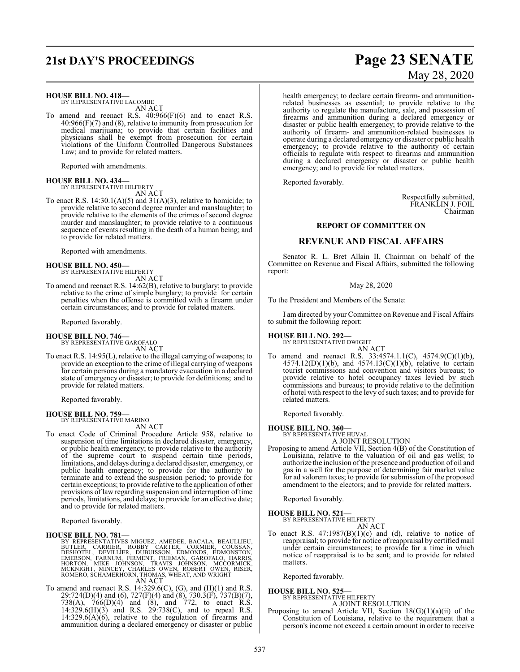## **21st DAY'S PROCEEDINGS Page 23 SENATE**

### **HOUSE BILL NO. 418—**

BY REPRESENTATIVE LACOMBE AN ACT

To amend and reenact R.S. 40:966(F)(6) and to enact R.S. 40:966(F)(7) and (8), relative to immunity from prosecution for medical marijuana; to provide that certain facilities and physicians shall be exempt from prosecution for certain violations of the Uniform Controlled Dangerous Substances Law; and to provide for related matters.

Reported with amendments.

### **HOUSE BILL NO. 434—** BY REPRESENTATIVE HILFERTY

AN ACT

To enact R.S.  $14:30.1(A)(5)$  and  $31(A)(3)$ , relative to homicide; to provide relative to second degree murder and manslaughter; to provide relative to the elements of the crimes of second degree murder and manslaughter; to provide relative to a continuous sequence of events resulting in the death of a human being; and to provide for related matters.

Reported with amendments.

### **HOUSE BILL NO. 450—**

BY REPRESENTATIVE HILFERTY

AN ACT

To amend and reenact R.S. 14:62(B), relative to burglary; to provide relative to the crime of simple burglary; to provide for certain penalties when the offense is committed with a firearm under certain circumstances; and to provide for related matters.

Reported favorably.

### **HOUSE BILL NO. 746—**

BY REPRESENTATIVE GAROFALO AN ACT

To enact R.S. 14:95(L), relative to the illegal carrying of weapons; to provide an exception to the crime of illegal carrying of weapons for certain persons during a mandatory evacuation in a declared state of emergency or disaster; to provide for definitions; and to provide for related matters.

Reported favorably.

**HOUSE BILL NO. 759—**

BY REPRESENTATIVE MARINO AN ACT

To enact Code of Criminal Procedure Article 958, relative to suspension of time limitations in declared disaster, emergency, or public health emergency; to provide relative to the authority of the supreme court to suspend certain time periods, limitations, and delays during a declared disaster, emergency, or public health emergency; to provide for the authority to terminate and to extend the suspension period; to provide for certain exceptions; to provide relative to the application of other provisions of law regarding suspension and interruption of time periods, limitations, and delays; to provide for an effective date; and to provide for related matters.

Reported favorably.

### **HOUSE BILL NO. 781—**

BY REPRESENTATIVES MIGUEZ, AMEDEE, BACALA, BEAULLIEU,<br>BUTLER, CARRIER, ROBBY CARTER, CORMIER, COUSSAN,<br>DESHOTEL, DEVILLIER, DUBUISSON, EDMONDS, EDMOSTAN,<br>EMERSON, FARNUM, FIRMENT, FRIEMAN, GAROFALO, HARRIS,<br>HORTON, MIKE JO AN ACT

To amend and reenact R.S.  $14:329.6(C)$ ,  $(G)$ , and  $(H)(1)$  and R.S. 29:724(D)(4) and (6), 727(F)(4) and (8), 730.3(F), 737(B)(7), 738(A), 766(D)(4) and (8), and 772, to enact R.S. 14:329.6(H)(3) and R.S. 29:738(C), and to repeal R.S.  $14:329.6(A)(6)$ , relative to the regulation of firearms and ammunition during a declared emergency or disaster or public

# May 28, 2020

health emergency; to declare certain firearm- and ammunitionrelated businesses as essential; to provide relative to the authority to regulate the manufacture, sale, and possession of firearms and ammunition during a declared emergency or disaster or public health emergency; to provide relative to the authority of firearm- and ammunition-related businesses to operate during a declared emergency or disaster or public health emergency; to provide relative to the authority of certain officials to regulate with respect to firearms and ammunition during a declared emergency or disaster or public health emergency; and to provide for related matters.

Reported favorably.

Respectfully submitted, FRANKLIN J. FOIL Chairman

### **REPORT OF COMMITTEE ON**

### **REVENUE AND FISCAL AFFAIRS**

Senator R. L. Bret Allain II, Chairman on behalf of the Committee on Revenue and Fiscal Affairs, submitted the following report:

### May 28, 2020

To the President and Members of the Senate:

I am directed by your Committee on Revenue and Fiscal Affairs to submit the following report:

## **HOUSE BILL NO. 292—**

BY REPRESENTATIVE DWIGHT AN ACT

To amend and reenact R.S. 33:4574.1.1(C), 4574.9(C)(1)(b),  $4574.12(D)(1)(b)$ , and  $4574.13(C)(1)(b)$ , relative to certain tourist commissions and convention and visitors bureaus; to provide relative to hotel occupancy taxes levied by such commissions and bureaus; to provide relative to the definition of hotel with respect to the levy of such taxes; and to provide for related matters.

Reported favorably.

### **HOUSE BILL NO. 360—**

BY REPRESENTATIVE HUVAL A JOINT RESOLUTION

Proposing to amend Article VII, Section 4(B) of the Constitution of Louisiana, relative to the valuation of oil and gas wells; to authorize the inclusion of the presence and production of oil and gas in a well for the purpose of determining fair market value for ad valorem taxes; to provide for submission of the proposed amendment to the electors; and to provide for related matters.

Reported favorably.

### **HOUSE BILL NO. 521—**

BY REPRESENTATIVE HILFERTY AN ACT

To enact R.S.  $47:1987(B)(1)(c)$  and (d), relative to notice of reappraisal; to provide for notice ofreappraisal by certified mail under certain circumstances; to provide for a time in which notice of reappraisal is to be sent; and to provide for related matters.

Reported favorably.

## **HOUSE BILL NO. 525—**

BY REPRESENTATIVE HILFERTY

A JOINT RESOLUTION Proposing to amend Article VII, Section  $18(G)(1)(a)(ii)$  of the Constitution of Louisiana, relative to the requirement that a person's income not exceed a certain amount in order to receive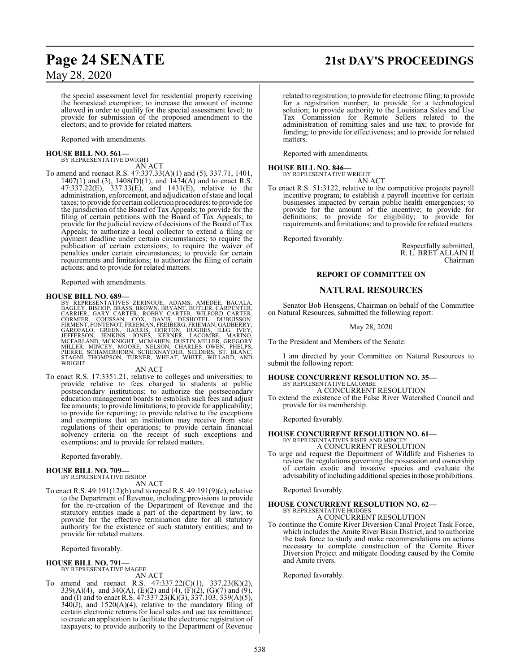## **Page 24 SENATE 21st DAY'S PROCEEDINGS**

May 28, 2020

the special assessment level for residential property receiving the homestead exemption; to increase the amount of income allowed in order to qualify for the special assessment level; to provide for submission of the proposed amendment to the electors; and to provide for related matters.

Reported with amendments.

# **HOUSE BILL NO. 561—** BY REPRESENTATIVE DWIGHT

AN ACT

To amend and reenact R.S. 47:337.33(A)(1) and (5), 337.71, 1401, 1407(1) and (3), 1408(D)(1), and 1434(A) and to enact R.S. 47:337.22(E), 337.33(E), and 1431(E), relative to the administration, enforcement, and adjudication of state and local taxes; to provide for certain collection procedures; to provide for the jurisdiction of the Board of Tax Appeals; to provide for the filing of certain petitions with the Board of Tax Appeals; to provide for the judicial review of decisions of the Board of Tax Appeals; to authorize a local collector to extend a filing or payment deadline under certain circumstances; to require the publication of certain extensions; to require the waiver of penalties under certain circumstances; to provide for certain requirements and limitations; to authorize the filing of certain actions; and to provide for related matters.

Reported with amendments.

HOUSE BILL NO. 689-<br>BY REPRESENTATIVES ZERINGUE, ADAMS, AMEDEE, BACALA,<br>BAGLEY, BISHOP, BRASS, BROWN, BRYANT, BUTLER, CARPENTER,<br>CARRIER, GARY CARTER, ROBBY CARTER, WILFORD CARTER,<br>CORMIER, COUSSAN, COX, DAVIS, DESHOTEL, D

### AN ACT

To enact R.S. 17:3351.21, relative to colleges and universities; to provide relative to fees charged to students at public postsecondary institutions; to authorize the postsecondary education management boards to establish such fees and adjust fee amounts; to provide limitations; to provide for applicability; to provide for reporting; to provide relative to the exceptions and exemptions that an institution may receive from state regulations of their operations; to provide certain financial solvency criteria on the receipt of such exceptions and exemptions; and to provide for related matters.

Reported favorably.

### **HOUSE BILL NO. 709—**

BY REPRESENTATIVE BISHOP AN ACT

To enact R.S. 49:191(12)(b) and to repeal R.S. 49:191(9)(c), relative to the Department of Revenue, including provisions to provide for the re-creation of the Department of Revenue and the statutory entities made a part of the department by law; to provide for the effective termination date for all statutory authority for the existence of such statutory entities; and to provide for related matters.

Reported favorably.

## **HOUSE BILL NO. 791—** BY REPRESENTATIVE MAGEE

AN ACT

To amend and reenact R.S. 47:337.22(C)(1), 337.23(K)(2), 339(A)(4), and 340(A), (E)(2) and (4), (F)(2), (G)(7) and (9), and (I) and to enact R.S.  $47:337.23(K)(3)$ ,  $337.103$ ,  $339(A)(5)$ ,  $340(\text{J})$ , and  $1520(\text{A})(4)$ , relative to the mandatory filing of certain electronic returns for local sales and use tax remittance; to create an application to facilitate the electronic registration of taxpayers; to provide authority to the Department of Revenue

related to registration; to provide for electronic filing; to provide for a registration number; to provide for a technological solution; to provide authority to the Louisiana Sales and Use Tax Commission for Remote Sellers related to the administration of remitting sales and use tax; to provide for funding; to provide for effectiveness; and to provide for related matters.

Reported with amendments.

### **HOUSE BILL NO. 846—** BY REPRESENTATIVE WRIGHT

AN ACT

To enact R.S. 51:3122, relative to the competitive projects payroll incentive program; to establish a payroll incentive for certain businesses impacted by certain public health emergencies; to provide for the amount of the incentive; to provide for definitions; to provide for eligibility; to provide for requirements and limitations; and to provide for related matters.

Reported favorably.

Respectfully submitted, R. L. BRET ALLAIN II Chairman

### **REPORT OF COMMITTEE ON**

### **NATURAL RESOURCES**

Senator Bob Hensgens, Chairman on behalf of the Committee on Natural Resources, submitted the following report:

### May 28, 2020

To the President and Members of the Senate:

I am directed by your Committee on Natural Resources to submit the following report:

## **HOUSE CONCURRENT RESOLUTION NO. 35—** BY REPRESENTATIVE LACOMBE

A CONCURRENT RESOLUTION

To extend the existence of the False River Watershed Council and provide for its membership.

Reported favorably.

### **HOUSE CONCURRENT RESOLUTION NO. 61—**

BY REPRESENTATIVES RISER AND MINCEY A CONCURRENT RESOLUTION

To urge and request the Department of Wildlife and Fisheries to review the regulations governing the possession and ownership of certain exotic and invasive species and evaluate the advisability of including additional species in those prohibitions.

Reported favorably.

## **HOUSE CONCURRENT RESOLUTION NO. 62—** BY REPRESENTATIVE HODGES

A CONCURRENT RESOLUTION

To continue the Comite River Diversion Canal Project Task Force, which includes the Amite River Basin District, and to authorize the task force to study and make recommendations on actions necessary to complete construction of the Comite River Diversion Project and mitigate flooding caused by the Comite and Amite rivers.

Reported favorably.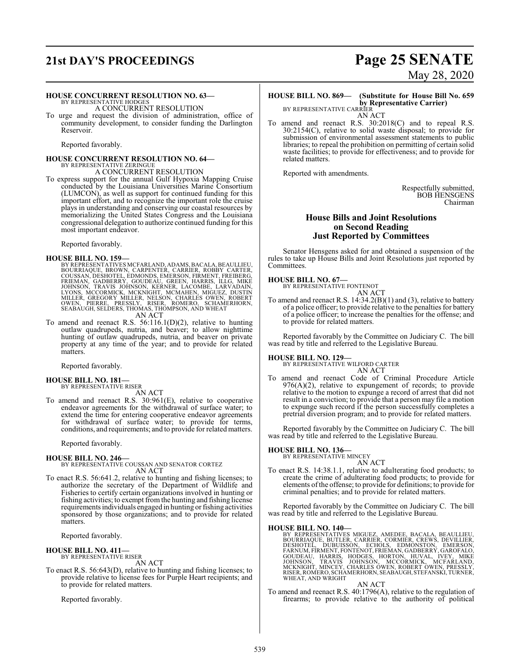# **21st DAY'S PROCEEDINGS Page 25 SENATE**

### **HOUSE CONCURRENT RESOLUTION NO. 63—**

BY REPRESENTATIVE HODGES A CONCURRENT RESOLUTION

To urge and request the division of administration, office of community development, to consider funding the Darlington Reservoir.

Reported favorably.

### **HOUSE CONCURRENT RESOLUTION NO. 64—** BY REPRESENTATIVE ZERINGUE

A CONCURRENT RESOLUTION

To express support for the annual Gulf Hypoxia Mapping Cruise conducted by the Louisiana Universities Marine Consortium (LUMCON), as well as support for continued funding for this important effort, and to recognize the important role the cruise plays in understanding and conserving our coastal resources by memorializing the United States Congress and the Louisiana congressional delegation to authorize continued funding for this most important endeavor.

Reported favorably.

**HOUSE BILL NO. 159—** BY REPRESENTATIVES MCFARLAND, ADAMS, BACALA, BEAULLIEU, BOURRIAQUE, BROWN, CARPENTER, CARRER, ROBBY CARTER, COUSSAN, DESHOTEL, EDMONDS, EMERSON, FIRMENT, FREIBERG, FRIEMAN, GADBERRY, GOUDEAU, GREEN, HARRIS, ILLG, MIKE JOHN

To amend and reenact R.S. 56:116.1(D)(2), relative to hunting outlaw quadrupeds, nutria, and beaver; to allow nighttime hunting of outlaw quadrupeds, nutria, and beaver on private property at any time of the year; and to provide for related matters.

Reported favorably.

### **HOUSE BILL NO. 181—**

BY REPRESENTATIVE RISER

AN ACT

To amend and reenact R.S. 30:961(E), relative to cooperative endeavor agreements for the withdrawal of surface water; to extend the time for entering cooperative endeavor agreements for withdrawal of surface water; to provide for terms, conditions, and requirements; and to provide for related matters.

Reported favorably.

## **HOUSE BILL NO. 246—** BY REPRESENTATIVE COUSSAN AND SENATOR CORTEZ AN ACT

To enact R.S. 56:641.2, relative to hunting and fishing licenses; to authorize the secretary of the Department of Wildlife and Fisheries to certify certain organizations involved in hunting or fishing activities; to exempt fromthe hunting and fishing license requirements individuals engaged in hunting or fishing activities sponsored by those organizations; and to provide for related matters.

Reported favorably.

## **HOUSE BILL NO. 411—** BY REPRESENTATIVE RISER

AN ACT

To enact R.S. 56:643(D), relative to hunting and fishing licenses; to provide relative to license fees for Purple Heart recipients; and to provide for related matters.

Reported favorably.

# May 28, 2020

### **HOUSE BILL NO. 869— (Substitute for House Bill No. 659 by Representative Carrier)** BY REPRESENTATIVE CARRIER

AN ACT

To amend and reenact R.S. 30:2018(C) and to repeal R.S. 30:2154(C), relative to solid waste disposal; to provide for submission of environmental assessment statements to public libraries; to repeal the prohibition on permitting of certain solid waste facilities; to provide for effectiveness; and to provide for related matters.

Reported with amendments.

Respectfully submitted, BOB HENSGENS Chairman

### **House Bills and Joint Resolutions on Second Reading Just Reported by Committees**

Senator Hensgens asked for and obtained a suspension of the rules to take up House Bills and Joint Resolutions just reported by Committees.

### **HOUSE BILL NO. 67—**

BY REPRESENTATIVE FONTENOT

AN ACT

To amend and reenact R.S. 14:34.2(B)(1) and (3), relative to battery of a police officer; to provide relative to the penalties for battery of a police officer; to increase the penalties for the offense; and to provide for related matters.

Reported favorably by the Committee on Judiciary C. The bill was read by title and referred to the Legislative Bureau.

### **HOUSE BILL NO. 129—**

BY REPRESENTATIVE WILFORD CARTER AN ACT

To amend and reenact Code of Criminal Procedure Article 976(A)(2), relative to expungement of records; to provide relative to the motion to expunge a record of arrest that did not result in a conviction; to provide that a person may file a motion to expunge such record if the person successfully completes a pretrial diversion program; and to provide for related matters.

Reported favorably by the Committee on Judiciary C. The bill was read by title and referred to the Legislative Bureau.

### **HOUSE BILL NO. 136—**

BY REPRESENTATIVE MINCEY

- AN ACT
- To enact R.S. 14:38.1.1, relative to adulterating food products; to create the crime of adulterating food products; to provide for elements ofthe offense; to provide for definitions; to provide for criminal penalties; and to provide for related matters.

Reported favorably by the Committee on Judiciary C. The bill was read by title and referred to the Legislative Bureau.

### **HOUSE BILL NO. 140—**

BY REPRESENTATIVES MIGUEZ, AMEDEE, BACALA, BEAULLIEU,<br>BOURRIAQUE, BUTLER, CARRIER, CORMIER, CREWS, DEVILLIER,<br>DESHOTEL, DUBUISSON, ECHOLS, EDMONSTON, EMERSON,<br>FARNUM,FIRMENT,FONTENOT,FRIEMAN,GADBERRY,GAROFALO,<br>GOUDEAU, HAR

AN ACT

To amend and reenact R.S. 40:1796(A), relative to the regulation of firearms; to provide relative to the authority of political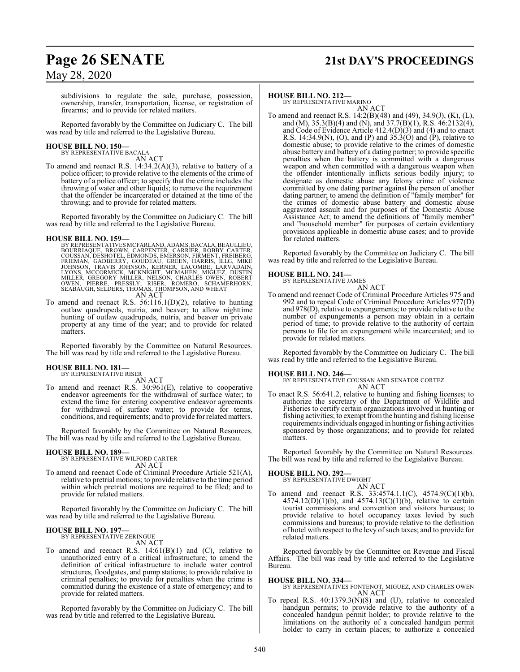## **Page 26 SENATE 21st DAY'S PROCEEDINGS**

May 28, 2020

subdivisions to regulate the sale, purchase, possession, ownership, transfer, transportation, license, or registration of firearms; and to provide for related matters.

Reported favorably by the Committee on Judiciary C. The bill was read by title and referred to the Legislative Bureau.

### **HOUSE BILL NO. 150—** BY REPRESENTATIVE BACALA

AN ACT

To amend and reenact R.S.  $14:34.2(A)(3)$ , relative to battery of a police officer; to provide relative to the elements of the crime of battery of a police officer; to specify that the crime includes the throwing of water and other liquids; to remove the requirement that the offender be incarcerated or detained at the time of the throwing; and to provide for related matters.

Reported favorably by the Committee on Judiciary C. The bill was read by title and referred to the Legislative Bureau.

### **HOUSE BILL NO. 159—**

BY REPRESENTATIVES MCFARLAND, ADAMS, BACALA, BEAULLIEU,<br>BOURRIAQUE, BROWN, CARPENTER, CARRIER, ROBBY CARTER,<br>COUSSAN, DESHOTEL, EDMONDS, EMERSON, FIRMENT, FREIBERG,<br>FRIEMAN, GADBERRY, GOUDEAU, GREEN, HARRIS, ILLG, MIKE<br>JOH AN ACT

To amend and reenact R.S. 56:116.1(D)(2), relative to hunting outlaw quadrupeds, nutria, and beaver; to allow nighttime hunting of outlaw quadrupeds, nutria, and beaver on private property at any time of the year; and to provide for related matters.

Reported favorably by the Committee on Natural Resources. The bill was read by title and referred to the Legislative Bureau.

## **HOUSE BILL NO. 181—** BY REPRESENTATIVE RISER

AN ACT

To amend and reenact R.S. 30:961(E), relative to cooperative endeavor agreements for the withdrawal of surface water; to extend the time for entering cooperative endeavor agreements for withdrawal of surface water; to provide for terms, conditions, and requirements; and to provide forrelated matters.

Reported favorably by the Committee on Natural Resources. The bill was read by title and referred to the Legislative Bureau.

### **HOUSE BILL NO. 189—**

BY REPRESENTATIVE WILFORD CARTER AN ACT

To amend and reenact Code of Criminal Procedure Article 521(A), relative to pretrial motions; to provide relative to the time period within which pretrial motions are required to be filed; and to provide for related matters.

Reported favorably by the Committee on Judiciary C. The bill was read by title and referred to the Legislative Bureau.

### **HOUSE BILL NO. 197—**

BY REPRESENTATIVE ZERINGUE AN ACT

To amend and reenact R.S.  $14:61(B)(1)$  and (C), relative to unauthorized entry of a critical infrastructure; to amend the definition of critical infrastructure to include water control structures, floodgates, and pump stations; to provide relative to criminal penalties; to provide for penalties when the crime is committed during the existence of a state of emergency; and to provide for related matters.

Reported favorably by the Committee on Judiciary C. The bill was read by title and referred to the Legislative Bureau.

### **HOUSE BILL NO. 212—**

BY REPRESENTATIVE MARINO AN ACT

To amend and reenact R.S. 14:2(B)(48) and (49), 34.9(J), (K), (L), and (M),  $35.3(B)(4)$  and (N), and  $37.7(B)(1)$ , R.S.  $46:2132(4)$ , and Code of Evidence Article 412.4(D)(3) and (4) and to enact R.S. 14:34.9(N), (O), and (P) and  $35.3(0)$  and (P), relative to domestic abuse; to provide relative to the crimes of domestic abuse battery and battery of a dating partner; to provide specific penalties when the battery is committed with a dangerous weapon and when committed with a dangerous weapon when the offender intentionally inflicts serious bodily injury; to designate as domestic abuse any felony crime of violence committed by one dating partner against the person of another dating partner; to amend the definition of "family member" for the crimes of domestic abuse battery and domestic abuse aggravated assault and for purposes of the Domestic Abuse Assistance Act; to amend the definitions of "family member" and "household member" for purposes of certain evidentiary provisions applicable in domestic abuse cases; and to provide for related matters.

Reported favorably by the Committee on Judiciary C. The bill was read by title and referred to the Legislative Bureau.

### **HOUSE BILL NO. 241—**

BY REPRESENTATIVE JAMES AN ACT

To amend and reenact Code of Criminal Procedure Articles 975 and 992 and to repeal Code of Criminal Procedure Articles 977(D) and 978(D), relative to expungements; to provide relative to the number of expungements a person may obtain in a certain period of time; to provide relative to the authority of certain persons to file for an expungement while incarcerated; and to provide for related matters.

Reported favorably by the Committee on Judiciary C. The bill was read by title and referred to the Legislative Bureau.

### **HOUSE BILL NO. 246—**

BY REPRESENTATIVE COUSSAN AND SENATOR CORTEZ AN ACT

To enact R.S. 56:641.2, relative to hunting and fishing licenses; to authorize the secretary of the Department of Wildlife and Fisheries to certify certain organizations involved in hunting or fishing activities; to exempt fromthe hunting and fishing license requirements individuals engaged in hunting or fishing activities sponsored by those organizations; and to provide for related matters.

Reported favorably by the Committee on Natural Resources. The bill was read by title and referred to the Legislative Bureau.

## **HOUSE BILL NO. 292—** BY REPRESENTATIVE DWIGHT

AN ACT To amend and reenact R.S. 33:4574.1.1(C), 4574.9(C)(1)(b),  $4574.12(D)(1)(b)$ , and  $4574.13(C)(1)(b)$ , relative to certain tourist commissions and convention and visitors bureaus; to provide relative to hotel occupancy taxes levied by such commissions and bureaus; to provide relative to the definition of hotel with respect to the levy of such taxes; and to provide for related matters.

Reported favorably by the Committee on Revenue and Fiscal Affairs. The bill was read by title and referred to the Legislative Bureau.

### **HOUSE BILL NO. 334—**

BY REPRESENTATIVES FONTENOT, MIGUEZ, AND CHARLES OWEN AN ACT

To repeal R.S. 40:1379.3(N)(8) and (U), relative to concealed handgun permits; to provide relative to the authority of a concealed handgun permit holder; to provide relative to the limitations on the authority of a concealed handgun permit holder to carry in certain places; to authorize a concealed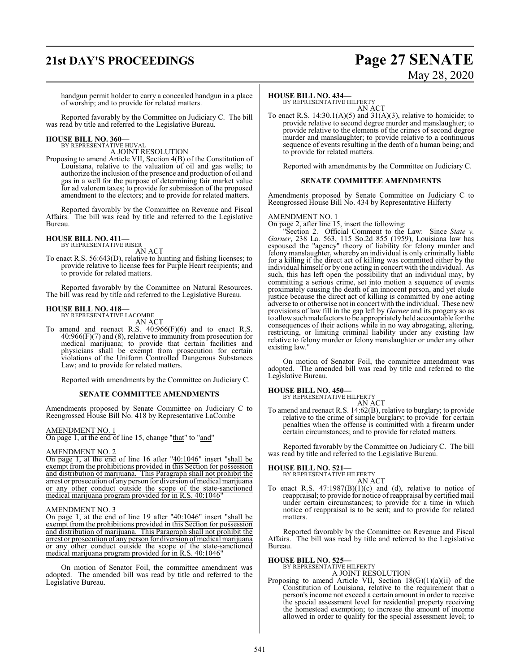## **21st DAY'S PROCEEDINGS Page 27 SENATE**

# May 28, 2020

handgun permit holder to carry a concealed handgun in a place of worship; and to provide for related matters.

Reported favorably by the Committee on Judiciary C. The bill was read by title and referred to the Legislative Bureau.

## **HOUSE BILL NO. 360—** BY REPRESENTATIVE HUVAL

A JOINT RESOLUTION

Proposing to amend Article VII, Section 4(B) of the Constitution of Louisiana, relative to the valuation of oil and gas wells; to authorize the inclusion of the presence and production of oil and gas in a well for the purpose of determining fair market value for ad valorem taxes; to provide for submission of the proposed amendment to the electors; and to provide for related matters.

Reported favorably by the Committee on Revenue and Fiscal Affairs. The bill was read by title and referred to the Legislative Bureau.

## **HOUSE BILL NO. 411—** BY REPRESENTATIVE RISER

AN ACT

To enact R.S. 56:643(D), relative to hunting and fishing licenses; to provide relative to license fees for Purple Heart recipients; and to provide for related matters.

Reported favorably by the Committee on Natural Resources. The bill was read by title and referred to the Legislative Bureau.

### **HOUSE BILL NO. 418—**

BY REPRESENTATIVE LACOMBE AN ACT

To amend and reenact R.S.  $40:966(F)(6)$  and to enact R.S. 40:966(F)(7) and (8), relative to immunity from prosecution for medical marijuana; to provide that certain facilities and physicians shall be exempt from prosecution for certain violations of the Uniform Controlled Dangerous Substances Law; and to provide for related matters.

Reported with amendments by the Committee on Judiciary C.

### **SENATE COMMITTEE AMENDMENTS**

Amendments proposed by Senate Committee on Judiciary C to Reengrossed House Bill No. 418 by Representative LaCombe

### AMENDMENT NO. 1

On page 1, at the end of line 15, change "that" to "and"

### AMENDMENT NO. 2

On page 1, at the end of line 16 after "40:1046" insert "shall be exempt from the prohibitions provided in this Section for possession and distribution of marijuana. This Paragraph shall not prohibit the arrest or prosecution of any person for diversion of medical marijuana or any other conduct outside the scope of the state-sanctioned medical marijuana program provided for in R.S. 40:1046

### AMENDMENT NO. 3

On page 1, at the end of line 19 after "40:1046" insert "shall be exempt from the prohibitions provided in this Section for possession and distribution of marijuana. This Paragraph shall not prohibit the arrest or prosecution of any person for diversion of medical marijuana or any other conduct outside the scope of the state-sanctioned medical marijuana program provided for in R.S. 40:1046"

On motion of Senator Foil, the committee amendment was adopted. The amended bill was read by title and referred to the Legislative Bureau.

### **HOUSE BILL NO. 434—**

BY REPRESENTATIVE HILFERTY AN ACT

To enact R.S.  $14:30.1(A)(5)$  and  $31(A)(3)$ , relative to homicide; to provide relative to second degree murder and manslaughter; to provide relative to the elements of the crimes of second degree murder and manslaughter; to provide relative to a continuous sequence of events resulting in the death of a human being; and to provide for related matters.

Reported with amendments by the Committee on Judiciary C.

### **SENATE COMMITTEE AMENDMENTS**

Amendments proposed by Senate Committee on Judiciary C to Reengrossed House Bill No. 434 by Representative Hilferty

### AMENDMENT NO. 1

On page 2, after line 15, insert the following:

"Section 2. Official Comment to the Law: Since *State v. Garner*, 238 La. 563, 115 So.2d 855 (1959), Louisiana law has espoused the "agency" theory of liability for felony murder and felony manslaughter, whereby an individual is only criminally liable for a killing if the direct act of killing was committed either by the individual himself or by one acting in concert with the individual. As such, this has left open the possibility that an individual may, by committing a serious crime, set into motion a sequence of events proximately causing the death of an innocent person, and yet elude justice because the direct act of killing is committed by one acting adverse to or otherwise not in concert with the individual. These new provisions of law fill in the gap left by *Garner* and its progeny so as to allowsuchmalefactors to be appropriately held accountable for the consequences of their actions while in no way abrogating, altering, restricting, or limiting criminal liability under any existing law relative to felony murder or felony manslaughter or under any other existing law."

On motion of Senator Foil, the committee amendment was adopted. The amended bill was read by title and referred to the Legislative Bureau.

**HOUSE BILL NO. 450—** BY REPRESENTATIVE HILFERTY AN ACT

To amend and reenact R.S. 14:62(B), relative to burglary; to provide relative to the crime of simple burglary; to provide for certain penalties when the offense is committed with a firearm under certain circumstances; and to provide for related matters.

Reported favorably by the Committee on Judiciary C. The bill was read by title and referred to the Legislative Bureau.

### **HOUSE BILL NO. 521—**

BY REPRESENTATIVE HILFERTY AN ACT

To enact R.S.  $47:1987(B)(1)(c)$  and (d), relative to notice of reappraisal; to provide for notice of reappraisal by certified mail under certain circumstances; to provide for a time in which notice of reappraisal is to be sent; and to provide for related matters.

Reported favorably by the Committee on Revenue and Fiscal Affairs. The bill was read by title and referred to the Legislative Bureau.

## **HOUSE BILL NO. 525—** BY REPRESENTATIVE HILFERTY

A JOINT RESOLUTION

Proposing to amend Article VII, Section  $18(G)(1)(a)(ii)$  of the Constitution of Louisiana, relative to the requirement that a person's income not exceed a certain amount in order to receive the special assessment level for residential property receiving the homestead exemption; to increase the amount of income allowed in order to qualify for the special assessment level; to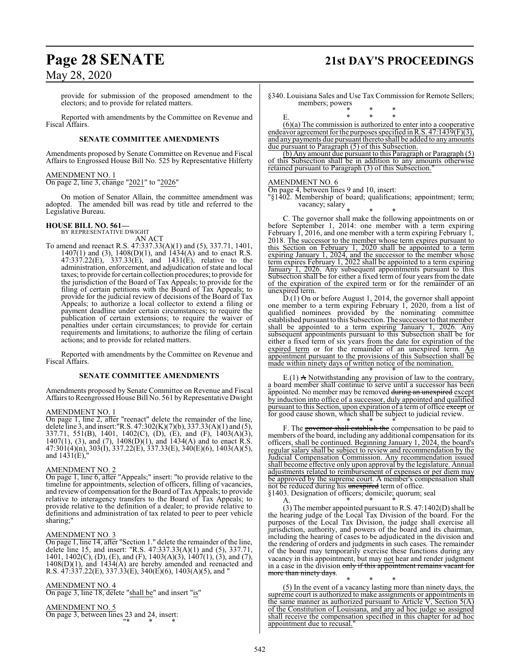## **Page 28 SENATE 21st DAY'S PROCEEDINGS**

## May 28, 2020

provide for submission of the proposed amendment to the electors; and to provide for related matters.

Reported with amendments by the Committee on Revenue and Fiscal Affairs.

### **SENATE COMMITTEE AMENDMENTS**

Amendments proposed by Senate Committee on Revenue and Fiscal Affairs to Engrossed House Bill No. 525 by Representative Hilferty

### AMENDMENT NO. 1

On page 2, line 3, change "2021" to "2026"

On motion of Senator Allain, the committee amendment was adopted. The amended bill was read by title and referred to the Legislative Bureau.

# **HOUSE BILL NO. 561—** BY REPRESENTATIVE DWIGHT

AN ACT To amend and reenact R.S. 47:337.33(A)(1) and (5), 337.71, 1401, 1407(1) and (3), 1408(D)(1), and 1434(A) and to enact R.S. 47:337.22(E), 337.33(E), and 1431(E), relative to the administration, enforcement, and adjudication of state and local taxes; to provide for certain collection procedures; to provide for the jurisdiction of the Board of Tax Appeals; to provide for the filing of certain petitions with the Board of Tax Appeals; to provide for the judicial review of decisions of the Board of Tax Appeals; to authorize a local collector to extend a filing or payment deadline under certain circumstances; to require the publication of certain extensions; to require the waiver of penalties under certain circumstances; to provide for certain requirements and limitations; to authorize the filing of certain actions; and to provide for related matters.

Reported with amendments by the Committee on Revenue and Fiscal Affairs.

### **SENATE COMMITTEE AMENDMENTS**

Amendments proposed by Senate Committee on Revenue and Fiscal Affairs to Reengrossed House Bill No. 561 byRepresentative Dwight

### AMENDMENT NO. 1

On page 1, line 2, after "reenact" delete the remainder of the line, delete line 3, and insert:"R.S. 47:302(K)(7)(b), 337.33(A)(1) and (5), 337.71, 551(B), 1401, 1402(C), (D), (E), and (F), 1403(A)(3), 1407(1), (3), and (7), 1408(D)(1), and 1434(A) and to enact R.S. 47:301(4)(n), 303(I), 337.22(E), 337.33(E), 340(E)(6), 1403(A)(5), and 1431(E),"

### AMENDMENT NO. 2

On page 1, line 6, after "Appeals;" insert: "to provide relative to the timeline for appointments, selection of officers, filling of vacancies, and review of compensation for the Board of Tax Appeals; to provide relative to interagency transfers to the Board of Tax Appeals; to provide relative to the definition of a dealer; to provide relative to definitions and administration of tax related to peer to peer vehicle sharing;"

### AMENDMENT NO. 3

On page 1, line 14, after "Section 1." delete the remainder of the line, delete line 15, and insert: "R.S. 47:337.33(A)(1) and (5), 337.71, 1401, 1402(C), (D), (E), and (F), 1403(A)(3), 1407(1), (3), and (7), 1408(D)(1), and 1434(A) are hereby amended and reenacted and R.S. 47:337.22(E), 337.33(E), 340(E)(6), 1403(A)(5), and "

### AMENDMENT NO. 4

On page 3, line 18, delete "shall be" and insert "is"

### AMENDMENT NO. 5

On page 3, between lines 23 and 24, insert: "\* \* \*

§340. Louisiana Sales and Use Tax Commission for Remote Sellers; members; powers

$$
E. \hspace{1.5cm} * \hspace{.1cm} * \hspace{.1cm} * \hspace{.1cm} * \hspace{.1cm} * \hspace{.1cm} * \hspace{.1cm} * \hspace{.1cm} * \hspace{.1cm} * \hspace{.1cm} * \hspace{.1cm} * \hspace{.1cm} * \hspace{.1cm} * \hspace{.1cm} * \hspace{.1cm} * \hspace{.1cm} * \hspace{.1cm} * \hspace{.1cm} * \hspace{.1cm} * \hspace{.1cm} * \hspace{.1cm} * \hspace{.1cm} * \hspace{.1cm} * \hspace{.1cm} * \hspace{.1cm} * \hspace{.1cm} * \hspace{.1cm} * \hspace{.1cm} * \hspace{.1cm} * \hspace{.1cm} * \hspace{.1cm} * \hspace{.1cm} * \hspace{.1cm} * \hspace{.1cm} * \hspace{.1cm} * \hspace{.1cm} * \hspace{.1cm} * \hspace{.1cm} * \hspace{.1cm} * \hspace{.1cm} * \hspace{.1cm} * \hspace{.1cm} * \hspace{.1cm} * \hspace{.1cm} * \hspace{.1cm} * \hspace{.1cm} * \hspace{.1cm} * \hspace{.1cm} * \hspace{.1cm} * \hspace{.1cm} * \hspace{.1cm} * \hspace{.1cm} * \hspace{.1cm} * \hspace{.1cm} * \hspace{.1cm} * \hspace{.1cm} * \hspace{.1cm} * \hspace{.1cm} * \hspace{.1cm} * \hspace{.1cm} * \hspace{.1cm} * \hspace{.1cm} * \hspace{.1cm} * \hspace{.1cm} * \hspace{.1cm} * \hspace{.1cm} * \hspace{.1cm} * \hspace{.1cm} * \hspace{.1cm} * \hspace{.1cm} * \hspace{.1cm} * \hspace{.1cm} * \hspace{.1cm} * \hspace{.1cm} * \hspace{.1cm} * \hspace{.1cm} * \hspace{.1cm} * \hspace{.1cm} * \hspace{.1cm} * \hspace{.1cm} * \hspace{.1cm} * \hspace{.1cm} * \hspace{.1cm} * \hspace{.1cm} *
$$

(6)(a) The commission is authorized to enter into a cooperative endeavor agreement for the purposes specified in R.S. 47:1439(F)(3), and any payments due pursuant thereto shall be added to any amounts due pursuant to Paragraph (5) of this Subsection.

(b) Any amount due pursuant to this Paragraph or Paragraph (5) of this Subsection shall be in addition to any amounts otherwise retained pursuant to Paragraph (3) of this Subsection.

### AMENDMENT NO. 6

On page 4, between lines 9 and 10, insert:

"§1402. Membership of board; qualifications; appointment; term; vacancy; salary

\* \* \* C. The governor shall make the following appointments on or before September 1, 2014: one member with a term expiring February  $\hat{I}$ , 2016, and one member with a term expiring February  $\hat{I}$ , 2018. The successor to the member whose term expires pursuant to this Section on February 1, 2020 shall be appointed to a term expiring January 1, 2024, and the successor to the member whose term expires February 1, 2022 shall be appointed to a term expiring January 1, 2026. Any subsequent appointments pursuant to this Subsection shall be for either a fixed term of four years from the date of the expiration of the expired term or for the remainder of an unexpired term.

D.(1) On or before August 1, 2014, the governor shall appoint one member to a term expiring February 1, 2020, from a list of qualified nominees provided by the nominating committee established pursuant to this Subsection. The successor to that member shall be appointed to a term expiring January 1, 2026. Any subsequent appointments pursuant to this Subsection shall be for either a fixed term of six years from the date for expiration of the expired term or for the remainder of an unexpired term. An appointment pursuant to the provisions of this Subsection shall be made within ninety days of written notice of the nomination.

\* \* \*  $E(1)$  A Notwithstanding any provision of law to the contrary, a board member shall continue to serve until a successor has been appointed. No member may be removed during an unexpired except by induction into office of a successor, duly appointed and qualified pursuant to this Section, upon expiration of a term of office except or for good cause shown, which shall be subject to judicial review.

\* \* \* F. The governor shall establish the compensation to be paid to members of the board, including any additional compensation for its officers, shall be continued. Beginning January 1, 2024, the board's regular salary shall be subject to review and recommendation by the Judicial Compensation Commission. Any recommendation issued shall become effective only upon approval by the legislature. Annual adjustments related to reimbursement of expenses or per diem may be approved by the supreme court. A member's compensation shall not be reduced during his unexpired term of office.

§1403. Designation of officers; domicile; quorum; seal A. \* \* \*

(3) The member appointed pursuant to R.S. 47:1402(D) shall be the hearing judge of the Local Tax Division of the board. For the purposes of the Local Tax Division, the judge shall exercise all jurisdiction, authority, and powers of the board and its chairman, including the hearing of cases to be adjudicated in the division and the rendering of orders and judgments in such cases. The remainder of the board may temporarily exercise these functions during any vacancy in this appointment, but may not hear and render judgment in a case in the division only if this appointment remains vacant for more than ninety days.

\* \* \* (5) In the event of a vacancy lasting more than ninety days, the supreme court is authorized to make assignments or appointments in the same manner as authorized pursuant to Article  $V$ , Section  $5(A)$ of the Constitution of Louisiana, and any ad hoc judge so assigned shall receive the compensation specified in this chapter for ad hoc appointment due to recusal."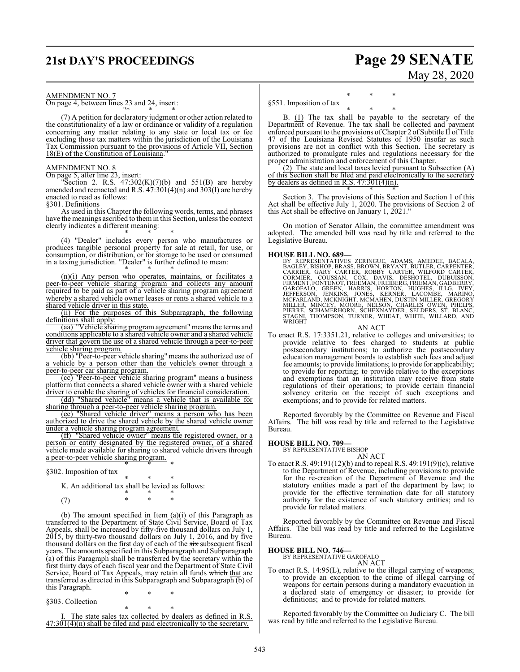## **21st DAY'S PROCEEDINGS Page 29 SENATE**

# May 28, 2020

AMENDMENT NO. 7

On page 4, between lines 23 and 24, insert: "\* \* \*

(7) A petition for declaratory judgment or other action related to the constitutionality of a law or ordinance or validity of a regulation concerning any matter relating to any state or local tax or fee excluding those tax matters within the jurisdiction of the Louisiana Tax Commission pursuant to the provisions of Article VII, Section 18(E) of the Constitution of Louisiana.

### AMENDMENT NO. 8

On page 5, after line 23, insert:

"Section 2. R.S.  $47:302(K)(7)(b)$  and  $551(B)$  are hereby amended and reenacted and R.S. 47:301(4)(n) and 303(I) are hereby enacted to read as follows:

§301. Definitions

As used in this Chapter the following words, terms, and phrases have the meanings ascribed to themin this Section, unless the context clearly indicates a different meaning:

\* \* \* (4) "Dealer" includes every person who manufactures or produces tangible personal property for sale at retail, for use, or consumption, or distribution, or for storage to be used or consumed in a taxing jurisdiction. "Dealer" is further defined to mean:

\* \* \* (n)(i) Any person who operates, maintains, or facilitates a peer-to-peer vehicle sharing program and collects any amount required to be paid as part of a vehicle sharing program agreement whereby a shared vehicle owner leases or rents a shared vehicle to a shared vehicle driver in this state.

(ii) For the purposes of this Subparagraph, the following definitions shall apply:

(aa) "Vehicle sharing program agreement" means the terms and conditions applicable to a shared vehicle owner and a shared vehicle driver that govern the use of a shared vehicle through a peer-to-peer vehicle sharing program.

(bb) "Peer-to-peer vehicle sharing" means the authorized use of a vehicle by a person other than the vehicle's owner through a peer-to-peer car sharing program.

(cc) "Peer-to-peer vehicle sharing program" means a business platform that connects a shared vehicle owner with a shared vehicle driver to enable the sharing of vehicles for financial consideration.

(dd) "Shared vehicle" means a vehicle that is available for sharing through a peer-to-peer vehicle sharing program.

(ee) "Shared vehicle driver" means a person who has been authorized to drive the shared vehicle by the shared vehicle owner under a vehicle sharing program agreement.

(ff) "Shared vehicle owner" means the registered owner, or a person or entity designated by the registered owner, of a shared vehicle made available for sharing to shared vehicle drivers through a peer-to-peer vehicle sharing program.

\* \* \*

§302. Imposition of tax

\* \* \* K. An additional tax shall be levied as follows:

$$
(7) \qquad \qquad \begin{array}{ccccccccc} * & * & * & * \\ * & * & * & * \end{array}
$$

(b) The amount specified in Item (a)(i) of this Paragraph as transferred to the Department of State Civil Service, Board of Tax Appeals, shall be increased by fifty-five thousand dollars on July 1, 2015, by thirty-two thousand dollars on July 1, 2016, and by five thousand dollars on the first day of each of the six subsequent fiscal years. The amounts specified in this Subparagraph and Subparagraph (a) of this Paragraph shall be transferred by the secretary within the first thirty days of each fiscal year and the Department of State Civil Service, Board of Tax Appeals, may retain all funds which that are transferred as directed in this Subparagraph and Subparagraph (b) of this Paragraph.

§303. Collection

\* \* \* I. The state sales tax collected by dealers as defined in R.S.  $47:301(4)(n)$  shall be filed and paid electronically to the secretary.

\* \* \*

### \* \* \* §551. Imposition of tax

\* \* \* B. (1) The tax shall be payable to the secretary of the Department of Revenue. The tax shall be collected and payment enforced pursuant to the provisions ofChapter 2 of Subtitle II of Title 47 of the Louisiana Revised Statutes of 1950 insofar as such provisions are not in conflict with this Section. The secretary is authorized to promulgate rules and regulations necessary for the proper administration and enforcement of this Chapter.

(2) The state and local taxes levied pursuant to Subsection (A) of this Section shall be filed and paid electronically to the secretary by dealers as defined in R.S. 47:301(4)(n). \* \* \*

Section 3. The provisions of this Section and Section 1 of this Act shall be effective July 1, 2020. The provisions of Section 2 of this Act shall be effective on January 1, 2021."

On motion of Senator Allain, the committee amendment was adopted. The amended bill was read by title and referred to the Legislative Bureau.

HOUSE BILL NO. 689-<br>BY REPRESENTATIVES ZERINGUE, ADAMS, AMEDEE, BACALA,<br>BAGLEY, BISHOP, BRASS, BROWN, BRYANT, BUTLER, CARPENTER,<br>CARRIER, GARY CARTER, ROBBY CARTER, WILFORD CARTER,<br>CORMIER, COUSSAN, COX, DAVIS, DESHOTEL, D

### AN ACT

To enact R.S. 17:3351.21, relative to colleges and universities; to provide relative to fees charged to students at public postsecondary institutions; to authorize the postsecondary education management boards to establish such fees and adjust fee amounts; to provide limitations; to provide for applicability; to provide for reporting; to provide relative to the exceptions and exemptions that an institution may receive from state regulations of their operations; to provide certain financial solvency criteria on the receipt of such exceptions and exemptions; and to provide for related matters.

Reported favorably by the Committee on Revenue and Fiscal Affairs. The bill was read by title and referred to the Legislative Bureau.

### **HOUSE BILL NO. 709—**

BY REPRESENTATIVE BISHOP AN ACT

To enact R.S. 49:191(12)(b) and to repeal R.S. 49:191(9)(c), relative to the Department of Revenue, including provisions to provide for the re-creation of the Department of Revenue and the statutory entities made a part of the department by law; to provide for the effective termination date for all statutory authority for the existence of such statutory entities; and to provide for related matters.

Reported favorably by the Committee on Revenue and Fiscal Affairs. The bill was read by title and referred to the Legislative Bureau.

**HOUSE BILL NO. 746—** BY REPRESENTATIVE GAROFALO

### AN ACT

To enact R.S. 14:95(L), relative to the illegal carrying of weapons; to provide an exception to the crime of illegal carrying of weapons for certain persons during a mandatory evacuation in a declared state of emergency or disaster; to provide for definitions; and to provide for related matters.

Reported favorably by the Committee on Judiciary C. The bill was read by title and referred to the Legislative Bureau.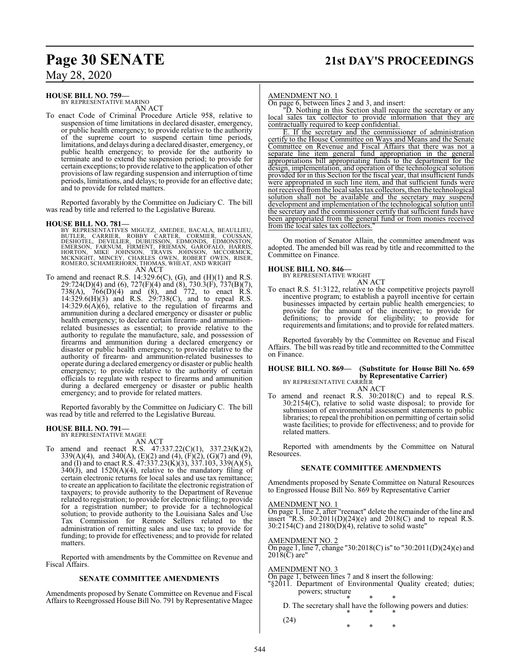## **Page 30 SENATE 21st DAY'S PROCEEDINGS**

May 28, 2020

### **HOUSE BILL NO. 759—**

BY REPRESENTATIVE MARINO AN ACT

To enact Code of Criminal Procedure Article 958, relative to suspension of time limitations in declared disaster, emergency, or public health emergency; to provide relative to the authority of the supreme court to suspend certain time periods, limitations, and delays during a declared disaster, emergency, or public health emergency; to provide for the authority to terminate and to extend the suspension period; to provide for certain exceptions; to provide relative to the application of other provisions of law regarding suspension and interruption of time periods, limitations, and delays; to provide for an effective date; and to provide for related matters.

Reported favorably by the Committee on Judiciary C. The bill was read by title and referred to the Legislative Bureau.

### **HOUSE BILL NO. 781—**

BY REPRESENTATIVES MIGUEZ, AMEDEE, BACALA, BEAULLIEU,<br>BUTLER, CARRIER, ROBBY CARTER, CORMIER, COUSSAN,<br>DESHOTEL, DEVILLIER, DUBUISSON, EDMONDS, EDMONSTON,<br>EMERSON, FARNUM, FIRMENT, FRIEMAN, GAROFALO, HARRIS,<br>HORTON, MIKE J ROMERO, SCHAMERHORN, THOMAS, WHEAT, AND WRIGHT AN ACT

To amend and reenact R.S. 14:329.6(C), (G), and (H)(1) and R.S. 29:724(D)(4) and (6), 727(F)(4) and (8), 730.3(F), 737(B)(7), 738(A), 766(D)(4) and (8), and 772, to enact R.S. 14:329.6(H)(3) and R.S. 29:738(C), and to repeal R.S.  $14:329.6(A)(6)$ , relative to the regulation of firearms and ammunition during a declared emergency or disaster or public health emergency; to declare certain firearm- and ammunitionrelated businesses as essential; to provide relative to the authority to regulate the manufacture, sale, and possession of firearms and ammunition during a declared emergency or disaster or public health emergency; to provide relative to the authority of firearm- and ammunition-related businesses to operate during a declared emergency or disaster or public health emergency; to provide relative to the authority of certain officials to regulate with respect to firearms and ammunition during a declared emergency or disaster or public health emergency; and to provide for related matters.

Reported favorably by the Committee on Judiciary C. The bill was read by title and referred to the Legislative Bureau.

### **HOUSE BILL NO. 791—**

BY REPRESENTATIVE MAGEE AN ACT

To amend and reenact R.S. 47:337.22(C)(1), 337.23(K)(2), 339(A)(4), and 340(A), (E)(2) and (4), (F)(2), (G)(7) and (9), and (I) and to enact R.S.  $47:337.23(K)(3)$ ,  $337.103$ ,  $339(A)(5)$ ,  $340(\text{J})$ , and  $1520(\text{A})(4)$ , relative to the mandatory filing of certain electronic returns for local sales and use tax remittance; to create an application to facilitate the electronic registration of taxpayers; to provide authority to the Department of Revenue related to registration; to provide for electronic filing; to provide for a registration number; to provide for a technological solution; to provide authority to the Louisiana Sales and Use Tax Commission for Remote Sellers related to the administration of remitting sales and use tax; to provide for funding; to provide for effectiveness; and to provide for related matters.

Reported with amendments by the Committee on Revenue and Fiscal Affairs.

### **SENATE COMMITTEE AMENDMENTS**

Amendments proposed by Senate Committee on Revenue and Fiscal Affairs to Reengrossed House Bill No. 791 by Representative Magee

### AMENDMENT NO. 1

On page 6, between lines 2 and 3, and insert:

"D. Nothing in this Section shall require the secretary or any local sales tax collector to provide information that they are contractually required to keep confidential.

E. If the secretary and the commissioner of administration certify to the House Committee on Ways and Means and the Senate Committee on Revenue and Fiscal Affairs that there was not a separate line item general fund appropriation in the general appropriations bill appropriating funds to the department for the design, implementation, and operation of the technological solution provided for in this Section for the fiscal year, that insufficient funds were appropriated in such line item, and that sufficient funds were not received fromthe local sales tax collectors, then the technological solution shall not be available and the secretary may suspend development and implementation of the technological solution until the secretary and the commissioner certify that sufficient funds have been appropriated from the general fund or from monies from the local sales tax collectors.

On motion of Senator Allain, the committee amendment was adopted. The amended bill was read by title and recommitted to the Committee on Finance.

### **HOUSE BILL NO. 846—**

BY REPRESENTATIVE WRIGHT AN ACT

To enact R.S. 51:3122, relative to the competitive projects payroll incentive program; to establish a payroll incentive for certain businesses impacted by certain public health emergencies; to provide for the amount of the incentive; to provide for definitions; to provide for eligibility; to provide for requirements and limitations; and to provide for related matters.

Reported favorably by the Committee on Revenue and Fiscal Affairs. The bill was read by title and recommitted to the Committee on Finance.

### **HOUSE BILL NO. 869— (Substitute for House Bill No. 659 by Representative Carrier)** BY REPRESENTATIVE CARRIER

AN ACT To amend and reenact R.S. 30:2018(C) and to repeal R.S. 30:2154(C), relative to solid waste disposal; to provide for submission of environmental assessment statements to public libraries; to repeal the prohibition on permitting of certain solid waste facilities; to provide for effectiveness; and to provide for related matters.

Reported with amendments by the Committee on Natural Resources.

### **SENATE COMMITTEE AMENDMENTS**

Amendments proposed by Senate Committee on Natural Resources to Engrossed House Bill No. 869 by Representative Carrier

### AMENDMENT NO. 1

On page 1, line 2, after "reenact" delete the remainder of the line and insert "R.S. 30:2011(D)(24)(e) and 2018(C) and to repeal R.S.  $30:2154(C)$  and  $2180(D)(4)$ , relative to solid waste"

### AMENDMENT NO. 2

On page 1, line 7, change "30:2018(C) is" to "30:2011(D)(24)(e) and  $2018(\overline{C})$  are"

### AMENDMENT NO. 3

On page 1, between lines 7 and 8 insert the following:

- "§2011. Department of Environmental Quality created; duties; powers; structure
	- \* \* \* D. The secretary shall have the following powers and duties: \* \* \*
	- (24)

\* \* \*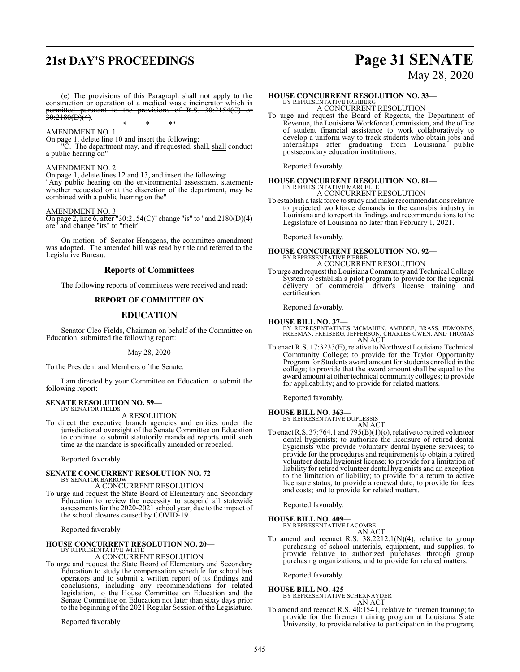## **21st DAY'S PROCEEDINGS Page 31 SENATE**

# May 28, 2020

(e) The provisions of this Paragraph shall not apply to the construction or operation of a medical waste incinerator which is permitted pursuant to the provisions of R.S. 30:2154(C) or  $30:2180(D)(4)$ .

\* \* \*"

### AMENDMENT NO. 1

On page 1, delete line 10 and insert the following:

"C. The department may, and if requested, shall, shall conduct a public hearing on"

### AMENDMENT NO. 2

On page 1, delete lines 12 and 13, and insert the following: "Any public hearing on the environmental assessment statement, whether requested or at the discretion of the department, may be combined with a public hearing on the"

## AMENDMENT NO. 3

 $\overline{On}$  page 2, line 6, after "30:2154(C)" change "is" to "and 2180(D)(4) are" and change "its" to "their"

On motion of Senator Hensgens, the committee amendment was adopted. The amended bill was read by title and referred to the Legislative Bureau.

### **Reports of Committees**

The following reports of committees were received and read:

### **REPORT OF COMMITTEE ON**

### **EDUCATION**

Senator Cleo Fields, Chairman on behalf of the Committee on Education, submitted the following report:

### May 28, 2020

To the President and Members of the Senate:

I am directed by your Committee on Education to submit the following report:

### **SENATE RESOLUTION NO. 59—** BY SENATOR FIELDS

A RESOLUTION

To direct the executive branch agencies and entities under the jurisdictional oversight of the Senate Committee on Education to continue to submit statutorily mandated reports until such time as the mandate is specifically amended or repealed.

Reported favorably.

## **SENATE CONCURRENT RESOLUTION NO. 72—** BY SENATOR BARROW

A CONCURRENT RESOLUTION

To urge and request the State Board of Elementary and Secondary Education to review the necessity to suspend all statewide assessments for the 2020-2021 school year, due to the impact of the school closures caused by COVID-19.

Reported favorably.

### **HOUSE CONCURRENT RESOLUTION NO. 20—** BY REPRESENTATIVE WHITE

A CONCURRENT RESOLUTION

To urge and request the State Board of Elementary and Secondary Education to study the compensation schedule for school bus operators and to submit a written report of its findings and conclusions, including any recommendations for related legislation, to the House Committee on Education and the Senate Committee on Education not later than sixty days prior to the beginning of the 2021 Regular Session of the Legislature.

Reported favorably.

## **HOUSE CONCURRENT RESOLUTION NO. 33—**

BY REPRESENTATIVE FREIBERG A CONCURRENT RESOLUTION

To urge and request the Board of Regents, the Department of Revenue, the Louisiana Workforce Commission, and the office of student financial assistance to work collaboratively to develop a uniform way to track students who obtain jobs and internships after graduating from Louisiana public postsecondary education institutions.

Reported favorably.

### **HOUSE CONCURRENT RESOLUTION NO. 81—** BY REPRESENTATIVE MARCELLE A CONCURRENT RESOLUTION

To establish a task force to study and make recommendations relative to projected workforce demands in the cannabis industry in Louisiana and to report its findings and recommendations to the Legislature of Louisiana no later than February 1, 2021.

Reported favorably.

### **HOUSE CONCURRENT RESOLUTION NO. 92—** BY REPRESENTATIVE PIERRE A CONCURRENT RESOLUTION

To urge and request the Louisiana Community and Technical College System to establish a pilot program to provide for the regional delivery of commercial driver's license training and certification.

Reported favorably.

- **HOUSE BILL NO. 37—** BY REPRESENTATIVES MCMAHEN, AMEDEE, BRASS, EDMONDS, FREEMAN, FREIBERG, JEFFERSON, CHARLES OWEN, AND THOMAS AN ACT
- To enact R.S. 17:3233(E), relative to Northwest Louisiana Technical Community College; to provide for the Taylor Opportunity Program for Students award amount for students enrolled in the college; to provide that the award amount shall be equal to the award amount at other technical community colleges; to provide for applicability; and to provide for related matters.

Reported favorably.

### **HOUSE BILL NO. 363—** BY REPRESENTATIVE DUPLESSIS

AN ACT

To enact R.S. 37:764.1 and 795(B)(1)(o), relative to retired volunteer dental hygienists; to authorize the licensure of retired dental hygienists who provide voluntary dental hygiene services; to provide for the procedures and requirements to obtain a retired volunteer dental hygienist license; to provide for a limitation of liability for retired volunteer dental hygienists and an exception to the limitation of liability; to provide for a return to active licensure status; to provide a renewal date; to provide for fees and costs; and to provide for related matters.

Reported favorably.

### **HOUSE BILL NO. 409—**

BY REPRESENTATIVE LACOMBE

AN ACT To amend and reenact R.S. 38:2212.1(N)(4), relative to group purchasing of school materials, equipment, and supplies; to provide relative to authorized purchases through group purchasing organizations; and to provide for related matters.

Reported favorably.

### **HOUSE BILL NO. 425—**

BY REPRESENTATIVE SCHEXNAYDER

## AN ACT

To amend and reenact R.S. 40:1541, relative to firemen training; to provide for the firemen training program at Louisiana State University; to provide relative to participation in the program;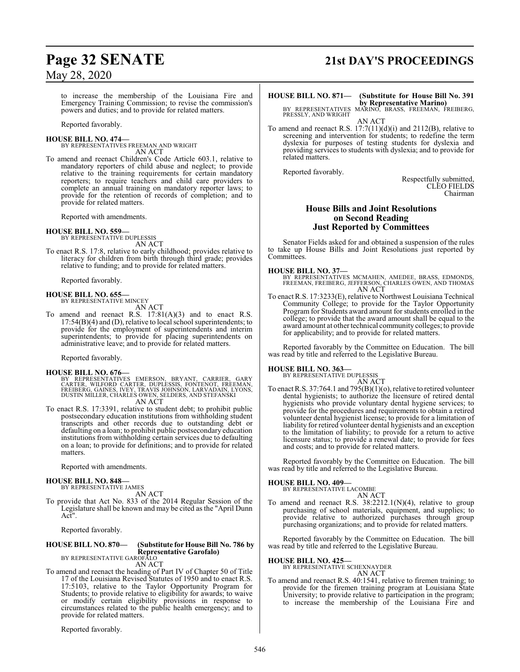to increase the membership of the Louisiana Fire and Emergency Training Commission; to revise the commission's powers and duties; and to provide for related matters.

Reported favorably.

## **HOUSE BILL NO. 474—**

BY REPRESENTATIVES FREEMAN AND WRIGHT AN ACT

To amend and reenact Children's Code Article 603.1, relative to mandatory reporters of child abuse and neglect; to provide relative to the training requirements for certain mandatory reporters; to require teachers and child care providers to complete an annual training on mandatory reporter laws; to provide for the retention of records of completion; and to provide for related matters.

Reported with amendments.

## **HOUSE BILL NO. 559—** BY REPRESENTATIVE DUPLESSIS

AN ACT

To enact R.S. 17:8, relative to early childhood; provides relative to literacy for children from birth through third grade; provides relative to funding; and to provide for related matters.

Reported favorably.

# **HOUSE BILL NO. 655—** BY REPRESENTATIVE MINCEY

- AN ACT
- To amend and reenact R.S.  $17:81(A)(3)$  and to enact R.S. 17:54(B)(4) and (D), relative to local school superintendents; to provide for the employment of superintendents and interim superintendents; to provide for placing superintendents on administrative leave; and to provide for related matters.

Reported favorably.

### **HOUSE BILL NO. 676—**

BY REPRESENTATIVES EMERSON, BRYANT, CARRIER, GARY<br>CARTER, WILFORD CARTER, DUPLESSIS, FONTENOT, FREEMAN,<br>FREIBERG, GAINES, IVEY, TRAVIS JOHNSON, LARVADAIN, LYONS,<br>DUSTIN MILLER, CHARLES OWEN, SELDERS, AND STEFANSKI AN ACT

To enact R.S. 17:3391, relative to student debt; to prohibit public postsecondary education institutions from withholding student transcripts and other records due to outstanding debt or defaulting on a loan; to prohibit public postsecondary education institutions from withholding certain services due to defaulting on a loan; to provide for definitions; and to provide for related matters.

Reported with amendments.

### **HOUSE BILL NO. 848—** BY REPRESENTATIVE JAMES

AN ACT

To provide that Act No. 833 of the 2014 Regular Session of the Legislature shall be known and may be cited as the "April Dunn Act".

Reported favorably.

## **HOUSE BILL NO. 870— (Substitute for House Bill No. 786 by Representative Garofalo)** BY REPRESENTATIVE GAROFALO

AN ACT

To amend and reenact the heading of Part IV of Chapter 50 of Title 17 of the Louisiana Revised Statutes of 1950 and to enact R.S. 17:5103, relative to the Taylor Opportunity Program for Students; to provide relative to eligibility for awards; to waive or modify certain eligibility provisions in response to circumstances related to the public health emergency; and to provide for related matters.

Reported favorably.

# **Page 32 SENATE 21st DAY'S PROCEEDINGS**

# **HOUSE BILL NO. 871— (Substitute for House Bill No. 391**

**by Representative Marino)**<br>BY REPRESENTATIVES MARINO, BRASS, FREEMAN, FREIBERG,<br>PRESSLY, AND WRIGHT AN ACT

To amend and reenact R.S. 17:7(11)(d)(i) and 2112(B), relative to screening and intervention for students; to redefine the term dyslexia for purposes of testing students for dyslexia and providing services to students with dyslexia; and to provide for related matters.

Reported favorably.

Respectfully submitted, CLEO FIELDS Chairman

### **House Bills and Joint Resolutions on Second Reading Just Reported by Committees**

Senator Fields asked for and obtained a suspension of the rules to take up House Bills and Joint Resolutions just reported by Committees.

### **HOUSE BILL NO. 37—**

BY REPRESENTATIVES MCMAHEN, AMEDEE, BRASS, EDMONDS, FREEMAN, FREIBERG, JEFFERSON, CHARLES OWEN, AND THOMAS AN ACT

To enact R.S. 17:3233(E), relative to Northwest Louisiana Technical Community College; to provide for the Taylor Opportunity Program for Students award amount for students enrolled in the college; to provide that the award amount shall be equal to the award amount at other technical community colleges; to provide for applicability; and to provide for related matters.

Reported favorably by the Committee on Education. The bill was read by title and referred to the Legislative Bureau.

### **HOUSE BILL NO. 363—**

BY REPRESENTATIVE DUPLESSIS

AN ACT To enact R.S. 37:764.1 and 795 $(B)(1)(o)$ , relative to retired volunteer dental hygienists; to authorize the licensure of retired dental hygienists who provide voluntary dental hygiene services; to provide for the procedures and requirements to obtain a retired volunteer dental hygienist license; to provide for a limitation of liability for retired volunteer dental hygienists and an exception to the limitation of liability; to provide for a return to active licensure status; to provide a renewal date; to provide for fees and costs; and to provide for related matters.

Reported favorably by the Committee on Education. The bill was read by title and referred to the Legislative Bureau.

### **HOUSE BILL NO. 409—**

BY REPRESENTATIVE LACOMBE

AN ACT To amend and reenact R.S. 38:2212.1(N)(4), relative to group purchasing of school materials, equipment, and supplies; to provide relative to authorized purchases through group purchasing organizations; and to provide for related matters.

Reported favorably by the Committee on Education. The bill was read by title and referred to the Legislative Bureau.

**HOUSE BILL NO. 425—** BY REPRESENTATIVE SCHEXNAYDER

AN ACT

To amend and reenact R.S. 40:1541, relative to firemen training; to provide for the firemen training program at Louisiana State University; to provide relative to participation in the program; to increase the membership of the Louisiana Fire and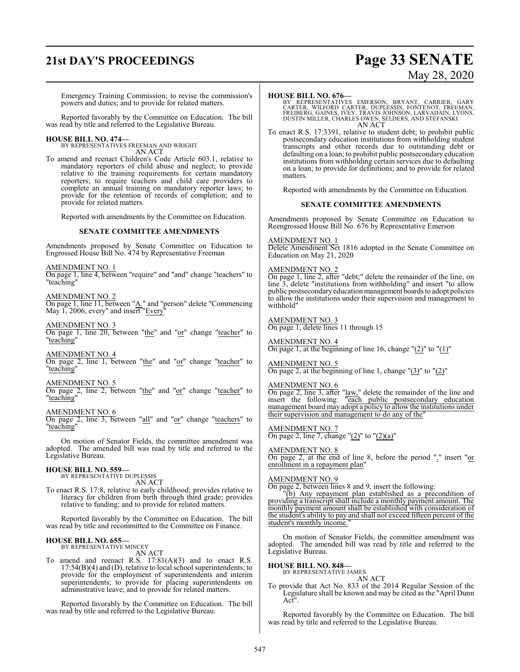## **21st DAY'S PROCEEDINGS Page 33 SENATE**

# May 28, 2020

Emergency Training Commission; to revise the commission's powers and duties; and to provide for related matters.

Reported favorably by the Committee on Education. The bill was read by title and referred to the Legislative Bureau.

# **HOUSE BILL NO. 474—** BY REPRESENTATIVES FREEMAN AND WRIGHT

AN ACT

To amend and reenact Children's Code Article 603.1, relative to mandatory reporters of child abuse and neglect; to provide relative to the training requirements for certain mandatory reporters; to require teachers and child care providers to complete an annual training on mandatory reporter laws; to provide for the retention of records of completion; and to provide for related matters.

Reported with amendments by the Committee on Education.

### **SENATE COMMITTEE AMENDMENTS**

Amendments proposed by Senate Committee on Education to Engrossed House Bill No. 474 by Representative Freeman

AMENDMENT NO. 1

On page 1, line 4, between "require" and "and" change "teachers" to "teaching"

AMENDMENT NO. 2

On page 1, line 11, between "A." and "person" delete "Commencing" May 1, 2006, every" and insert "Every"

AMENDMENT NO. 3

On page 1, line 20, between "the" and "or" change "teacher" to "teaching"

AMENDMENT NO. 4

On page 2, line 1, between "the" and "or" change "teacher" to "teaching"

AMENDMENT NO. 5

On page 2, line 2, between "the" and "or" change "teacher" to "teaching"

### AMENDMENT NO. 6

On page 2, line 3, between "all" and "or" change "teachers" to "teaching"

On motion of Senator Fields, the committee amendment was adopted. The amended bill was read by title and referred to the Legislative Bureau.

### **HOUSE BILL NO. 559—**

BY REPRESENTATIVE DUPLESSIS AN ACT

To enact R.S. 17:8, relative to early childhood; provides relative to literacy for children from birth through third grade; provides relative to funding; and to provide for related matters.

Reported favorably by the Committee on Education. The bill was read by title and recommitted to the Committee on Finance.

### **HOUSE BILL NO. 655—** BY REPRESENTATIVE MINCEY

AN ACT

To amend and reenact R.S. 17:81(A)(3) and to enact R.S. 17:54(B)(4) and (D), relative to local school superintendents; to provide for the employment of superintendents and interim superintendents; to provide for placing superintendents on administrative leave; and to provide for related matters.

Reported favorably by the Committee on Education. The bill was read by title and referred to the Legislative Bureau.

### **HOUSE BILL NO. 676—**

BY REPRESENTATIVES EMERSON, BRYANT, CARRIER, GARY<br>CARTER, WILFORD CARTER, DUPLESSIS, FONTENOT, FREEMAN,<br>FREIBERG, GAINES, IVEY, TRAVIS JOHNSON, LARVADAIN, LYONS,<br>DUSTIN MILLER, CHARLES OWEN, SELDERS, AND STEFANSKI AN ACT

To enact R.S. 17:3391, relative to student debt; to prohibit public postsecondary education institutions from withholding student transcripts and other records due to outstanding debt or defaulting on a loan; to prohibit public postsecondary education institutions from withholding certain services due to defaulting on a loan; to provide for definitions; and to provide for related matters.

Reported with amendments by the Committee on Education.

### **SENATE COMMITTEE AMENDMENTS**

Amendments proposed by Senate Committee on Education to Reengrossed House Bill No. 676 by Representative Emerson

### AMENDMENT NO. 1

Delete Amendment Set 1816 adopted in the Senate Committee on Education on May 21, 2020

### AMENDMENT NO. 2

On page 1, line 2, after "debt;" delete the remainder of the line, on line 3, delete "institutions from withholding" and insert "to allow public postsecondary education management boards to adopt policies to allow the institutions under their supervision and management to withhold"

AMENDMENT NO. 3 On page 1, delete lines 11 through 15

AMENDMENT NO. 4 On page 1, at the beginning of line 16, change  $"(2)"$  to  $"(1)"$ 

AMENDMENT NO. 5 On page 2, at the beginning of line 1, change  $\frac{1}{3}$  to  $\frac{1}{2}$ "

## AMENDMENT NO. 6

On page 2, line 3, after "law," delete the remainder of the line and insert the following: "each public postsecondary education management board may adopt a policy to allow the institutions under their supervision and management to do any of the"

AMENDMENT NO. 7 On page 2, line 7, change " $(2)$ " to " $(2)(a)$ "

AMENDMENT NO. 8 On page 2, at the end of line 8, before the period "." insert "or enrollment in a repayment plan"

### AMENDMENT NO. 9

On page 2, between lines 8 and 9, insert the following:

"(b) Any repayment plan established as a precondition of providing a transcript shall include a monthly payment amount. The monthly payment amount shall be established with consideration of the student's ability to pay and shall not exceed fifteen percent of the student's monthly income.

On motion of Senator Fields, the committee amendment was adopted. The amended bill was read by title and referred to the Legislative Bureau.

### **HOUSE BILL NO. 848—**

BY REPRESENTATIVE JAMES

AN ACT To provide that Act No. 833 of the 2014 Regular Session of the Legislature shall be known and may be cited as the "April Dunn Act".

Reported favorably by the Committee on Education. The bill was read by title and referred to the Legislative Bureau.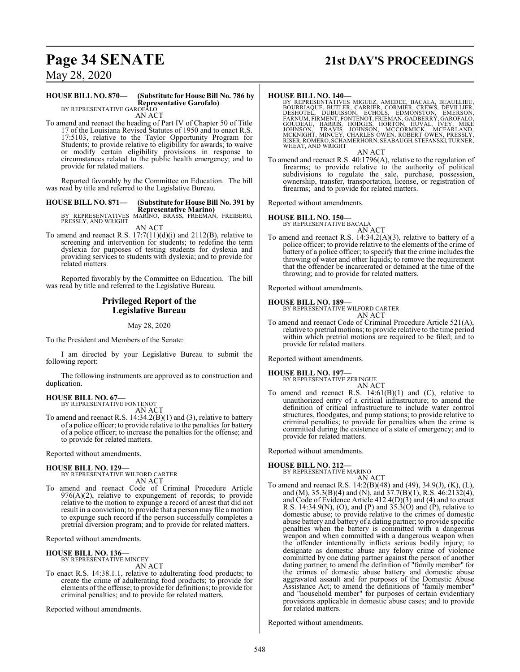## **Page 34 SENATE 21st DAY'S PROCEEDINGS**

May 28, 2020

## **HOUSE BILL NO. 870— (Substitute for House Bill No. 786 by Representative Garofalo)** BY REPRESENTATIVE GAROFALO

AN ACT

To amend and reenact the heading of Part IV of Chapter 50 of Title 17 of the Louisiana Revised Statutes of 1950 and to enact R.S. 17:5103, relative to the Taylor Opportunity Program for Students; to provide relative to eligibility for awards; to waive or modify certain eligibility provisions in response to circumstances related to the public health emergency; and to provide for related matters.

Reported favorably by the Committee on Education. The bill was read by title and referred to the Legislative Bureau.

### **HOUSE BILL NO. 871— (Substitute for House Bill No. 391 by**

Representative Marino)<br>BY REPRESENTATIVES MARINO, BRASS, FREEMAN, FREIBERG,<br>PRESSLY, AND WRIGHT

AN ACT

To amend and reenact R.S. 17:7(11)(d)(i) and 2112(B), relative to screening and intervention for students; to redefine the term dyslexia for purposes of testing students for dyslexia and providing services to students with dyslexia; and to provide for related matters.

Reported favorably by the Committee on Education. The bill was read by title and referred to the Legislative Bureau.

### **Privileged Report of the Legislative Bureau**

May 28, 2020

To the President and Members of the Senate:

I am directed by your Legislative Bureau to submit the following report:

The following instruments are approved as to construction and duplication.

### **HOUSE BILL NO. 67—** BY REPRESENTATIVE FONTENOT

AN ACT

To amend and reenact R.S. 14:34.2(B)(1) and (3), relative to battery of a police officer; to provide relative to the penalties for battery of a police officer; to increase the penalties for the offense; and to provide for related matters.

Reported without amendments.

### **HOUSE BILL NO. 129—**

BY REPRESENTATIVE WILFORD CARTER

- AN ACT
- To amend and reenact Code of Criminal Procedure Article 976(A)(2), relative to expungement of records; to provide relative to the motion to expunge a record of arrest that did not result in a conviction; to provide that a person may file a motion to expunge such record if the person successfully completes a pretrial diversion program; and to provide for related matters.

Reported without amendments.

### **HOUSE BILL NO. 136—**

BY REPRESENTATIVE MINCEY AN ACT

To enact R.S. 14:38.1.1, relative to adulterating food products; to create the crime of adulterating food products; to provide for elements ofthe offense; to provide for definitions; to provide for criminal penalties; and to provide for related matters.

Reported without amendments.

### **HOUSE BILL NO. 140—**

BY REPRESENTATIVES MIGUEZ, AMEDEE, BACALA, BEAULLIEU,<br>BOURRIAQUE, BUTLER, CARRIER, CORMIER, CREWS, DEVILLIER,<br>DESHOTEL, DUBUISSON, ECHOLS, EDMONSTON, EMERSON,<br>FARNUM,FIRMENT,FONTENOT,FRIEMAN,GADBERRY,GAROFALO,<br>GOUDEAU, HAR RISER, ROMERO, SCHAMERHORN, SEABAUGH, STEFANSKI, TURNER,<br>WHEAT, AND WRIGHT

AN ACT

To amend and reenact R.S. 40:1796(A), relative to the regulation of firearms; to provide relative to the authority of political subdivisions to regulate the sale, purchase, possession, ownership, transfer, transportation, license, or registration of firearms; and to provide for related matters.

Reported without amendments.

### **HOUSE BILL NO. 150—**

BY REPRESENTATIVE BACALA

AN ACT To amend and reenact R.S. 14:34.2(A)(3), relative to battery of a police officer; to provide relative to the elements of the crime of battery of a police officer; to specify that the crime includes the throwing of water and other liquids; to remove the requirement that the offender be incarcerated or detained at the time of the throwing; and to provide for related matters.

Reported without amendments.

### **HOUSE BILL NO. 189—**

BY REPRESENTATIVE WILFORD CARTER AN ACT

To amend and reenact Code of Criminal Procedure Article 521(A), relative to pretrial motions; to provide relative to the time period within which pretrial motions are required to be filed; and to provide for related matters.

Reported without amendments.

### **HOUSE BILL NO. 197—**

BY REPRESENTATIVE ZERINGUE AN ACT

To amend and reenact R.S.  $14:61(B)(1)$  and (C), relative to unauthorized entry of a critical infrastructure; to amend the definition of critical infrastructure to include water control structures, floodgates, and pump stations; to provide relative to criminal penalties; to provide for penalties when the crime is committed during the existence of a state of emergency; and to provide for related matters.

Reported without amendments.

### **HOUSE BILL NO. 212—**

BY REPRESENTATIVE MARINO

- AN ACT
- To amend and reenact R.S. 14:2(B)(48) and (49), 34.9(J), (K), (L), and (M), 35.3(B)(4) and (N), and 37.7(B)(1), R.S. 46:2132(4), and Code of Evidence Article 412.4(D)(3) and (4) and to enact R.S. 14:34.9(N), (O), and (P) and  $35.3(0)$  and  $(P)$ , relative to domestic abuse; to provide relative to the crimes of domestic abuse battery and battery of a dating partner; to provide specific penalties when the battery is committed with a dangerous weapon and when committed with a dangerous weapon when the offender intentionally inflicts serious bodily injury; to designate as domestic abuse any felony crime of violence committed by one dating partner against the person of another dating partner; to amend the definition of "family member" for the crimes of domestic abuse battery and domestic abuse aggravated assault and for purposes of the Domestic Abuse Assistance Act; to amend the definitions of "family member" and "household member" for purposes of certain evidentiary provisions applicable in domestic abuse cases; and to provide for related matters.

Reported without amendments.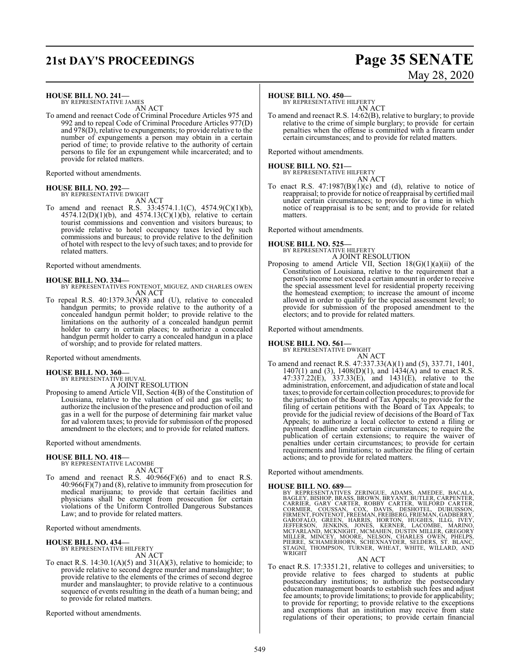## **21st DAY'S PROCEEDINGS Page 35 SENATE**

### **HOUSE BILL NO. 241—**

BY REPRESENTATIVE JAMES AN ACT

To amend and reenact Code of Criminal Procedure Articles 975 and 992 and to repeal Code of Criminal Procedure Articles 977(D) and 978(D), relative to expungements; to provide relative to the number of expungements a person may obtain in a certain period of time; to provide relative to the authority of certain persons to file for an expungement while incarcerated; and to provide for related matters.

Reported without amendments.

### **HOUSE BILL NO. 292—**

BY REPRESENTATIVE DWIGHT AN ACT

To amend and reenact R.S. 33:4574.1.1(C), 4574.9(C)(1)(b),  $4574.12(D)(1)(b)$ , and  $4574.13(C)(1)(b)$ , relative to certain tourist commissions and convention and visitors bureaus; to provide relative to hotel occupancy taxes levied by such commissions and bureaus; to provide relative to the definition of hotel with respect to the levy ofsuch taxes; and to provide for related matters.

Reported without amendments.

### **HOUSE BILL NO. 334—**

- BY REPRESENTATIVES FONTENOT, MIGUEZ, AND CHARLES OWEN AN ACT
- To repeal R.S. 40:1379.3(N)(8) and (U), relative to concealed handgun permits; to provide relative to the authority of a concealed handgun permit holder; to provide relative to the limitations on the authority of a concealed handgun permit holder to carry in certain places; to authorize a concealed handgun permit holder to carry a concealed handgun in a place of worship; and to provide for related matters.

Reported without amendments.

### **HOUSE BILL NO. 360—**

BY REPRESENTATIVE HUVAL A JOINT RESOLUTION

Proposing to amend Article VII, Section 4(B) of the Constitution of Louisiana, relative to the valuation of oil and gas wells; to authorize the inclusion ofthe presence and production of oil and gas in a well for the purpose of determining fair market value for ad valorem taxes; to provide for submission of the proposed amendment to the electors; and to provide for related matters.

Reported without amendments.

## **HOUSE BILL NO. 418—**

BY REPRESENTATIVE LACOMBE AN ACT

To amend and reenact R.S. 40:966(F)(6) and to enact R.S. 40:966(F)(7) and (8), relative to immunity from prosecution for medical marijuana; to provide that certain facilities and physicians shall be exempt from prosecution for certain violations of the Uniform Controlled Dangerous Substances Law; and to provide for related matters.

Reported without amendments.

### **HOUSE BILL NO. 434—**

BY REPRESENTATIVE HILFERTY AN ACT

To enact R.S.  $14:30.1(A)(5)$  and  $31(A)(3)$ , relative to homicide; to provide relative to second degree murder and manslaughter; to provide relative to the elements of the crimes of second degree murder and manslaughter; to provide relative to a continuous sequence of events resulting in the death of a human being; and to provide for related matters.

Reported without amendments.

# May 28, 2020

### **HOUSE BILL NO. 450—**

BY REPRESENTATIVE HILFERTY AN ACT

To amend and reenact R.S. 14:62(B), relative to burglary; to provide relative to the crime of simple burglary; to provide for certain penalties when the offense is committed with a firearm under certain circumstances; and to provide for related matters.

Reported without amendments.

### **HOUSE BILL NO. 521—** BY REPRESENTATIVE HILFERTY

- AN ACT
- To enact R.S.  $47:1987(B)(1)(c)$  and (d), relative to notice of reappraisal; to provide for notice ofreappraisal by certified mail under certain circumstances; to provide for a time in which notice of reappraisal is to be sent; and to provide for related matters.

Reported without amendments.

### **HOUSE BILL NO. 525—**

BY REPRESENTATIVE HILFERTY

A JOINT RESOLUTION Proposing to amend Article VII, Section  $18(G)(1)(a)(ii)$  of the Constitution of Louisiana, relative to the requirement that a person's income not exceed a certain amount in order to receive the special assessment level for residential property receiving the homestead exemption; to increase the amount of income allowed in order to qualify for the special assessment level; to provide for submission of the proposed amendment to the electors; and to provide for related matters.

Reported without amendments.

## **HOUSE BILL NO. 561—** BY REPRESENTATIVE DWIGHT

AN ACT To amend and reenact R.S. 47:337.33(A)(1) and (5), 337.71, 1401, 1407(1) and (3), 1408(D)(1), and 1434(A) and to enact R.S. 47:337.22(E), 337.33(E), and 1431(E), relative to the administration, enforcement, and adjudication of state and local taxes; to provide for certain collection procedures; to provide for the jurisdiction of the Board of Tax Appeals; to provide for the filing of certain petitions with the Board of Tax Appeals; to provide for the judicial review of decisions of the Board of Tax Appeals; to authorize a local collector to extend a filing or payment deadline under certain circumstances; to require the publication of certain extensions; to require the waiver of penalties under certain circumstances; to provide for certain requirements and limitations; to authorize the filing of certain actions; and to provide for related matters.

Reported without amendments.

HOUSE BILL NO. 689-<br>BY REPRESENTATIVES ZERINGUE, ADAMS, AMEDEE, BACALA,<br>BAGLEY, BISHOP, BRASS, BROWN, BRYANT, BUTLER, CARPENTER,<br>CARRIER, GARY CARTER, ROBBY CARTER, WILFORD CARTER,<br>CORMIER, COUSSAN, COX, DAVIS, DESHOTEL, D

AN ACT To enact R.S. 17:3351.21, relative to colleges and universities; to provide relative to fees charged to students at public postsecondary institutions; to authorize the postsecondary education management boards to establish such fees and adjust fee amounts; to provide limitations; to provide for applicability; to provide for reporting; to provide relative to the exceptions and exemptions that an institution may receive from state regulations of their operations; to provide certain financial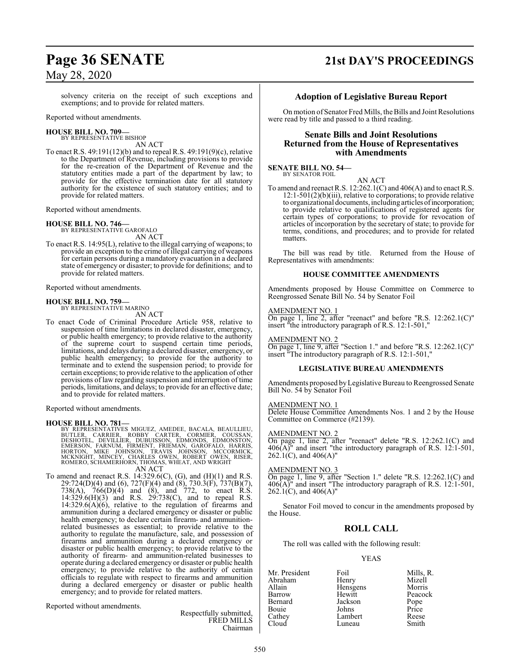solvency criteria on the receipt of such exceptions and exemptions; and to provide for related matters.

Reported without amendments.

### **HOUSE BILL NO. 709—** BY REPRESENTATIVE BISHOP

AN ACT

To enact R.S. 49:191(12)(b) and to repeal R.S. 49:191(9)(c), relative to the Department of Revenue, including provisions to provide for the re-creation of the Department of Revenue and the statutory entities made a part of the department by law; to provide for the effective termination date for all statutory authority for the existence of such statutory entities; and to provide for related matters.

Reported without amendments.

### **HOUSE BILL NO. 746—**

BY REPRESENTATIVE GAROFALO AN ACT

To enact R.S. 14:95(L), relative to the illegal carrying of weapons; to provide an exception to the crime of illegal carrying of weapons for certain persons during a mandatory evacuation in a declared state of emergency or disaster; to provide for definitions; and to provide for related matters.

Reported without amendments.

### **HOUSE BILL NO. 759—**

BY REPRESENTATIVE MARINO AN ACT

To enact Code of Criminal Procedure Article 958, relative to suspension of time limitations in declared disaster, emergency, or public health emergency; to provide relative to the authority of the supreme court to suspend certain time periods, limitations, and delays during a declared disaster, emergency, or public health emergency; to provide for the authority to terminate and to extend the suspension period; to provide for certain exceptions; to provide relative to the application of other provisions of law regarding suspension and interruption of time periods, limitations, and delays; to provide for an effective date; and to provide for related matters.

Reported without amendments.

### **HOUSE BILL NO. 781—**

BY REPRESENTATIVES MIGUEZ, AMEDEE, BACALA, BEAULLIEU,<br>BUTLER, CARRIER, ROBBY CARTER, CORMIER, COUSSAN,<br>DESHOTEL, DEVILLIER, DUBUISSON, EDMONDS, EDMOSTAN,<br>EMERSON, FARNUM, FIRMENT, FRIEMAN, GAROFALO, HARRIS,<br>HORTON, MIKE JO AN ACT

To amend and reenact R.S.  $14:329.6(C)$ ,  $(G)$ , and  $(H)(1)$  and R.S. 29:724(D)(4) and (6), 727(F)(4) and (8), 730.3(F), 737(B)(7), 738(A), 766(D)(4) and (8), and 772, to enact R.S. 14:329.6(H)(3) and R.S. 29:738(C), and to repeal R.S.  $14:329.6(A)(6)$ , relative to the regulation of firearms and ammunition during a declared emergency or disaster or public health emergency; to declare certain firearm- and ammunitionrelated businesses as essential; to provide relative to the authority to regulate the manufacture, sale, and possession of firearms and ammunition during a declared emergency or disaster or public health emergency; to provide relative to the authority of firearm- and ammunition-related businesses to operate during a declared emergency or disaster or public health emergency; to provide relative to the authority of certain officials to regulate with respect to firearms and ammunition during a declared emergency or disaster or public health emergency; and to provide for related matters.

Reported without amendments.

Respectfully submitted, FRED MILLS Chairman

## **Page 36 SENATE 21st DAY'S PROCEEDINGS**

### **Adoption of Legislative Bureau Report**

On motion of Senator Fred Mills, the Bills and Joint Resolutions were read by title and passed to a third reading.

### **Senate Bills and Joint Resolutions Returned from the House of Representatives with Amendments**

### **SENATE BILL NO. 54—** BY SENATOR FOIL

AN ACT

To amend and reenact R.S. 12:262.1(C) and 406(A) and to enact R.S. 12:1-501(2)(b)(iii), relative to corporations; to provide relative to organizational documents, including articles ofincorporation; to provide relative to qualifications of registered agents for certain types of corporations; to provide for revocation of articles of incorporation by the secretary of state; to provide for terms, conditions, and procedures; and to provide for related matters.

The bill was read by title. Returned from the House of Representatives with amendments:

### **HOUSE COMMITTEE AMENDMENTS**

Amendments proposed by House Committee on Commerce to Reengrossed Senate Bill No. 54 by Senator Foil

### AMENDMENT NO. 1

On page 1, line 2, after "reenact" and before "R.S. 12:262.1(C)" insert "the introductory paragraph of R.S. 12:1-501,"

### AMENDMENT NO. 2

On page 1, line 9, after "Section 1." and before "R.S. 12:262.1(C)" insert "The introductory paragraph of R.S. 12:1-501,"

### **LEGISLATIVE BUREAU AMENDMENTS**

Amendments proposed byLegislative Bureau to Reengrossed Senate Bill No. 54 by Senator Foil

### AMENDMENT NO. 1

Delete House Committee Amendments Nos. 1 and 2 by the House Committee on Commerce (#2139).

### AMENDMENT NO. 2

On page 1, line 2, after "reenact" delete "R.S. 12:262.1(C) and 406(A)" and insert "the introductory paragraph of R.S. 12:1-501,  $262.1(C)$ , and  $406(A)$ "

### AMENDMENT NO. 3

On page 1, line 9, after "Section 1." delete "R.S. 12:262.1(C) and  $406(A)$ " and insert "The introductory paragraph of R.S. 12:1-501, 262.1(C), and  $406(A)$ "

Senator Foil moved to concur in the amendments proposed by the House.

### **ROLL CALL**

The roll was called with the following result:

### YEAS

Mr. President Foil Foil Mills, R.<br>Abraham Henry Mizell Abraham Henry Mizell Hensgens Barrow Hewitt Peacock Jackson Pope<br>Johns Price Bouie Johns Price<br>Cathey Lambert Reese Lambert Reese<br>
Luneau Smith Cloud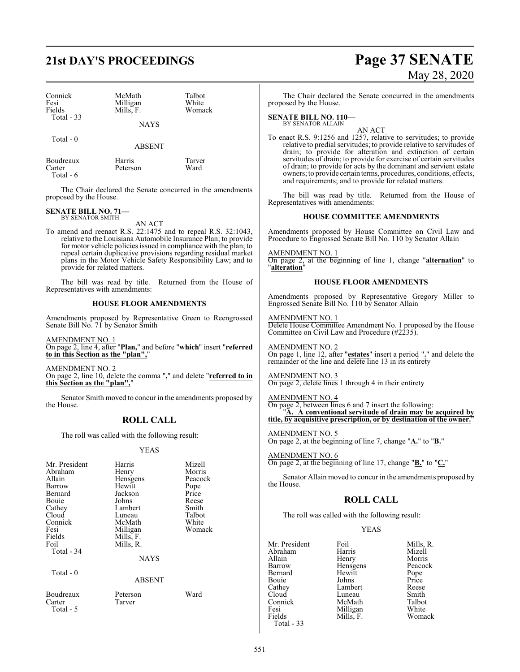| Connick     | McMath      | Talbot |  |
|-------------|-------------|--------|--|
| Fesi        | Milligan    | White  |  |
| Fields      | Mills, F.   | Womack |  |
| Total $-33$ |             |        |  |
|             | <b>NAYS</b> |        |  |
| Total - 0   |             |        |  |

Boudreaux Harris Tarver<br>Carter Peterson Ward Peterson

Total - 6

The Chair declared the Senate concurred in the amendments proposed by the House.

ABSENT

# **SENATE BILL NO. 71—** BY SENATOR SMITH

AN ACT

To amend and reenact R.S. 22:1475 and to repeal R.S. 32:1043, relative to the Louisiana Automobile Insurance Plan; to provide for motor vehicle policies issued in compliance with the plan; to repeal certain duplicative provisions regarding residual market plans in the Motor Vehicle Safety Responsibility Law; and to provide for related matters.

The bill was read by title. Returned from the House of Representatives with amendments:

### **HOUSE FLOOR AMENDMENTS**

Amendments proposed by Representative Green to Reengrossed Senate Bill No. 71 by Senator Smith

AMENDMENT NO. 1 On page 2, line 4, after "**Plan,**" and before "**which**" insert "**referred to in this Section as the "plan",**"

AMENDMENT NO. 2 On page 2, line 10, delete the comma "**,**" and delete "**referred to in this Section as the "plan",**"

Senator Smith moved to concur in the amendments proposed by the House.

### **ROLL CALL**

The roll was called with the following result:

### YEAS

| Mr. President<br>Abraham<br>Allain<br>Barrow<br>Bernard<br>Bouie<br>Cathey<br>Cloud<br>Connick<br>Fesi<br>Fields<br>Foil<br>Total - 34 | Harris<br>Henry<br>Hensgens<br>Hewitt<br>Jackson<br>Johns<br>Lambert<br>Luneau<br>McMath<br>Milligan<br>Mills, F.<br>Mills, R.<br><b>NAYS</b> | Mizell<br>Morris<br>Peacock<br>Pope<br>Price<br>Reese<br>Smith<br>Talbot<br>White<br>Womack |
|----------------------------------------------------------------------------------------------------------------------------------------|-----------------------------------------------------------------------------------------------------------------------------------------------|---------------------------------------------------------------------------------------------|
| Total - 0                                                                                                                              | <b>ABSENT</b>                                                                                                                                 |                                                                                             |
| Boudreaux<br>Carter<br>Total - 5                                                                                                       | Peterson<br>Tarver                                                                                                                            | Ward                                                                                        |

# **21st DAY'S PROCEEDINGS Page 37 SENATE** May 28, 2020

The Chair declared the Senate concurred in the amendments proposed by the House.

**SENATE BILL NO. 110—** BY SENATOR ALLAIN

AN ACT

To enact R.S. 9:1256 and 1257, relative to servitudes; to provide relative to predial servitudes; to provide relative to servitudes of drain; to provide for alteration and extinction of certain servitudes of drain; to provide for exercise of certain servitudes of drain; to provide for acts by the dominant and servient estate owners; to provide certain terms, procedures, conditions, effects, and requirements; and to provide for related matters.

The bill was read by title. Returned from the House of Representatives with amendments:

### **HOUSE COMMITTEE AMENDMENTS**

Amendments proposed by House Committee on Civil Law and Procedure to Engrossed Senate Bill No. 110 by Senator Allain

AMENDMENT NO. 1 On page 2, at the beginning of line 1, change "**alternation**" to "**alteration**"

### **HOUSE FLOOR AMENDMENTS**

Amendments proposed by Representative Gregory Miller to Engrossed Senate Bill No. 110 by Senator Allain

AMENDMENT NO. 1 Delete House Committee Amendment No. 1 proposed by the House Committee on Civil Law and Procedure (#2235).

AMENDMENT NO. 2 On page 1, line 12, after "**estates**" insert a period "**.**" and delete the remainder of the line and delete line 13 in its entirety

AMENDMENT NO. 3 On page 2, delete lines 1 through 4 in their entirety

AMENDMENT NO. 4 On page 2, between lines 6 and 7 insert the following: "**A. A conventional servitude of drain may be acquired by title, by acquisitive prescription, or by destination of the owner.**"

AMENDMENT NO. 5 On page 2, at the beginning of line 7, change "**A.**" to "**B.**"

AMENDMENT NO. 6 On page 2, at the beginning of line 17, change "**B.**" to "**C.**"

Senator Allain moved to concur in the amendments proposed by the House.

### **ROLL CALL**

The roll was called with the following result:

### YEAS

| Mr. President | Foil      | Mills, R.     |
|---------------|-----------|---------------|
| Abraham       | Harris    | Mizell        |
| Allain        | Henry     | Morris        |
| Barrow        | Hensgens  | Peacock       |
| Bernard       | Hewitt    |               |
| Bouie         | Johns     | Pope<br>Price |
| Cathey        | Lambert   | Reese         |
| Cloud         | Luneau    | Smith         |
| Connick       | McMath    | Talbot        |
| Fesi          | Milligan  | White         |
| Fields        | Mills, F. | Womack        |
| Total - 33    |           |               |

Mizell<br>Morris Peacock<br>Pope Reese<br>Smith Talbot White Womack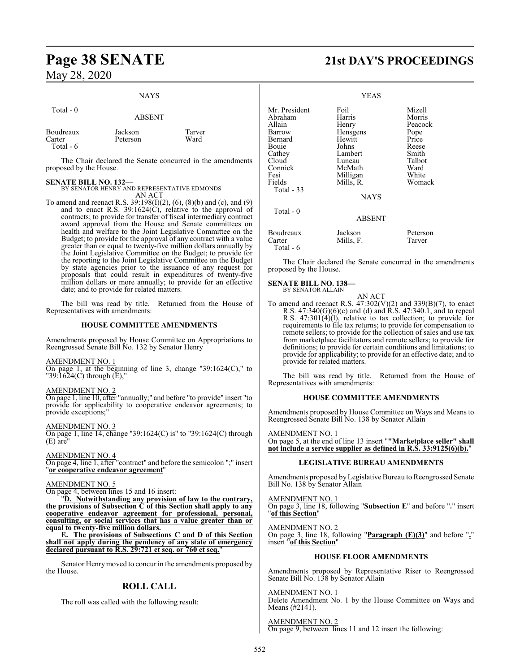### NAYS

| Total $-0$                        | <b>ABSENT</b>       |                |
|-----------------------------------|---------------------|----------------|
| Boudreaux<br>Carter<br>Total $-6$ | Jackson<br>Peterson | Tarver<br>Ward |

The Chair declared the Senate concurred in the amendments proposed by the House.

### **SENATE BILL NO. 132—**

BY SENATOR HENRY AND REPRESENTATIVE EDMONDS

AN ACT To amend and reenact R.S.  $39:198(I)(2)$ , (6), (8)(b) and (c), and (9) and to enact R.S. 39:1624(C), relative to the approval of contracts; to provide for transfer of fiscal intermediary contract award approval from the House and Senate committees on health and welfare to the Joint Legislative Committee on the Budget; to provide for the approval of any contract with a value greater than or equal to twenty-five million dollars annually by the Joint Legislative Committee on the Budget; to provide for the reporting to the Joint Legislative Committee on the Budget by state agencies prior to the issuance of any request for proposals that could result in expenditures of twenty-five million dollars or more annually; to provide for an effective date; and to provide for related matters.

The bill was read by title. Returned from the House of Representatives with amendments:

### **HOUSE COMMITTEE AMENDMENTS**

Amendments proposed by House Committee on Appropriations to Reengrossed Senate Bill No. 132 by Senator Henry

### AMENDMENT NO. 1

On page 1, at the beginning of line 3, change "39:1624(C)," to  $"39:1624(C)$  through  $(E),"$ 

### AMENDMENT NO. 2

On page 1, line 10, after "annually;" and before "to provide" insert "to provide for applicability to cooperative endeavor agreements; to provide exceptions;"

### AMENDMENT NO. 3

On page 1, line 14, change "39:1624(C) is" to "39:1624(C) through  $(E)$  are

### AMENDMENT NO. 4

On page 4, line 1, after "contract" and before the semicolon ";" insert "**or cooperative endeavor agreement**"

### AMENDMENT NO. 5

On page 4, between lines 15 and 16 insert:

"**D. Notwithstanding any provision of law to the contrary, the provisions of Subsection C of this Section shall apply to any cooperative endeavor agreement for professional, personal, consulting, or social services that has a value greater than or equal to twenty-five million dollars.**

**E. The provisions of Subsections C and D of this Section shall not apply during the pendency of any state of emergency declared pursuant to R.S. 29:721 et seq. or 760 et seq.**"

Senator Henrymoved to concur in the amendments proposed by the House.

### **ROLL CALL**

The roll was called with the following result:

# **Page 38 SENATE 21st DAY'S PROCEEDINGS**

|                                                                                                                                | <b>YEAS</b>                                                                                                                   |                                                                                                     |
|--------------------------------------------------------------------------------------------------------------------------------|-------------------------------------------------------------------------------------------------------------------------------|-----------------------------------------------------------------------------------------------------|
| Mr. President<br>Abraham<br>Allain<br>Barrow<br>Bernard<br>Bouie<br>Cathey<br>Cloud<br>Connick<br>Fesi<br>Fields<br>Total - 33 | Foil<br>Harris<br>Henry<br>Hensgens<br>Hewitt<br>Johns<br>Lambert<br>Luneau<br>McMath<br>Milligan<br>Mills, R.<br><b>NAYS</b> | Mizell<br>Morris<br>Peacock<br>Pope<br>Price<br>Reese<br>Smith<br>Talbot<br>Ward<br>White<br>Womack |
| Total - 0                                                                                                                      | <b>ABSENT</b>                                                                                                                 |                                                                                                     |
| Boudreaux<br>Carter<br>Total - 6                                                                                               | Jackson<br>Mills, F.                                                                                                          | Peterson<br>Tarver                                                                                  |

The Chair declared the Senate concurred in the amendments proposed by the House.

### **SENATE BILL NO. 138—**

BY SENATOR ALLAIN

AN ACT To amend and reenact R.S.  $47:302(V)(2)$  and  $339(B)(7)$ , to enact R.S. 47:340(G)(6)(c) and (d) and R.S. 47:340.1, and to repeal R.S. 47:301(4)(l), relative to tax collection; to provide for requirements to file tax returns; to provide for compensation to remote sellers; to provide for the collection of sales and use tax from marketplace facilitators and remote sellers; to provide for definitions; to provide for certain conditions and limitations; to provide for applicability; to provide for an effective date; and to provide for related matters.

The bill was read by title. Returned from the House of Representatives with amendments:

### **HOUSE COMMITTEE AMENDMENTS**

Amendments proposed by House Committee on Ways and Means to Reengrossed Senate Bill No. 138 by Senator Allain

AMENDMENT NO. 1 On page 5, at the end of line 13 insert "**"Marketplace seller" shall not include a service supplier as defined in R.S. 33:9125(6)(b).**"

### **LEGISLATIVE BUREAU AMENDMENTS**

Amendments proposed byLegislative Bureau to Reengrossed Senate Bill No. 138 by Senator Allain

### AMENDMENT NO. 1

On page 3, line 18, following "**Subsection E**" and before "**.**" insert "**of this Section**"

### AMENDMENT NO. 2

On page 3, line 18, following "**Paragraph (E)(3)**" and before "**.**" insert "**of this Section**"

### **HOUSE FLOOR AMENDMENTS**

Amendments proposed by Representative Riser to Reengrossed Senate Bill No. 138 by Senator Allain

### AMENDMENT NO. 1

Delete Amendment No. 1 by the House Committee on Ways and Means (#2141).

AMENDMENT NO. 2 On page 9, between lines 11 and 12 insert the following: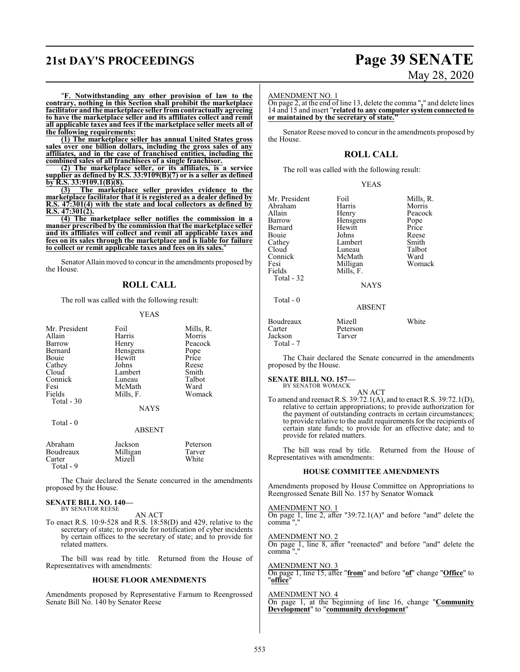# **21st DAY'S PROCEEDINGS Page 39 SENATE**

# May 28, 2020

"**F. Notwithstanding any other provision of law to the contrary, nothing in this Section shall prohibit the marketplace facilitator and the marketplace seller fromcontractually agreeing to have the marketplace seller and its affiliates collect and remit all applicable taxes and fees if the marketplace seller meets all of the following requirements:**

**(1) The marketplace seller has annual United States gross sales over one billion dollars, including the gross sales of any affiliates, and in the case of franchised entities, including the combined sales of all franchisees of a single franchisor.**

**(2) The marketplace seller, or its affiliates, is a service supplier as defined by R.S. 33:9109(B)(7) or is a seller as defined by R.S. 33:9109.1(B)(8).**<br>(3) The marketn

**(3) The marketplace seller provides evidence to the marketplace facilitator that it is registered as a dealer defined by R.S. 47:301(4) with the state and local collectors as defined by R.S. 47:301(2).**

**(4) The marketplace seller notifies the commission in a manner prescribed by the commission that the marketplace seller and its affiliates will collect and remit all applicable taxes and fees on its sales through the marketplace and is liable for failure to collect or remit applicable taxes and fees on its sales.**"

Senator Allain moved to concur in the amendments proposed by the House.

### **ROLL CALL**

The roll was called with the following result:

### YEAS

| Mr. President | Foil        | Mills, R. |
|---------------|-------------|-----------|
| Allain        | Harris      | Morris    |
| <b>Barrow</b> | Henry       | Peacock   |
| Bernard       | Hensgens    | Pope      |
| Bouie         | Hewitt      | Price     |
| Cathey        | Johns       | Reese     |
| Cloud         | Lambert     | Smith     |
| Connick       | Luneau      | Talbot    |
| Fesi          | McMath      | Ward      |
| Fields        | Mills, F.   | Womack    |
| Total - 30    |             |           |
|               | <b>NAYS</b> |           |

| ня |  |  |  |
|----|--|--|--|
|----|--|--|--|

### ABSENT

| Abraham<br>Boudreaux<br>Carter<br>Total - 9 | Jackson<br>Milligan<br>Mizell | Peterson<br>Tarver<br>White |
|---------------------------------------------|-------------------------------|-----------------------------|
|                                             |                               |                             |

The Chair declared the Senate concurred in the amendments proposed by the House.

### **SENATE BILL NO. 140—** BY SENATOR REESE

AN ACT

To enact R.S. 10:9-528 and R.S. 18:58(D) and 429, relative to the secretary of state; to provide for notification of cyber incidents by certain offices to the secretary of state; and to provide for related matters.

The bill was read by title. Returned from the House of Representatives with amendments:

### **HOUSE FLOOR AMENDMENTS**

Amendments proposed by Representative Farnum to Reengrossed Senate Bill No. 140 by Senator Reese

### AMENDMENT NO. 1

On page 2, at the end of line 13, delete the comma "**,**" and delete lines 14 and 15 and insert "**related to any computer system connected to** or maintained by the secretary of state.

Senator Reese moved to concur in the amendments proposed by the House.

### **ROLL CALL**

The roll was called with the following result:

|--|--|

| Mr. President<br>Abraham<br>Allain<br>Barrow<br>Bernard<br>Bouie<br>Cathey<br>Cloud<br>Connick<br>Fesi<br>Fields<br>Total - 32 | Foil<br>Harris<br>Henry<br>Hensgens<br>Hewitt<br>Johns<br>Lambert<br>Luneau<br>McMath<br>Milligan<br>Mills, F.<br><b>NAYS</b> | Mills, R.<br>Morris<br>Peacock<br>Pope<br>Price<br>Reese<br>Smith<br>Talbot<br>Ward<br>Womack |
|--------------------------------------------------------------------------------------------------------------------------------|-------------------------------------------------------------------------------------------------------------------------------|-----------------------------------------------------------------------------------------------|
| Total $-0$                                                                                                                     | <b>ABSENT</b>                                                                                                                 |                                                                                               |
| Boudreaux                                                                                                                      | Mizell                                                                                                                        | White                                                                                         |

The Chair declared the Senate concurred in the amendments proposed by the House.

**SENATE BILL NO. 157—** BY SENATOR WOMACK

Carter Peterson<br>Jackson Tarver

Jackson Total - 7

AN ACT

To amend and reenact R.S. 39:72.1(A), and to enact R.S. 39:72.1(D), relative to certain appropriations; to provide authorization for the payment of outstanding contracts in certain circumstances; to provide relative to the audit requirements for the recipients of certain state funds; to provide for an effective date; and to provide for related matters.

The bill was read by title. Returned from the House of Representatives with amendments:

### **HOUSE COMMITTEE AMENDMENTS**

Amendments proposed by House Committee on Appropriations to Reengrossed Senate Bill No. 157 by Senator Womack

AMENDMENT NO. 1 On page 1, line 2, after "39:72.1(A)" and before "and" delete the comma ","

AMENDMENT NO. 2 On page 1, line 8, after "reenacted" and before "and" delete the comma ","

AMENDMENT NO. 3 On page 1, line 15, after "**from**" and before "**of**" change "**Office**" to "**office**"

AMENDMENT NO. 4 On page 1, at the beginning of line 16, change "**Community Development**" to "**community development**"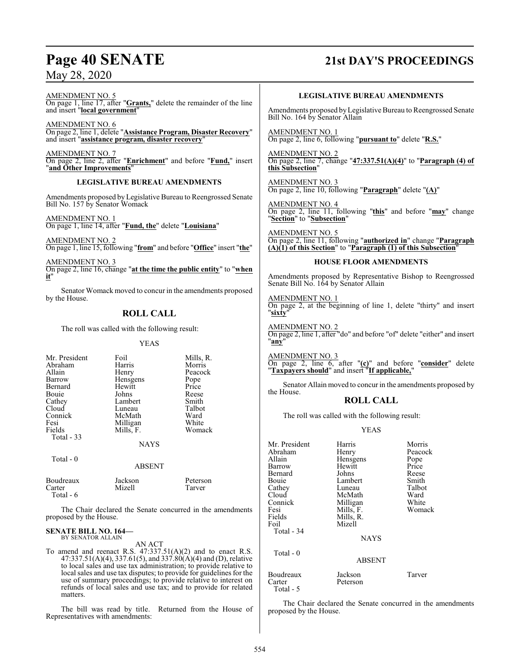# **Page 40 SENATE 21st DAY'S PROCEEDINGS**

AMENDMENT NO. 5 On page 1, line 17, after "**Grants,**" delete the remainder of the line and insert "**local government**"

AMENDMENT NO. 6 On page 2, line 1, delete "**Assistance Program, Disaster Recovery**" and insert "**assistance program, disaster recovery**"

AMENDMENT NO. 7 On page 2, line 2, after "**Enrichment**" and before "**Fund,**" insert "**and Other Improvements**"

### **LEGISLATIVE BUREAU AMENDMENTS**

Amendments proposed by Legislative Bureau to Reengrossed Senate Bill No. 157 by Senator Womack

AMENDMENT NO. 1 On page 1, line 14, after "**Fund, the**" delete "**Louisiana**"

AMENDMENT NO. 2 On page 1, line 15, following "**from**" and before "**Office**" insert "**the**"

AMENDMENT NO. 3 On page 2, line 16, change "**at the time the public entity**" to "**when it**"

Senator Womack moved to concur in the amendments proposed by the House.

### **ROLL CALL**

The roll was called with the following result:

YEAS

| Mr. President | Foil        | Mills, R. |
|---------------|-------------|-----------|
| Abraham       | Harris      | Morris    |
| Allain        | Henry       | Peacock   |
| Barrow        | Hensgens    | Pope      |
| Bernard       | Hewitt      | Price     |
| Bouie         | Johns       | Reese     |
| Cathey        | Lambert     | Smith     |
| Cloud         | Luneau      | Talbot    |
| Connick       | McMath      | Ward      |
| Fesi          | Milligan    | White     |
| Fields        | Mills, F.   | Womack    |
| Total - 33    |             |           |
|               | <b>NAYS</b> |           |
| Total - 0     |             |           |

### ABSENT

|  | Boudreaux<br>Carter<br>Total $-6$ | Jackson<br>Mizell | Peterson<br>Tarver |
|--|-----------------------------------|-------------------|--------------------|
|--|-----------------------------------|-------------------|--------------------|

The Chair declared the Senate concurred in the amendments proposed by the House.

### **SENATE BILL NO. 164—** BY SENATOR ALLAIN

AN ACT

To amend and reenact R.S. 47:337.51(A)(2) and to enact R.S. 47:337.51(A)(4), 337.61(5), and 337.80(A)(4) and (D), relative to local sales and use tax administration; to provide relative to local sales and use tax disputes; to provide for guidelines for the use of summary proceedings; to provide relative to interest on refunds of local sales and use tax; and to provide for related matters.

The bill was read by title. Returned from the House of Representatives with amendments:

### **LEGISLATIVE BUREAU AMENDMENTS**

Amendments proposed byLegislative Bureau to Reengrossed Senate Bill No. 164 by Senator Allain

AMENDMENT NO. 1 On page 2, line 6, following "**pursuant to**" delete "**R.S.**"

AMENDMENT NO. 2 On page 2, line 7, change "**47:337.51(A)(4)**" to "**Paragraph (4) of this Subsection**"

AMENDMENT NO. 3 On page 2, line 10, following "**Paragraph**" delete "**(A)**"

AMENDMENT NO. 4 On page 2, line 11, following "**this**" and before "**may**" change "**Section**" to "**Subsection**"

AMENDMENT NO. 5 On page 2, line 11, following "**authorized in**" change "**Paragraph (A)(1) of this Section**" to "**Paragraph (1) of this Subsection**"

### **HOUSE FLOOR AMENDMENTS**

Amendments proposed by Representative Bishop to Reengrossed Senate Bill No. 164 by Senator Allain

AMENDMENT NO. 1 On page 2, at the beginning of line 1, delete "thirty" and insert "**sixty**"

AMENDMENT NO. 2 On page 2, line 1, after "do" and before "of" delete "either" and insert "**any**"

AMENDMENT NO. 3 On page 2, line 6, after "**(c)**" and before "**consider**" delete "**Taxpayers should**" and insert "**If applicable,**"

Senator Allain moved to concur in the amendments proposed by the House.

### **ROLL CALL**

The roll was called with the following result:

### YEAS

| Mr. President | Harris        | Morris  |
|---------------|---------------|---------|
| Abraham       | Henry         | Peacock |
| Allain        | Hensgens      | Pope    |
| Barrow        | Hewitt        | Price   |
| Bernard       | Johns         | Reese   |
| Bouie         | Lambert       | Smith   |
| Cathey        | Luneau        | Talbot  |
| Cloud         | McMath        | Ward    |
| Connick       | Milligan      | White   |
| Fesi          | Mills, F.     | Womack  |
| Fields        | Mills, R.     |         |
| Foil          | Mizell        |         |
| Total - 34    |               |         |
|               | <b>NAYS</b>   |         |
| Total - 0     |               |         |
|               | <b>ABSENT</b> |         |
| Boudreaux     | Jackson       | Tarver  |
| Carter        | Peterson      |         |
| Total - 5     |               |         |

The Chair declared the Senate concurred in the amendments proposed by the House.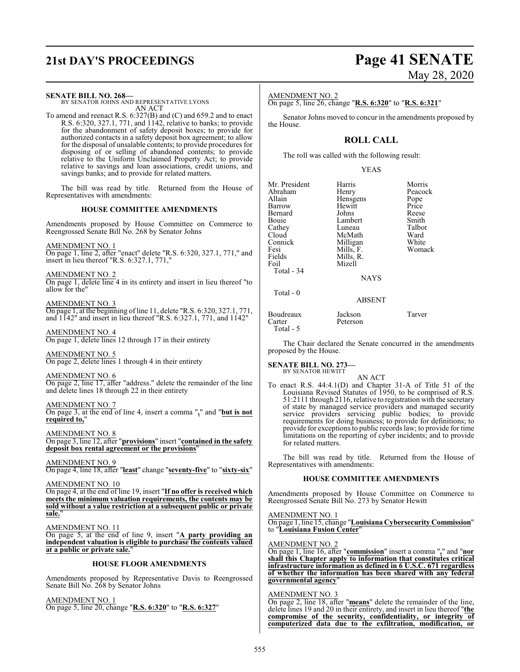# **21st DAY'S PROCEEDINGS Page 41 SENATE**

# May 28, 2020

### **SENATE BILL NO. 268—**

BY SENATOR JOHNS AND REPRESENTATIVE LYONS AN ACT

To amend and reenact R.S. 6:327(B) and (C) and 659.2 and to enact R.S. 6:320, 327.1, 771, and 1142, relative to banks; to provide for the abandonment of safety deposit boxes; to provide for authorized contacts in a safety deposit box agreement; to allow for the disposal of unsalable contents; to provide procedures for disposing of or selling of abandoned contents; to provide relative to the Uniform Unclaimed Property Act; to provide relative to savings and loan associations, credit unions, and savings banks; and to provide for related matters.

The bill was read by title. Returned from the House of Representatives with amendments:

### **HOUSE COMMITTEE AMENDMENTS**

Amendments proposed by House Committee on Commerce to Reengrossed Senate Bill No. 268 by Senator Johns

### AMENDMENT NO. 1

On page 1, line 2, after "enact" delete "R.S. 6:320, 327.1, 771," and insert in lieu thereof "R.S. 6:327.1, 771,"

### AMENDMENT NO. 2

On page 1, delete line 4 in its entirety and insert in lieu thereof "to allow for the"

### AMENDMENT NO. 3

On page 1, at the beginning ofline 11, delete "R.S. 6:320, 327.1, 771, and 1142" and insert in lieu thereof "R.S. 6:327.1, 771, and 1142"

AMENDMENT NO. 4 On page 1, delete lines 12 through 17 in their entirety

AMENDMENT NO. 5

On page 2, delete lines 1 through 4 in their entirety

### AMENDMENT NO. 6

On page 2, line 17, after "address." delete the remainder of the line and delete lines 18 through 22 in their entirety

### AMENDMENT NO. 7

On page 3, at the end of line 4, insert a comma "**,**" and "**but is not required to,**"

AMENDMENT NO. 8 On page 3, line 12, after "**provisions**" insert "**contained in the safety deposit box rental agreement or the provisions**"

AMENDMENT NO. 9 On page 4, line 18, after "**least**" change "**seventy-five**" to "**sixty-six**"

### AMENDMENT NO. 10

On page 4, at the end of line 19, insert "**If no offer is received which meets the minimum valuation requirements, the contents may be sold without a value restriction at a subsequent public or private sale.**"

### AMENDMENT NO. 11

On page 5, at the end of line 9, insert "**A party providing an independent valuation is eligible to purchase the contents valued at a public or private sale.**"

### **HOUSE FLOOR AMENDMENTS**

Amendments proposed by Representative Davis to Reengrossed Senate Bill No. 268 by Senator Johns

AMENDMENT NO. 1 On page 5, line 20, change "**R.S. 6:320**" to "**R.S. 6:327**"

### AMENDMENT NO. 2

On page 5, line 26, change "**R.S. 6:320**" to "**R.S. 6:321**"

Senator Johns moved to concur in the amendments proposed by the House.

### **ROLL CALL**

The roll was called with the following result:

### YEAS

| Mr. President | Harris        | Morris  |
|---------------|---------------|---------|
| Abraham       | Henry         | Peacock |
| Allain        | Hensgens      | Pope    |
| Barrow        | Hewitt        | Price   |
| Bernard       | Johns         | Reese   |
| Bouie         | Lambert       | Smith   |
| Cathey        | Luneau        | Talbot  |
| Cloud         | McMath        | Ward    |
| Connick       | Milligan      | White   |
|               |               | Womack  |
| Fesi          | Mills, F.     |         |
| Fields        | Mills, R.     |         |
| Foil          | Mizell        |         |
| Total $-34$   |               |         |
|               | <b>NAYS</b>   |         |
| Total $-0$    |               |         |
|               | <b>ABSENT</b> |         |
| Boudreaux     | Jackson       | Tarver  |
| Carter        | Peterson      |         |

Total - 5

The Chair declared the Senate concurred in the amendments proposed by the House.

### **SENATE BILL NO. 273—** BY SENATOR HEWITT

AN ACT

To enact R.S. 44:4.1(D) and Chapter 31-A of Title 51 of the Louisiana Revised Statutes of 1950, to be comprised of R.S. 51:2111 through 2116, relative to registration with the secretary of state by managed service providers and managed security service providers servicing public bodies; to provide requirements for doing business; to provide for definitions; to provide for exceptions to public records law; to provide for time limitations on the reporting of cyber incidents; and to provide for related matters.

The bill was read by title. Returned from the House of Representatives with amendments:

### **HOUSE COMMITTEE AMENDMENTS**

Amendments proposed by House Committee on Commerce to Reengrossed Senate Bill No. 273 by Senator Hewitt

AMENDMENT NO. 1

On page 1, line 15, change "**Louisiana Cybersecurity Commission**" to "**Louisiana Fusion Center**"

### AMENDMENT NO. 2

On page 1, line 16, after "**commission**" insert a comma "**,**" and "**nor shall this Chapter apply to information that constitutes critical infrastructure information as defined in 6 U.S.C. 671 regardless of whether the information has been shared with any federal governmental agency**"

### AMENDMENT NO. 3

On page 2, line 18, after "**means**" delete the remainder of the line, delete lines 19 and 20 in their entirety, and insert in lieu thereof "**the compromise of the security, confidentiality, or integrity of computerized data due to the exfiltration, modification, or**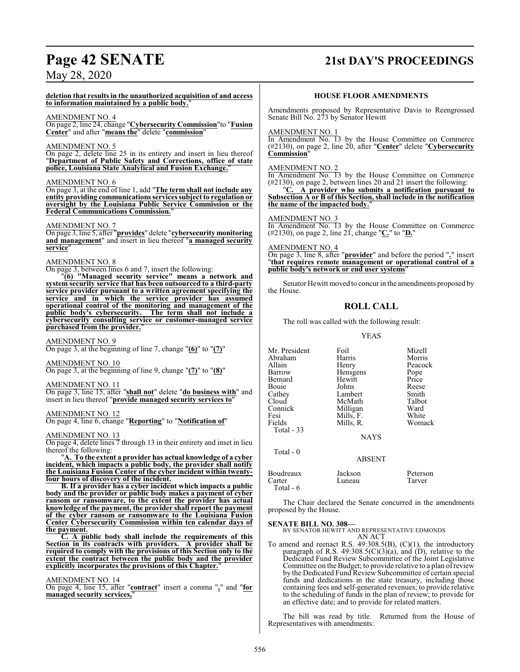# **Page 42 SENATE 21st DAY'S PROCEEDINGS**

## May 28, 2020

**deletion that results in the unauthorized acquisition of and access to information maintained by a public body.**"

### AMENDMENT NO. 4

On page 2, line 24, change "**Cybersecurity Commission**"to "**Fusion Center**" and after "**means the**" delete "**commission**"

### AMENDMENT NO. 5

On page 2, delete line 25 in its entirety and insert in lieu thereof "**Department of Public Safety and Corrections, office of state police, Louisiana State Analytical and Fusion Exchange.**"

### AMENDMENT NO. 6

On page 3, at the end of line 1, add "**The term shall not include any entity providing communications services subject to regulation or oversight by the Louisiana Public Service Commission or the Federal Communications Commission.**"

### AMENDMENT NO. 7

On page 3, line 5, after "**provides**" delete "**cybersecurity monitoring and management**" and insert in lieu thereof "**a managed security service**"

### AMENDMENT NO. 8

On page 3, between lines 6 and 7, insert the following:

"**(6) "Managed security service" means a network and system security service that has been outsourced to a third-party service provider pursuant to a written agreement specifying the service and in which the service provider has assumed operational control of the monitoring and management of the public body's cybersecurity. cybersecurity consulting service or customer-managed service purchased from the provider.**"

### AMENDMENT NO. 9

On page 3, at the beginning of line 7, change "**(6)**" to "**(7)**"

### AMENDMENT NO. 10

On page 3, at the beginning of line 9, change "**(7)**" to "**(8)**"

### AMENDMENT NO. 11

On page 3, line 15, after "**shall not**" delete "**do business with**" and insert in lieu thereof "**provide managed security services to**"

### AMENDMENT NO. 12

On page 4, line 6, change "**Reporting**" to "**Notification of**"

### AMENDMENT NO. 13

On page 4, delete lines 7 through 13 in their entirety and inset in lieu thereof the following:

"**A. To the extent a provider has actual knowledge of a cyber incident, which impacts a public body, the provider shall notify the Louisiana Fusion Center of the cyber incident within twentyfour hours of discovery of the incident.**

**B. If a provider has a cyber incident which impacts a public body and the provider or public body makes a payment of cyber ransom or ransomware, to the extent the provider has actual knowledge of the payment, the provider shall report the payment of the cyber ransom or ransomware to the Louisiana Fusion Center Cybersecurity Commission within ten calendar days of the payment.**

**C. A public body shall include the requirements of this Section in its contracts with providers. A provider shall be required to comply with the provisions of this Section only to the extent the contract between the public body and the provider explicitly incorporates the provisions of this Chapter.**"

AMENDMENT NO. 14

On page 4, line 15, after "**contract**" insert a comma "**,**" and "**for managed security services,**"

### **HOUSE FLOOR AMENDMENTS**

Amendments proposed by Representative Davis to Reengrossed Senate Bill No. 273 by Senator Hewitt

### AMENDMENT NO. 1

In Amendment No. 13 by the House Committee on Commerce (#2130), on page 2, line 20, after "**Center**" delete "**Cybersecurity Commission**"

### AMENDMENT NO. 2

In Amendment No. 13 by the House Committee on Commerce (#2130), on page 2, between lines 20 and 21 insert the following:

"**C. A provider who submits a notification pursuant to Subsection A or B of this Section, shall include in the notification the name of the impacted body.**"

### AMENDMENT NO. 3

In Amendment No. 13 by the House Committee on Commerce (#2130), on page 2, line 21, change "**C.**" to "**D.**"

### AMENDMENT NO. 4

On page 3, line 8, after "**provider**" and before the period "**.**" insert "**that requires remote management or operational control of a public body's network or end user systems**"

Senator Hewitt moved to concur in the amendments proposed by the House.

### **ROLL CALL**

The roll was called with the following result:

### YEAS

| Mr. President | Foil          | Mizell   |
|---------------|---------------|----------|
| Abraham       | Harris        | Morris   |
| Allain        | Henry         | Peacock  |
| Barrow        | Hensgens      | Pope     |
| Bernard       | Hewitt        | Price    |
| Bouie         | Johns         | Reese    |
| Cathey        | Lambert       | Smith    |
| Cloud         | McMath        | Talbot   |
| Connick       | Milligan      | Ward     |
| Fesi          | Mills, F.     | White    |
| Fields        | Mills, R.     | Womack   |
| Total $-33$   |               |          |
|               | <b>NAYS</b>   |          |
| $Total - 0$   |               |          |
|               | <b>ABSENT</b> |          |
| Boudreaux     | Jackson       | Peterson |
| Carter        | Luneau        | Tarver   |

### Total - 6

The Chair declared the Senate concurred in the amendments proposed by the House.

### **SENATE BILL NO. 308—**

BY SENATOR HEWITT AND REPRESENTATIVE EDMONDS AN ACT

To amend and reenact R.S.  $49:308.5(B)$ ,  $(C)(1)$ , the introductory paragraph of R.S. 49:308.5(C)(3)(a), and (D), relative to the Dedicated Fund Review Subcommittee of the Joint Legislative Committee on the Budget; to provide relative to a plan ofreview by the Dedicated Fund Review Subcommittee of certain special funds and dedications in the state treasury, including those containing fees and self-generated revenues; to provide relative to the scheduling of funds in the plan of review; to provide for an effective date; and to provide for related matters.

The bill was read by title. Returned from the House of Representatives with amendments: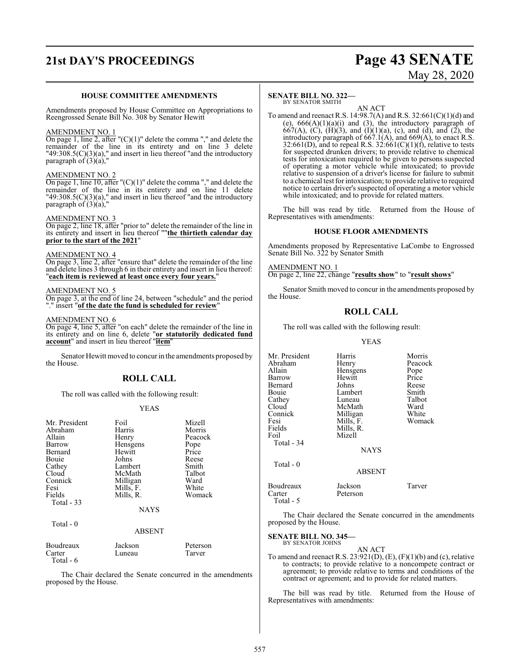# **21st DAY'S PROCEEDINGS Page 43 SENATE**

# May 28, 2020

### **HOUSE COMMITTEE AMENDMENTS**

Amendments proposed by House Committee on Appropriations to Reengrossed Senate Bill No. 308 by Senator Hewitt

### AMENDMENT NO. 1

On page 1, line 2, after  $"({\rm C})(1)"$  delete the comma "," and delete the remainder of the line in its entirety and on line 3 delete  $"49:308.5(C)(3)(a),"$  and insert in lieu thereof "and the introductory paragraph of (3)(a),"

### AMENDMENT NO. 2

On page 1, line 10, after "(C)(1)" delete the comma "," and delete the remainder of the line in its entirety and on line 11 delete  $"49:308.5(C)(3)(a),"$  and insert in lieu thereof "and the introductory paragraph of (3)(a),"

### AMENDMENT NO. 3

On page 2, line 18, after "prior to" delete the remainder of the line in its entirety and insert in lieu thereof ""**the thirtieth calendar day prior to the start of the 2021**"

### AMENDMENT NO. 4

On page 3, line 2, after "ensure that" delete the remainder of the line and delete lines 3 through 6 in their entirety and insert in lieu thereof: "**each item is reviewed at least once every four years.**"

### AMENDMENT NO. 5

On page 3, at the end of line 24, between "schedule" and the period "." insert "**of the date the fund is scheduled for review**"

### AMENDMENT NO. 6

On page 4, line 5, after "on each" delete the remainder of the line in its entirety and on line 6, delete "**or statutorily dedicated fund account**" and insert in lieu thereof "**item**"

Senator Hewitt moved to concur in the amendments proposed by the House.

### **ROLL CALL**

The roll was called with the following result:

### YEAS

| Mr. President                  | Foil          | Mizell         |
|--------------------------------|---------------|----------------|
| Abraham                        | Harris        | Morris         |
| Allain                         | Henry         | Peacock        |
| Barrow                         | Hensgens      | Pope           |
| Bernard                        | Hewitt        | Price          |
| Bouie                          | Johns         | Reese          |
| Cathey                         | Lambert       | Smith          |
| Cloud                          | McMath        | Talbot         |
| Connick                        | Milligan      | Ward           |
| Fesi                           | Mills, F.     | White          |
| Fields                         | Mills, R.     | Womack         |
| Total $-33$                    |               |                |
|                                | <b>NAYS</b>   |                |
| Total - 0                      |               |                |
|                                | <b>ABSENT</b> |                |
| $\mathbf{r}$<br>$\blacksquare$ | T 1           | $\mathbf{r}$ . |

| Boudreaux | Jackson | Peterson |
|-----------|---------|----------|
| Carter    | Luneau  | Tarver   |
| Total - 6 |         |          |

The Chair declared the Senate concurred in the amendments proposed by the House.

### **SENATE BILL NO. 322—** BY SENATOR SMITH

AN ACT

To amend and reenact R.S. 14:98.7(A) and R.S. 32:661(C)(1)(d) and (e),  $666(A)(1)(a)(i)$  and  $(3)$ , the introductory paragraph of 667(A), (C), (H)(3), and (I)(1)(a), (c), and (d), and (2), the introductory paragraph of  $667.1(A)$ , and  $669(A)$ , to enact R.S. 32:661(D), and to repeal R.S. 32:661(C)(1)(f), relative to tests for suspected drunken drivers; to provide relative to chemical tests for intoxication required to be given to persons suspected of operating a motor vehicle while intoxicated; to provide relative to suspension of a driver's license for failure to submit to a chemical test forintoxication; to provide relative to required notice to certain driver's suspected of operating a motor vehicle while intoxicated; and to provide for related matters.

The bill was read by title. Returned from the House of Representatives with amendments:

### **HOUSE FLOOR AMENDMENTS**

Amendments proposed by Representative LaCombe to Engrossed Senate Bill No. 322 by Senator Smith

AMENDMENT NO. 1 On page 2, line 22, change "**results show**" to "**result shows**"

Senator Smith moved to concur in the amendments proposed by the House.

### **ROLL CALL**

The roll was called with the following result:

### YEAS

| Mr. President<br>Abraham<br>Allain<br>Barrow             | Harris<br>Henry<br>Hensgens<br>Hewitt                  | Morris<br>Peacock<br>Pope<br>Price |
|----------------------------------------------------------|--------------------------------------------------------|------------------------------------|
| Bernard<br>Bouie<br>Cathey                               | Johns<br>Lambert<br>Luneau                             | Reese<br>Smith<br>Talbot           |
| Cloud<br>Connick<br>Fesi<br>Fields<br>Foil<br>Total - 34 | McMath<br>Milligan<br>Mills, F.<br>Mills, R.<br>Mizell | Ward<br>White<br>Womack            |
| Total - 0                                                | <b>NAYS</b><br><b>ABSENT</b>                           |                                    |
| Boudreaux<br>Carter<br>Total - 5                         | Jackson<br>Peterson                                    | Tarver                             |

The Chair declared the Senate concurred in the amendments proposed by the House.

**SENATE BILL NO. 345—**

BY SENATOR JOHNS

AN ACT To amend and reenact R.S. 23:921(D), (E), (F)(1)(b) and (c), relative to contracts; to provide relative to a noncompete contract or agreement; to provide relative to terms and conditions of the contract or agreement; and to provide for related matters.

The bill was read by title. Returned from the House of Representatives with amendments: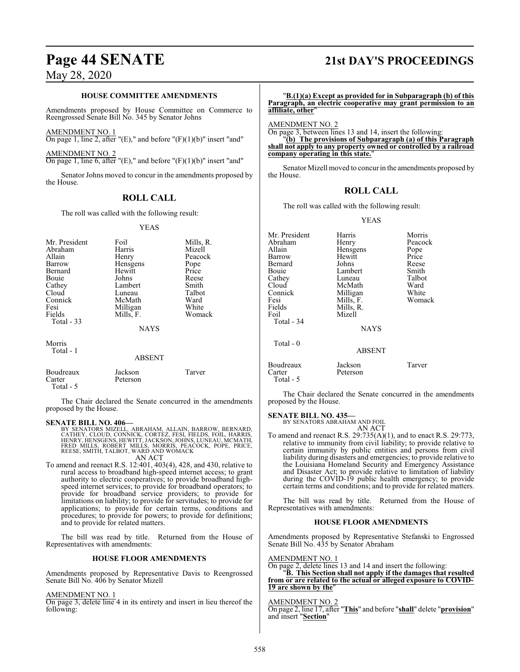### **HOUSE COMMITTEE AMENDMENTS**

Amendments proposed by House Committee on Commerce to Reengrossed Senate Bill No. 345 by Senator Johns

AMENDMENT NO. 1

On page 1, line 2, after " $(E)$ ," and before " $(F)(1)(b)$ " insert "and"

AMENDMENT NO. 2

On page 1, line 6, after " $(E)$ ," and before " $(F)(1)(b)$ " insert "and"

Senator Johns moved to concur in the amendments proposed by the House.

### **ROLL CALL**

The roll was called with the following result:

### YEAS

| Mr. President | Foil          | Mills, R. |
|---------------|---------------|-----------|
| Abraham       | Harris        | Mizell    |
| Allain        | Henry         | Peacock   |
| Barrow        | Hensgens      | Pope      |
| Bernard       | Hewitt        | Price     |
| Bouie         | Johns         | Reese     |
| Cathey        | Lambert       | Smith     |
| Cloud         | Luneau        | Talbot    |
| Connick       | McMath        | Ward      |
| Fesi          | Milligan      | White     |
| Fields        | Mills, F.     | Womack    |
| Total $-33$   |               |           |
|               | <b>NAYS</b>   |           |
| Morris        |               |           |
| Total - 1     |               |           |
|               | <b>ABSENT</b> |           |
| Boudreaux     | Jackson       | Tarver    |

Carter Peterson Total - 5

The Chair declared the Senate concurred in the amendments proposed by the House.

**SENATE BILL NO. 406—**<br>BY SENATORS MIZELL, ABRAHAM, ALLAIN, BARROW, BERNARD,<br>CATHEY, CLOUD, CONNICK, CORTEZ, FESI, FIELDS, FOIL, HARRIS,<br>HENRY, HENSGENS, HEWITT, JACKSON, JOHNS, LUNEAU, MCMATH,<br>FRED MILLS, ROBERT MILLS, MO AN ACT

To amend and reenact R.S. 12:401, 403(4), 428, and 430, relative to rural access to broadband high-speed internet access; to grant authority to electric cooperatives; to provide broadband highspeed internet services; to provide for broadband operators; to provide for broadband service providers; to provide for limitations on liability; to provide for servitudes; to provide for applications; to provide for certain terms, conditions and procedures; to provide for powers; to provide for definitions; and to provide for related matters.

The bill was read by title. Returned from the House of Representatives with amendments:

### **HOUSE FLOOR AMENDMENTS**

Amendments proposed by Representative Davis to Reengrossed Senate Bill No. 406 by Senator Mizell

### AMENDMENT NO. 1

On page 3, delete line 4 in its entirety and insert in lieu thereof the following:

# **Page 44 SENATE 21st DAY'S PROCEEDINGS**

"**B.(1)(a) Except as provided for in Subparagraph (b) of this Paragraph, an electric cooperative may grant permission to an affiliate, other**" AMENDMENT NO. 2 On page 3, between lines 13 and 14, insert the following: "**(b) The provisions of Subparagraph (a) of this Paragraph shall not apply to any property owned or controlled by a railroad**

Senator Mizell moved to concur in the amendments proposed by the House.

### **ROLL CALL**

The roll was called with the following result:

**company operating in this state.**"

YEAS

| Mr. President | Harris        | Morris  |
|---------------|---------------|---------|
| Abraham       | Henry         | Peacock |
| Allain        | Hensgens      | Pope    |
| Barrow        | Hewitt        | Price   |
| Bernard       | Johns         | Reese   |
| Bouie         | Lambert       | Smith   |
| Cathey        | Luneau        | Talbot  |
| Cloud         | McMath        | Ward    |
| Connick       | Milligan      | White   |
| Fesi          | Mills, F.     | Womack  |
| Fields        | Mills, R.     |         |
| Foil          | Mizell        |         |
| Total - 34    |               |         |
|               | <b>NAYS</b>   |         |
| Total - 0     |               |         |
|               | <b>ABSENT</b> |         |
| Boudreaux     | Jackson       | Tarver  |
| Carter        | Peterson      |         |
| Total - 5     |               |         |

The Chair declared the Senate concurred in the amendments proposed by the House.

### **SENATE BILL NO. 435—**

BY SENATORS ABRAHAM AND FOIL AN ACT

To amend and reenact R.S. 29:735(A)(1), and to enact R.S. 29:773, relative to immunity from civil liability; to provide relative to certain immunity by public entities and persons from civil liability during disasters and emergencies; to provide relative to the Louisiana Homeland Security and Emergency Assistance and Disaster Act; to provide relative to limitation of liability during the COVID-19 public health emergency; to provide certain terms and conditions; and to provide for related matters.

The bill was read by title. Returned from the House of Representatives with amendments:

### **HOUSE FLOOR AMENDMENTS**

Amendments proposed by Representative Stefanski to Engrossed Senate Bill No. 435 by Senator Abraham

### AMENDMENT NO. 1

On page 2, delete lines 13 and 14 and insert the following:

"**B. This Section shall not apply if the damages that resulted from or are related to the actual or alleged exposure to COVID-19 are shown by the**"

### AMENDMENT NO. 2

On page 2, line 17, after "**This**" and before "**shall**" delete "**provision**" and insert "**Section**"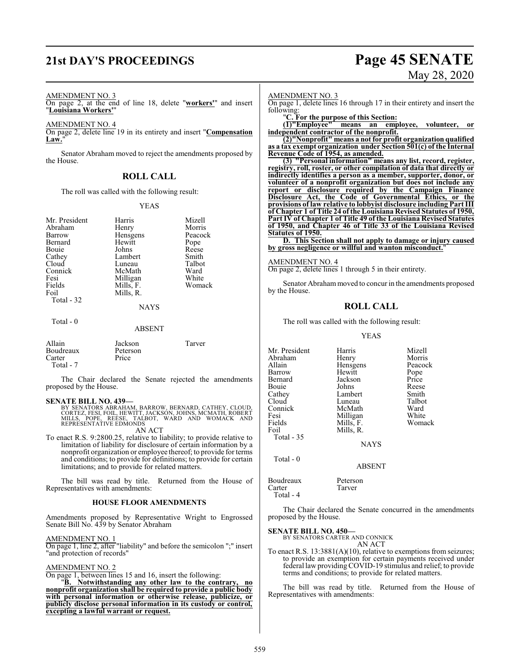# **21st DAY'S PROCEEDINGS Page 45 SENATE**

# May 28, 2020

### AMENDMENT NO. 3

On page 2, at the end of line 18, delete "**workers'**" and insert "**Louisiana Workers'**"

AMENDMENT NO. 4

On page 2, delete line 19 in its entirety and insert "**Compensation** Law."

Senator Abraham moved to reject the amendments proposed by the House.

### **ROLL CALL**

The roll was called with the following result:

### YEAS

| Mr. President<br>Abraham<br>Barrow<br>Bernard<br>Bouie<br>Cathey<br>Cloud | Harris<br>Henry<br>Hensgens<br>Hewitt<br>Johns<br>Lambert<br>Luneau | Mizell<br>Morris<br>Peacock<br>Pope<br>Reese<br>Smith<br>Talbot |
|---------------------------------------------------------------------------|---------------------------------------------------------------------|-----------------------------------------------------------------|
|                                                                           |                                                                     |                                                                 |
|                                                                           |                                                                     |                                                                 |
| Connick                                                                   | McMath                                                              | Ward                                                            |
| Fesi                                                                      | Milligan                                                            | White                                                           |
| Fields                                                                    | Mills, F.                                                           | Womack                                                          |
| Foil                                                                      | Mills, R.                                                           |                                                                 |
| Total - 32                                                                |                                                                     |                                                                 |
|                                                                           | <b>NAYS</b>                                                         |                                                                 |

### Total - 0

### ABSENT

| Allain<br>Boudreaux<br>Carter<br>Total - 7 | Jackson<br>Peterson<br>Price | Tarver |
|--------------------------------------------|------------------------------|--------|
|                                            |                              |        |

The Chair declared the Senate rejected the amendments proposed by the House.

### **SENATE BILL NO. 439—**

BY SENATORS ABRAHAM, BARROW, BERNARD, CATHEY, CLOUD,<br>CORTEZ, FESI, FOIL, HEWITT, JACKSON, JOHNS, MCMATH, ROBERT<br>MILLS, POPE, REESE, TALBOT, WARD AND WOMACK AND<br>REPRESENTATIVE EDMONDS

AN ACT

To enact R.S. 9:2800.25, relative to liability; to provide relative to limitation of liability for disclosure of certain information by a nonprofit organization or employee thereof; to provide for terms and conditions; to provide for definitions; to provide for certain limitations; and to provide for related matters.

The bill was read by title. Returned from the House of Representatives with amendments:

### **HOUSE FLOOR AMENDMENTS**

Amendments proposed by Representative Wright to Engrossed Senate Bill No. 439 by Senator Abraham

AMENDMENT NO. 1

On page 1, line 2, after "liability" and before the semicolon ";" insert "and protection of records"

### AMENDMENT NO. 2

On page 1, between lines 15 and 16, insert the following:

"**B. Notwithstanding any other law to the contrary, no nonprofit organization shall be required to provide a public body with personal information or otherwise release, publicize, or publicly disclose personal information in its custody or control, excepting a lawful warrant or request.**

### AMENDMENT NO. 3

On page 1, delete lines 16 through 17 in their entirety and insert the following:

"**C. For the purpose of this Section:**

**(1)"Employee" means an employee, volunteer, or independent contractor of the nonprofit.**

**(2)"Nonprofit" means a not for profit organization qualified as a tax exempt organization under Section 501(c) of the Internal Revenue Code of 1954, as amended.**

**(3) "Personal information" means any list, record, register, registry, roll, roster, or other compilation of data that directly or indirectly identifies a person as a member, supporter, donor, or volunteer of a nonprofit organization but does not include any report or disclosure required by the Campaign Finance Disclosure Act, the Code of Governmental Ethics, or the provisions of law relative to lobbyist disclosure including Part III of Chapter 1 of Title 24 of the Louisiana Revised Statutes of 1950, Part IV of Chapter 1 of Title 49 of the Louisiana Revised Statutes of 1950, and Chapter 46 of Title 33 of the Louisiana Revised Statutes of 1950.**

**D. This Section shall not apply to damage or injury caused by gross negligence or willful and wanton misconduct.**"

### AMENDMENT NO. 4

On page 2, delete lines 1 through 5 in their entirety.

Senator Abraham moved to concur in the amendments proposed by the House.

### **ROLL CALL**

The roll was called with the following result:

YEAS

Mr. President Harris Mizell<br>Abraham Henry Morris Abraham Henry Morris<br>
Allain Hensgens Peacock Allain Hensgens<br>Barrow Hewitt Hewitt Pope<br>Jackson Price Bernard Jackson Price<br>Bouie Johns Reese Bouie Johns Reese<br>Cathey Lambert Smith Cathey Lambert Smith<br>Cloud Luneau Talbot Luneau Talbo<br>McMath Ward Connick McMath Ward<br>
Fesi Milligan White Fesi Milligan White<br>Fields Mills, F. Womack Fields Mills, F.<br>Foil Mills, R. Mills, R. Total - 35

NAYS

### ABSENT

Boudreaux Peterson<br>Carter Tarver Carter Total - 4

Total - 0

The Chair declared the Senate concurred in the amendments proposed by the House.

**SENATE BILL NO. 450—** BY SENATORS CARTER AND CONNICK

AN ACT

To enact R.S. 13:3881(A)(10), relative to exemptions from seizures; to provide an exemption for certain payments received under federal law providing COVID-19 stimulus and relief; to provide terms and conditions; to provide for related matters.

The bill was read by title. Returned from the House of Representatives with amendments: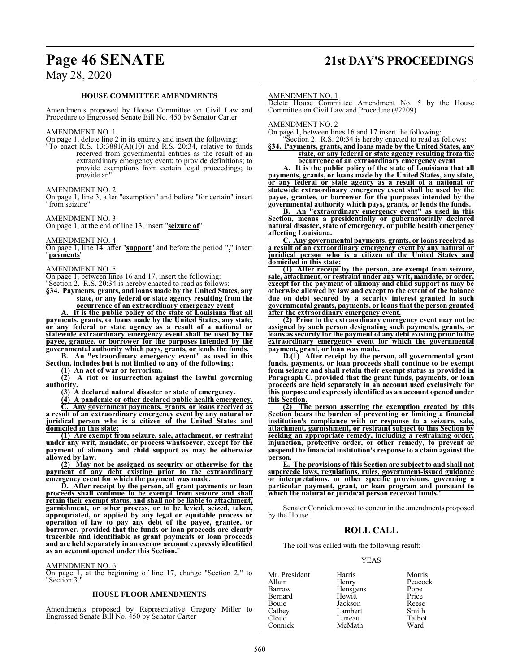# **Page 46 SENATE 21st DAY'S PROCEEDINGS**

## May 28, 2020

### **HOUSE COMMITTEE AMENDMENTS**

Amendments proposed by House Committee on Civil Law and Procedure to Engrossed Senate Bill No. 450 by Senator Carter

### AMENDMENT NO. 1

On page 1, delete line 2 in its entirety and insert the following: "To enact R.S.  $13:3881(A)(10)$  and R.S. 20:34, relative to funds received from governmental entities as the result of an extraordinary emergency event; to provide definitions; to provide exemptions from certain legal proceedings; to provide an"

### AMENDMENT NO. 2

On page 1, line 3, after "exemption" and before "for certain" insert "from seizure"

AMENDMENT NO. 3

On page 1, at the end of line 13, insert "**seizure of**"

AMENDMENT NO. 4

On page 1, line 14, after "**support**" and before the period "**.**" insert "**payments**"

### AMENDMENT NO. 5

On page 1, between lines 16 and 17, insert the following:

"Section 2. R.S. 20:34 is hereby enacted to read as follows:

**§34. Payments, grants, and loans made by the United States, any state, or any federal or state agency resulting from the occurrence of an extraordinary emergency event**

**A. It is the public policy of the state of Louisiana that all payments, grants, or loans made by the United States, any state, or any federal or state agency as a result of a national or statewide extraordinary emergency event shall be used by the payee, grantee, or borrower for the purposes intended by the governmental authority which pays, grants, or lends the funds.**

**B. An "extraordinary emergency event" as used in this Section, includes but is not limited to any of the following:**

**(1) An act of war or terrorism.**

**(2) A riot or insurrection against the lawful governing authority.**

**(3) A declared natural disaster or state of emergency.**

**(4) A pandemic or other declared public health emergency.**

**C. Any government payments, grants, or loans received as a result of an extraordinary emergency event by any natural or juridical person who is a citizen of the United States and domiciled in this state:**

**(1) Are exempt from seizure, sale, attachment, or restraint under any writ, mandate, or process whatsoever, except for the payment of alimony and child support as may be otherwise allowed by law.**

**(2) May not be assigned as security or otherwise for the payment of any debt existing prior to the extraordinary emergency event for which the payment was made.**

**D. After receipt by the person, all grant payments or loan proceeds shall continue to be exempt from seizure and shall retain their exempt status, and shall not be liable to attachment, garnishment, or other process, or to be levied, seized, taken, appropriated, or applied by any legal or equitable process or operation of law to pay any debt of the payee, grantee, or borrower, provided that the funds or loan proceeds are clearly traceable and identifiable as grant payments or loan proceeds and are held separately in an escrow account expressly identified as an account opened under this Section.**"

### AMENDMENT NO. 6

On page 1, at the beginning of line 17, change "Section 2." to "Section 3."

### **HOUSE FLOOR AMENDMENTS**

Amendments proposed by Representative Gregory Miller to Engrossed Senate Bill No. 450 by Senator Carter

### AMENDMENT NO. 1

Delete House Committee Amendment No. 5 by the House Committee on Civil Law and Procedure (#2209)

AMENDMENT NO. 2

On page 1, between lines 16 and 17 insert the following: Section 2. R.S. 20:34 is hereby enacted to read as follows:

**§34. Payments, grants, and loans made by the United States, any state, or any federal or state agency resulting from the occurrence of an extraordinary emergency event**

**A. It is the public policy of the state of Louisiana that all payments, grants, or loans made by the United States, any state, or any federal or state agency as a result of a national or statewide extraordinary emergency event shall be used by the payee, grantee, or borrower for the purposes intended by the governmental authority which pays, grants, or lends the funds.**

**B. An "extraordinary emergency event" as used in this Section, means a presidentially or gubernatorially declared natural disaster, state of emergency, or public health emergency affecting Louisiana.**

**C. Any governmental payments, grants, or loans received as a result of an extraordinary emergency event by any natural or juridical person who is a citizen of the United States and domiciled in this state:**

**(1) After receipt by the person, are exempt from seizure, sale, attachment, or restraint under any writ, mandate, or order, except for the payment of alimony and child support as may be otherwise allowed by law and except to the extent of the balance due on debt secured by a security interest granted in such governmental grants, payments, or loansthat the person granted after the extraordinary emergency event.**

**(2) Prior to the extraordinary emergency event may not be assigned by such person designating such payments, grants, or loans as security for the payment of any debt existing prior to the extraordinary emergency event for which the governmental payment, grant, or loan was made.**

**D.(1) After receipt by the person, all governmental grant funds, payments, or loan proceeds shall continue to be exempt from seizure and shall retain their exempt status as provided in Paragraph C, provided that the grant funds, payments, or loan proceeds are held separately in an account used exclusively for this purpose and expressly identified as an account opened under this Section.**

**(2) The person asserting the exemption created by this Section bears the burden of preventing or limiting a financial institution's compliance with or response to a seizure, sale, attachment, garnishment, or restraint subject to this Section by seeking an appropriate remedy, including a restraining order, injunction, protective order, or other remedy, to prevent or suspend the financial institution's response to a claim against the person.**

**E. The provisions of this Section are subject to and shall not supercede laws, regulations, rules, government-issued guidance or interpretations, or other specific provisions, governing a particular payment, grant, or loan program and pursuant to which the natural or juridical person received funds.**"

Senator Connick moved to concur in the amendments proposed by the House.

### **ROLL CALL**

The roll was called with the following result:

### YEAS

| Mr. President | Harris   | Morris        |
|---------------|----------|---------------|
| Allain        | Henry    | Peacock       |
| Barrow        | Hensgens |               |
| Bernard       | Hewitt   | Pope<br>Price |
| Bouie         | Jackson  | Reese         |
| Cathey        | Lambert  | Smith         |
| Cloud         | Luneau   | Talbot        |
| Connick       | McMath   | Ward          |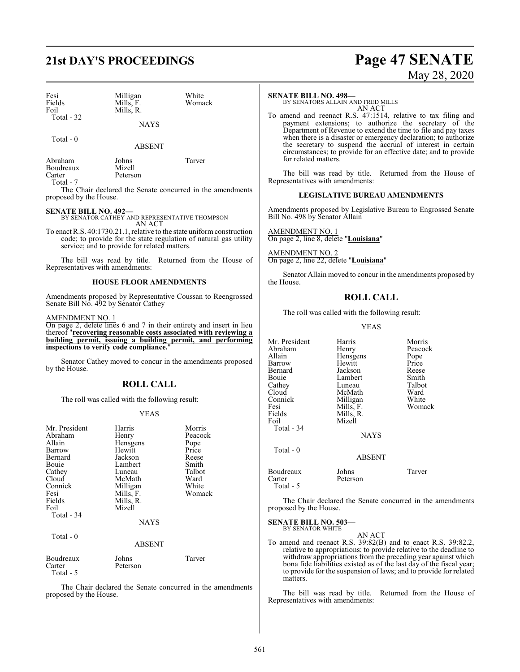# **21st DAY'S PROCEEDINGS Page 47 SENATE**

| Fesi<br>Fields<br>Foil<br>Total - 32 | Milligan<br>Mills, F.<br>Mills, R. | White<br>Womack |
|--------------------------------------|------------------------------------|-----------------|
|                                      | <b>NAYS</b>                        |                 |

Total - 0

ABSENT

Abraham Johns Tarver Boudreaux<br>Carter

Total - 7

The Chair declared the Senate concurred in the amendments proposed by the House.

**SENATE BILL NO. 492—** BY SENATOR CATHEY AND REPRESENTATIVE THOMPSON AN ACT

Peterson

To enact R.S. 40:1730.21.1, relative to the state uniform construction code; to provide for the state regulation of natural gas utility service; and to provide for related matters.

The bill was read by title. Returned from the House of Representatives with amendments:

### **HOUSE FLOOR AMENDMENTS**

Amendments proposed by Representative Coussan to Reengrossed Senate Bill No. 492 by Senator Cathey

### AMENDMENT NO. 1

On page 2, delete lines 6 and 7 in their entirety and insert in lieu thereof "**recovering reasonable costs associated with reviewing a building permit, issuing a building permit, and performing inspections to verify code compliance.**"

Senator Cathey moved to concur in the amendments proposed by the House.

### **ROLL CALL**

The roll was called with the following result:

### YEAS

| Mr. President<br>Abraham<br>Allain<br>Barrow<br>Bernard<br>Bouie<br>Cathey<br>Cloud<br>Connick<br>Fesi<br>Fields<br>Foil<br>Total - 34 | Harris<br>Henry<br>Hensgens<br>Hewitt<br>Jackson<br>Lambert<br>Luneau<br>McMath<br>Milligan<br>Mills, F.<br>Mills, R.<br>Mizell<br><b>NAYS</b> | Morris<br>Peacock<br>Pope<br>Price<br>Reese<br>Smith<br>Talbot<br>Ward<br>White<br>Womack |
|----------------------------------------------------------------------------------------------------------------------------------------|------------------------------------------------------------------------------------------------------------------------------------------------|-------------------------------------------------------------------------------------------|
| Total - 0                                                                                                                              | <b>ABSENT</b>                                                                                                                                  |                                                                                           |

| Boudreaux | Johns    | Tarver |
|-----------|----------|--------|
| Carter    | Peterson |        |
| Total - 5 |          |        |

The Chair declared the Senate concurred in the amendments proposed by the House.

### **SENATE BILL NO. 498—**

BY SENATORS ALLAIN AND FRED MILLS AN ACT

To amend and reenact R.S. 47:1514, relative to tax filing and payment extensions; to authorize the secretary of the Department of Revenue to extend the time to file and pay taxes when there is a disaster or emergency declaration; to authorize the secretary to suspend the accrual of interest in certain circumstances; to provide for an effective date; and to provide for related matters.

The bill was read by title. Returned from the House of Representatives with amendments:

### **LEGISLATIVE BUREAU AMENDMENTS**

Amendments proposed by Legislative Bureau to Engrossed Senate Bill No. 498 by Senator Allain

AMENDMENT NO. 1 On page 2, line 8, delete "**Louisiana**"

AMENDMENT NO. 2 On page 2, line 22, delete "**Louisiana**"

Senator Allain moved to concur in the amendments proposed by the House.

### **ROLL CALL**

The roll was called with the following result:

YEAS

| Mr. President | Harris        | Morris  |
|---------------|---------------|---------|
| Abraham       | Henry         | Peacock |
| Allain        | Hensgens      | Pope    |
| Barrow        | Hewitt        | Price   |
| Bernard       | Jackson       | Reese   |
| Bouie         | Lambert       | Smith   |
| Cathey        | Luneau        | Talbot  |
| Cloud         | McMath        | Ward    |
| Connick       | Milligan      | White   |
| Fesi          | Mills, F.     | Womack  |
| Fields        | Mills, R.     |         |
| Foil          | Mizell        |         |
| Total - 34    |               |         |
|               | <b>NAYS</b>   |         |
| Total - 0     |               |         |
|               | <b>ABSENT</b> |         |
| Boudreaux     | Johns         | Tarver  |
| Carter        | Peterson      |         |
| Total - 5     |               |         |

The Chair declared the Senate concurred in the amendments proposed by the House.

**SENATE BILL NO. 503—** BY SENATOR WHITE

AN ACT

To amend and reenact R.S. 39:82(B) and to enact R.S. 39:82.2, relative to appropriations; to provide relative to the deadline to withdraw appropriations from the preceding year against which bona fide liabilities existed as of the last day of the fiscal year; to provide for the suspension of laws; and to provide for related matters.

The bill was read by title. Returned from the House of Representatives with amendments: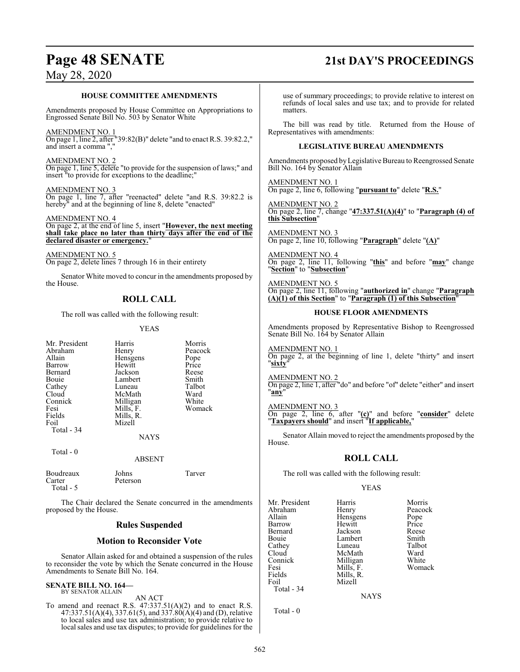# **Page 48 SENATE 21st DAY'S PROCEEDINGS**

## May 28, 2020

### **HOUSE COMMITTEE AMENDMENTS**

Amendments proposed by House Committee on Appropriations to Engrossed Senate Bill No. 503 by Senator White

### AMENDMENT NO. 1

On page 1, line 2, after "39:82(B)" delete "and to enact R.S. 39:82.2," and insert a comma ","

### AMENDMENT NO. 2

On page 1, line 5, delete "to provide for the suspension of laws;" and insert "to provide for exceptions to the deadline;"

### AMENDMENT NO. 3

On page 1, line 7, after "reenacted" delete "and R.S. 39:82.2 is hereby" and at the beginning of line 8, delete "enacted"

### AMENDMENT NO. 4

On page 2, at the end of line 5, insert "**However, the next meeting shall take place no later than thirty days after the end of the declared disaster or emergency.**"

### AMENDMENT NO. 5

On page 2, delete lines 7 through 16 in their entirety

Senator White moved to concur in the amendments proposed by the House.

### **ROLL CALL**

The roll was called with the following result:

### YEAS

| Mr. President       | Harris            | Morris  |
|---------------------|-------------------|---------|
| Abraham             | Henry             | Peacock |
| Allain              | Hensgens          | Pope    |
| Barrow              | Hewitt            | Price   |
| Bernard             | Jackson           | Reese   |
| Bouie               | Lambert           | Smith   |
| Cathey              | Luneau            | Talbot  |
| Cloud               | McMath            | Ward    |
| Connick             | Milligan          | White   |
| Fesi                | Mills, F.         | Womack  |
| Fields              | Mills, R.         |         |
| Foil                | Mizell            |         |
| Total - 34          |                   |         |
|                     | <b>NAYS</b>       |         |
| Total $-0$          |                   |         |
|                     | <b>ABSENT</b>     |         |
| Boudreaux<br>Carter | Johns<br>Peterson | Tarver  |

Total - 5

The Chair declared the Senate concurred in the amendments proposed by the House.

### **Rules Suspended**

### **Motion to Reconsider Vote**

Senator Allain asked for and obtained a suspension of the rules to reconsider the vote by which the Senate concurred in the House Amendments to Senate Bill No. 164.

### **SENATE BILL NO. 164—** BY SENATOR ALLAIN

AN ACT

To amend and reenact R.S.  $47:337.51(A)(2)$  and to enact R.S. 47:337.51(A)(4), 337.61(5), and 337.80(A)(4) and (D), relative to local sales and use tax administration; to provide relative to local sales and use tax disputes; to provide for guidelines for the

use of summary proceedings; to provide relative to interest on refunds of local sales and use tax; and to provide for related matters.

The bill was read by title. Returned from the House of Representatives with amendments:

### **LEGISLATIVE BUREAU AMENDMENTS**

Amendments proposed byLegislative Bureau to Reengrossed Senate Bill No. 164 by Senator Allain

AMENDMENT NO. 1 On page 2, line 6, following "**pursuant to**" delete "**R.S.**"

AMENDMENT NO. 2 On page 2, line 7, change "**47:337.51(A)(4)**" to "**Paragraph (4) of this Subsection**"

AMENDMENT NO. 3 On page 2, line 10, following "**Paragraph**" delete "**(A)**"

AMENDMENT NO. 4 On page 2, line 11, following "**this**" and before "**may**" change "**Section**" to "**Subsection**"

AMENDMENT NO. 5 On page 2, line 11, following "**authorized in**" change "**Paragraph (A)(1) of this Section**" to "**Paragraph (1) of this Subsection**"

### **HOUSE FLOOR AMENDMENTS**

Amendments proposed by Representative Bishop to Reengrossed Senate Bill No. 164 by Senator Allain

AMENDMENT NO. 1 On page 2, at the beginning of line 1, delete "thirty" and insert "**sixty**"

AMENDMENT NO. 2 On page 2, line 1, after "do" and before "of" delete "either" and insert "**any**"

AMENDMENT NO. 3

On page 2, line 6, after "**(c)**" and before "**consider**" delete "**Taxpayers should**" and insert "**If applicable,**"

Senator Allain moved to reject the amendments proposed by the House.

### **ROLL CALL**

The roll was called with the following result:

### YEAS

Mr. President Harris Morris Morris<br>
Abraham Henry Peacock Abraham Henry Peacock<br>Allain Hensgens Pope Allain **Hensiens** Pope<br>
Hewitt Price<br>
Price Barrow Hewitt Price Bouie Lambert Smith<br>Cathey Luneau Talbot Cathey Luneau Talbo<br>Cloud McMath Ward Cloud McMath Ward<br>Connick Milligan White Connick Milligan White<br>
Fesi Mills F. Womack Fesi Mills, F.<br>Fields Mills, R. Fields Mills, R.<br>Foil Mizell Mizell Total - 34

Jackson Reese<br>Lambert Smith

**NAYS** 

Total - 0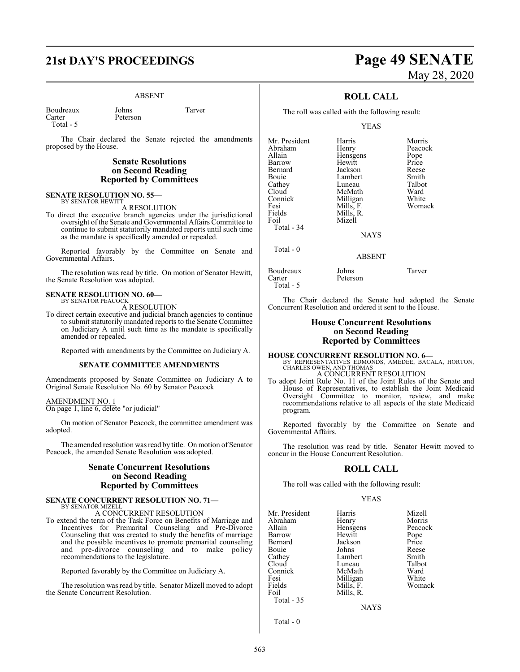# **21st DAY'S PROCEEDINGS Page 49 SENATE**

Peterson

### ABSENT

Boudreaux Johns Tarver Total - 5

The Chair declared the Senate rejected the amendments proposed by the House.

### **Senate Resolutions on Second Reading Reported by Committees**

### **SENATE RESOLUTION NO. 55—** BY SENATOR HEWITT

A RESOLUTION

To direct the executive branch agencies under the jurisdictional oversight of the Senate and Governmental Affairs Committee to continue to submit statutorily mandated reports until such time as the mandate is specifically amended or repealed.

Reported favorably by the Committee on Senate and Governmental Affairs.

The resolution was read by title. On motion of Senator Hewitt, the Senate Resolution was adopted.

### **SENATE RESOLUTION NO. 60—** BY SENATOR PEACOCK

A RESOLUTION

To direct certain executive and judicial branch agencies to continue to submit statutorily mandated reports to the Senate Committee on Judiciary A until such time as the mandate is specifically amended or repealed.

Reported with amendments by the Committee on Judiciary A.

### **SENATE COMMITTEE AMENDMENTS**

Amendments proposed by Senate Committee on Judiciary A to Original Senate Resolution No. 60 by Senator Peacock

### AMENDMENT NO. 1

On page 1, line 6, delete "or judicial"

On motion of Senator Peacock, the committee amendment was adopted.

The amended resolution was read by title. On motion of Senator Peacock, the amended Senate Resolution was adopted.

### **Senate Concurrent Resolutions on Second Reading Reported by Committees**

### **SENATE CONCURRENT RESOLUTION NO. 71—** BY SENATOR MIZELL

A CONCURRENT RESOLUTION

To extend the term of the Task Force on Benefits of Marriage and Incentives for Premarital Counseling and Pre-Divorce Counseling that was created to study the benefits of marriage and the possible incentives to promote premarital counseling and pre-divorce counseling and to make policy recommendations to the legislature.

Reported favorably by the Committee on Judiciary A.

The resolution was read by title. Senator Mizell moved to adopt the Senate Concurrent Resolution.

# May 28, 2020

### **ROLL CALL**

The roll was called with the following result:

### YEAS

| Mr. President | Harris      | Morris  |
|---------------|-------------|---------|
| Abraham       | Henry       | Peacock |
| Allain        | Hensgens    | Pope    |
| Barrow        | Hewitt      | Price   |
| Bernard       | Jackson     | Reese   |
| Bouie         | Lambert     | Smith   |
| Cathey        | Luneau      | Talbot  |
| Cloud         | McMath      | Ward    |
| Connick       | Milligan    | White   |
| Fesi          | Mills, F.   | Womack  |
| Fields        | Mills, R.   |         |
| Foil          | Mizell      |         |
| Total $-34$   |             |         |
|               | <b>NAYS</b> |         |
| Total - 0     |             |         |
|               | ABSENT      |         |

Boudreaux Johns Tarver Peterson Total - 5

The Chair declared the Senate had adopted the Senate Concurrent Resolution and ordered it sent to the House.

### **House Concurrent Resolutions on Second Reading Reported by Committees**

### **HOUSE CONCURRENT RESOLUTION NO. 6—** BY REPRESENTATIVES EDMONDS, AMEDEE, BACALA, HORTON, CHARLES OWEN, AND THOMAS A CONCURRENT RESOLUTION

To adopt Joint Rule No. 11 of the Joint Rules of the Senate and House of Representatives, to establish the Joint Medicaid Oversight Committee to monitor, review, and make recommendations relative to all aspects of the state Medicaid program.

Reported favorably by the Committee on Senate and Governmental Affairs.

The resolution was read by title. Senator Hewitt moved to concur in the House Concurrent Resolution.

### **ROLL CALL**

The roll was called with the following result:

### YEAS

| Mr. President | Harris    | Mizell  |
|---------------|-----------|---------|
| Abraham       | Henry     | Morris  |
| Allain        | Hensgens  | Peacock |
| Barrow        | Hewitt    | Pope    |
| Bernard       | Jackson   | Price   |
| Bouie         | Johns     | Reese   |
| Cathey        | Lambert   | Smith   |
| Cloud         | Luneau    | Talbot  |
| Connick       | McMath    | Ward    |
| Fesi          | Milligan  | White   |
| Fields        | Mills, F. | Womack  |
| Foil          | Mills, R. |         |
| Total - 35    |           |         |
|               | NAYS      |         |

Total - 0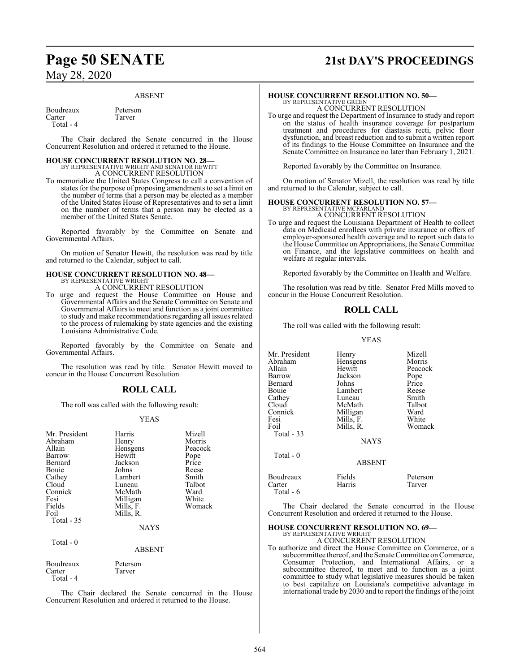# **Page 50 SENATE 21st DAY'S PROCEEDINGS**

### ABSENT

Boudreaux Peterson<br>Carter Tarver Total - 4

The Chair declared the Senate concurred in the House Concurrent Resolution and ordered it returned to the House.

### **HOUSE CONCURRENT RESOLUTION NO. 28—**

Tarver

BY REPRESENTATIVE WRIGHT AND SENATOR HEWITT A CONCURRENT RESOLUTION

To memorialize the United States Congress to call a convention of states for the purpose of proposing amendments to set a limit on the number of terms that a person may be elected as a member of the United States House of Representatives and to set a limit on the number of terms that a person may be elected as a member of the United States Senate.

Reported favorably by the Committee on Senate and Governmental Affairs.

On motion of Senator Hewitt, the resolution was read by title and returned to the Calendar, subject to call.

### **HOUSE CONCURRENT RESOLUTION NO. 48—**

BY REPRESENTATIVE WRIGHT A CONCURRENT RESOLUTION

To urge and request the House Committee on House and Governmental Affairs and the Senate Committee on Senate and Governmental Affairs to meet and function as a joint committee to study and make recommendations regarding all issues related to the process of rulemaking by state agencies and the existing Louisiana Administrative Code.

Reported favorably by the Committee on Senate and Governmental Affairs.

The resolution was read by title. Senator Hewitt moved to concur in the House Concurrent Resolution.

### **ROLL CALL**

The roll was called with the following result:

### YEAS

| Mr. President                              | Harris                                | Mizell  |
|--------------------------------------------|---------------------------------------|---------|
| Abraham                                    | Henry                                 | Morris  |
| Allain                                     | Hensgens                              | Peacock |
| Barrow                                     | Hewitt                                | Pope    |
| Bernard                                    | Jackson                               | Price   |
| Bouie                                      | Johns                                 | Reese   |
| Cathey                                     | Lambert                               | Smith   |
| Cloud                                      | Luneau                                | Talbot  |
| Connick                                    | McMath                                | Ward    |
| Fesi                                       | Milligan                              | White   |
| Fields<br>Foil<br>Total $-35$<br>Total - 0 | Mills, F.<br>Mills, R.<br><b>NAYS</b> | Womack  |

### ABSENT

| Boudreaux | Peterson |
|-----------|----------|
| Carter    | Tarver   |
| Total - 4 |          |

The Chair declared the Senate concurred in the House Concurrent Resolution and ordered it returned to the House.

### **HOUSE CONCURRENT RESOLUTION NO. 50—**

BY REPRESENTATIVE GREEN A CONCURRENT RESOLUTION

To urge and request the Department of Insurance to study and report on the status of health insurance coverage for postpartum treatment and procedures for diastasis recti, pelvic floor dysfunction, and breast reduction and to submit a written report of its findings to the House Committee on Insurance and the Senate Committee on Insurance no later than February 1, 2021.

Reported favorably by the Committee on Insurance.

On motion of Senator Mizell, the resolution was read by title and returned to the Calendar, subject to call.

# **HOUSE CONCURRENT RESOLUTION NO. 57—**<br>BY REPRESENTATIVE MCFARLAND<br>A CONCURRENT RESOLUTION

To urge and request the Louisiana Department of Health to collect data on Medicaid enrollees with private insurance or offers of employer-sponsored health coverage and to report such data to the House Committee on Appropriations, the Senate Committee on Finance, and the legislative committees on health and welfare at regular intervals.

Reported favorably by the Committee on Health and Welfare.

The resolution was read by title. Senator Fred Mills moved to concur in the House Concurrent Resolution.

### **ROLL CALL**

The roll was called with the following result:

### YEAS

| Mr. President<br>Abraham<br>Allain<br>Barrow<br>Bernard<br>Bouie<br>Cathey<br>Cloud<br>Connick<br>Fesi<br>Foil<br>Total - 33 | Henry<br>Hensgens<br>Hewitt<br>Jackson<br>Johns<br>Lambert<br>Luneau<br>McMath<br>Milligan<br>Mills, F.<br>Mills, R.<br><b>NAYS</b> | Mizell<br>Morris<br>Peacock<br>Pope<br>Price<br>Reese<br>Smith<br>Talbot<br>Ward<br>White<br>Womack |
|------------------------------------------------------------------------------------------------------------------------------|-------------------------------------------------------------------------------------------------------------------------------------|-----------------------------------------------------------------------------------------------------|
| Total $-0$                                                                                                                   | <b>ABSENT</b>                                                                                                                       |                                                                                                     |
| Boudreaux<br>Carter<br>Total - 6                                                                                             | Fields<br>Harris                                                                                                                    | Peterson<br>Tarver                                                                                  |

The Chair declared the Senate concurred in the House Concurrent Resolution and ordered it returned to the House.

## **HOUSE CONCURRENT RESOLUTION NO. 69—**

BY REPRESENTATIVE WRIGHT A CONCURRENT RESOLUTION

To authorize and direct the House Committee on Commerce, or a subcommittee thereof, and the Senate Committee on Commerce, Consumer Protection, and International Affairs, or a subcommittee thereof, to meet and to function as a joint committee to study what legislative measures should be taken to best capitalize on Louisiana's competitive advantage in international trade by 2030 and to report the findings of the joint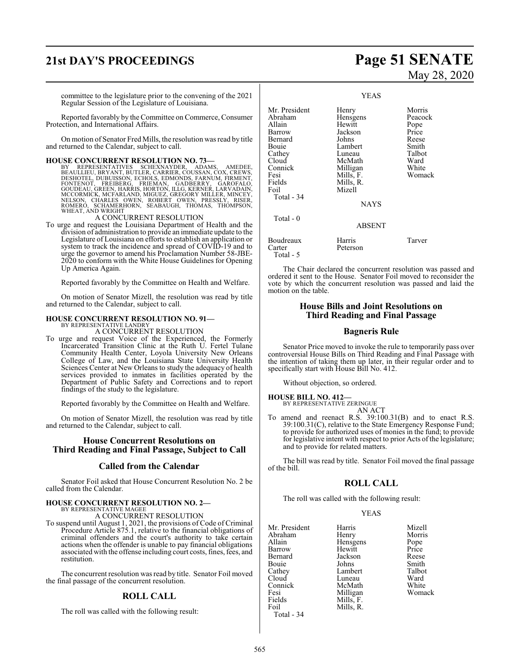# **21st DAY'S PROCEEDINGS Page 51 SENATE**

committee to the legislature prior to the convening of the 2021 Regular Session of the Legislature of Louisiana.

Reported favorably by the Committee on Commerce, Consumer Protection, and International Affairs.

On motion of Senator Fred Mills, the resolution was read by title and returned to the Calendar, subject to call.

### **HOUSE CONCURRENT RESOLUTION NO. 73—**

BY REPRESENTATIVES SCHEXNAYDER, ADAMS, AMEDEE,<br>BEAULLIEU,BRYANT,BUTLER,CARRIER,COUSSAN,COX,CREWS,<br>DESHOTEL,BRYANT,BUTLER,CARRIER,COUSSAN,COX,CREWS,<br>GOUDEAU, FREIBERG, FRIEMAN, GADBERRY, GAROFALO,<br>GOUDEAU, GREEN,HARRIS,HORT WHEAT, AND WRIGHT

A CONCURRENT RESOLUTION

To urge and request the Louisiana Department of Health and the division of administration to provide an immediate update to the Legislature of Louisiana on efforts to establish an application or system to track the incidence and spread of COVID-19 and to urge the governor to amend his Proclamation Number 58-JBE-2020 to conform with the White House Guidelines for Opening Up America Again.

Reported favorably by the Committee on Health and Welfare.

On motion of Senator Mizell, the resolution was read by title and returned to the Calendar, subject to call.

# **HOUSE CONCURRENT RESOLUTION NO. 91—** BY REPRESENTATIVE LANDRY

A CONCURRENT RESOLUTION

To urge and request Voice of the Experienced, the Formerly Incarcerated Transition Clinic at the Ruth U. Fertel Tulane Community Health Center, Loyola University New Orleans College of Law, and the Louisiana State University Health Sciences Center at New Orleans to study the adequacy of health services provided to inmates in facilities operated by the Department of Public Safety and Corrections and to report findings of the study to the legislature.

Reported favorably by the Committee on Health and Welfare.

On motion of Senator Mizell, the resolution was read by title and returned to the Calendar, subject to call.

### **House Concurrent Resolutions on Third Reading and Final Passage, Subject to Call**

### **Called from the Calendar**

Senator Foil asked that House Concurrent Resolution No. 2 be called from the Calendar.

### **HOUSE CONCURRENT RESOLUTION NO. 2—** BY REPRESENTATIVE MAGEE

A CONCURRENT RESOLUTION

To suspend until August 1, 2021, the provisions of Code of Criminal Procedure Article 875.1, relative to the financial obligations of criminal offenders and the court's authority to take certain actions when the offender is unable to pay financial obligations associated with the offense including court costs, fines, fees, and restitution.

The concurrent resolution was read by title. Senator Foil moved the final passage of the concurrent resolution.

### **ROLL CALL**

The roll was called with the following result:

# May 28, 2020

YEAS Mr. President Henry Morris<br>Abraham Hensgens Peacock Abraham Hensgens Peacock<br>Allain Hewitt Pope Allain Hewitt Pope Jackson Price<br>Johns Reese Bernard Johns Reese Lambert Smith<br>Luneau Talbot Cathey Luneau Talbot<br>Cloud McMath Ward Cloud McMath Ward<br>Connick Milligan White Connick Milligan White<br>
Fesi Mills F. Womack Fesi Mills, F.<br>Fields Mills, R. Fields Mills, R. Mizell Total - 34 **NAYS**  Total - 0 ABSENT Boudreaux Harris Tarver Peterson Total - 5

The Chair declared the concurrent resolution was passed and ordered it sent to the House. Senator Foil moved to reconsider the vote by which the concurrent resolution was passed and laid the motion on the table.

### **House Bills and Joint Resolutions on Third Reading and Final Passage**

### **Bagneris Rule**

Senator Price moved to invoke the rule to temporarily pass over controversial House Bills on Third Reading and Final Passage with the intention of taking them up later, in their regular order and to specifically start with House Bill No. 412.

Without objection, so ordered.

# **HOUSE BILL NO. 412—** BY REPRESENTATIVE ZERINGUE

AN ACT

To amend and reenact R.S. 39:100.31(B) and to enact R.S. 39:100.31(C), relative to the State Emergency Response Fund; to provide for authorized uses of monies in the fund; to provide for legislative intent with respect to prior Acts of the legislature; and to provide for related matters.

The bill was read by title. Senator Foil moved the final passage of the bill.

### **ROLL CALL**

The roll was called with the following result:

### YEAS

| Mr. President | Harris    | Mizell |
|---------------|-----------|--------|
| Abraham       | Henry     | Morris |
| Allain        | Hensgens  | Pope   |
| Barrow        | Hewitt    | Price  |
| Bernard       | Jackson   | Reese  |
| Bouie         | Johns     | Smith  |
| Cathey        | Lambert   | Talbot |
| Cloud         | Luneau    | Ward   |
| Connick       | McMath    | White  |
| Fesi          | Milligan  | Womack |
| Fields        | Mills, F. |        |
| Foil          | Mills, R. |        |
| Total - 34    |           |        |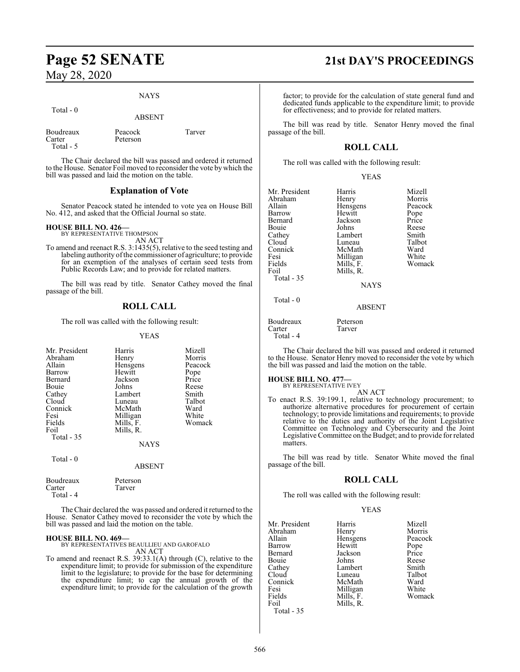### NAYS

| Total $-0$                       | <b>ABSENT</b>       |        |
|----------------------------------|---------------------|--------|
| Boudreaux<br>Carter<br>Total - 5 | Peacock<br>Peterson | Tarver |

The Chair declared the bill was passed and ordered it returned to the House. Senator Foil moved to reconsider the vote by which the bill was passed and laid the motion on the table.

### **Explanation of Vote**

Senator Peacock stated he intended to vote yea on House Bill No. 412, and asked that the Official Journal so state.

# **HOUSE BILL NO. 426—** BY REPRESENTATIVE THOMPSON

AN ACT

To amend and reenact R.S. 3:1435(5), relative to the seed testing and labeling authority of the commissioner of agriculture; to provide for an exemption of the analyses of certain seed tests from Public Records Law; and to provide for related matters.

The bill was read by title. Senator Cathey moved the final passage of the bill.

### **ROLL CALL**

The roll was called with the following result:

YEAS

| Mr. President<br>Abraham<br>Allain<br>Barrow<br>Bernard<br>Bouie<br>Cathey<br>Cloud<br>Connick<br>Fesi<br>Fields<br>Foil | Harris<br>Henry<br>Hensgens<br>Hewitt<br>Jackson<br>Johns<br>Lambert<br>Luneau<br>McMath<br>Milligan<br>Mills, F.<br>Mills, R. | Mizell<br>Morris<br>Peacock<br>Pope<br>Price<br>Reese<br>Smith<br>Talbot<br>Ward<br>White<br>Womack |
|--------------------------------------------------------------------------------------------------------------------------|--------------------------------------------------------------------------------------------------------------------------------|-----------------------------------------------------------------------------------------------------|
| Total - 35                                                                                                               | <b>NAYS</b>                                                                                                                    |                                                                                                     |
| Total - 0                                                                                                                | ABSENT                                                                                                                         |                                                                                                     |

| Boudreaux | Peterson |
|-----------|----------|
| Carter    | Tarver   |
| Total - 4 |          |

The Chair declared the was passed and ordered it returned to the House. Senator Cathey moved to reconsider the vote by which the bill was passed and laid the motion on the table.

**HOUSE BILL NO. 469—** BY REPRESENTATIVES BEAULLIEU AND GAROFALO AN ACT

To amend and reenact R.S. 39:33.1(A) through (C), relative to the expenditure limit; to provide for submission of the expenditure limit to the legislature; to provide for the base for determining the expenditure limit; to cap the annual growth of the expenditure limit; to provide for the calculation of the growth

# **Page 52 SENATE 21st DAY'S PROCEEDINGS**

factor; to provide for the calculation of state general fund and dedicated funds applicable to the expenditure limit; to provide for effectiveness; and to provide for related matters.

The bill was read by title. Senator Henry moved the final passage of the bill.

### **ROLL CALL**

The roll was called with the following result:

### YEAS

| Mr. President | Harris      | Mizell  |
|---------------|-------------|---------|
| Abraham       | Henry       | Morris  |
| Allain        | Hensgens    | Peacock |
| Barrow        | Hewitt      | Pope    |
| Bernard       | Jackson     | Price   |
| Bouie         | Johns       | Reese   |
| Cathey        | Lambert     | Smith   |
| Cloud         | Luneau      | Talbot  |
| Connick       | McMath      | Ward    |
| Fesi          | Milligan    | White   |
| Fields        | Mills, F.   | Womack  |
| Foil          | Mills, R.   |         |
| Total - 35    |             |         |
|               | <b>NAYS</b> |         |
| Total - 0     |             |         |
|               | ABSENT      |         |

Boudreaux Peterson<br>Carter Tarver Carter Total - 4

The Chair declared the bill was passed and ordered it returned to the House. Senator Henry moved to reconsider the vote by which the bill was passed and laid the motion on the table.

# **HOUSE BILL NO. 477—** BY REPRESENTATIVE IVEY

AN ACT

To enact R.S. 39:199.1, relative to technology procurement; to authorize alternative procedures for procurement of certain technology; to provide limitations and requirements; to provide relative to the duties and authority of the Joint Legislative Committee on Technology and Cybersecurity and the Joint Legislative Committee on the Budget; and to provide for related matters.

The bill was read by title. Senator White moved the final passage of the bill.

### **ROLL CALL**

The roll was called with the following result:

### YEAS

Peacock Pope<br>Price

White Womack

| Mr. President | Harris    | Mizell |
|---------------|-----------|--------|
| Abraham       | Henry     | Morris |
| Allain        | Hensgens  | Peacoc |
| Barrow        | Hewitt    | Pope   |
| Bernard       | Jackson   | Price  |
| Bouie         | Johns     | Reese  |
| Cathey        | Lambert   | Smith  |
| Cloud         | Luneau    | Talbot |
| Connick       | McMath    | Ward   |
| Fesi          | Milligan  | White  |
| Fields        | Mills, F. | Woma   |
| Foil          | Mills, R. |        |
| Total - 35    |           |        |

566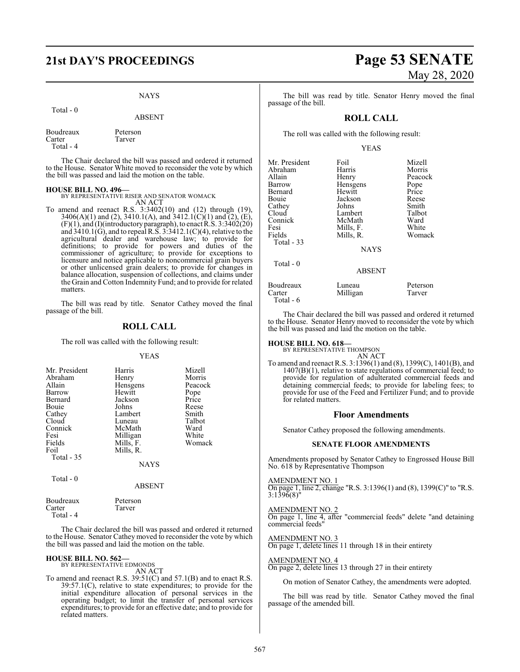# **21st DAY'S PROCEEDINGS Page 53 SENATE**

### **NAYS**

|                                  | <b>ABSENT</b>      |
|----------------------------------|--------------------|
| Boudreaux<br>Carter<br>Total - 4 | Peterson<br>Tarver |

The Chair declared the bill was passed and ordered it returned to the House. Senator White moved to reconsider the vote by which the bill was passed and laid the motion on the table.

Total - 0

**HOUSE BILL NO. 496—** BY REPRESENTATIVE RISER AND SENATOR WOMACK AN ACT

To amend and reenact R.S. 3:3402(10) and (12) through (19), 3406(A)(1) and (2), 3410.1(A), and 3412.1(C)(1) and (2), (E),  $(F)(1)$ , and  $(I)(introductory paragraph)$ , to enact R.S. 3:3402(20) and 3410.1(G), and to repeal R.S. 3:3412.1(C)(4), relative to the agricultural dealer and warehouse law; to provide for definitions; to provide for powers and duties of the commissioner of agriculture; to provide for exceptions to licensure and notice applicable to noncommercial grain buyers or other unlicensed grain dealers; to provide for changes in balance allocation, suspension of collections, and claims under the Grain and Cotton Indemnity Fund; and to provide for related matters.

The bill was read by title. Senator Cathey moved the final passage of the bill.

### **ROLL CALL**

The roll was called with the following result:

### YEAS

| Mr. President<br>Abraham<br>Allain<br>Barrow<br>Bernard<br>Bouie<br>Cathey<br>Cloud<br>Connick<br>Fesi<br>Fields<br>Foil<br>Total $-35$ | Harris<br>Henry<br>Hensgens<br>Hewitt<br>Jackson<br>Johns<br>Lambert<br>Luneau<br>McMath<br>Milligan<br>Mills, F.<br>Mills, R. | Mizell<br>Morris<br>Peacock<br>Pope<br>Price<br>Reese<br>Smith<br>Talbot<br>Ward<br>White<br>Womack |
|-----------------------------------------------------------------------------------------------------------------------------------------|--------------------------------------------------------------------------------------------------------------------------------|-----------------------------------------------------------------------------------------------------|
|                                                                                                                                         | <b>NAYS</b>                                                                                                                    |                                                                                                     |

| Fotal |  |  |
|-------|--|--|
|       |  |  |

| Boudreaux | Peterson |
|-----------|----------|
| Carter    | Tarver   |

Total - 4

The Chair declared the bill was passed and ordered it returned to the House. Senator Cathey moved to reconsider the vote by which the bill was passed and laid the motion on the table.

ABSENT

## **HOUSE BILL NO. 562—** BY REPRESENTATIVE EDMONDS

AN ACT

To amend and reenact R.S. 39:51(C) and 57.1(B) and to enact R.S. 39:57.1(C), relative to state expenditures; to provide for the initial expenditure allocation of personal services in the operating budget; to limit the transfer of personal services expenditures; to provide for an effective date; and to provide for related matters.

# May 28, 2020

The bill was read by title. Senator Henry moved the final passage of the bill.

### **ROLL CALL**

The roll was called with the following result:

### YEAS

| Mr. President<br>Abraham<br>Allain<br>Barrow<br>Bernard<br>Bouie<br>Cathey<br>Cloud<br>Connick<br>Fesi<br>Fields<br><b>Total - 33</b> | Foil<br>Harris<br>Henry<br>Hensgens<br>Hewitt<br>Jackson<br>Johns<br>Lambert<br>McMath<br>Mills, F.<br>Mills, R.<br><b>NAYS</b> | Mizell<br>Morris<br>Peacock<br>Pope<br>Price<br>Reese<br>Smith<br>Talbot<br>Ward<br>White<br>Womack |
|---------------------------------------------------------------------------------------------------------------------------------------|---------------------------------------------------------------------------------------------------------------------------------|-----------------------------------------------------------------------------------------------------|
| Total $-0$                                                                                                                            | <b>ABSENT</b>                                                                                                                   |                                                                                                     |
| Boudreaux<br>Carter                                                                                                                   | Luneau<br>Milligan                                                                                                              | Peterson<br>Tarver                                                                                  |

The Chair declared the bill was passed and ordered it returned to the House. Senator Henry moved to reconsider the vote by which the bill was passed and laid the motion on the table.

## **HOUSE BILL NO. 618—** BY REPRESENTATIVE THOMPSON

Total - 6

AN ACT

To amend and reenact R.S. 3:1396(1) and (8), 1399(C), 1401(B), and 1407(B)(1), relative to state regulations of commercial feed; to provide for regulation of adulterated commercial feeds and detaining commercial feeds; to provide for labeling fees; to provide for use of the Feed and Fertilizer Fund; and to provide for related matters.

### **Floor Amendments**

Senator Cathey proposed the following amendments.

### **SENATE FLOOR AMENDMENTS**

Amendments proposed by Senator Cathey to Engrossed House Bill No. 618 by Representative Thompson

### AMENDMENT NO. 1

On page 1, line 2, change "R.S. 3:1396(1) and (8), 1399(C)" to "R.S. 3:1396(8)"

AMENDMENT NO. 2 On page 1, line 4, after "commercial feeds" delete "and detaining commercial feeds"

AMENDMENT NO. 3 On page 1, delete lines 11 through 18 in their entirety

### AMENDMENT NO. 4

On page 2, delete lines 13 through 27 in their entirety

On motion of Senator Cathey, the amendments were adopted.

The bill was read by title. Senator Cathey moved the final passage of the amended bill.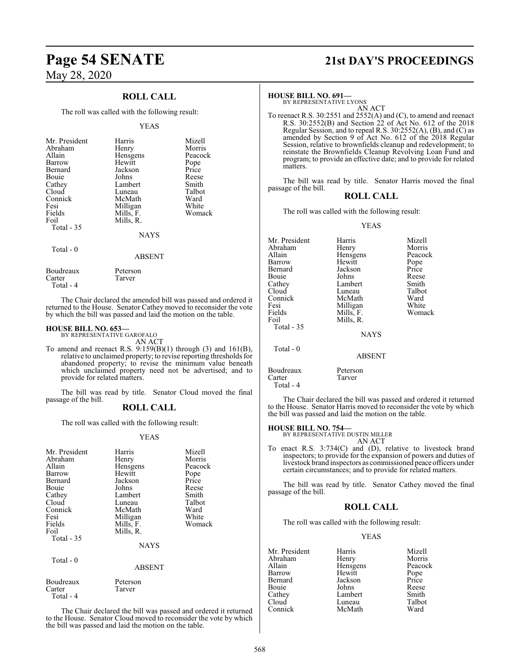### **ROLL CALL**

The roll was called with the following result:

### YEAS

| Mr. President<br>Abraham<br>Allain<br>Barrow<br>Bernard<br>Bouie<br>Cathey<br>Cloud<br>Connick<br>Fesi<br>Fields<br>Foil<br>Total - 35 | Harris<br>Henry<br>Hensgens<br>Hewitt<br>Jackson<br>Johns<br>Lambert<br>Luneau<br>McMath<br>Milligan<br>Mills, F.<br>Mills, R.<br><b>NAYS</b> | Mizell<br>Morris<br>Peacock<br>Pope<br>Price<br>Reese<br>Smith<br>Talbot<br>Ward<br>White<br>Womack |
|----------------------------------------------------------------------------------------------------------------------------------------|-----------------------------------------------------------------------------------------------------------------------------------------------|-----------------------------------------------------------------------------------------------------|
| Total - 0                                                                                                                              | <b>ABSENT</b>                                                                                                                                 |                                                                                                     |

Boudreaux Peterson<br>Carter Tarver Tarver Total - 4

The Chair declared the amended bill was passed and ordered it returned to the House. Senator Cathey moved to reconsider the vote by which the bill was passed and laid the motion on the table.

### **HOUSE BILL NO. 653—** BY REPRESENTATIVE GAROFALO

AN ACT

To amend and reenact R.S.  $9:159(B)(1)$  through (3) and 161(B), relative to unclaimed property; to revise reporting thresholds for abandoned property; to revise the minimum value beneath which unclaimed property need not be advertised; and to provide for related matters.

The bill was read by title. Senator Cloud moved the final passage of the bill.

### **ROLL CALL**

The roll was called with the following result:

### YEAS

| Mr. President<br>Abraham<br>Allain<br>Barrow<br>Bernard<br>Bouie<br>Cathey<br>Cloud<br>Connick<br>Fesi<br>Fields<br>Foil<br>Total - 35 | Harris<br>Henry<br>Hensgens<br>Hewitt<br>Jackson<br>Johns<br>Lambert<br>Luneau<br>McMath<br>Milligan<br>Mills, F.<br>Mills, R.<br><b>NAYS</b> | Mizell<br>Morris<br>Peacock<br>Pope<br>Price<br>Reese<br>Smith<br>Talbot<br>Ward<br>White<br>Womack |
|----------------------------------------------------------------------------------------------------------------------------------------|-----------------------------------------------------------------------------------------------------------------------------------------------|-----------------------------------------------------------------------------------------------------|
| Total $-0$                                                                                                                             | <b>ABSENT</b>                                                                                                                                 |                                                                                                     |
| Boudreaux<br>Carter<br>Total - 4                                                                                                       | Peterson<br>Tarver                                                                                                                            |                                                                                                     |

The Chair declared the bill was passed and ordered it returned to the House. Senator Cloud moved to reconsider the vote by which the bill was passed and laid the motion on the table.

# **Page 54 SENATE 21st DAY'S PROCEEDINGS**

**HOUSE BILL NO. 691—** BY REPRESENTATIVE LYONS AN ACT

To reenact R.S. 30:2551 and 2552(A) and (C), to amend and reenact R.S. 30:2552(B) and Section 22 of Act No. 612 of the 2018 Regular Session, and to repeal R.S. 30:2552(A), (B), and (C) as amended by Section 9 of Act No. 612 of the 2018 Regular Session, relative to brownfields cleanup and redevelopment; to reinstate the Brownfields Cleanup Revolving Loan Fund and program; to provide an effective date; and to provide for related matters.

The bill was read by title. Senator Harris moved the final passage of the bill.

### **ROLL CALL**

The roll was called with the following result:

### YEAS

| Mr. President | Harris        | Mizell  |
|---------------|---------------|---------|
| Abraham       | Henry         | Morris  |
| Allain        | Hensgens      | Peacock |
| Barrow        | Hewitt        | Pope    |
| Bernard       | Jackson       | Price   |
| Bouie         | Johns         | Reese   |
| Cathey        | Lambert       | Smith   |
| Cloud         | Luneau        | Talbot  |
| Connick       | McMath        | Ward    |
| Fesi          | Milligan      | White   |
| Fields        | Mills, F.     | Womack  |
| Foil          | Mills, R.     |         |
| Total - 35    |               |         |
|               | <b>NAYS</b>   |         |
| Total $-0$    |               |         |
|               | <b>ABSENT</b> |         |
| Boudreaux     | Peterson      |         |
| Carter        | Tarver        |         |

The Chair declared the bill was passed and ordered it returned to the House. Senator Harris moved to reconsider the vote by which the bill was passed and laid the motion on the table.

### **HOUSE BILL NO. 754—**

Total - 4

BY REPRESENTATIVE DUSTIN MILLER AN ACT

To enact R.S. 3:734(C) and (D), relative to livestock brand inspectors; to provide for the expansion of powers and duties of livestock brand inspectors as commissioned peace officers under certain circumstances; and to provide for related matters.

The bill was read by title. Senator Cathey moved the final passage of the bill.

### **ROLL CALL**

The roll was called with the following result:

### YEAS

| Mr. President | Harris   | Mizell        |
|---------------|----------|---------------|
| Abraham       | Henry    | Morris        |
| Allain        | Hensgens | Peacock       |
| Barrow        | Hewitt   |               |
| Bernard       | Jackson  | Pope<br>Price |
| Bouie         | Johns    | Reese         |
| Cathey        | Lambert  | Smith         |
| Cloud         | Luneau   | Talbot        |
| Connick       | McMath   | Ward          |
|               |          |               |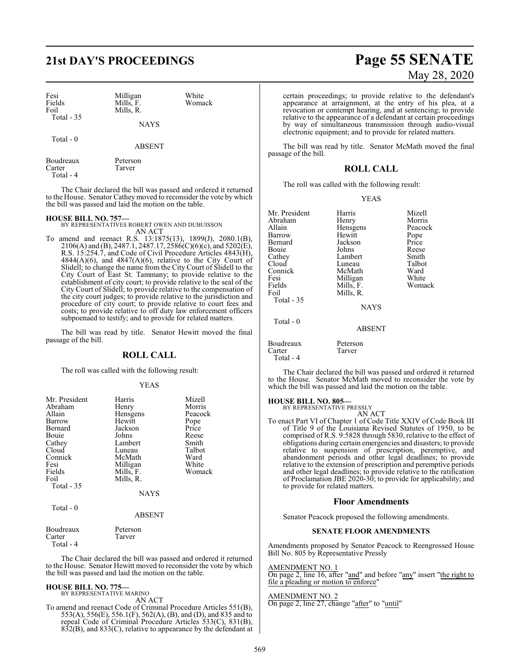# **21st DAY'S PROCEEDINGS Page 55 SENATE**

| Fesi<br>Fields<br>Foil<br>Total $-35$ | Milligan<br>Mills, F.<br>Mills, R. | White<br>Womack |
|---------------------------------------|------------------------------------|-----------------|
|                                       | <b>NAYS</b>                        |                 |
| Total $-0$                            | <b>ABSENT</b>                      |                 |
| Boudreaux                             | Peterson                           |                 |

The Chair declared the bill was passed and ordered it returned to the House. Senator Cathey moved to reconsider the vote by which the bill was passed and laid the motion on the table.

Carter Tarver

Total - 4

**HOUSE BILL NO. 757—** BY REPRESENTATIVES ROBERT OWEN AND DUBUISSON AN ACT

To amend and reenact R.S. 13:1875(13), 1899(J), 2080.1(B), 2106(A) and (B), 2487.1, 2487.17, 2586(C)(6)(c), and 5202(E), R.S. 15:254.7, and Code of Civil Procedure Articles 4843(H),  $4844(A)(6)$ , and  $4847(A)(6)$ , relative to the City Court of Slidell; to change the name from the City Court of Slidell to the City Court of East St. Tammany; to provide relative to the establishment of city court; to provide relative to the seal of the City Court of Slidell; to provide relative to the compensation of the city court judges; to provide relative to the jurisdiction and procedure of city court; to provide relative to court fees and costs; to provide relative to off duty law enforcement officers subpoenaed to testify; and to provide for related matters.

The bill was read by title. Senator Hewitt moved the final passage of the bill.

### **ROLL CALL**

The roll was called with the following result:

### YEAS

| Mr. President | Harris        | Mizell  |
|---------------|---------------|---------|
| Abraham       | Henry         | Morris  |
| Allain        | Hensgens      | Peacock |
| Barrow        | Hewitt        | Pope    |
| Bernard       | Jackson       | Price   |
| Bouie         | Johns         | Reese   |
| Cathey        | Lambert       | Smith   |
| Cloud         | Luneau        | Talbot  |
| Connick       | McMath        | Ward    |
| Fesi          | Milligan      | White   |
| Fields        | Mills, F.     | Womack  |
| Foil          | Mills, R.     |         |
| Total $-35$   |               |         |
|               | <b>NAYS</b>   |         |
| Total - 0     |               |         |
|               | <b>ABSENT</b> |         |
| $\sim$ $\sim$ |               |         |

| Boudreaux | Peterson |
|-----------|----------|
| Carter    | Tarver   |
| Total - 4 |          |

The Chair declared the bill was passed and ordered it returned to the House. Senator Hewitt moved to reconsider the vote by which the bill was passed and laid the motion on the table.

## **HOUSE BILL NO. 775—** BY REPRESENTATIVE MARINO

AN ACT

To amend and reenact Code of Criminal Procedure Articles 551(B), 553(A), 556(E), 556.1(F), 562(A), (B), and (D), and 835 and to repeal Code of Criminal Procedure Articles 533(C), 831(B), 832(B), and 833(C), relative to appearance by the defendant at

# May 28, 2020

certain proceedings; to provide relative to the defendant's appearance at arraignment, at the entry of his plea, at a revocation or contempt hearing, and at sentencing; to provide relative to the appearance of a defendant at certain proceedings by way of simultaneous transmission through audio-visual electronic equipment; and to provide for related matters.

The bill was read by title. Senator McMath moved the final passage of the bill.

### **ROLL CALL**

The roll was called with the following result:

### YEAS

| Mr. President | Harris        | Mizell  |
|---------------|---------------|---------|
| Abraham       | Henry         | Morris  |
| Allain        | Hensgens      | Peacock |
| Barrow        | Hewitt        | Pope    |
| Bernard       | Jackson       | Price   |
| Bouie         | Johns         | Reese   |
| Cathey        | Lambert       | Smith   |
| Cloud         | Luneau        | Talbot  |
| Connick       | McMath        | Ward    |
| Fesi          | Milligan      | White   |
| Fields        | Mills, F.     | Womack  |
| Foil          | Mills, R.     |         |
| Total - 35    |               |         |
|               | <b>NAYS</b>   |         |
| Total - 0     |               |         |
|               | <b>ABSENT</b> |         |

The Chair declared the bill was passed and ordered it returned to the House. Senator McMath moved to reconsider the vote by which the bill was passed and laid the motion on the table.

### **HOUSE BILL NO. 805—**

Boudreaux Peterson<br>Carter Tarver

Carter Total - 4

> BY REPRESENTATIVE PRESSLY AN ACT

To enact Part VI of Chapter 1 of Code Title XXIV of Code Book III of Title 9 of the Louisiana Revised Statutes of 1950, to be comprised of R.S. 9:5828 through 5830, relative to the effect of obligations during certain emergencies and disasters; to provide relative to suspension of prescription, peremptive, and abandonment periods and other legal deadlines; to provide relative to the extension of prescription and peremptive periods and other legal deadlines; to provide relative to the ratification of Proclamation JBE 2020-30; to provide for applicability; and to provide for related matters.

### **Floor Amendments**

Senator Peacock proposed the following amendments.

### **SENATE FLOOR AMENDMENTS**

Amendments proposed by Senator Peacock to Reengrossed House Bill No. 805 by Representative Pressly

### AMENDMENT NO. 1

On page 2, line 16, after "and" and before "any" insert "the right to file a pleading or motion to enforce"

### AMENDMENT NO. 2

On page 2, line 27, change "after" to "until"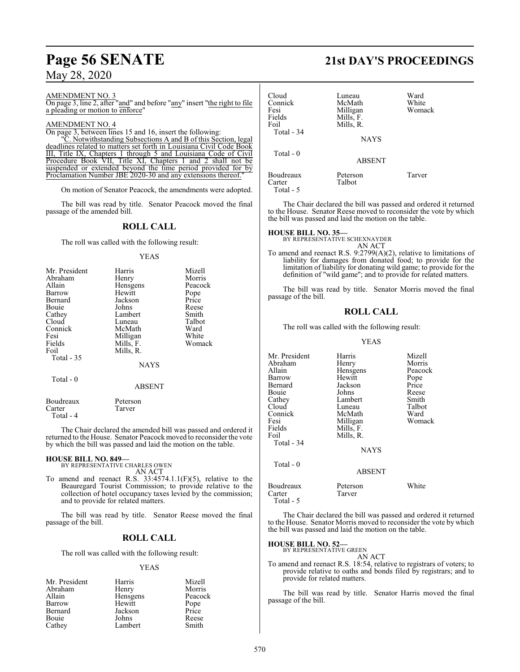# **Page 56 SENATE 21st DAY'S PROCEEDINGS**

## May 28, 2020

AMENDMENT NO. 3

On page 3, line 2, after "and" and before "any" insert "the right to file a pleading or motion to enforce"

### AMENDMENT NO. 4

On page 3, between lines 15 and 16, insert the following:

"C. Notwithstanding Subsections A and B of this Section, legal deadlines related to matters set forth in Louisiana Civil Code Book III, Title IX, Chapters 1 through 5 and Louisiana Code of Civil Procedure Book VII, Title XI, Chapters 1 and 2 shall not be suspended or extended beyond the time period provided for by Proclamation Number JBE 2020-30 and any extensions thereof.

On motion of Senator Peacock, the amendments were adopted.

The bill was read by title. Senator Peacock moved the final passage of the amended bill.

### **ROLL CALL**

The roll was called with the following result:

### YEAS

| Mr. President<br>Abraham<br>Allain<br>Barrow<br>Bernard<br>Bouie<br>Cathey<br>Cloud<br>Connick<br>Fesi<br>Fields<br>Foil<br>Total - 35 | Harris<br>Henry<br>Hensgens<br>Hewitt<br>Jackson<br>Johns<br>Lambert<br>Luneau<br>McMath<br>Milligan<br>Mills, F.<br>Mills, R. | Mizell<br>Morris<br>Peacock<br>Pope<br>Price<br>Reese<br>Smith<br>Talbot<br>Ward<br>White<br>Womack |
|----------------------------------------------------------------------------------------------------------------------------------------|--------------------------------------------------------------------------------------------------------------------------------|-----------------------------------------------------------------------------------------------------|
|                                                                                                                                        | <b>NAYS</b>                                                                                                                    |                                                                                                     |
| Total - 0                                                                                                                              | <b>ABSENT</b>                                                                                                                  |                                                                                                     |
| Boudreaux                                                                                                                              | Peterson                                                                                                                       |                                                                                                     |

The Chair declared the amended bill was passed and ordered it returned to the House. Senator Peacock moved to reconsider the vote by which the bill was passed and laid the motion on the table.

### **HOUSE BILL NO. 849—**

Carter Tarver

Total - 4

BY REPRESENTATIVE CHARLES OWEN AN ACT

To amend and reenact R.S.  $33:4574.1.1(F)(5)$ , relative to the Beauregard Tourist Commission; to provide relative to the collection of hotel occupancy taxes levied by the commission; and to provide for related matters.

The bill was read by title. Senator Reese moved the final passage of the bill.

### **ROLL CALL**

The roll was called with the following result:

### YEAS

| Mr. President | Harris   | Mizell  |
|---------------|----------|---------|
| Abraham       | Henry    | Morris  |
| Allain        | Hensgens | Peacock |
| Barrow        | Hewitt   | Pope    |
| Bernard       | Jackson  | Price   |
| Bouie         | Johns    | Reese   |
| Cathey        | Lambert  | Smith   |

| Cloud<br>Connick<br>Fesi<br>Fields<br>Foil<br>Total - 34 | Luneau<br>McMath<br>Milligan<br>Mills, F.<br>Mills, R.<br><b>NAYS</b> | Ward<br>White<br>Womack |
|----------------------------------------------------------|-----------------------------------------------------------------------|-------------------------|
| Total - 0                                                | <b>ABSENT</b>                                                         |                         |
| Boudreaux<br>Carter<br>Total - 5                         | Peterson<br>Talbot                                                    | Tarver                  |

The Chair declared the bill was passed and ordered it returned to the House. Senator Reese moved to reconsider the vote by which the bill was passed and laid the motion on the table.

### **HOUSE BILL NO. 35—**

BY REPRESENTATIVE SCHEXNAYDER AN ACT

To amend and reenact R.S. 9:2799(A)(2), relative to limitations of liability for damages from donated food; to provide for the limitation of liability for donating wild game; to provide for the definition of "wild game"; and to provide for related matters.

The bill was read by title. Senator Morris moved the final passage of the bill.

### **ROLL CALL**

The roll was called with the following result:

### YEAS

| Mr. President | Harris        | Mizell  |
|---------------|---------------|---------|
| Abraham       | Henry         | Morris  |
| Allain        | Hensgens      | Peacock |
| Barrow        | Hewitt        | Pope    |
| Bernard       | Jackson       | Price   |
| Bouie         | Johns         | Reese   |
| Cathey        | Lambert       | Smith   |
| Cloud         | Luneau        | Talbot  |
| Connick       | McMath        | Ward    |
| Fesi          | Milligan      | Womack  |
| Fields        | Mills, F.     |         |
| Foil          | Mills, R.     |         |
| Total - 34    |               |         |
|               | <b>NAYS</b>   |         |
| Total - 0     |               |         |
|               | <b>ABSENT</b> |         |
| Boudreaux     | Peterson      | White   |
| Carter        | Tarver        |         |
| Total - 5     |               |         |

The Chair declared the bill was passed and ordered it returned to the House. Senator Morris moved to reconsider the vote by which the bill was passed and laid the motion on the table.

### **HOUSE BILL NO. 52—**

BY REPRESENTATIVE GREEN

AN ACT To amend and reenact R.S. 18:54, relative to registrars of voters; to provide relative to oaths and bonds filed by registrars; and to provide for related matters.

The bill was read by title. Senator Harris moved the final passage of the bill.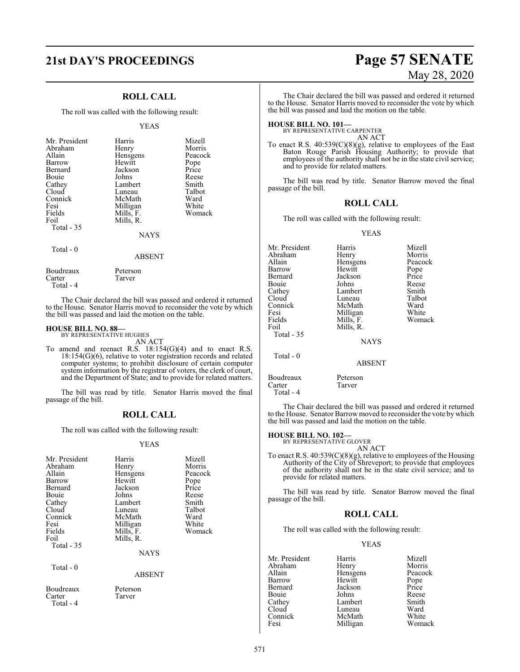### **ROLL CALL**

The roll was called with the following result:

### YEAS

| Mr. President<br>Abraham<br>Allain<br>Barrow<br>Bernard<br>Bouie<br>Cathey<br>Cloud<br>Connick<br>Fesi<br>Fields<br>Foil<br>Total $-35$ | Harris<br>Henry<br>Hensgens<br>Hewitt<br>Jackson<br>Johns<br>Lambert<br>Luneau<br>McMath<br>Milligan<br>Mills, F.<br>Mills, R.<br><b>NAYS</b> | Mizell<br>Morris<br>Peacock<br>Pope<br>Price<br>Reese<br>Smith<br>Talbot<br>Ward<br>White<br>Womack |
|-----------------------------------------------------------------------------------------------------------------------------------------|-----------------------------------------------------------------------------------------------------------------------------------------------|-----------------------------------------------------------------------------------------------------|
| Total $-0$                                                                                                                              | <b>ABSENT</b>                                                                                                                                 |                                                                                                     |

Boudreaux Peterson<br>Carter Tarver Tarver Total - 4

The Chair declared the bill was passed and ordered it returned to the House. Senator Harris moved to reconsider the vote by which the bill was passed and laid the motion on the table.

### **HOUSE BILL NO. 88—** BY REPRESENTATIVE HUGHES

AN ACT

To amend and reenact R.S. 18:154(G)(4) and to enact R.S. 18:154(G)(6), relative to voter registration records and related computer systems; to prohibit disclosure of certain computer system information by the registrar of voters, the clerk of court, and the Department of State; and to provide for related matters.

The bill was read by title. Senator Harris moved the final passage of the bill.

### **ROLL CALL**

The roll was called with the following result:

### YEAS

| Mr. President<br>Abraham<br>Allain<br>Barrow<br>Bernard<br>Bouie<br>Cathey<br>Cloud<br>Connick<br>Fesi<br>Fields<br>Foil<br>Total $-35$ | Harris<br>Henry<br>Hensgens<br>Hewitt<br>Jackson<br>Johns<br>Lambert<br>Luneau<br>McMath<br>Milligan<br>Mills, F.<br>Mills, R.<br><b>NAYS</b> | Mizell<br>Morris<br>Peacock<br>Pope<br>Price<br>Reese<br>Smith<br>Talbot<br>Ward<br>White<br>Womack |
|-----------------------------------------------------------------------------------------------------------------------------------------|-----------------------------------------------------------------------------------------------------------------------------------------------|-----------------------------------------------------------------------------------------------------|
| Total - 0                                                                                                                               | <b>ABSENT</b>                                                                                                                                 |                                                                                                     |
| Boudreaux<br>Carter<br>Total - 4                                                                                                        | Peterson<br>Tarver                                                                                                                            |                                                                                                     |

# **21st DAY'S PROCEEDINGS Page 57 SENATE** May 28, 2020

The Chair declared the bill was passed and ordered it returned to the House. Senator Harris moved to reconsider the vote by which the bill was passed and laid the motion on the table.

**HOUSE BILL NO. 101—** BY REPRESENTATIVE CARPENTER AN ACT

To enact R.S. 40:539(C)(8)(g), relative to employees of the East Baton Rouge Parish Housing Authority; to provide that employees of the authority shall not be in the state civil service; and to provide for related matters.

The bill was read by title. Senator Barrow moved the final passage of the bill.

### **ROLL CALL**

The roll was called with the following result:

### YEAS

| Mr. President | Harris        | Mizell  |
|---------------|---------------|---------|
| Abraham       | Henry         | Morris  |
| Allain        | Hensgens      | Peacock |
| Barrow        | Hewitt        | Pope    |
| Bernard       | Jackson       | Price   |
| Bouie         | Johns         | Reese   |
| Cathey        | Lambert       | Smith   |
| Cloud         | Luneau        | Talbot  |
| Connick       | McMath        | Ward    |
| Fesi          | Milligan      | White   |
| Fields        | Mills, F.     | Womack  |
| Foil          | Mills, R.     |         |
| Total - 35    |               |         |
|               | <b>NAYS</b>   |         |
| Total $-0$    |               |         |
|               | <b>ABSENT</b> |         |
| Boudreaux     | Peterson      |         |

Carter Tarver Total - 4

The Chair declared the bill was passed and ordered it returned to the House. Senator Barrow moved to reconsider the vote by which the bill was passed and laid the motion on the table.

# **HOUSE BILL NO. 102—** BY REPRESENTATIVE GLOVER

AN ACT

To enact R.S. 40:539(C)(8)(g), relative to employees of the Housing Authority of the City of Shreveport; to provide that employees of the authority shall not be in the state civil service; and to provide for related matters.

The bill was read by title. Senator Barrow moved the final passage of the bill.

### **ROLL CALL**

The roll was called with the following result:

### YEAS

| Mr. President | Harris   | Mizell  |
|---------------|----------|---------|
| Abraham       | Henry    | Morris  |
| Allain        | Hensgens | Peacock |
| Barrow        | Hewitt   | Pope    |
| Bernard       | Jackson  | Price   |
| Bouie         | Johns    | Reese   |
| Cathey        | Lambert  | Smith   |
| Cloud         | Luneau   | Ward    |
| Connick       | McMath   | White   |
| Fesi          | Milligan | Womack  |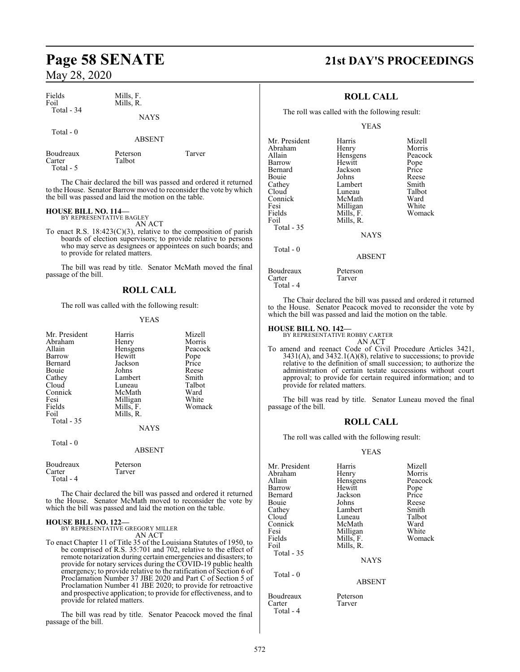| Fields<br>Foil | Mills, F.<br>Mills, R. |  |
|----------------|------------------------|--|
| Total $-34$    | <b>NAYS</b>            |  |

Talbot

Total - 0

ABSENT

Peterson Tarver

| Boudreaux |  |
|-----------|--|
| Carter    |  |
| Total     |  |

The Chair declared the bill was passed and ordered it returned to the House. Senator Barrow moved to reconsider the vote by which the bill was passed and laid the motion on the table.

# **HOUSE BILL NO. 114—** BY REPRESENTATIVE BAGLEY

AN ACT

To enact R.S.  $18:423(C)(3)$ , relative to the composition of parish boards of election supervisors; to provide relative to persons who may serve as designees or appointees on such boards; and to provide for related matters.

The bill was read by title. Senator McMath moved the final passage of the bill.

### **ROLL CALL**

The roll was called with the following result:

### YEAS

| Mr. President<br>Abraham<br>Allain<br>Barrow<br>Bernard<br>Bouie<br>Cathey<br>Cloud<br>Connick<br>Fesi<br>Fields<br>Foil<br>Total $-35$<br>Total $-0$ | Harris<br>Henry<br>Hensgens<br>Hewitt<br>Jackson<br>Johns<br>Lambert<br>Luneau<br>McMath<br>Milligan<br>Mills, F.<br>Mills, R.<br><b>NAYS</b> | Mizell<br>Morris<br>Peacock<br>Pope<br>Price<br>Reese<br>Smith<br>Talbot<br>Ward<br>White<br>Womack |
|-------------------------------------------------------------------------------------------------------------------------------------------------------|-----------------------------------------------------------------------------------------------------------------------------------------------|-----------------------------------------------------------------------------------------------------|
|                                                                                                                                                       | <b>ABSENT</b>                                                                                                                                 |                                                                                                     |
| Boudreaux<br>Carter<br>Total - 4                                                                                                                      | Peterson<br>Tarver                                                                                                                            |                                                                                                     |

The Chair declared the bill was passed and ordered it returned to the House. Senator McMath moved to reconsider the vote by which the bill was passed and laid the motion on the table.

# **HOUSE BILL NO. 122—** BY REPRESENTATIVE GREGORY MILLER

AN ACT

To enact Chapter 11 of Title 35 of the Louisiana Statutes of 1950, to be comprised of R.S. 35:701 and 702, relative to the effect of remote notarization during certain emergencies and disasters; to provide for notary services during the COVID-19 public health emergency; to provide relative to the ratification of Section 6 of Proclamation Number 37 JBE 2020 and Part C of Section 5 of Proclamation Number 41 JBE 2020; to provide for retroactive and prospective application; to provide for effectiveness, and to provide for related matters.

The bill was read by title. Senator Peacock moved the final passage of the bill.

# **Page 58 SENATE 21st DAY'S PROCEEDINGS**

### **ROLL CALL**

The roll was called with the following result:

YEAS

| Mr. President | Harris        | Mizell  |
|---------------|---------------|---------|
| Abraham       | Henry         | Morris  |
| Allain        | Hensgens      | Peacock |
| Barrow        | Hewitt        | Pope    |
| Bernard       | Jackson       | Price   |
| Bouie         | Johns         | Reese   |
| Cathey        | Lambert       | Smith   |
| Cloud         | Luneau        | Talbot  |
| Connick       | McMath        | Ward    |
| Fesi          | Milligan      | White   |
| Fields        | Mills, F.     | Womack  |
| Foil          | Mills, R.     |         |
| Total - 35    |               |         |
|               | <b>NAYS</b>   |         |
| Total $-0$    |               |         |
|               | <b>ABSENT</b> |         |
| Boudreaux     | Peterson      |         |

Carter Tarver Total - 4

The Chair declared the bill was passed and ordered it returned to the House. Senator Peacock moved to reconsider the vote by which the bill was passed and laid the motion on the table.

**HOUSE BILL NO. 142—** BY REPRESENTATIVE ROBBY CARTER

AN ACT To amend and reenact Code of Civil Procedure Articles 3421,  $3431(A)$ , and  $3432.1(A)(8)$ , relative to successions; to provide relative to the definition of small succession; to authorize the administration of certain testate successions without court approval; to provide for certain required information; and to provide for related matters.

The bill was read by title. Senator Luneau moved the final passage of the bill.

### **ROLL CALL**

The roll was called with the following result:

### YEAS

| Mr. President | Harris      | Mizell  |
|---------------|-------------|---------|
| Abraham       | Henry       | Morris  |
| Allain        | Hensgens    | Peacock |
| Barrow        | Hewitt      | Pope    |
| Bernard       | Jackson     | Price   |
| Bouie         | Johns       | Reese   |
| Cathey        | Lambert     | Smith   |
| Cloud         | Luneau      | Talbot  |
| Connick       | McMath      | Ward    |
| Fesi          | Milligan    | White   |
| Fields        | Mills, F.   | Womack  |
| Foil          | Mills, R.   |         |
| Total - 35    |             |         |
|               | <b>NAYS</b> |         |
| Total $-0$    |             |         |
|               | ABSENT      |         |

Boudreaux Peterson<br>Carter Tarver Tarver

Total - 4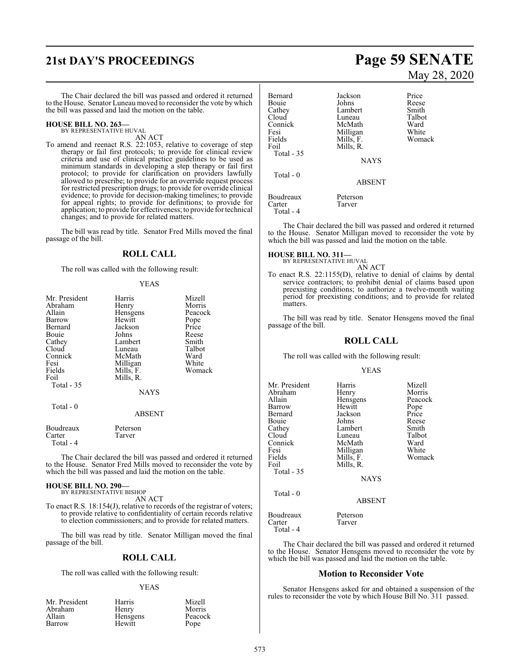# **21st DAY'S PROCEEDINGS Page 59 SENATE**

The Chair declared the bill was passed and ordered it returned to the House. Senator Luneau moved to reconsider the vote by which the bill was passed and laid the motion on the table.

### **HOUSE BILL NO. 263—** BY REPRESENTATIVE HUVAL

AN ACT

To amend and reenact R.S. 22:1053, relative to coverage of step therapy or fail first protocols; to provide for clinical review criteria and use of clinical practice guidelines to be used as minimum standards in developing a step therapy or fail first protocol; to provide for clarification on providers lawfully allowed to prescribe; to provide for an override request process for restricted prescription drugs; to provide for override clinical evidence; to provide for decision-making timelines; to provide for appeal rights; to provide for definitions; to provide for application; to provide for effectiveness; to provide for technical changes; and to provide for related matters.

The bill was read by title. Senator Fred Mills moved the final passage of the bill.

### **ROLL CALL**

The roll was called with the following result:

### YEAS

| Mr. President<br>Abraham<br>Allain<br>Barrow<br>Bernard<br>Bouie<br>Cathey<br>Cloud<br>Connick<br>Fesi<br>Fields<br>Foil<br>Total $-35$ | Harris<br>Henry<br>Hensgens<br>Hewitt<br>Jackson<br>Johns<br>Lambert<br>Luneau<br>McMath<br>Milligan<br>Mills, F.<br>Mills, R.<br><b>NAYS</b> | Mizell<br>Morris<br>Peacock<br>Pope<br>Price<br>Reese<br>Smith<br>Talbot<br>Ward<br>White<br>Womack |
|-----------------------------------------------------------------------------------------------------------------------------------------|-----------------------------------------------------------------------------------------------------------------------------------------------|-----------------------------------------------------------------------------------------------------|
| Total - 0                                                                                                                               | ABSENT                                                                                                                                        |                                                                                                     |
| Boudreaux<br>Carter<br>Total - 4                                                                                                        | Peterson<br>Tarver                                                                                                                            |                                                                                                     |

The Chair declared the bill was passed and ordered it returned to the House. Senator Fred Mills moved to reconsider the vote by which the bill was passed and laid the motion on the table.

### **HOUSE BILL NO. 290—** BY REPRESENTATIVE BISHOP

AN ACT

To enact R.S. 18:154(J), relative to records of the registrar of voters; to provide relative to confidentiality of certain records relative to election commissioners; and to provide for related matters.

The bill was read by title. Senator Milligan moved the final passage of the bill.

### **ROLL CALL**

The roll was called with the following result:

### YEAS

| Mr. President | Harris          | Mizell  |
|---------------|-----------------|---------|
| Abraham       | Henry           | Morris  |
| Allain        | <b>Hensgens</b> | Peacock |
| Barrow        | Hewitt          | Pope    |

# May 28, 2020

| Bernard<br>Bouie<br>Cathey<br>Cloud<br>Connick<br>Fesi<br>Fields<br>Foil<br><b>Total - 35</b> | Jackson<br>Johns<br>Lambert<br>Luneau<br>McMath<br>Milligan<br>Mills, F.<br>Mills, R.<br><b>NAYS</b> | Price<br>Reese<br>Smith<br>Talbot<br>Ward<br>White<br>Womack |
|-----------------------------------------------------------------------------------------------|------------------------------------------------------------------------------------------------------|--------------------------------------------------------------|
| Total $-0$                                                                                    | <b>ABSENT</b>                                                                                        |                                                              |
| Boudreaux<br>Carter<br>Total - 4                                                              | Peterson<br>Tarver                                                                                   |                                                              |

The Chair declared the bill was passed and ordered it returned to the House. Senator Milligan moved to reconsider the vote by which the bill was passed and laid the motion on the table.

**HOUSE BILL NO. 311—** BY REPRESENTATIVE HUVAL

AN ACT

To enact R.S. 22:1155(D), relative to denial of claims by dental service contractors; to prohibit denial of claims based upon preexisting conditions; to authorize a twelve-month waiting period for preexisting conditions; and to provide for related **matters** 

The bill was read by title. Senator Hensgens moved the final passage of the bill.

### **ROLL CALL**

The roll was called with the following result:

### YEAS

| Mr. President<br>Abraham<br>Allain<br>Barrow<br>Bernard<br>Bouie<br>Cathey<br>Cloud<br>Connick<br>Fesi<br>Fields<br>Foil<br>Total - 35 | Harris<br>Henry<br>Hensgens<br>Hewitt<br>Jackson<br>Johns<br>Lambert<br>Luneau<br>McMath<br>Milligan<br>Mills, F.<br>Mills, R.<br><b>NAYS</b> | Mizell<br>Morris<br>Peacock<br>Pope<br>Price<br>Reese<br>Smith<br>Talbot<br>Ward<br>White<br>Womack |
|----------------------------------------------------------------------------------------------------------------------------------------|-----------------------------------------------------------------------------------------------------------------------------------------------|-----------------------------------------------------------------------------------------------------|
| Total - 0                                                                                                                              | <b>ABSENT</b>                                                                                                                                 |                                                                                                     |
| Boudreaux<br>Carter                                                                                                                    | Peterson<br>Tarver                                                                                                                            |                                                                                                     |

Total - 4

The Chair declared the bill was passed and ordered it returned to the House. Senator Hensgens moved to reconsider the vote by which the bill was passed and laid the motion on the table.

### **Motion to Reconsider Vote**

Senator Hensgens asked for and obtained a suspension of the rules to reconsider the vote by which House Bill No. 311 passed.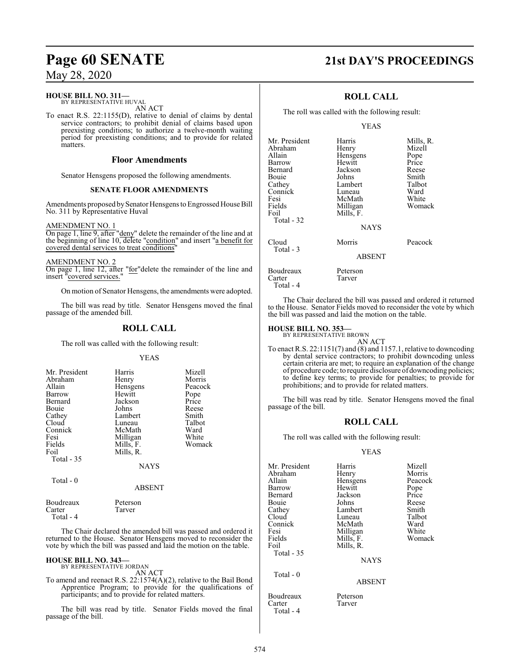### **HOUSE BILL NO. 311—**

BY REPRESENTATIVE HUVAL AN ACT

To enact R.S. 22:1155(D), relative to denial of claims by dental service contractors; to prohibit denial of claims based upon preexisting conditions; to authorize a twelve-month waiting period for preexisting conditions; and to provide for related matters.

### **Floor Amendments**

Senator Hensgens proposed the following amendments.

### **SENATE FLOOR AMENDMENTS**

Amendments proposed by Senator Hensgens to Engrossed House Bill No. 311 by Representative Huval

### AMENDMENT NO. 1

On page 1, line 9, after "deny" delete the remainder of the line and at the beginning of line 10, delete "condition" and insert "a benefit for covered dental services to treat conditions'

AMENDMENT NO. 2

On page 1, line 12, after "for"delete the remainder of the line and insert "covered services."

On motion of Senator Hensgens, the amendments were adopted.

The bill was read by title. Senator Hensgens moved the final passage of the amended bill.

### **ROLL CALL**

The roll was called with the following result:

### YEAS

| Harris<br>Henry<br>Hensgens<br>Hewitt<br>Jackson<br>Johns<br>Lambert<br>Luneau<br>McMath<br>Milligan<br>Mills, F.<br>Mills, R. | Mizell<br>Morris<br>Peacock<br>Pope<br>Price<br>Reese<br>Smith<br>Talbot<br>Ward<br>White<br>Womack |
|--------------------------------------------------------------------------------------------------------------------------------|-----------------------------------------------------------------------------------------------------|
| NAYS                                                                                                                           |                                                                                                     |
|                                                                                                                                |                                                                                                     |

Total - 0

| Boudreaux | Peterson |  |
|-----------|----------|--|
| Carter    | Tarver   |  |

Total - 4

The Chair declared the amended bill was passed and ordered it returned to the House. Senator Hensgens moved to reconsider the vote by which the bill was passed and laid the motion on the table.

ABSENT

### **HOUSE BILL NO. 343—**

BY REPRESENTATIVE JORDAN AN ACT

To amend and reenact R.S. 22:1574(A)(2), relative to the Bail Bond Apprentice Program; to provide for the qualifications of participants; and to provide for related matters.

The bill was read by title. Senator Fields moved the final passage of the bill.

# **Page 60 SENATE 21st DAY'S PROCEEDINGS**

### **ROLL CALL**

The roll was called with the following result:

### YEAS

| Mr. President<br>Abraham<br>Allain<br>Barrow<br>Bernard<br>Bouie<br>Cathey<br>Connick<br>Fesi<br>Fields<br>Foil | Harris<br>Henry<br>Hensgens<br>Hewitt<br>Jackson<br>Johns<br>Lambert<br>Luneau<br>McMath<br>Milligan<br>Mills, F. | Mills, R.<br>Mizell<br>Pope<br>Price<br>Reese<br>Smith<br>Talbot<br>Ward<br>White<br>Womack |
|-----------------------------------------------------------------------------------------------------------------|-------------------------------------------------------------------------------------------------------------------|---------------------------------------------------------------------------------------------|
| Total - 32                                                                                                      | <b>NAYS</b>                                                                                                       |                                                                                             |
| Cloud<br>Total - 3                                                                                              | Morris<br><b>ABSENT</b>                                                                                           | Peacock                                                                                     |
| Boudreaux<br>Carter<br>Total - 4                                                                                | Peterson<br>Tarver                                                                                                |                                                                                             |

The Chair declared the bill was passed and ordered it returned to the House. Senator Fields moved to reconsider the vote by which the bill was passed and laid the motion on the table.

### **HOUSE BILL NO. 353—**

BY REPRESENTATIVE BROWN

AN ACT To enact R.S. 22:1151(7) and (8) and 1157.1, relative to downcoding by dental service contractors; to prohibit downcoding unless certain criteria are met; to require an explanation of the change of procedure code; to require disclosure ofdowncoding policies; to define key terms; to provide for penalties; to provide for prohibitions; and to provide for related matters.

The bill was read by title. Senator Hensgens moved the final passage of the bill.

### **ROLL CALL**

The roll was called with the following result:

### YEAS

| Mr. President | Harris      | Mizell  |
|---------------|-------------|---------|
| Abraham       | Henry       | Morris  |
| Allain        | Hensgens    | Peacock |
| Barrow        | Hewitt      | Pope    |
| Bernard       | Jackson     | Price   |
| Bouie         | Johns       | Reese   |
| Cathey        | Lambert     | Smith   |
| Cloud         | Luneau      | Talbot  |
| Connick       | McMath      | Ward    |
| Fesi          | Milligan    | White   |
| Fields        | Mills, F.   | Womack  |
| Foil          | Mills, R.   |         |
| Total - 35    |             |         |
|               | <b>NAYS</b> |         |
| Total $-0$    |             |         |
|               | ABSENT      |         |

Boudreaux Peterson Carter Tarver

Total - 4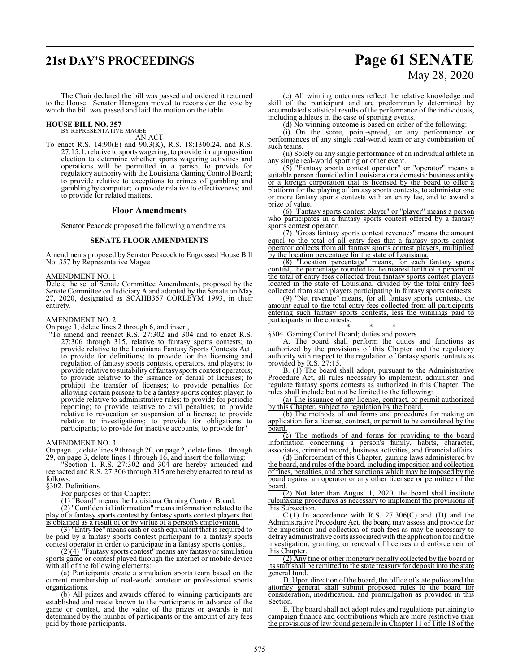# **21st DAY'S PROCEEDINGS Page 61 SENATE**

# May 28, 2020

The Chair declared the bill was passed and ordered it returned to the House. Senator Hensgens moved to reconsider the vote by which the bill was passed and laid the motion on the table.

**HOUSE BILL NO. 357—** BY REPRESENTATIVE MAGEE

AN ACT

To enact R.S. 14:90(E) and 90.3(K), R.S. 18:1300.24, and R.S. 27:15.1, relative to sports wagering; to provide for a proposition election to determine whether sports wagering activities and operations will be permitted in a parish; to provide for regulatory authority with the Louisiana Gaming Control Board; to provide relative to exceptions to crimes of gambling and gambling by computer; to provide relative to effectiveness; and to provide for related matters.

### **Floor Amendments**

Senator Peacock proposed the following amendments.

### **SENATE FLOOR AMENDMENTS**

Amendments proposed by Senator Peacock to Engrossed House Bill No. 357 by Representative Magee

### AMENDMENT NO. 1

Delete the set of Senate Committee Amendments, proposed by the Senate Committee on Judiciary A and adopted by the Senate on May 27, 2020, designated as SCAHB357 CORLEYM 1993, in their entirety.

### AMENDMENT NO. 2

On page 1, delete lines 2 through 6, and insert,

"To amend and reenact R.S. 27:302 and 304 and to enact R.S. 27:306 through 315, relative to fantasy sports contests; to provide relative to the Louisiana Fantasy Sports Contests Act; to provide for definitions; to provide for the licensing and regulation of fantasy sports contests, operators, and players; to provide relative to suitability of fantasy sports contest operators; to provide relative to the issuance or denial of licenses; to prohibit the transfer of licenses; to provide penalties for allowing certain persons to be a fantasy sports contest player; to provide relative to administrative rules; to provide for periodic reporting; to provide relative to civil penalties; to provide relative to revocation or suspension of a license; to provide relative to investigations; to provide for obligations to participants; to provide for inactive accounts; to provide for"

AMENDMENT NO. 3

On page 1, delete lines 9 through 20, on page 2, delete lines 1 through 29, on page 3, delete lines 1 through 16, and insert the following:

"Section 1. R.S. 27:302 and 304 are hereby amended and reenacted and R.S. 27:306 through 315 are hereby enacted to read as follows:

§302. Definitions

For purposes of this Chapter:

(1) "Board" means the Louisiana Gaming Control Board.

 $(2)$  "Confidential information" means information related to the play of a fantasy sports contest by fantasy sports contest players that is obtained as a result of or by virtue of a person's employment.

(3) "Entry fee" means cash or cash equivalent that is required to be paid by a fantasy sports contest participant to a fantasy sports contest operator in order to participate in a fantasy sports contest.

 $\left( \frac{2}{2} \right)$  "Fantasy sports contest" means any fantasy or simulation sports game or contest played through the internet or mobile device with all of the following elements:

(a) Participants create a simulation sports team based on the current membership of real-world amateur or professional sports organizations.

(b) All prizes and awards offered to winning participants are established and made known to the participants in advance of the game or contest, and the value of the prizes or awards is not determined by the number of participants or the amount of any fees paid by those participants.

(c) All winning outcomes reflect the relative knowledge and skill of the participant and are predominantly determined by accumulated statistical results of the performance of the individuals, including athletes in the case of sporting events.

(d) No winning outcome is based on either of the following:

(i) On the score, point-spread, or any performance or performances of any single real-world team or any combination of such teams.

(ii) Solely on any single performance of an individual athlete in any single real-world sporting or other event.

(5) "Fantasy sports contest operator" or "operator" means a suitable person domiciled in Louisiana or a domestic business entity or a foreign corporation that is licensed by the board to offer a platform for the playing of fantasy sports contests, to administer one or more fantasy sports contests with an entry fee, and to award a prize of value.

(6) "Fantasy sports contest player" or "player" means a person who participates in a fantasy sports contest offered by a fantasy sports contest operator.

(7) "Gross fantasy sports contest revenues" means the amount equal to the total of all entry fees that a fantasy sports contest operator collects from all fantasy sports contest players, multiplied by the location percentage for the state of Louisiana.

(8) "Location percentage" means, for each fantasy sports contest, the percentage rounded to the nearest tenth of a percent of the total of entry fees collected from fantasy sports contest players located in the state of Louisiana, divided by the total entry fees collected from such players participating in fantasy sports contests.

(9) "Net revenue" means, for all fantasy sports contests, the amount equal to the total entry fees collected from all participants entering such fantasy sports contests, less the winnings paid to participants in the contests.

\* \* \* §304. Gaming Control Board; duties and powers

A. The board shall perform the duties and functions as authorized by the provisions of this Chapter and the regulatory authority with respect to the regulation of fantasy sports contests as provided by R.S. 27:15.

B. (1) The board shall adopt, pursuant to the Administrative Procedure Act, all rules necessary to implement, administer, and regulate fantasy sports contests as authorized in this Chapter. The rules shall include but not be limited to the following:

(a) The issuance of any license, contract, or permit authorized by this Chapter, subject to regulation by the board.

(b) The methods of and forms and procedures for making an application for a license, contract, or permit to be considered by the board.

(c) The methods of and forms for providing to the board information concerning a person's family, habits, character, associates, criminal record, business activities, and financial affairs.

(d) Enforcement of this Chapter, gaming laws administered by the board, and rules ofthe board, including imposition and collection of fines, penalties, and other sanctions which may be imposed by the board against an operator or any other licensee or permittee of the board.

(2) Not later than August 1, 2020, the board shall institute rulemaking procedures as necessary to implement the provisions of this Subsection.

 $C(1)$  In accordance with R.S. 27:306(C) and (D) and the Administrative Procedure Act, the board may assess and provide for the imposition and collection of such fees as may be necessary to defrayadministrative costs associated with the application for and the investigation, granting, or renewal of licenses and enforcement of this Chapter.

(2) Any fine or other monetary penalty collected by the board or its staffshall be remitted to the state treasury for deposit into the state general fund.

D. Upon direction of the board, the office of state police and the attorney general shall submit proposed rules to the board for consideration, modification, and promulgation as provided in this **Section** 

E. The board shall not adopt rules and regulations pertaining to campaign finance and contributions which are more restrictive than the provisions of law found generally in Chapter 11 of Title 18 of the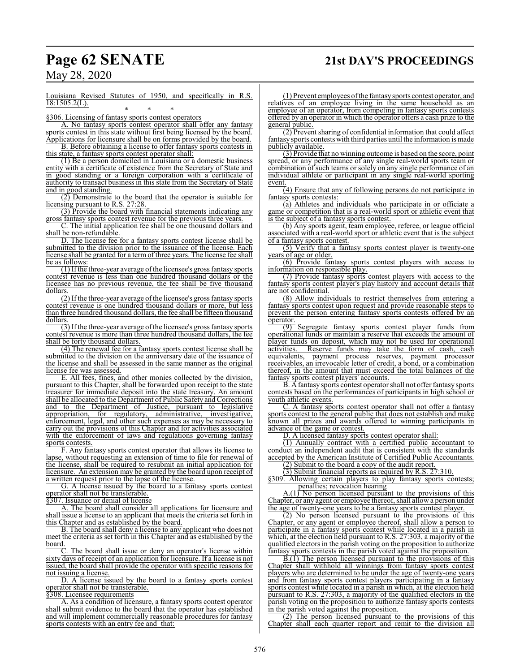# **Page 62 SENATE 21st DAY'S PROCEEDINGS**

May 28, 2020

Louisiana Revised Statutes of 1950, and specifically in R.S.  $18:1505.2(L)$ .

\* \* \* §306. Licensing of fantasy sports contest operators

A. No fantasy sports contest operator shall offer any fantasy sports contest in this state without first being licensed by the board.

Applications for licensure shall be on forms provided by the board. B. Before obtaining a license to offer fantasy sports contests in this state, a fantasy sports contest operator shall:

(1) Be a person domiciled in Louisiana or a domestic business entity with a certificate of existence from the Secretary of State and in good standing or a foreign corporation with a certificate of authority to transact business in this state from the Secretary of State and in good standing.

(2) Demonstrate to the board that the operator is suitable for licensing pursuant to R.S. 27:28.

(3) Provide the board with financial statements indicating any gross fantasy sports contest revenue for the previous three years.

C. The initial application fee shall be one thousand dollars and shall be non-refundable.

D. The license fee for a fantasy sports contest license shall be submitted to the division prior to the issuance of the license. Each license shall be granted for a term of three years. The license fee shall be as follows:

(1) Ifthe three-year average ofthe licensee's gross fantasy sports contest revenue is less than one hundred thousand dollars or the licensee has no previous revenue, the fee shall be five thousand dollars.

 $\overline{(2)}$  If the three-year average of the licensee's gross fantasy sports contest revenue is one hundred thousand dollars or more, but less than three hundred thousand dollars, the fee shall be fifteen thousand dollars.

 $\overline{(3)}$  If the three-year average of the licensee's gross fantasy sports contest revenue is more than three hundred thousand dollars, the fee shall be forty thousand dollars.

(4) The renewal fee for a fantasy sports contest license shall be submitted to the division on the anniversary date of the issuance of the license and shall be assessed in the same manner as the original license fee was assessed.

E. All fees, fines, and other monies collected by the division, pursuant to this Chapter, shall be forwarded upon receipt to the state treasurer for immediate deposit into the state treasury. An amount shall be allocated to the Department of Public Safety and Corrections and to the Department of Justice, pursuant to legislative appropriation, for regulatory, administrative, investigative, appropriation, for regulatory, administrative, enforcement, legal, and other such expenses as may be necessary to carry out the provisions of this Chapter and for activities associated with the enforcement of laws and regulations governing fantasy sports contests.

F. Any fantasy sports contest operator that allows its license to lapse, without requesting an extension of time to file for renewal of the license, shall be required to resubmit an initial application for licensure. An extension may be granted by the board upon receipt of a written request prior to the lapse of the license.

G. A license issued by the board to a fantasy sports contest operator shall not be transferable.

§307. Issuance or denial of license

A. The board shall consider all applications for licensure and shall issue a license to an applicant that meets the criteria set forth in this Chapter and as established by the board.

B. The board shall deny a license to any applicant who does not meet the criteria as set forth in this Chapter and as established by the board.

The board shall issue or deny an operator's license within sixty days of receipt of an application for licensure. If a license is not issued, the board shall provide the operator with specific reasons for not issuing a license.

D. A license issued by the board to a fantasy sports contest operator shall not be transferable.

§308. Licensee requirements

A. As a condition of licensure, a fantasy sports contest operator shall submit evidence to the board that the operator has established and will implement commercially reasonable procedures for fantasy sports contests with an entry fee and that:

(1) Prevent employees ofthe fantasysports contest operator, and relatives of an employee living in the same household as an employee of an operator, from competing in fantasy sports contests offered by an operator in which the operator offers a cash prize to the general public.

(2) Prevent sharing of confidential information that could affect fantasy sports contests with third parties until the information is made publicly available.

(3) Provide that no winning outcome is based on the score, point spread, or any performance of any single real-world sports team or combination of such teams or solely on any single performance of an individual athlete or participant in any single real-world sporting event.

 $(4)$  Ensure that any of following persons do not participate in fantasy sports contests:

(a) Athletes and individuals who participate in or officiate a game or competition that is a real-world sport or athletic event that is the subject of a fantasy sports contest.

(b) Any sports agent, team employee, referee, or league official associated with a real-world sport or athletic event that is the subject of a fantasy sports contest.

(5) Verify that a fantasy sports contest player is twenty-one years of age or older.

(6) Provide fantasy sports contest players with access to information on responsible play.

(7) Provide fantasy sports contest players with access to the fantasy sports contest player's play history and account details that are not confidential.

(8) Allow individuals to restrict themselves from entering a fantasy sports contest upon request and provide reasonable steps to prevent the person entering fantasy sports contests offered by an operator.

(9) Segregate fantasy sports contest player funds from operational funds or maintain a reserve that exceeds the amount of player funds on deposit, which may not be used for operational activities. Reserve funds may take the form of cash, cash Reserve funds may take the form of cash, cash equivalents, payment process reserves, payment processor receivables, an irrevocable letter of credit, a bond, or a combination thereof, in the amount that must exceed the total balances of the fantasy sports contest players' accounts.

B. A fantasy sports contest operator shall not offer fantasy sports contests based on the performances of participants in high school or youth athletic events.

C. A fantasy sports contest operator shall not offer a fantasy sports contest to the general public that does not establish and make known all prizes and awards offered to winning participants in advance of the game or contest.

D. A licensed fantasy sports contest operator shall:

(1) Annually contract with a certified public accountant to conduct an independent audit that is consistent with the standards accepted by the American Institute of Certified Public Accountants.

(2) Submit to the board a copy of the audit report. (3) Submit financial reports as required by R.S. 27:310.

§309. Allowing certain players to play fantasy sports contests; penalties; revocation hearing

A.(1) No person licensed pursuant to the provisions of this Chapter, or any agent or employee thereof, shall allow a person under the age of twenty-one years to be a fantasy sports contest player.

(2) No person licensed pursuant to the provisions of this Chapter, or any agent or employee thereof, shall allow a person to participate in a fantasy sports contest while located in a parish in which, at the election held pursuant to R.S. 27:303, a majority of the qualified electors in the parish voting on the proposition to authorize fantasy sports contests in the parish voted against the proposition.

B.(1) The person licensed pursuant to the provisions of this Chapter shall withhold all winnings from fantasy sports contest players who are determined to be under the age of twenty-one years and from fantasy sports contest players participating in a fantasy sports contest while located in a parish in which, at the election held pursuant to R.S. 27:303, a majority of the qualified electors in the parish voting on the proposition to authorize fantasy sports contests in the parish voted against the proposition.

(2) The person licensed pursuant to the provisions of this Chapter shall each quarter report and remit to the division all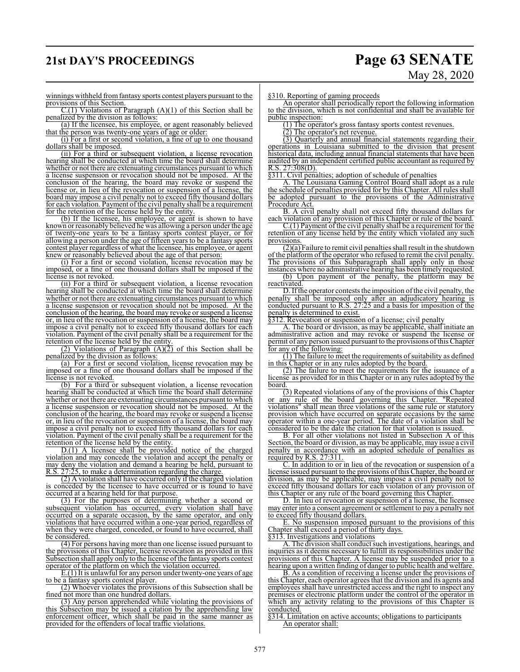# **21st DAY'S PROCEEDINGS Page 63 SENATE**

# May 28, 2020

winnings withheld fromfantasy sports contest players pursuant to the provisions of this Section.

 $C.(1)$  Violations of Paragraph  $(A)(1)$  of this Section shall be penalized by the division as follows:

(a) If the licensee, his employee, or agent reasonably believed that the person was twenty-one years of age or older:

(i) For a first or second violation, a fine of up to one thousand dollars shall be imposed.

(ii) For a third or subsequent violation, a license revocation hearing shall be conducted at which time the board shall determine whether or not there are extenuating circumstances pursuant to which a license suspension or revocation should not be imposed. At the conclusion of the hearing, the board may revoke or suspend the license or, in lieu of the revocation or suspension of a license, the board may impose a civil penalty not to exceed fifty thousand dollars for each violation. Payment of the civil penalty shall be a requirement for the retention of the license held by the entity.

(b) If the licensee, his employee, or agent is shown to have known or reasonably believed he was allowing a person under the age of twenty-one years to be a fantasy sports contest player, or for allowing a person under the age of fifteen years to be a fantasy sports contest player regardless of what the licensee, his employee, or agent knew or reasonably believed about the age of that person:

(i) For a first or second violation, license revocation may be imposed, or a fine of one thousand dollars shall be imposed if the license is not revoked.

(ii) For a third or subsequent violation, a license revocation hearing shall be conducted at which time the board shall determine whether or not there are extenuating circumstances pursuant to which a license suspension or revocation should not be imposed. At the conclusion of the hearing, the board may revoke or suspend a license or, in lieu of the revocation or suspension of a license, the board may impose a civil penalty not to exceed fifty thousand dollars for each violation. Payment of the civil penalty shall be a requirement for the retention of the license held by the entity.

 $(2)$  Violations of Paragraph  $(A)(2)$  of this Section shall be penalized by the division as follows:

(a) For a first or second violation, license revocation may be imposed or a fine of one thousand dollars shall be imposed if the license is not revoked.

(b) For a third or subsequent violation, a license revocation hearing shall be conducted at which time the board shall determine whether or not there are extenuating circumstances pursuant to which a license suspension or revocation should not be imposed. At the conclusion of the hearing, the board may revoke or suspend a license or, in lieu of the revocation or suspension of a license, the board may impose a civil penalty not to exceed fifty thousand dollars for each violation. Payment of the civil penalty shall be a requirement for the retention of the license held by the entity.

D.(1) A licensee shall be provided notice of the charged violation and may concede the violation and accept the penalty or may deny the violation and demand a hearing be held, pursuant to R.S. 27:25, to make a determination regarding the charge.

(2) A violation shall have occurred only if the charged violation is conceded by the licensee to have occurred or is found to have occurred at a hearing held for that purpose.

(3) For the purposes of determining whether a second or subsequent violation has occurred, every violation shall have occurred on a separate occasion, by the same operator, and only violations that have occurred within a one-year period, regardless of when they were charged, conceded, or found to have occurred, shall be considered.

(4) For persons having more than one license issued pursuant to the provisions of this Chapter, license revocation as provided in this Subsection shall apply only to the license of the fantasy sports contest operator of the platform on which the violation occurred.

E.(1) It is unlawful for any person under twenty-one years of age to be a fantasy sports contest player.

(2) Whoever violates the provisions of this Subsection shall be fined not more than one hundred dollars.

(3) Any person apprehended while violating the provisions of this Subsection may be issued a citation by the apprehending law enforcement officer, which shall be paid in the same manner as provided for the offenders of local traffic violations.

§310. Reporting of gaming proceeds

An operator shall periodically report the following information to the division, which is not confidential and shall be available for public inspection:

(1) The operator's gross fantasy sports contest revenues.

(2) The operator's net revenue.

(3) Quarterly and annual financial statements regarding their operations in Louisiana submitted to the division that present historical data, including annual financial statements that have been audited by an independent certified public accountant as required by  $R.S. 27:308(D)$ .

§311. Civil penalties; adoption of schedule of penalties

A. The Louisiana Gaming Control Board shall adopt as a rule the schedule of penalties provided for by this Chapter. All rules shall be adopted pursuant to the provisions of the Administrative Procedure Act.

B. A civil penalty shall not exceed fifty thousand dollars for each violation of any provision of this Chapter or rule of the board.

C.(1) Payment of the civil penalty shall be a requirement for the retention of any license held by the entity which violated any such provisions.

 $(2)(a)$  Failure to remit civil penalties shall result in the shutdown of the platform of the operator who refused to remit the civil penalty. The provisions of this Subparagraph shall apply only in those instances where no administrative hearing has been timely requested.

(b) Upon payment of the penalty, the platform may be reactivated.

D. If the operator contests the imposition of the civil penalty, the penalty shall be imposed only after an adjudicatory hearing is conducted pursuant to R.S. 27:25 and a basis for imposition of the penalty is determined to exist.

§312. Revocation or suspension of a license; civil penalty

A. The board or division, as may be applicable, shall initiate an administrative action and may revoke or suspend the license or permit of any person issued pursuant to the provisions ofthis Chapter for any of the following:

 $(1)$  The failure to meet the requirements of suitability as defined in this Chapter or in any rules adopted by the board.

(2) The failure to meet the requirements for the issuance of a license as provided for in this Chapter or in any rules adopted by the board

(3) Repeated violations of any of the provisions of this Chapter or any rule of the board governing this Chapter. "Repeated violations" shall mean three violations of the same rule or statutory provision which have occurred on separate occasions by the same operator within a one-year period. The date of a violation shall be considered to be the date the citation for that violation is issued.

B. For all other violations not listed in Subsection A of this Section, the board or division, as may be applicable, may issue a civil penalty in accordance with an adopted schedule of penalties as required by R.S. 27:311.

C. In addition to or in lieu of the revocation or suspension of a license issued pursuant to the provisions ofthis Chapter, the board or division, as may be applicable, may impose a civil penalty not to exceed fifty thousand dollars for each violation of any provision of this Chapter or any rule of the board governing this Chapter.

D. In lieu of revocation or suspension of a license, the licensee may enter into a consent agreement or settlement to pay a penalty not to exceed fifty thousand dollars.

E. No suspension imposed pursuant to the provisions of this Chapter shall exceed a period of thirty days.

§313. Investigations and violations

A. The division shall conduct such investigations, hearings, and inquiries as it deems necessary to fulfill its responsibilities under the provisions of this Chapter. A license may be suspended prior to a hearing upon a written finding of danger to public health and welfare.

B. As a condition of receiving a license under the provisions of this Chapter, each operator agrees that the division and its agents and employees shall have unrestricted access and the right to inspect any premises or electronic platform under the control of the operator in which any activity relating to the provisions of this Chapter is conducted.

§314. Limitation on active accounts; obligations to participants An operator shall: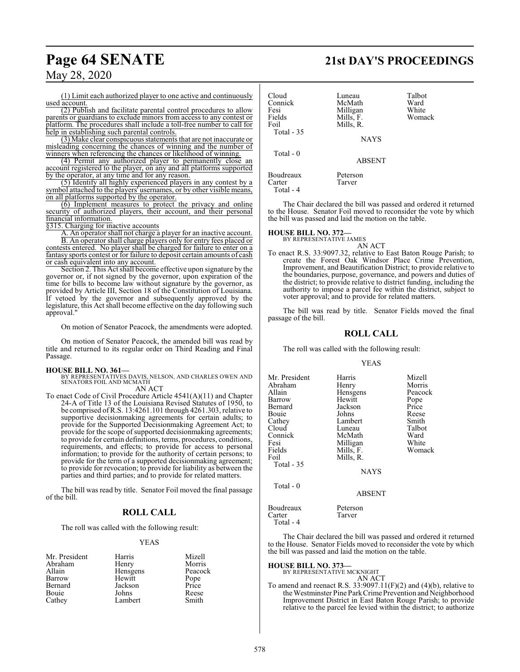# **Page 64 SENATE 21st DAY'S PROCEEDINGS**

May 28, 2020

(1) Limit each authorized player to one active and continuously used account.

(2) Publish and facilitate parental control procedures to allow parents or guardians to exclude minors from access to any contest or platform. The procedures shall include a toll-free number to call for help in establishing such parental controls.

(3) Make clear conspicuous statements that are not inaccurate or misleading concerning the chances of winning and the number of winners when referencing the chances or likelihood of winning.

(4) Permit any authorized player to permanently close an account registered to the player, on any and all platforms supported by the operator, at any time and for any reason.

(5) Identify all highly experienced players in any contest by a symbol attached to the players' usernames, or by other visible means, on all platforms supported by the operator.

(6) Implement measures to protect the privacy and online security of authorized players, their account, and their personal financial information.

§315. Charging for inactive accounts

A. An operator shall not charge a player for an inactive account. B. An operator shall charge players only for entry fees placed or

contests entered. No player shall be charged for failure to enter on a fantasy sports contest or for failure to deposit certain amounts of cash or cash equivalent into any account.

Section 2. This Act shall become effective upon signature by the governor or, if not signed by the governor, upon expiration of the time for bills to become law without signature by the governor, as provided by Article III, Section 18 of the Constitution of Louisiana. If vetoed by the governor and subsequently approved by the legislature, this Act shall become effective on the day following such approval."

On motion of Senator Peacock, the amendments were adopted.

On motion of Senator Peacock, the amended bill was read by title and returned to its regular order on Third Reading and Final Passage.

**HOUSE BILL NO. 361—** BY REPRESENTATIVES DAVIS, NELSON, AND CHARLES OWEN AND SENATORS FOIL AND MCMATH

AN ACT

To enact Code of Civil Procedure Article 4541(A)(11) and Chapter 24-A of Title 13 of the Louisiana Revised Statutes of 1950, to be comprised ofR.S. 13:4261.101 through 4261.303, relative to supportive decisionmaking agreements for certain adults; to provide for the Supported Decisionmaking Agreement Act; to provide for the scope of supported decisionmaking agreements; to provide for certain definitions, terms, procedures, conditions, requirements, and effects; to provide for access to personal information; to provide for the authority of certain persons; to provide for the term of a supported decisionmaking agreement; to provide for revocation; to provide for liability as between the parties and third parties; and to provide for related matters.

The bill was read by title. Senator Foil moved the final passage of the bill.

### **ROLL CALL**

The roll was called with the following result:

### YEAS

| Mr. President | Harris   | Mizell  |
|---------------|----------|---------|
| Abraham       | Henry    | Morris  |
| Allain        | Hensgens | Peacock |
| Barrow        | Hewitt   | Pope    |
| Bernard       | Jackson  | Price   |
| Bouie         | Johns    | Reese   |
| Cathey        | Lambert  | Smith   |

| Cloud<br>Connick<br>Fesi<br>Fields<br>Foil<br>Total - 35 | Luneau<br>McMath<br>Milligan<br>Mills, F.<br>Mills, R.<br><b>NAYS</b> | Talbot<br>Ward<br>White<br>Womack |
|----------------------------------------------------------|-----------------------------------------------------------------------|-----------------------------------|
| Total $-0$                                               | <b>ABSENT</b>                                                         |                                   |
| Boudreaux<br>Carter<br>Total - 4                         | Peterson<br>Tarver                                                    |                                   |

The Chair declared the bill was passed and ordered it returned to the House. Senator Foil moved to reconsider the vote by which the bill was passed and laid the motion on the table.

### **HOUSE BILL NO. 372—**

BY REPRESENTATIVE JAMES AN ACT

To enact R.S. 33:9097.32, relative to East Baton Rouge Parish; to create the Forest Oak Windsor Place Crime Prevention, Improvement, and Beautification District; to provide relative to the boundaries, purpose, governance, and powers and duties of the district; to provide relative to district funding, including the authority to impose a parcel fee within the district, subject to voter approval; and to provide for related matters.

The bill was read by title. Senator Fields moved the final passage of the bill.

### **ROLL CALL**

The roll was called with the following result:

### YEAS

| Mr. President | Harris      | Mizell  |
|---------------|-------------|---------|
|               |             |         |
| Abraham       | Henry       | Morris  |
| Allain        | Hensgens    | Peacock |
| Barrow        | Hewitt      | Pope    |
| Bernard       | Jackson     | Price   |
| Bouie         | Johns       | Reese   |
| Cathey        | Lambert     | Smith   |
| Cloud         | Luneau      | Talbot  |
| Connick       | McMath      | Ward    |
| Fesi          | Milligan    | White   |
| Fields        | Mills, F.   | Womack  |
| Foil          | Mills, R.   |         |
| Total - 35    |             |         |
|               | <b>NAYS</b> |         |
|               |             |         |

ABSENT

Boudreaux Peterson<br>Carter Tarver **Tarver** 

The Chair declared the bill was passed and ordered it returned to the House. Senator Fields moved to reconsider the vote by which the bill was passed and laid the motion on the table.

**HOUSE BILL NO. 373—** BY REPRESENTATIVE MCKNIGHT

Total - 0

Total - 4

AN ACT To amend and reenact R.S.  $33:9097.11(F)(2)$  and  $(4)(b)$ , relative to the Westminster Pine ParkCrimePrevention and Neighborhood Improvement District in East Baton Rouge Parish; to provide relative to the parcel fee levied within the district; to authorize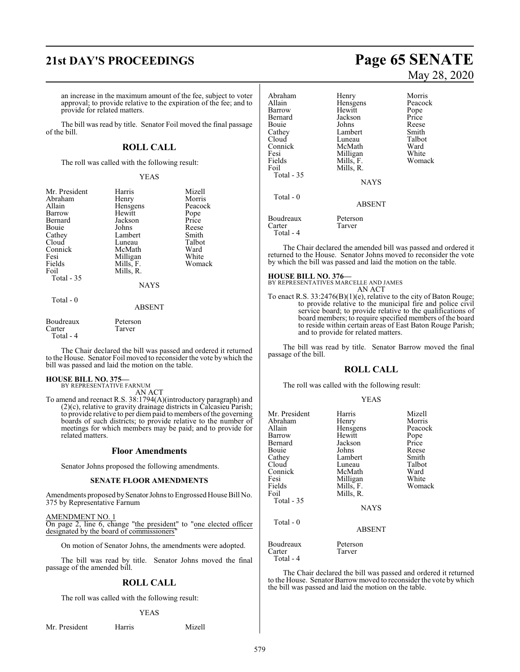an increase in the maximum amount of the fee, subject to voter approval; to provide relative to the expiration of the fee; and to provide for related matters.

The bill was read by title. Senator Foil moved the final passage of the bill.

### **ROLL CALL**

The roll was called with the following result:

### YEAS

| Mr. President<br>Abraham<br>Allain<br>Barrow<br>Bernard<br><b>Bouje</b><br>Cathey<br>Cloud<br>Connick<br>Fesi<br>Fields<br>Foil<br>Total $-35$ | Harris<br>Henry<br>Hensgens<br>Hewitt<br>Jackson<br>Johns<br>Lambert<br>Luneau<br>McMath<br>Milligan<br>Mills, F.<br>Mills, R. | Mizell<br>Morris<br>Peacock<br>Pope<br>Price<br>Reese<br>Smith<br>Talbot<br>Ward<br>White<br>Womack |
|------------------------------------------------------------------------------------------------------------------------------------------------|--------------------------------------------------------------------------------------------------------------------------------|-----------------------------------------------------------------------------------------------------|
|                                                                                                                                                | <b>NAYS</b>                                                                                                                    |                                                                                                     |
| Total $-0$                                                                                                                                     | ABSENT                                                                                                                         |                                                                                                     |
| Boudreaux                                                                                                                                      | Peterson                                                                                                                       |                                                                                                     |

Carter Tarver Total - 4 The Chair declared the bill was passed and ordered it returned to the House. Senator Foil moved to reconsider the vote by which the

**HOUSE BILL NO. 375—** BY REPRESENTATIVE FARNUM

bill was passed and laid the motion on the table.

AN ACT

To amend and reenact R.S. 38:1794(A)(introductory paragraph) and (2)(c), relative to gravity drainage districts in Calcasieu Parish; to provide relative to per diempaid to members ofthe governing boards of such districts; to provide relative to the number of meetings for which members may be paid; and to provide for related matters.

### **Floor Amendments**

Senator Johns proposed the following amendments.

### **SENATE FLOOR AMENDMENTS**

Amendments proposed by Senator Johns to Engrossed House Bill No. 375 by Representative Farnum

AMENDMENT NO. 1 On page 2, line 6, change "the president" to "one elected officer designated by the board of commissioners

On motion of Senator Johns, the amendments were adopted.

The bill was read by title. Senator Johns moved the final passage of the amended bill.

### **ROLL CALL**

The roll was called with the following result:

### YEAS

Mr. President Harris Mizell

# **21st DAY'S PROCEEDINGS Page 65 SENATE** May 28, 2020

Abraham Henry Morris<br>Allain Hensgens Peacock Hensgens Peacock<br>
Hewitt Pope Barrow Hewitt Pope Jackson Price<br>Johns Reese Bouie Johns Reese<br>Cathey Lambert Smith Cathey Lambert Smith<br>Cloud Luneau Talbot Luneau Talbo<br>McMath Ward Connick McMath Ward<br>
Fesi Milligan White Fesi Milligan White<br>Fields Mills, F. Womack Fields Mills, F.<br>Foil Mills, R Mills, R. Total - 35 NAYS Total - 0 ABSENT Boudreaux Peterson<br>Carter Tarver Carter Total - 4

The Chair declared the amended bill was passed and ordered it returned to the House. Senator Johns moved to reconsider the vote by which the bill was passed and laid the motion on the table.

**HOUSE BILL NO. 376—** BY REPRESENTATIVES MARCELLE AND JAMES AN ACT

To enact R.S. 33:2476(B)(1)(e), relative to the city of Baton Rouge; to provide relative to the municipal fire and police civil service board; to provide relative to the qualifications of board members; to require specified members of the board to reside within certain areas of East Baton Rouge Parish; and to provide for related matters.

The bill was read by title. Senator Barrow moved the final passage of the bill.

### **ROLL CALL**

The roll was called with the following result:

### YEAS

| Mr. President<br>Abraham<br>Allain<br>Barrow<br>Bernard<br>Bouie<br>Cathey<br>Cloud<br>Connick<br>Fesi<br>Fields<br>Foil<br><b>Total - 35</b> | Harris<br>Henry<br>Hensgens<br>Hewitt<br>Jackson<br>Johns<br>Lambert<br>Luneau<br>McMath<br>Milligan<br>Mills, F.<br>Mills, R.<br><b>NAYS</b> | Mizell<br>Morris<br>Peacock<br>Pope<br>Price<br>Reese<br>Smith<br>Talbot<br>Ward<br>White<br>Womack |
|-----------------------------------------------------------------------------------------------------------------------------------------------|-----------------------------------------------------------------------------------------------------------------------------------------------|-----------------------------------------------------------------------------------------------------|
| Total - 0                                                                                                                                     | <b>ABSENT</b>                                                                                                                                 |                                                                                                     |
| Boudreaux<br>Carter<br>Total - 4                                                                                                              | Peterson<br>Tarver                                                                                                                            |                                                                                                     |

The Chair declared the bill was passed and ordered it returned to the House. Senator Barrow moved to reconsider the vote by which the bill was passed and laid the motion on the table.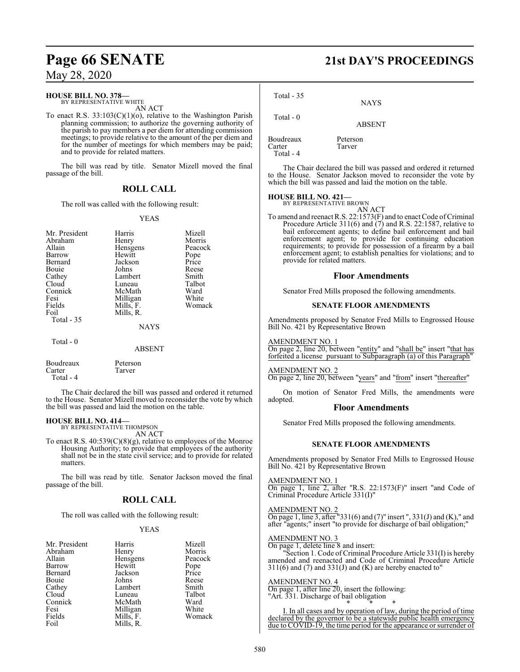### **HOUSE BILL NO. 378—**

BY REPRESENTATIVE WHITE AN ACT

To enact R.S. 33:103(C)(1)(o), relative to the Washington Parish planning commission; to authorize the governing authority of the parish to pay members a per diem for attending commission meetings; to provide relative to the amount of the per diem and for the number of meetings for which members may be paid; and to provide for related matters.

The bill was read by title. Senator Mizell moved the final passage of the bill.

### **ROLL CALL**

The roll was called with the following result:

### YEAS

| Mr. President<br>Abraham<br>Allain<br>Barrow<br>Bernard<br>Bouie<br>Cathey<br>Cloud<br>Connick<br>Fesi<br>Fields<br>Foil<br>Total $-35$ | Harris<br>Henry<br>Hensgens<br>Hewitt<br>Jackson<br>Johns<br>Lambert<br>Luneau<br>McMath<br>Milligan<br>Mills, F.<br>Mills, R.<br><b>NAYS</b> | Mizell<br>Morris<br>Peacock<br>Pope<br>Price<br>Reese<br>Smith<br>Talbot<br>Ward<br>White<br>Womack |
|-----------------------------------------------------------------------------------------------------------------------------------------|-----------------------------------------------------------------------------------------------------------------------------------------------|-----------------------------------------------------------------------------------------------------|
| Total $-0$                                                                                                                              | ABSENT                                                                                                                                        |                                                                                                     |

Boudreaux Peterson Carter Tarver Total - 4

The Chair declared the bill was passed and ordered it returned to the House. Senator Mizell moved to reconsider the vote by which the bill was passed and laid the motion on the table.

### **HOUSE BILL NO. 414—**

BY REPRESENTATIVE THOMPSON AN ACT

To enact R.S.  $40:539(C)(8)(g)$ , relative to employees of the Monroe Housing Authority; to provide that employees of the authority shall not be in the state civil service; and to provide for related matters.

The bill was read by title. Senator Jackson moved the final passage of the bill.

### **ROLL CALL**

The roll was called with the following result:

### YEAS

| Mr. President | Harris    | Mizell  |
|---------------|-----------|---------|
| Abraham       | Henry     | Morris  |
| Allain        | Hensgens  | Peacock |
| Barrow        | Hewitt    | Pope    |
| Bernard       | Jackson   | Price   |
| Bouie         | Johns     | Reese   |
| Cathey        | Lambert   | Smith   |
| Cloud         | Luneau    | Talbot  |
| Connick       | McMath    | Ward    |
| Fesi          | Milligan  | White   |
| Fields        | Mills, F. | Womack  |
| Foil          | Mills, R. |         |

# **Page 66 SENATE 21st DAY'S PROCEEDINGS**

NAYS

 Total - 0 ABSENT Boudreaux Peterson

Carter Tarver Total - 4

Total - 35

The Chair declared the bill was passed and ordered it returned to the House. Senator Jackson moved to reconsider the vote by which the bill was passed and laid the motion on the table.

### **HOUSE BILL NO. 421—**

BY REPRESENTATIVE BROWN AN ACT

To amend and reenact R.S. 22:1573(F) and to enact Code of Criminal Procedure Article 311(6) and (7) and R.S. 22:1587, relative to bail enforcement agents; to define bail enforcement and bail enforcement agent; to provide for continuing education requirements; to provide for possession of a firearm by a bail enforcement agent; to establish penalties for violations; and to provide for related matters.

### **Floor Amendments**

Senator Fred Mills proposed the following amendments.

### **SENATE FLOOR AMENDMENTS**

Amendments proposed by Senator Fred Mills to Engrossed House Bill No. 421 by Representative Brown

AMENDMENT NO. 1

On page 2, line 20, between "entity" and "shall be" insert "that has forfeited a license pursuant to Subparagraph (a) of this Paragraph'

### AMENDMENT NO. 2

On page 2, line 20, between "years" and "from" insert "thereafter"

On motion of Senator Fred Mills, the amendments were adopted.

### **Floor Amendments**

Senator Fred Mills proposed the following amendments.

### **SENATE FLOOR AMENDMENTS**

Amendments proposed by Senator Fred Mills to Engrossed House Bill No. 421 by Representative Brown

### AMENDMENT NO. 1

On page 1, line 2, after "R.S. 22:1573(F)" insert "and Code of Criminal Procedure Article 331(I)"

### AMENDMENT NO. 2

On page 1, line 3, after "331(6) and  $(7)$ " insert ", 331(J) and  $(K)$ ," and after "agents;" insert "to provide for discharge of bail obligation;"

### AMENDMENT NO. 3

On page 1, delete line 8 and insert: "Section 1. Code of Criminal Procedure Article 331(I) is hereby amended and reenacted and Code of Criminal Procedure Article  $311(6)$  and  $(7)$  and  $331(J)$  and  $(K)$  are hereby enacted to"

### AMENDMENT NO. 4

On page 1, after line 20, insert the following: "Art. 331. Discharge of bail obligation

\* \* \* I. In all cases and by operation of law, during the period of time declared by the governor to be a statewide public health emergency due to COVID-19, the time period for the appearance or surrender of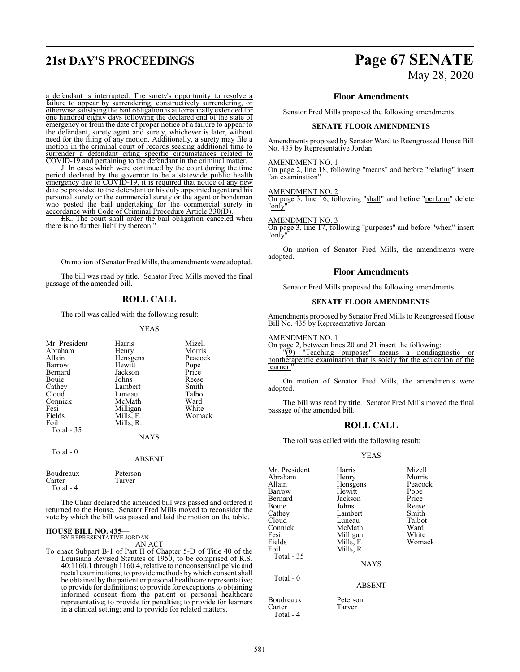# **21st DAY'S PROCEEDINGS Page 67 SENATE**

a defendant is interrupted. The surety's opportunity to resolve a failure to appear by surrendering, constructively surrendering, or otherwise satisfying the bail obligation is automatically extended for one hundred eighty days following the declared end of the state of emergency or from the date of proper notice of a failure to appear to the defendant, surety agent and surety, whichever is later, without need for the filing of any motion. Additionally, a surety may file a motion in the criminal court of records seeking additional time to surrender a defendant citing specific circumstances related to COVID-19 and pertaining to the defendant in the criminal matter.

J. In cases which were continued by the court during the time period declared by the governor to be a statewide public health emergency due to COVID-19, it is required that notice of any new date be provided to the defendant or his duly appointed agent and his personal surety or the commercial surety or the agent or bondsman who posted the bail undertaking for the commercial surety in accordance with Code of Criminal Procedure Article 330(D).

**H.K.** The court shall order the bail obligation canceled when there is no further liability thereon."

On motion of Senator Fred Mills, the amendments were adopted.

The bill was read by title. Senator Fred Mills moved the final passage of the amended bill.

### **ROLL CALL**

The roll was called with the following result:

### YEAS

| Mr. President<br>Abraham<br>Allain<br>Barrow<br>Bernard<br>Bouie<br>Cathey<br>Cloud<br>Connick<br>Fesi<br>Fields<br>Foil | Harris<br>Henry<br>Hensgens<br>Hewitt<br>Jackson<br>Johns<br>Lambert<br>Luneau<br>McMath<br>Milligan<br>Mills, F.<br>Mills, R. | Mizell<br>Morris<br>Peacock<br>Pope<br>Price<br>Reese<br>Smith<br>Talbot<br>Ward<br>White<br>Womack |
|--------------------------------------------------------------------------------------------------------------------------|--------------------------------------------------------------------------------------------------------------------------------|-----------------------------------------------------------------------------------------------------|
| Total - 35<br>Total - 0                                                                                                  | <b>NAYS</b><br><b>ABSENT</b>                                                                                                   |                                                                                                     |
| Boudreaux<br>Carter                                                                                                      | Peterson<br>Tarver                                                                                                             |                                                                                                     |

Total - 4

The Chair declared the amended bill was passed and ordered it returned to the House. Senator Fred Mills moved to reconsider the vote by which the bill was passed and laid the motion on the table.

### **HOUSE BILL NO. 435—** BY REPRESENTATIVE JORDAN

AN ACT

To enact Subpart B-1 of Part II of Chapter 5-D of Title 40 of the Louisiana Revised Statutes of 1950, to be comprised of R.S. 40:1160.1 through 1160.4, relative to nonconsensual pelvic and rectal examinations; to provide methods by which consent shall be obtained by the patient or personal healthcare representative; to provide for definitions; to provide for exceptions to obtaining informed consent from the patient or personal healthcare representative; to provide for penalties; to provide for learners in a clinical setting; and to provide for related matters.

# May 28, 2020

### **Floor Amendments**

Senator Fred Mills proposed the following amendments.

### **SENATE FLOOR AMENDMENTS**

Amendments proposed by Senator Ward to Reengrossed House Bill No. 435 by Representative Jordan

### AMENDMENT NO. 1

On page 2, line 18, following "means" and before "relating" insert "an examination"

### AMENDMENT NO. 2

On page 3, line 16, following "shall" and before "perform" delete "only"

### AMENDMENT NO. 3

On page 3, line 17, following "purposes" and before "when" insert "only"

On motion of Senator Fred Mills, the amendments were adopted.

### **Floor Amendments**

Senator Fred Mills proposed the following amendments.

### **SENATE FLOOR AMENDMENTS**

Amendments proposed by Senator Fred Mills to Reengrossed House Bill No. 435 by Representative Jordan

AMENDMENT NO. 1

On page 2, between lines 20 and 21 insert the following:

"(9) "Teaching purposes" means a nondiagnostic or nontherapeutic examination that is solely for the education of the learner.

On motion of Senator Fred Mills, the amendments were adopted.

The bill was read by title. Senator Fred Mills moved the final passage of the amended bill.

### **ROLL CALL**

The roll was called with the following result:

### YEAS

| Mr. President | Harris        | Mizell  |
|---------------|---------------|---------|
| Abraham       | Henry         | Morris  |
| Allain        | Hensgens      | Peacock |
| Barrow        | Hewitt        | Pope    |
| Bernard       | Jackson       | Price   |
| Bouie         | Johns         | Reese   |
| Cathey        | Lambert       | Smith   |
| Cloud         | Luneau        | Talbot  |
| Connick       | McMath        | Ward    |
| Fesi          | Milligan      | White   |
| Fields        | Mills, F.     | Womack  |
| Foil          | Mills, R.     |         |
| Total - 35    |               |         |
|               | <b>NAYS</b>   |         |
| Total $-0$    |               |         |
|               | <b>ABSENT</b> |         |

Boudreaux Peterson<br>Carter Tarver

Carter Total - 4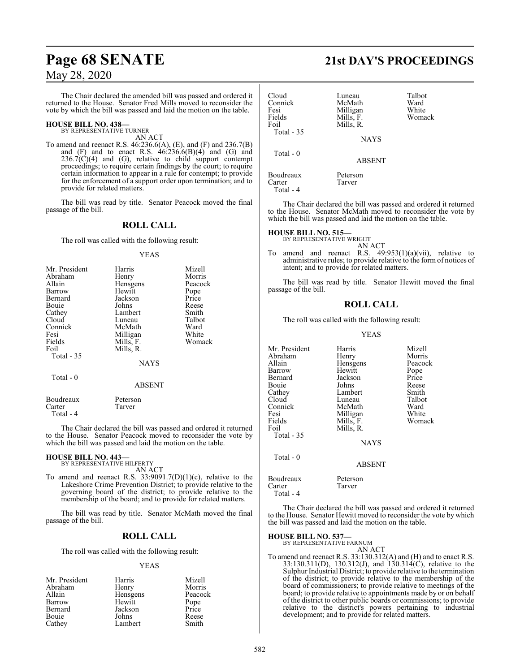The Chair declared the amended bill was passed and ordered it returned to the House. Senator Fred Mills moved to reconsider the vote by which the bill was passed and laid the motion on the table.

# **HOUSE BILL NO. 438—** BY REPRESENTATIVE TURNER

AN ACT

To amend and reenact R.S. 46:236.6(A), (E), and (F) and 236.7(B) and  $(F)$  and to enact R.S.  $46:236.6(B)(4)$  and  $(G)$  and  $236.7(\dot{C})(4)$  and (G), relative to child support contempt proceedings; to require certain findings by the court; to require certain information to appear in a rule for contempt; to provide for the enforcement of a support order upon termination; and to provide for related matters.

The bill was read by title. Senator Peacock moved the final passage of the bill.

### **ROLL CALL**

The roll was called with the following result:

### YEAS

| Mr. President | Harris      | Mizell  |
|---------------|-------------|---------|
| Abraham       | Henry       | Morris  |
| Allain        | Hensgens    | Peacock |
| Barrow        | Hewitt      | Pope    |
| Bernard       | Jackson     | Price   |
| <b>Bouje</b>  | Johns       | Reese   |
| Cathey        | Lambert     | Smith   |
| Cloud         | Luneau      | Talbot  |
| Connick       | McMath      | Ward    |
| Fesi          | Milligan    | White   |
| Fields        | Mills, F.   | Womack  |
| Foil          | Mills, R.   |         |
| Total $-35$   |             |         |
|               | <b>NAYS</b> |         |
| Total $-0$    |             |         |
|               | ABSENT      |         |

Boudreaux Peterson<br>Carter Tarver Carter Total - 4

The Chair declared the bill was passed and ordered it returned to the House. Senator Peacock moved to reconsider the vote by which the bill was passed and laid the motion on the table.

## **HOUSE BILL NO. 443—** BY REPRESENTATIVE HILFERTY

AN ACT

To amend and reenact R.S.  $33:9091.7(D)(1)(c)$ , relative to the Lakeshore Crime Prevention District; to provide relative to the governing board of the district; to provide relative to the membership of the board; and to provide for related matters.

The bill was read by title. Senator McMath moved the final passage of the bill.

### **ROLL CALL**

The roll was called with the following result:

### YEAS

| Mr. President | Harris   | Mizell        |
|---------------|----------|---------------|
| Abraham       | Henry    | Morris        |
| Allain        | Hensgens | Peacock       |
| Barrow        | Hewitt   | Pope<br>Price |
| Bernard       | Jackson  |               |
| Bouie         | Johns    | Reese         |
| Cathey        | Lambert  | Smith         |

# **Page 68 SENATE 21st DAY'S PROCEEDINGS**

| Cloud<br>Connick<br>Fesi<br>Fields<br>Foil<br>Total - 35 | Luneau<br>McMath<br>Milligan<br>Mills, F.<br>Mills, R.<br><b>NAYS</b> | Talbot<br>Ward<br>White<br>Womack |
|----------------------------------------------------------|-----------------------------------------------------------------------|-----------------------------------|
| Total $-0$                                               | <b>ABSENT</b>                                                         |                                   |
| Boudreaux<br>Carter<br>Total - 4                         | Peterson<br>Tarver                                                    |                                   |

The Chair declared the bill was passed and ordered it returned to the House. Senator McMath moved to reconsider the vote by which the bill was passed and laid the motion on the table.

### **HOUSE BILL NO. 515—**

BY REPRESENTATIVE WRIGHT AN ACT

To amend and reenact R.S. 49:953(1)(a)(vii), relative to administrative rules; to provide relative to the form of notices of intent; and to provide for related matters.

The bill was read by title. Senator Hewitt moved the final passage of the bill.

### **ROLL CALL**

The roll was called with the following result:

### YEAS

| Mr. President         | Harris        | Mizell  |
|-----------------------|---------------|---------|
| Abraham               | Henry         | Morris  |
| Allain                | Hensgens      | Peacock |
| Barrow                | Hewitt        | Pope    |
| Bernard               | Jackson       | Price   |
| Bouie                 | Johns         | Reese   |
| Cathey                | Lambert       | Smith   |
| Cloud                 | Luneau        | Talbot  |
| Connick               | McMath        | Ward    |
| Fesi                  | Milligan      | White   |
| Fields                | Mills, F.     | Womack  |
| Foil                  | Mills, R.     |         |
| Total $-35$           |               |         |
|                       | <b>NAYS</b>   |         |
| Total - 0             |               |         |
|                       | <b>ABSENT</b> |         |
| Boudreaux             | Peterson      |         |
| Carter<br>Total - $4$ | Tarver        |         |

The Chair declared the bill was passed and ordered it returned to the House. Senator Hewitt moved to reconsider the vote by which the bill was passed and laid the motion on the table.

```
HOUSE BILL NO. 537—
```
BY REPRESENTATIVE FARNUM AN ACT

To amend and reenact R.S. 33:130.312(A) and (H) and to enact R.S. 33:130.311(D), 130.312(J), and 130.314(C), relative to the Sulphur Industrial District; to provide relative to the termination of the district; to provide relative to the membership of the board of commissioners; to provide relative to meetings of the board; to provide relative to appointments made by or on behalf of the district to other public boards or commissions; to provide relative to the district's powers pertaining to industrial development; and to provide for related matters.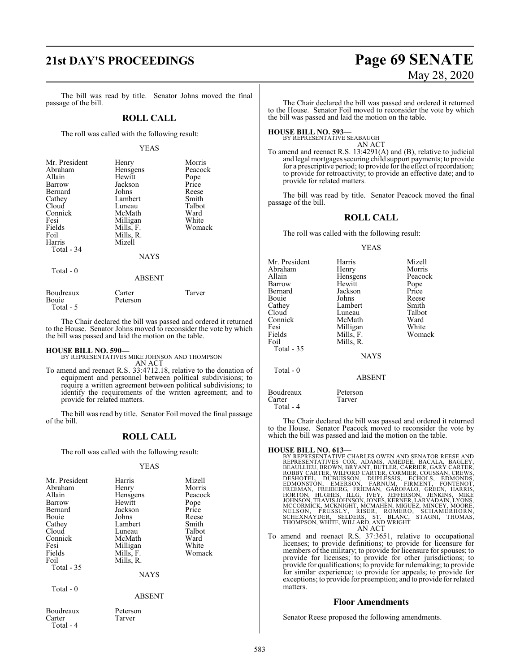# **21st DAY'S PROCEEDINGS Page 69 SENATE**

The bill was read by title. Senator Johns moved the final passage of the bill.

### **ROLL CALL**

The roll was called with the following result:

### YEAS

| Mr. President | Henry         | Morris  |
|---------------|---------------|---------|
| Abraham       | Hensgens      | Peacock |
| Allain        | Hewitt        | Pope    |
| Barrow        | Jackson       | Price   |
| Bernard       | Johns         | Reese   |
| Cathey        | Lambert       | Smith   |
| Cloud         | Luneau        | Talbot  |
| Connick       | McMath        | Ward    |
| Fesi          | Milligan      | White   |
| Fields        | Mills, F.     | Womack  |
| Foil          | Mills, R.     |         |
| Harris        | Mizell        |         |
| Total - 34    |               |         |
|               | <b>NAYS</b>   |         |
| Total - 0     |               |         |
|               | <b>ABSENT</b> |         |
| _ _           |               |         |

Boudreaux Carter Tarver Peterson Total - 5

The Chair declared the bill was passed and ordered it returned to the House. Senator Johns moved to reconsider the vote by which the bill was passed and laid the motion on the table.

**HOUSE BILL NO. 590—** BY REPRESENTATIVES MIKE JOHNSON AND THOMPSON AN ACT

To amend and reenact R.S. 33:4712.18, relative to the donation of equipment and personnel between political subdivisions; to require a written agreement between political subdivisions; to identify the requirements of the written agreement; and to provide for related matters.

The bill was read by title. Senator Foil moved the final passage of the bill.

### **ROLL CALL**

The roll was called with the following result:

### YEAS

| Mr. President<br>Abraham<br>Allain<br>Barrow<br>Bernard<br>Bouie<br>Cathey<br>Cloud<br>Connick<br>Fesi<br>Fields<br>Foil<br>Total - 35 | Harris<br>Henry<br>Hensgens<br>Hewitt<br>Jackson<br>Johns<br>Lambert<br>Luneau<br>McMath<br>Milligan<br>Mills, F.<br>Mills, R.<br><b>NAYS</b> | Mizell<br>Morris<br>Peacock<br>Pope<br>Price<br>Reese<br>Smith<br>Talbot<br>Ward<br>White<br>Womack |
|----------------------------------------------------------------------------------------------------------------------------------------|-----------------------------------------------------------------------------------------------------------------------------------------------|-----------------------------------------------------------------------------------------------------|
| Total - 0                                                                                                                              | <b>ABSENT</b>                                                                                                                                 |                                                                                                     |
| Boudreaux<br>Carter<br>Total - 4                                                                                                       | Peterson<br>Tarver                                                                                                                            |                                                                                                     |

# May 28, 2020

The Chair declared the bill was passed and ordered it returned to the House. Senator Foil moved to reconsider the vote by which the bill was passed and laid the motion on the table.

### **HOUSE BILL NO. 593—** BY REPRESENTATIVE SEABAUGH

AN ACT

To amend and reenact R.S. 13:4291(A) and (B), relative to judicial and legal mortgages securing child support payments; to provide for a prescriptive period; to provide for the effect ofrecordation; to provide for retroactivity; to provide an effective date; and to provide for related matters.

The bill was read by title. Senator Peacock moved the final passage of the bill.

### **ROLL CALL**

The roll was called with the following result:

### YEAS

| Mr. President       | Harris             | Mizell  |
|---------------------|--------------------|---------|
| Abraham             | Henry              | Morris  |
| Allain              | Hensgens           | Peacock |
| Barrow              | Hewitt             | Pope    |
| Bernard             | Jackson            | Price   |
| Bouie               | Johns              | Reese   |
| Cathey              | Lambert            | Smith   |
| Cloud               | Luneau             | Talbot  |
| Connick             | McMath             | Ward    |
| Fesi                | Milligan           | White   |
| Fields              | Mills, F.          | Womack  |
| Foil                | Mills, R.          |         |
| Total $-35$         |                    |         |
|                     | <b>NAYS</b>        |         |
| Total $-0$          |                    |         |
|                     | <b>ABSENT</b>      |         |
| Boudreaux<br>Carter | Peterson<br>Tarver |         |

Total - 4

The Chair declared the bill was passed and ordered it returned to the House. Senator Peacock moved to reconsider the vote by which the bill was passed and laid the motion on the table.

- **HOUSE BILL NO. 613—**<br>BY REPRESENTATIVES CHARLES OWEN AND SENATOR REESE AND<br>REPRESENTATIVES COX, ADAMS, AMEDEE, BACALA, BAGLEY,<br>BEAULLIEU, BROWN, BRYANT, BUTLER, CARRIER, GARY CARTER,<br>ROBBY CARTER, WILFORD CARTER, CORMIER, MCCORMICK, MCKNIGHT, MCMAHEN, MIGUEZ, MINCEY, MOORE,<br>NELSON, PRESSLY, RISER, ROMERO, SCHAMERHORN,<br>SCHEXNAYDER, SELDERS, ST. BLANC, STAGNI, THOMAS,<br>THOMPSON, WHITE, WILLARD, AND WRIGHT AN ACT
- To amend and reenact R.S. 37:3651, relative to occupational licenses; to provide definitions; to provide for licensure for members of the military; to provide for licensure for spouses; to provide for licenses; to provide for other jurisdictions; to provide for qualifications; to provide for rulemaking; to provide for similar experience; to provide for appeals; to provide for exceptions; to provide for preemption; and to provide for related matters.

### **Floor Amendments**

Senator Reese proposed the following amendments.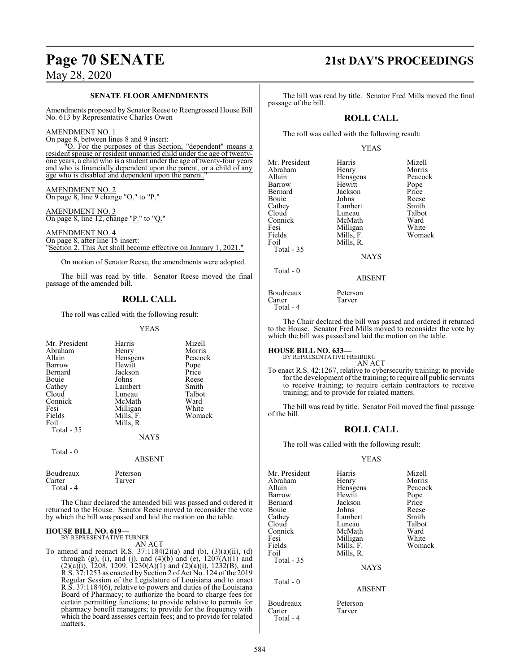### **SENATE FLOOR AMENDMENTS**

Amendments proposed by Senator Reese to Reengrossed House Bill No. 613 by Representative Charles Owen

### AMENDMENT NO. 1

On page 8, between lines 8 and 9 insert: "O. For the purposes of this Section, "dependent" means a resident spouse or resident unmarried child under the age of twentyone years, a child who is a student under the age of twenty-four years and who is financially dependent upon the parent, or a child of any age who is disabled and dependent upon the parent.

### AMENDMENT NO. 2 On page 8, line 9 change "O." to "P."

AMENDMENT NO. 3 On page 8, line 12, change " $P''$  to "Q."

AMENDMENT NO. 4 On page 8, after line 15 insert: "Section 2. This Act shall become effective on January 1, 2021."

On motion of Senator Reese, the amendments were adopted.

The bill was read by title. Senator Reese moved the final passage of the amended bill.

### **ROLL CALL**

The roll was called with the following result:

### YEAS

| Mr. President<br>Abraham<br>Allain<br>Barrow<br>Bernard<br>Bouie<br>Cathey<br>Cloud<br>Connick<br>Fesi<br>Fields<br>Foil | Harris<br>Henry<br>Hensgens<br>Hewitt<br>Jackson<br>Johns<br>Lambert<br>Luneau<br>McMath<br>Milligan<br>Mills, F.<br>Mills, R. | Mizell<br>Morris<br>Peacock<br>Pope<br>Price<br>Reese<br>Smith<br>Talbot<br>Ward<br>White<br>Womack |
|--------------------------------------------------------------------------------------------------------------------------|--------------------------------------------------------------------------------------------------------------------------------|-----------------------------------------------------------------------------------------------------|
| Total $-35$<br>Total - 0                                                                                                 | <b>NAYS</b><br><b>ABSENT</b>                                                                                                   |                                                                                                     |
| Boudreaux                                                                                                                | Peterson                                                                                                                       |                                                                                                     |

Carter Tarver Total - 4

The Chair declared the amended bill was passed and ordered it returned to the House. Senator Reese moved to reconsider the vote by which the bill was passed and laid the motion on the table.

### **HOUSE BILL NO. 619—** BY REPRESENTATIVE TURNER

AN ACT

To amend and reenact R.S. 37:1184(2)(a) and (b), (3)(a)(ii), (d) through (g), (i), and (j), and (4)(b) and (e),  $1207(A)(1)$  and  $(2)(a)(i)$ , 1208, 1209, 1230(A)(1) and (2)(a)(i), 1232(B), and R.S. 37:1253 as enacted by Section 2 of Act No. 124 of the 2019 Regular Session of the Legislature of Louisiana and to enact R.S. 37:1184(6), relative to powers and duties of the Louisiana Board of Pharmacy; to authorize the board to charge fees for certain permitting functions; to provide relative to permits for pharmacy benefit managers; to provide for the frequency with which the board assesses certain fees; and to provide for related matters.

# **Page 70 SENATE 21st DAY'S PROCEEDINGS**

The bill was read by title. Senator Fred Mills moved the final passage of the bill.

### **ROLL CALL**

The roll was called with the following result:

### YEAS

| Mr. President | Harris      | Mizell  |
|---------------|-------------|---------|
| Abraham       | Henry       | Morris  |
| Allain        | Hensgens    | Peacock |
| Barrow        | Hewitt      | Pope    |
| Bernard       | Jackson     | Price   |
| Bouie         | Johns       | Reese   |
| Cathey        | Lambert     | Smith   |
| Cloud         | Luneau      | Talbot  |
| Connick       | McMath      | Ward    |
| Fesi          | Milligan    | White   |
| Fields        | Mills, F.   | Womack  |
| Foil          | Mills, R.   |         |
| Total - 35    |             |         |
|               | <b>NAYS</b> |         |
| Total - 0     |             |         |

Boudreaux Peterson<br>Carter Tarver **Tarver** 

```
 Total - 4
```
The Chair declared the bill was passed and ordered it returned to the House. Senator Fred Mills moved to reconsider the vote by which the bill was passed and laid the motion on the table.

ABSENT

**HOUSE BILL NO. 633—** BY REPRESENTATIVE FREIBERG

AN ACT

To enact R.S. 42:1267, relative to cybersecurity training; to provide for the development ofthe training; to require all public servants to receive training; to require certain contractors to receive training; and to provide for related matters.

The bill was read by title. Senator Foil moved the final passage of the bill.

### **ROLL CALL**

The roll was called with the following result:

### YEAS

| Mr. President | Harris      | Mizell  |
|---------------|-------------|---------|
| Abraham       | Henry       | Morris  |
| Allain        | Hensgens    | Peacock |
| Barrow        | Hewitt      | Pope    |
| Bernard       | Jackson     | Price   |
| Bouie         | Johns       | Reese   |
| Cathey        | Lambert     | Smith   |
| Cloud         | Luneau      | Talbot  |
| Connick       | McMath      | Ward    |
| Fesi          | Milligan    | White   |
| Fields        | Mills, F.   | Womack  |
| Foil          | Mills, R.   |         |
| Total - 35    |             |         |
|               | <b>NAYS</b> |         |
| Total $-0$    |             |         |
|               | ARSENT      |         |

Tarver

Boudreaux Peterson<br>Carter Tarver

Total - 4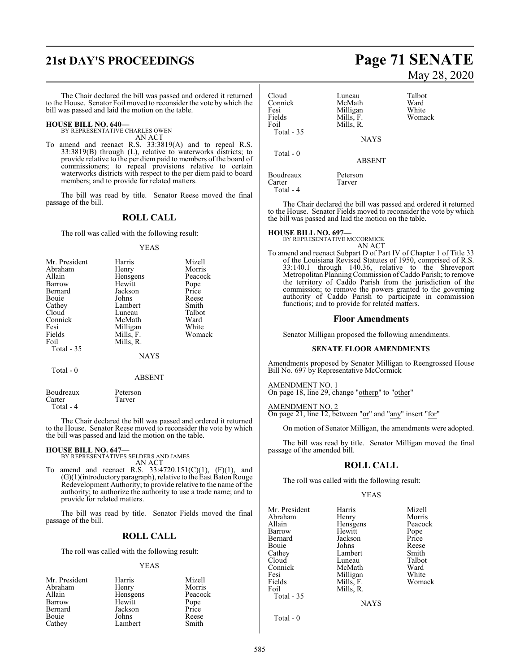# **21st DAY'S PROCEEDINGS Page 71 SENATE**

The Chair declared the bill was passed and ordered it returned to the House. Senator Foil moved to reconsider the vote by which the bill was passed and laid the motion on the table.

# **HOUSE BILL NO. 640—** BY REPRESENTATIVE CHARLES OWEN

AN ACT

To amend and reenact R.S. 33:3819(A) and to repeal R.S. 33:3819(B) through (L), relative to waterworks districts; to provide relative to the per diem paid to members of the board of commissioners; to repeal provisions relative to certain waterworks districts with respect to the per diem paid to board members; and to provide for related matters.

The bill was read by title. Senator Reese moved the final passage of the bill.

### **ROLL CALL**

The roll was called with the following result:

### YEAS

| Mr. President | Harris    | Mizell  |
|---------------|-----------|---------|
| Abraham       | Henry     | Morris  |
| Allain        | Hensgens  | Peacock |
| Barrow        | Hewitt    | Pope    |
| Bernard       | Jackson   | Price   |
| Bouie         | Johns     | Reese   |
| Cathey        | Lambert   | Smith   |
| Cloud         | Luneau    | Talbot  |
| Connick       | McMath    | Ward    |
| Fesi          | Milligan  | White   |
| Fields        | Mills, F. | Womack  |
| Foil          | Mills, R. |         |
| Total - 35    |           |         |
|               | NAYS      |         |

Total - 0

Boudreaux Peterson<br>Carter Tarver Tarver Total - 4

The Chair declared the bill was passed and ordered it returned to the House. Senator Reese moved to reconsider the vote by which the bill was passed and laid the motion on the table.

ABSENT

### **HOUSE BILL NO. 647—**

BY REPRESENTATIVES SELDERS AND JAMES AN ACT

To amend and reenact R.S.  $33:4720.151(C)(1)$ ,  $(F)(1)$ , and (G)(1)(introductory paragraph), relative to the East BatonRouge Redevelopment Authority; to provide relative to the name of the authority; to authorize the authority to use a trade name; and to provide for related matters.

The bill was read by title. Senator Fields moved the final passage of the bill.

### **ROLL CALL**

The roll was called with the following result:

### YEAS

| Mr. President | Harris   | Mizell        |
|---------------|----------|---------------|
| Abraham       | Henry    | Morris        |
| Allain        | Hensgens | Peacock       |
| Barrow        | Hewitt   | Pope<br>Price |
| Bernard       | Jackson  |               |
| Bouie         | Johns    | Reese         |
| Cathey        | Lambert  | Smith         |

# May 28, 2020

| Cloud<br>Connick<br>Fesi<br>Fields<br>Foil<br>Total $-35$ | Luneau<br>McMath<br>Milligan<br>Mills, F.<br>Mills, R.<br><b>NAYS</b> | Talbot<br>Ward<br>White<br>Womack |
|-----------------------------------------------------------|-----------------------------------------------------------------------|-----------------------------------|
| Total - 0                                                 | <b>ABSENT</b>                                                         |                                   |
| Boudreaux<br>Carter<br>Total - 4                          | Peterson<br>Tarver                                                    |                                   |

The Chair declared the bill was passed and ordered it returned to the House. Senator Fields moved to reconsider the vote by which the bill was passed and laid the motion on the table.

### **HOUSE BILL NO. 697—**

BY REPRESENTATIVE MCCORMICK AN ACT

To amend and reenact Subpart D of Part IV of Chapter 1 of Title 33 of the Louisiana Revised Statutes of 1950, comprised of R.S. 33:140.1 through 140.36, relative to the Shreveport Metropolitan PlanningCommission ofCaddo Parish; to remove the territory of Caddo Parish from the jurisdiction of the commission; to remove the powers granted to the governing authority of Caddo Parish to participate in commission functions; and to provide for related matters.

### **Floor Amendments**

Senator Milligan proposed the following amendments.

### **SENATE FLOOR AMENDMENTS**

Amendments proposed by Senator Milligan to Reengrossed House Bill No. 697 by Representative McCormick

### AMENDMENT NO. 1

On page 18, line 29, change "otherp" to "other"

AMENDMENT NO. 2

On page 21, line 12, between "or" and "any" insert "for"

On motion of Senator Milligan, the amendments were adopted.

The bill was read by title. Senator Milligan moved the final passage of the amended bill.

### **ROLL CALL**

The roll was called with the following result:

Mills, R.

### YEAS

Mr. President Harris Mizell<br>Abraham Henry Morris Abraham Henry Morris<br>Allain Hensgens Peacock Allain Hensgens Peacock<br>Barrow Hewitt Pope Barrow Hewitt Pope<br>Bernard Jackson Price Bernard Jackson<br>Bouie Johns Bouie Johns Reese<br>Cathey Lambert Smith Cathey Lambert Smith<br>Cloud Luneau Talbot Cloud Luneau Talbo<br>Connick McMath Ward Connick McMath Ward<br>
Fesi Milligan White Fesi Milligan<br>Fields Mills, F. Fields Mills, F. Womack<br>Foil Mills, R. Total - 35

**NAYS** 

Total - 0

585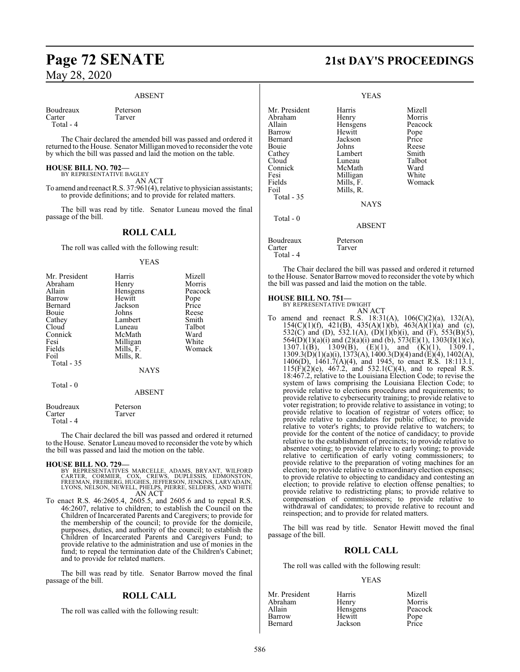### ABSENT

Boudreaux Peterson<br>Carter Tarver

Total - 4

The Chair declared the amended bill was passed and ordered it returned to the House. Senator Milligan moved to reconsider the vote by which the bill was passed and laid the motion on the table.

**HOUSE BILL NO. 702—** BY REPRESENTATIVE BAGLEY

AN ACT

Tarver

To amend and reenact R.S. 37:961(4), relative to physician assistants; to provide definitions; and to provide for related matters.

The bill was read by title. Senator Luneau moved the final passage of the bill.

### **ROLL CALL**

The roll was called with the following result:

### YEAS

| Mr. President | Harris        | Mizell  |
|---------------|---------------|---------|
| Abraham       | Henry         | Morris  |
| Allain        | Hensgens      | Peacock |
| Barrow        | Hewitt        | Pope    |
| Bernard       | Jackson       | Price   |
| Bouie         | Johns         | Reese   |
| Cathey        | Lambert       | Smith   |
| Cloud         | Luneau        | Talbot  |
| Connick       | McMath        | Ward    |
| Fesi          | Milligan      | White   |
| Fields        | Mills, F.     | Womack  |
| Foil          | Mills, R.     |         |
| Total $-35$   |               |         |
|               | <b>NAYS</b>   |         |
| Total $-0$    |               |         |
|               | <b>ABSENT</b> |         |
| Boudreaux     | Peterson      |         |

 Total - 4 The Chair declared the bill was passed and ordered it returned to the House. Senator Luneau moved to reconsider the vote by which

the bill was passed and laid the motion on the table.

### **HOUSE BILL NO. 729—**

Carter Tarver

- BY REPRESENTATIVES MARCELLE, ADAMS, BRYANT, WILFORD<br>CARTER, CORMIER, COX, CREWS, DUPLESSIS, EDMONSTON,<br>FREEMAN,FREIBERG,HUGHES,JEFFERSON,JENKINS,LARVADAIN, LYONS, NELSON, NEWELL, PHELPS, PIERRE, SELDERS, AND WHITE AN ACT
- To enact R.S. 46:2605.4, 2605.5, and 2605.6 and to repeal R.S. 46:2607, relative to children; to establish the Council on the Children of Incarcerated Parents and Caregivers; to provide for the membership of the council; to provide for the domicile, purposes, duties, and authority of the council; to establish the Children of Incarcerated Parents and Caregivers Fund; to provide relative to the administration and use of monies in the fund; to repeal the termination date of the Children's Cabinet; and to provide for related matters.

The bill was read by title. Senator Barrow moved the final passage of the bill.

### **ROLL CALL**

The roll was called with the following result:

# **Page 72 SENATE 21st DAY'S PROCEEDINGS**

|                                                                                                                                               | YEAS                                                                                                                                          |                                                                                                     |
|-----------------------------------------------------------------------------------------------------------------------------------------------|-----------------------------------------------------------------------------------------------------------------------------------------------|-----------------------------------------------------------------------------------------------------|
| Mr. President<br>Abraham<br>Allain<br>Barrow<br>Bernard<br>Bouie<br>Cathey<br>Cloud<br>Connick<br>Fesi<br>Fields<br>Foil<br><b>Total - 35</b> | Harris<br>Henry<br>Hensgens<br>Hewitt<br>Jackson<br>Johns<br>Lambert<br>Luneau<br>McMath<br>Milligan<br>Mills, F.<br>Mills, R.<br><b>NAYS</b> | Mizell<br>Morris<br>Peacock<br>Pope<br>Price<br>Reese<br>Smith<br>Talbot<br>Ward<br>White<br>Womack |
| Total - 0                                                                                                                                     | <b>ABSENT</b>                                                                                                                                 |                                                                                                     |
| Boudreaux                                                                                                                                     | Peterson                                                                                                                                      |                                                                                                     |

The Chair declared the bill was passed and ordered it returned to the House. Senator Barrow moved to reconsider the vote by which the bill was passed and laid the motion on the table.

### **HOUSE BILL NO. 751—**

Carter Tarver

Total - 4

BY REPRESENTATIVE DWIGHT

AN ACT To amend and reenact R.S. 18:31(A), 106(C)(2)(a), 132(A), 154(C)(1)(f), 421(B), 435(A)(1)(b), 463(A)(1)(a) and (c), 532(C) and (D), 532.1(A),  $(D)(1)(b)(i)$ , and  $(F)$ , 553(B)(5), 564(D)(1)(a)(i) and (2)(a)(i) and (b), 573(E)(1), 1303(I)(1)(c), 1307.1(B), 1309(B),  $(E)(1)$ , and  $(K)(1)$ , 1309.1,  $1309.3(D)(1)(a)(i)$ ,  $1373(A)$ ,  $1400.3(D)(4)$  and  $(E)(4)$ ,  $1402(A)$ , 1406(D), 1461.7(A)(4), and 1945, to enact R.S. 18:113.1,  $115(F)(2)(e)$ , 467.2, and 532.1(C)(4), and to repeal R.S. 18:467.2, relative to the Louisiana Election Code; to revise the system of laws comprising the Louisiana Election Code; to provide relative to elections procedures and requirements; to provide relative to cybersecurity training; to provide relative to voter registration; to provide relative to assistance in voting; to provide relative to location of registrar of voters office; to provide relative to candidates for public office; to provide relative to voter's rights; to provide relative to watchers; to provide for the content of the notice of candidacy; to provide relative to the establishment of precincts; to provide relative to absentee voting; to provide relative to early voting; to provide relative to certification of early voting commissioners; to provide relative to the preparation of voting machines for an election; to provide relative to extraordinary election expenses; to provide relative to objecting to candidacy and contesting an election; to provide relative to election offense penalties; to provide relative to redistricting plans; to provide relative to compensation of commissioners; to provide relative to withdrawal of candidates; to provide relative to recount and reinspection; and to provide for related matters.

The bill was read by title. Senator Hewitt moved the final passage of the bill.

### **ROLL CALL**

The roll was called with the following result:

### YEAS

| Mr. President | Harris   | Mizell        |
|---------------|----------|---------------|
| Abraham       | Henry    | Morris        |
| Allain        | Hensgens | Peacock       |
| Barrow        | Hewitt   |               |
| Bernard       | Jackson  | Pope<br>Price |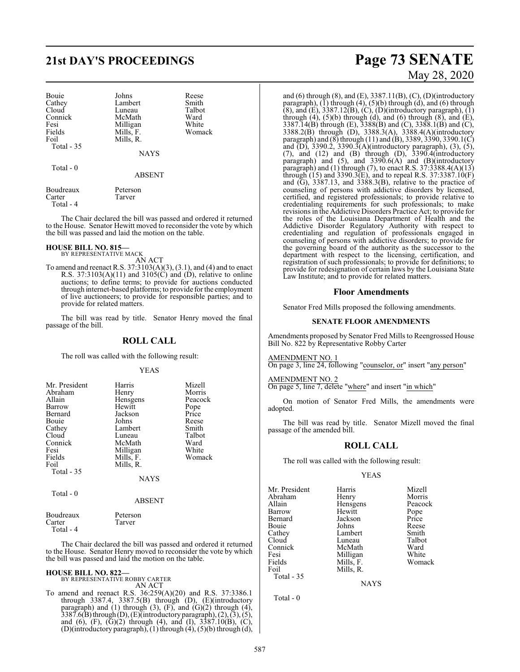## **21st DAY'S PROCEEDINGS Page 73 SENATE**

| Bouie<br>Cathey<br>Cloud<br>Connick<br>Fesi<br>Fields<br>Foil<br>Total - 35 | Johns<br>Lambert<br>Luneau<br>McMath<br>Milligan<br>Mills, F.<br>Mills, R.<br><b>NAYS</b> | Reese<br>Smith<br>Talbot<br>Ward<br>White<br>Womack |
|-----------------------------------------------------------------------------|-------------------------------------------------------------------------------------------|-----------------------------------------------------|
| Total - 0                                                                   | <b>ABSENT</b>                                                                             |                                                     |
| Boudreaux<br>Carter                                                         | Peterson<br>Tarver                                                                        |                                                     |

Total - 4

The Chair declared the bill was passed and ordered it returned to the House. Senator Hewitt moved to reconsider the vote by which the bill was passed and laid the motion on the table.

## **HOUSE BILL NO. 815—** BY REPRESENTATIVE MACK

AN ACT To amend and reenact R.S. 37:3103(A)(3), (3.1), and (4) and to enact R.S. 37:3103(A)(11) and 3105(C) and (D), relative to online auctions; to define terms; to provide for auctions conducted through internet-based platforms; to provide for the employment of live auctioneers; to provide for responsible parties; and to provide for related matters.

The bill was read by title. Senator Henry moved the final passage of the bill.

## **ROLL CALL**

The roll was called with the following result:

### YEAS

| Mr. President | Harris      | Mizell  |
|---------------|-------------|---------|
|               |             |         |
| Abraham       | Henry       | Morris  |
| Allain        | Hensgens    | Peacock |
| Barrow        | Hewitt      | Pope    |
| Bernard       | Jackson     | Price   |
| Bouie         | Johns       | Reese   |
| Cathey        | Lambert     | Smith   |
| Cloud         | Luneau      | Talbot  |
| Connick       | McMath      | Ward    |
| Fesi          | Milligan    | White   |
| Fields        | Mills, F.   | Womack  |
| Foil          | Mills, R.   |         |
| Total $-35$   |             |         |
|               | <b>NAYS</b> |         |
| Total - 0     |             |         |
|               | ABSENT      |         |

| Boudreaux | Peterson |
|-----------|----------|
| Carter    | Tarver   |
| Total - 4 |          |

The Chair declared the bill was passed and ordered it returned to the House. Senator Henry moved to reconsider the vote by which the bill was passed and laid the motion on the table.

# **HOUSE BILL NO. 822—** BY REPRESENTATIVE ROBBY CARTER AN ACT

To amend and reenact R.S. 36:259(A)(20) and R.S. 37:3386.1 through 3387.4, 3387.5(B) through (D), (E)(introductory paragraph) and  $(1)$  through  $(3)$ ,  $(F)$ , and  $(G)(2)$  through  $(4)$ ,  $3387.6(B)$  through (D), (E)(introductory paragraph), (2), (3), (5), and (6), (F),  $(\bar{G})(2)$  through (4), and (I),  $3387.10(B)$ , (C), (D)(introductory paragraph), (1) through (4), (5)(b) through (d),

# May 28, 2020

and (6) through (8), and (E),  $3387.11(B)$ , (C), (D)(introductory paragraph),  $(1)$  through  $(4)$ ,  $(5)(b)$  through  $(d)$ , and  $(6)$  through  $(8)$ , and  $(E)$ , 3387.12 $(B)$ ,  $(C)$ ,  $(D)$ (introductory paragraph),  $(1)$ through  $(4)$ ,  $(5)(b)$  through  $(d)$ , and  $(6)$  through  $(8)$ , and  $(E)$ , 3387.14(B) through (E), 3388(B) and (C), 3388.1(B) and (C), 3388.2(B) through (D), 3388.3(A), 3388.4(A)(introductory paragraph) and (8) through (11) and (B), 3389, 3390, 3390.1(C) and (D), 3390.2, 3390.3(A)(introductory paragraph), (3), (5), (7), and (12) and (B) through (D), 3390.4(introductory paragraph) and  $(5)$ , and  $3390.6(A)$  and  $(B)$ (introductory paragraph) and (1) through (7), to enact R.S.  $37:3388.4(A)(13)$ through (15) and 3390.3(E), and to repeal R.S. 37:3387.10(F) and (G), 3387.13, and 3388.3(B), relative to the practice of counseling of persons with addictive disorders by licensed, certified, and registered professionals; to provide relative to credentialing requirements for such professionals; to make revisions in the Addictive Disorders Practice Act; to provide for the roles of the Louisiana Department of Health and the Addictive Disorder Regulatory Authority with respect to credentialing and regulation of professionals engaged in counseling of persons with addictive disorders; to provide for the governing board of the authority as the successor to the department with respect to the licensing, certification, and registration of such professionals; to provide for definitions; to provide for redesignation of certain laws by the Louisiana State Law Institute; and to provide for related matters.

## **Floor Amendments**

Senator Fred Mills proposed the following amendments.

### **SENATE FLOOR AMENDMENTS**

Amendments proposed by Senator Fred Mills to Reengrossed House Bill No. 822 by Representative Robby Carter

## AMENDMENT NO. 1

On page 3, line 24, following "counselor, or" insert "any person"

AMENDMENT NO. 2

On page 5, line 7, delete "where" and insert "in which"

On motion of Senator Fred Mills, the amendments were adopted.

The bill was read by title. Senator Mizell moved the final passage of the amended bill.

## **ROLL CALL**

The roll was called with the following result:

Mills, R.

### YEAS

Mr. President Harris Mizell Abraham Henry Morris<br>Allain Hensgens Peacock Allain Hensgens Peacock<br>Barrow Hewitt Pope Bernard Jackson Price<br>
Bouie Johns Reese Bouie Johns Reese<br>Cathey Lambert Smith Cathey Lambert Smith<br>Cloud Luneau Talbot Connick McMath Ward<br>
Fesi Milligan White Fesi Milligan White Fields Mills, F.<br>Foil Mills, R. Total - 35

Hewitt Pope<br>Jackson Price Luneau Talbo<br>McMath Ward

NAYS

Total - 0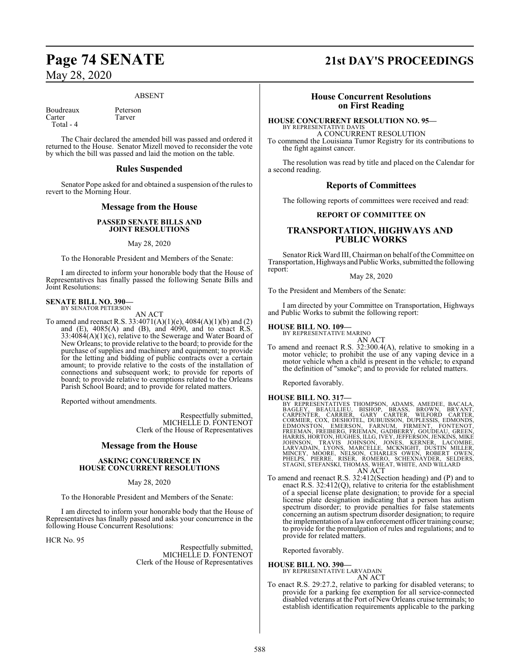Tarver

## May 28, 2020

## ABSENT

Boudreaux Peterson<br>Carter Tarver

Total - 4

The Chair declared the amended bill was passed and ordered it returned to the House. Senator Mizell moved to reconsider the vote by which the bill was passed and laid the motion on the table.

## **Rules Suspended**

Senator Pope asked for and obtained a suspension of the rules to revert to the Morning Hour.

## **Message from the House**

## **PASSED SENATE BILLS AND JOINT RESOLUTIONS**

## May 28, 2020

To the Honorable President and Members of the Senate:

I am directed to inform your honorable body that the House of Representatives has finally passed the following Senate Bills and Joint Resolutions:

### **SENATE BILL NO. 390—** BY SENATOR PETERSON

AN ACT

To amend and reenact R.S. 33:4071(A)(1)(e), 4084(A)(1)(b) and (2) and  $(E)$ ,  $4085(A)$  and  $(B)$ , and  $4090$ , and to enact R.S. 33:4084(A)(1)(c), relative to the Sewerage and Water Board of New Orleans; to provide relative to the board; to provide for the purchase of supplies and machinery and equipment; to provide for the letting and bidding of public contracts over a certain amount; to provide relative to the costs of the installation of connections and subsequent work; to provide for reports of board; to provide relative to exemptions related to the Orleans Parish School Board; and to provide for related matters.

Reported without amendments.

Respectfully submitted, MICHELLE D. FONTENOT Clerk of the House of Representatives

## **Message from the House**

## **ASKING CONCURRENCE IN HOUSE CONCURRENT RESOLUTIONS**

May 28, 2020

To the Honorable President and Members of the Senate:

I am directed to inform your honorable body that the House of Representatives has finally passed and asks your concurrence in the following House Concurrent Resolutions:

HCR No. 95

Respectfully submitted, MICHELLE D. FONTENOT Clerk of the House of Representatives

## **Page 74 SENATE 21st DAY'S PROCEEDINGS**

## **House Concurrent Resolutions on First Reading**

## **HOUSE CONCURRENT RESOLUTION NO. 95—**

BY REPRESENTATIVE DAVIS A CONCURRENT RESOLUTION

To commend the Louisiana Tumor Registry for its contributions to the fight against cancer.

The resolution was read by title and placed on the Calendar for a second reading.

## **Reports of Committees**

The following reports of committees were received and read:

## **REPORT OF COMMITTEE ON**

## **TRANSPORTATION, HIGHWAYS AND PUBLIC WORKS**

Senator Rick Ward III, Chairman on behalf of the Committee on Transportation, Highways and Public Works, submitted the following report:

## May 28, 2020

To the President and Members of the Senate:

I am directed by your Committee on Transportation, Highways and Public Works to submit the following report:

## **HOUSE BILL NO. 109—**

BY REPRESENTATIVE MARINO

AN ACT To amend and reenact R.S. 32:300.4(A), relative to smoking in a motor vehicle; to prohibit the use of any vaping device in a motor vehicle when a child is present in the vehicle; to expand the definition of "smoke"; and to provide for related matters.

Reported favorably.

- HOUSE BILL NO. 317—<br>
BY REPRESENTATIVES THOMPSON, ADAMS, AMEDEE, BACALA,<br>
BAGLEY, BEAULLIEU, BISHOP, BRASS, BROWN, BRYANT,<br>
CARPENTER, CARRIER, GARY CARTER, WILFORD CARTER,<br>
CORMIER, COX, DESHOTEL, DUBUISSON, DUPLESSIS, ED
- To amend and reenact R.S. 32:412(Section heading) and (P) and to enact R.S. 32:412(Q), relative to criteria for the establishment of a special license plate designation; to provide for a special license plate designation indicating that a person has autism spectrum disorder; to provide penalties for false statements concerning an autism spectrum disorder designation; to require the implementation of a lawenforcement officer training course; to provide for the promulgation of rules and regulations; and to provide for related matters.

Reported favorably.

**HOUSE BILL NO. 390—**

BY REPRESENTATIVE LARVADAIN AN ACT

To enact R.S. 29:27.2, relative to parking for disabled veterans; to provide for a parking fee exemption for all service-connected disabled veterans at the Port of New Orleans cruise terminals; to establish identification requirements applicable to the parking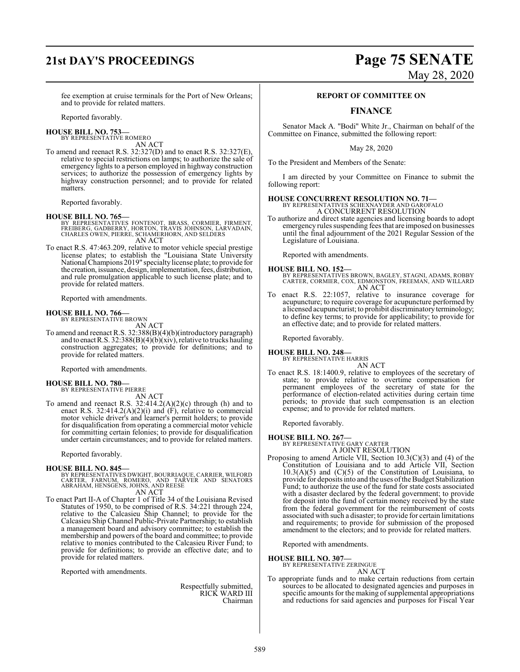## **21st DAY'S PROCEEDINGS Page 75 SENATE**

# May 28, 2020

fee exemption at cruise terminals for the Port of New Orleans; and to provide for related matters.

Reported favorably.

**HOUSE BILL NO. 753—** BY REPRESENTATIVE ROMERO

AN ACT

To amend and reenact R.S. 32:327(D) and to enact R.S. 32:327(E), relative to special restrictions on lamps; to authorize the sale of emergency lights to a person employed in highway construction services; to authorize the possession of emergency lights by highway construction personnel; and to provide for related matters.

Reported favorably.

## **HOUSE BILL NO. 765—**

- BY REPRESENTATIVES FONTENOT, BRASS, CORMIER, FIRMENT,<br>FREIBERG, GADBERRY, HORTON, TRAVIS JÓHNSON, LARVADAIN,<br>CHARLES OWEN, PIERRE, SCHAMERHORN, AND SELDERS AN ACT
- To enact R.S. 47:463.209, relative to motor vehicle special prestige license plates; to establish the "Louisiana State University National Champions 2019" specialtylicense plate; to provide for the creation, issuance, design, implementation, fees, distribution, and rule promulgation applicable to such license plate; and to provide for related matters.

Reported with amendments.

## **HOUSE BILL NO. 766—** BY REPRESENTATIVE BROWN

AN ACT

To amend and reenact R.S. 32:388(B)(4)(b)(introductory paragraph) and to enact R.S. 32:388(B)(4)(b)(xiv), relative to trucks hauling construction aggregates; to provide for definitions; and to provide for related matters.

Reported with amendments.

## **HOUSE BILL NO. 780—**

BY REPRESENTATIVE PIERRE AN ACT

To amend and reenact R.S.  $32:414.2(A)(2)(c)$  through (h) and to enact R.S. 32:414.2(A)(2)(i) and (F), relative to commercial motor vehicle driver's and learner's permit holders; to provide for disqualification from operating a commercial motor vehicle for committing certain felonies; to provide for disqualification under certain circumstances; and to provide for related matters.

Reported favorably.

## **HOUSE BILL NO. 845—**

- BY REPRESENTATIVES DWIGHT, BOURRIAQUE, CARRIER, WILFORD<br>CARTER, FARNUM, ROMERO, AND TARVER AND SENATORS<br>ABRAHAM, HENSGENS, JOHNS, AND REESE AN ACT
	-
- To enact Part II-A of Chapter 1 of Title 34 of the Louisiana Revised Statutes of 1950, to be comprised of R.S. 34:221 through 224, relative to the Calcasieu Ship Channel; to provide for the Calcasieu Ship Channel Public-Private Partnership; to establish a management board and advisory committee; to establish the membership and powers of the board and committee; to provide relative to monies contributed to the Calcasieu River Fund; to provide for definitions; to provide an effective date; and to provide for related matters.

Reported with amendments.

Respectfully submitted, RICK WARD III Chairman

## **REPORT OF COMMITTEE ON**

## **FINANCE**

Senator Mack A. "Bodi" White Jr., Chairman on behalf of the Committee on Finance, submitted the following report:

May 28, 2020

To the President and Members of the Senate:

I am directed by your Committee on Finance to submit the following report:

## **HOUSE CONCURRENT RESOLUTION NO. 71—**

BY REPRESENTATIVES SCHEXNAYDER AND GAROFALO A CONCURRENT RESOLUTION

To authorize and direct state agencies and licensing boards to adopt emergency rules suspending fees that are imposed on businesses until the final adjournment of the 2021 Regular Session of the Legislature of Louisiana.

Reported with amendments.

### **HOUSE BILL NO. 152—**

- BY REPRESENTATIVES BROWN, BAGLEY, STAGNI, ADAMS, ROBBY CARTER, CORMIER, COX, EDMONSTON, FREEMAN, AND WILLARD AN ACT
- To enact R.S. 22:1057, relative to insurance coverage for acupuncture; to require coverage for acupuncture performed by a licensed acupuncturist; to prohibit discriminatory terminology; to define key terms; to provide for applicability; to provide for an effective date; and to provide for related matters.

Reported favorably.

## **HOUSE BILL NO. 248—** BY REPRESENTATIVE HARRIS

AN ACT

To enact R.S. 18:1400.9, relative to employees of the secretary of state; to provide relative to overtime compensation for permanent employees of the secretary of state for the performance of election-related activities during certain time periods; to provide that such compensation is an election expense; and to provide for related matters.

Reported favorably.

## **HOUSE BILL NO. 267—** BY REPRESENTATIVE GARY CARTER

- A JOINT RESOLUTION
- Proposing to amend Article VII, Section 10.3(C)(3) and (4) of the Constitution of Louisiana and to add Article VII, Section  $10.3(A)(5)$  and  $(C)(5)$  of the Constitution of Louisiana, to provide for deposits into and the uses ofthe Budget Stabilization Fund; to authorize the use of the fund for state costs associated with a disaster declared by the federal government; to provide for deposit into the fund of certain money received by the state from the federal government for the reimbursement of costs associated with such a disaster; to provide for certain limitations and requirements; to provide for submission of the proposed amendment to the electors; and to provide for related matters.

Reported with amendments.

**HOUSE BILL NO. 307—** BY REPRESENTATIVE ZERINGUE

AN ACT

To appropriate funds and to make certain reductions from certain sources to be allocated to designated agencies and purposes in specific amounts for the making of supplemental appropriations and reductions for said agencies and purposes for Fiscal Year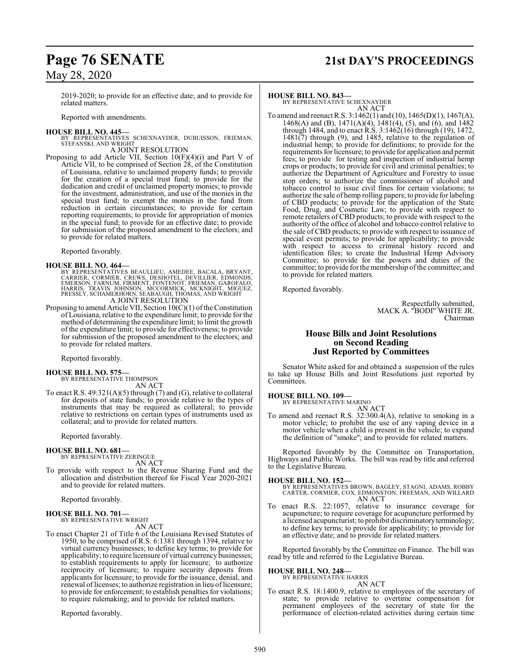## May 28, 2020

2019-2020; to provide for an effective date; and to provide for related matters.

Reported with amendments.

## **HOUSE BILL NO. 445—**

BY REPRESENTATIVES SCHEXNAYDER, DUBUISSON, FRIEMAN, STEFANSKI, AND WRIGHT

A JOINT RESOLUTION

Proposing to add Article VII, Section 10(F)(4)(i) and Part V of Article VII, to be comprised of Section 28, of the Constitution of Louisiana, relative to unclaimed property funds; to provide for the creation of a special trust fund; to provide for the dedication and credit of unclaimed property monies; to provide for the investment, administration, and use of the monies in the special trust fund; to exempt the monies in the fund from reduction in certain circumstances; to provide for certain reporting requirements; to provide for appropriation of monies in the special fund; to provide for an effective date; to provide for submission of the proposed amendment to the electors; and to provide for related matters.

Reported favorably.

## **HOUSE BILL NO. 464—**

BY REPRESENTATIVES BEAULLIEU, AMEDEE, BACALA, BRYANT,<br>CARRIER, CORMIER, CREWS, DESHOTEL, DEVILLIER, EDMONDS,<br>EMERSON, FARNUM, FIRMENT, FONTENOT, FRIEMAN, GAROFALO,<br>HARRIS, TRAVIS JOHNSON, MCCORMICK, MCKNIGHT, MIGUEZ,<br>PRESS A JOINT RESOLUTION

Proposing to amend Article VII, Section  $10(C)(1)$  of the Constitution of Louisiana, relative to the expenditure limit; to provide for the method of determining the expenditure limit; to limit the growth of the expenditure limit; to provide for effectiveness; to provide for submission of the proposed amendment to the electors; and to provide for related matters.

Reported favorably.

## **HOUSE BILL NO. 575—** BY REPRESENTATIVE THOMPSON

AN ACT

To enact R.S. 49:321(A)(5) through (7) and (G), relative to collateral for deposits of state funds; to provide relative to the types of instruments that may be required as collateral; to provide relative to restrictions on certain types of instruments used as collateral; and to provide for related matters.

Reported favorably.

## **HOUSE BILL NO. 681—**

BY REPRESENTATIVE ZERINGUE AN ACT

To provide with respect to the Revenue Sharing Fund and the allocation and distribution thereof for Fiscal Year 2020-2021 and to provide for related matters.

Reported favorably.

## **HOUSE BILL NO. 701—** BY REPRESENTATIVE WRIGHT

AN ACT

To enact Chapter 21 of Title 6 of the Louisiana Revised Statutes of 1950, to be comprised of R.S. 6:1381 through 1394, relative to virtual currency businesses; to define key terms; to provide for applicability; to require licensure of virtual currency businesses; to establish requirements to apply for licensure; to authorize reciprocity of licensure; to require security deposits from applicants for licensure; to provide for the issuance, denial, and renewal of licenses; to authorize registration in lieu of licensure; to provide for enforcement; to establish penalties for violations; to require rulemaking; and to provide for related matters.

Reported favorably.

## **HOUSE BILL NO. 843—**

BY REPRESENTATIVE SCHEXNAYDER AN ACT

To amend and reenact R.S. 3:1462(1) and (10), 1465(D)(1), 1467(A), 1468(A) and (B), 1471(A)(4), 1481(4), (5), and (6), and 1482 through 1484, and to enact R.S. 3:1462(16) through (19), 1472, 1481(7) through (9), and 1485, relative to the regulation of industrial hemp; to provide for definitions; to provide for the requirements for licensure; to provide for application and permit fees; to provide for testing and inspection of industrial hemp crops or products; to provide for civil and criminal penalties; to authorize the Department of Agriculture and Forestry to issue stop orders; to authorize the commissioner of alcohol and tobacco control to issue civil fines for certain violations; to authorize the sale of hemp rolling papers; to provide for labeling of CBD products; to provide for the application of the State Food, Drug, and Cosmetic Law; to provide with respect to remote retailers of CBD products; to provide with respect to the authority of the office of alcohol and tobacco control relative to the sale of CBD products; to provide with respect to issuance of special event permits; to provide for applicability; to provide with respect to access to criminal history record and identification files; to create the Industrial Hemp Advisory Committee; to provide for the powers and duties of the committee; to provide for the membership of the committee; and to provide for related matters.

Reported favorably.

Respectfully submitted, MACK A. "BODI" WHITE JR. Chairman

## **House Bills and Joint Resolutions on Second Reading Just Reported by Committees**

Senator White asked for and obtained a suspension of the rules to take up House Bills and Joint Resolutions just reported by Committees.

## **HOUSE BILL NO. 109—**

BY REPRESENTATIVE MARINO

AN ACT To amend and reenact R.S. 32:300.4(A), relative to smoking in a motor vehicle; to prohibit the use of any vaping device in a motor vehicle when a child is present in the vehicle; to expand the definition of "smoke"; and to provide for related matters.

Reported favorably by the Committee on Transportation, Highways and Public Works. The bill was read by title and referred to the Legislative Bureau.

### **HOUSE BILL NO. 152—**

BY REPRESENTATIVES BROWN, BAGLEY, STAGNI, ADAMS, ROBBY CARTER, CORMIER, COX, EDMONSTON, FREEMAN, AND WILLARD AN ACT

To enact R.S. 22:1057, relative to insurance coverage for acupuncture; to require coverage for acupuncture performed by a licensed acupuncturist; to prohibit discriminatoryterminology; to define key terms; to provide for applicability; to provide for an effective date; and to provide for related matters.

Reported favorably by the Committee on Finance. The bill was read by title and referred to the Legislative Bureau.

## **HOUSE BILL NO. 248—**

BY REPRESENTATIVE HARRIS AN ACT

To enact R.S. 18:1400.9, relative to employees of the secretary of state; to provide relative to overtime compensation for permanent employees of the secretary of state for the performance of election-related activities during certain time

## **Page 76 SENATE 21st DAY'S PROCEEDINGS**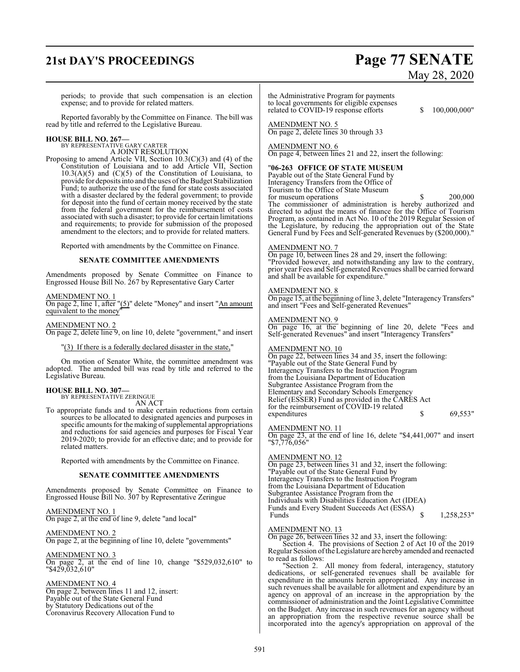## **21st DAY'S PROCEEDINGS Page 77 SENATE**

# May 28, 2020

periods; to provide that such compensation is an election expense; and to provide for related matters.

Reported favorably by the Committee on Finance. The bill was read by title and referred to the Legislative Bureau.

## **HOUSE BILL NO. 267—** BY REPRESENTATIVE GARY CARTER

A JOINT RESOLUTION Proposing to amend Article VII, Section 10.3(C)(3) and (4) of the Constitution of Louisiana and to add Article VII, Section  $10.3(A)(5)$  and  $(C)(5)$  of the Constitution of Louisiana, to provide for deposits into and the uses ofthe Budget Stabilization Fund; to authorize the use of the fund for state costs associated with a disaster declared by the federal government; to provide for deposit into the fund of certain money received by the state

and requirements; to provide for submission of the proposed amendment to the electors; and to provide for related matters.

from the federal government for the reimbursement of costs associated with such a disaster; to provide for certain limitations

Reported with amendments by the Committee on Finance.

## **SENATE COMMITTEE AMENDMENTS**

Amendments proposed by Senate Committee on Finance to Engrossed House Bill No. 267 by Representative Gary Carter

## AMENDMENT NO. 1

On page 2, line 1, after "(5)" delete "Money" and insert "An amount equivalent to the money"

AMENDMENT NO. 2 On page 2, delete line 9, on line 10, delete "government," and insert

"(3) If there is a federally declared disaster in the state,"

On motion of Senator White, the committee amendment was adopted. The amended bill was read by title and referred to the Legislative Bureau.

### **HOUSE BILL NO. 307—** BY REPRESENTATIVE ZERINGUE

AN ACT

To appropriate funds and to make certain reductions from certain sources to be allocated to designated agencies and purposes in specific amounts for the making of supplemental appropriations and reductions for said agencies and purposes for Fiscal Year 2019-2020; to provide for an effective date; and to provide for related matters.

Reported with amendments by the Committee on Finance.

## **SENATE COMMITTEE AMENDMENTS**

Amendments proposed by Senate Committee on Finance to Engrossed House Bill No. 307 by Representative Zeringue

AMENDMENT NO. 1 On page 2, at the end of line 9, delete "and local"

AMENDMENT NO. 2

On page 2, at the beginning of line 10, delete "governments"

AMENDMENT NO. 3 On page 2, at the end of line 10, change "\$529,032,610" to "\$429,032,610"

## AMENDMENT NO. 4

On page 2, between lines 11 and 12, insert: Payable out of the State General Fund by Statutory Dedications out of the Coronavirus Recovery Allocation Fund to

the Administrative Program for payments to local governments for eligible expenses related to COVID-19 response efforts \$ 100,000,000"

AMENDMENT NO. 5 On page 2, delete lines 30 through 33

## AMENDMENT NO. 6

On page 4, between lines 21 and 22, insert the following:

## "**06-263 OFFICE OF STATE MUSEUM**

Payable out of the State General Fund by Interagency Transfers from the Office of Tourism to the Office of State Museum for museum operations  $\qquad$  \$ 200,000 The commissioner of administration is hereby authorized and directed to adjust the means of finance for the Office of Tourism Program, as contained in Act No. 10 of the 2019 Regular Session of the Legislature, by reducing the appropriation out of the State General Fund by Fees and Self-generated Revenues by (\$200,000)."

## AMENDMENT NO. 7

On page 10, between lines 28 and 29, insert the following: "Provided however, and notwithstanding any law to the contrary, prior year Fees and Self-generated Revenues shall be carried forward and shall be available for expenditure."

## AMENDMENT NO. 8

On page 15, at the beginning of line 3, delete "InteragencyTransfers" and insert "Fees and Self-generated Revenues"

## AMENDMENT NO. 9

On page 16, at the beginning of line 20, delete "Fees and Self-generated Revenues" and insert "Interagency Transfers"

## AMENDMENT NO. 10

On page 22, between lines 34 and 35, insert the following: "Payable out of the State General Fund by Interagency Transfers to the Instruction Program from the Louisiana Department of Education Subgrantee Assistance Program from the Elementary and Secondary Schools Emergency Relief (ESSER) Fund as provided in the CARES Act for the reimbursement of COVID-19 related expenditures \$ 69,553"

## AMENDMENT NO. 11

On page 23, at the end of line 16, delete "\$4,441,007" and insert "\$7,776,056"

## AMENDMENT NO. 12

On page 23, between lines 31 and 32, insert the following: "Payable out of the State General Fund by Interagency Transfers to the Instruction Program from the Louisiana Department of Education Subgrantee Assistance Program from the Individuals with Disabilities Education Act (IDEA) Funds and Every Student Succeeds Act (ESSA) 1,258,253"

## AMENDMENT NO. 13

On page 26, between lines 32 and 33, insert the following: Section 4. The provisions of Section 2 of Act 10 of the 2019 Regular Session of the Legislature are hereby amended and reenacted to read as follows:

"Section 2. All money from federal, interagency, statutory dedications, or self-generated revenues shall be available for expenditure in the amounts herein appropriated. Any increase in such revenues shall be available for allotment and expenditure by an agency on approval of an increase in the appropriation by the commissioner of administration and the Joint Legislative Committee on the Budget. Any increase in such revenues for an agency without an appropriation from the respective revenue source shall be incorporated into the agency's appropriation on approval of the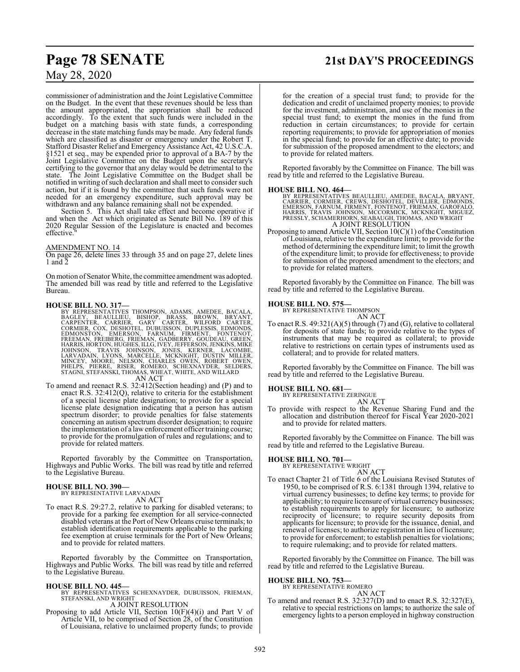## **Page 78 SENATE 21st DAY'S PROCEEDINGS**

## May 28, 2020

commissioner of administration and the Joint Legislative Committee on the Budget. In the event that these revenues should be less than the amount appropriated, the appropriation shall be reduced accordingly. To the extent that such funds were included in the budget on a matching basis with state funds, a corresponding decrease in the state matching funds may be made. Any federal funds which are classified as disaster or emergency under the Robert T. Stafford Disaster Relief and Emergency Assistance Act, 42 U.S.C.A. §1521 et seq., may be expended prior to approval of a BA-7 by the Joint Legislative Committee on the Budget upon the secretary's certifying to the governor that any delay would be detrimental to the state. The Joint Legislative Committee on the Budget shall be notified in writing ofsuch declaration and shall meet to consider such action, but if it is found by the committee that such funds were not needed for an emergency expenditure, such approval may be withdrawn and any balance remaining shall not be expended.

Section 5. This Act shall take effect and become operative if and when the Act which originated as Senate Bill No. 189 of this 2020 Regular Session of the Legislature is enacted and becomes effective.

## AMENDMENT NO. 14

On page 26, delete lines 33 through 35 and on page 27, delete lines 1 and 2

On motion of Senator White, the committee amendment was adopted. The amended bill was read by title and referred to the Legislative Bureau.

- HOUSE BILL NO. 317—<br>
BY REPRESENTATIVES THOMPSON, ADAMS, AMEDEE, BACALA,<br>
BAGLEY, BEAULLIEU, BISHOP, BRASS, BROWN, BRYANT,<br>
CARPENTER, CARRIER, GARY CARTER, WILFORD CARTER,<br>
CORMIER, COX, DESHOTEL, DUBUISSON, DUPLESSIS, ED
- To amend and reenact R.S. 32:412(Section heading) and (P) and to enact R.S. 32:412(Q), relative to criteria for the establishment of a special license plate designation; to provide for a special license plate designation indicating that a person has autism spectrum disorder; to provide penalties for false statements concerning an autism spectrum disorder designation; to require the implementation of a lawenforcement officer training course; to provide for the promulgation of rules and regulations; and to provide for related matters.

Reported favorably by the Committee on Transportation, Highways and Public Works. The bill was read by title and referred to the Legislative Bureau.

## **HOUSE BILL NO. 390—**

BY REPRESENTATIVE LARVADAIN AN ACT

To enact R.S. 29:27.2, relative to parking for disabled veterans; to provide for a parking fee exemption for all service-connected disabled veterans at the Port of New Orleans cruise terminals; to establish identification requirements applicable to the parking fee exemption at cruise terminals for the Port of New Orleans; and to provide for related matters.

Reported favorably by the Committee on Transportation, Highways and Public Works. The bill was read by title and referred to the Legislative Bureau.

- **HOUSE BILL NO. 445—** BY REPRESENTATIVES SCHEXNAYDER, DUBUISSON, FRIEMAN, STEFANSKI, AND WRIGHT A JOINT RESOLUTION
- Proposing to add Article VII, Section 10(F)(4)(i) and Part V of Article VII, to be comprised of Section 28, of the Constitution of Louisiana, relative to unclaimed property funds; to provide

for the creation of a special trust fund; to provide for the dedication and credit of unclaimed property monies; to provide for the investment, administration, and use of the monies in the special trust fund; to exempt the monies in the fund from reduction in certain circumstances; to provide for certain reporting requirements; to provide for appropriation of monies in the special fund; to provide for an effective date; to provide for submission of the proposed amendment to the electors; and to provide for related matters.

Reported favorably by the Committee on Finance. The bill was read by title and referred to the Legislative Bureau.

**HOUSE BILL NO. 464—**<br>BY REPRESENTATIVES BEAULLIEU, AMEDEE, BACALA, BRYANT,<br>CARRIER, CORMIER, CREWS, DESHOTEL, DEVILLIER, EDMONDS,<br>EMERSON, FARNUM, FIRMENT, FONTENOT, FRIEMAN, GAROFALO,<br>HARRIS, TRAVIS JOHNSON, MCCORMICK, M A JOINT RESOLUTION

Proposing to amend Article VII, Section  $10(C)(1)$  of the Constitution of Louisiana, relative to the expenditure limit; to provide for the method of determining the expenditure limit; to limit the growth of the expenditure limit; to provide for effectiveness; to provide for submission of the proposed amendment to the electors; and to provide for related matters.

Reported favorably by the Committee on Finance. The bill was read by title and referred to the Legislative Bureau.

## **HOUSE BILL NO. 575—**

BY REPRESENTATIVE THOMPSON AN ACT

To enact R.S. 49:321(A)(5) through (7) and (G), relative to collateral for deposits of state funds; to provide relative to the types of instruments that may be required as collateral; to provide relative to restrictions on certain types of instruments used as collateral; and to provide for related matters.

Reported favorably by the Committee on Finance. The bill was read by title and referred to the Legislative Bureau.

## **HOUSE BILL NO. 681—** BY REPRESENTATIVE ZERINGUE

AN ACT

To provide with respect to the Revenue Sharing Fund and the allocation and distribution thereof for Fiscal Year 2020-2021 and to provide for related matters.

Reported favorably by the Committee on Finance. The bill was read by title and referred to the Legislative Bureau.

## **HOUSE BILL NO. 701—**

BY REPRESENTATIVE WRIGHT

AN ACT To enact Chapter 21 of Title 6 of the Louisiana Revised Statutes of 1950, to be comprised of R.S. 6:1381 through 1394, relative to virtual currency businesses; to define key terms; to provide for applicability; to require licensure of virtual currency businesses; to establish requirements to apply for licensure; to authorize reciprocity of licensure; to require security deposits from applicants for licensure; to provide for the issuance, denial, and renewal of licenses; to authorize registration in lieu of licensure; to provide for enforcement; to establish penalties for violations; to require rulemaking; and to provide for related matters.

Reported favorably by the Committee on Finance. The bill was read by title and referred to the Legislative Bureau.

#### **HOUSE BILL NO. 753—** BY REPRESENT

| TATIVE ROMERO |        |
|---------------|--------|
|               | AN ACT |

To amend and reenact R.S. 32:327(D) and to enact R.S. 32:327(E), relative to special restrictions on lamps; to authorize the sale of emergency lights to a person employed in highway construction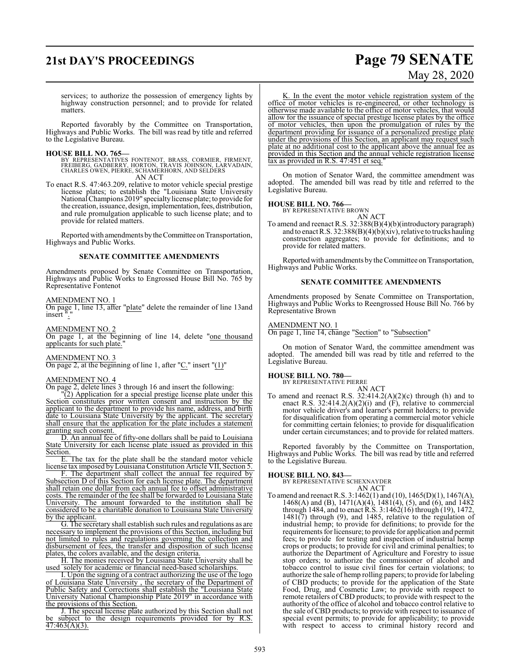## **21st DAY'S PROCEEDINGS Page 79 SENATE**

# May 28, 2020

services; to authorize the possession of emergency lights by highway construction personnel; and to provide for related matters.

Reported favorably by the Committee on Transportation, Highways and Public Works. The bill was read by title and referred to the Legislative Bureau.

**HOUSE BILL NO. 765—**<br>BY REPRESENTATIVES FONTENOT, BRASS, CORMIER, FIRMENT,<br>FREIBERG, GADBERRY, HORTON, TRAVIS JOHNSON, LARVADAIN,<br>CHARLES OWEN, PIERRE, SCHAMERHORN, AND SELDERS AN ACT

To enact R.S. 47:463.209, relative to motor vehicle special prestige license plates; to establish the "Louisiana State University National Champions 2019" specialtylicense plate; to provide for the creation, issuance, design, implementation, fees, distribution, and rule promulgation applicable to such license plate; and to provide for related matters.

Reported with amendments by the Committee on Transportation, Highways and Public Works.

## **SENATE COMMITTEE AMENDMENTS**

Amendments proposed by Senate Committee on Transportation, Highways and Public Works to Engrossed House Bill No. 765 by Representative Fontenot

### AMENDMENT NO. 1

On page 1, line 13, after "plate" delete the remainder of line 13and insert ".

AMENDMENT NO. 2 On page 1, at the beginning of line 14, delete "one thousand applicants for such plate."

## AMENDMENT NO. 3

On page 2, at the beginning of line 1, after " $C$ ." insert " $(1)$ "

### AMENDMENT NO. 4

On page 2, delete lines 3 through 16 and insert the following:

"(2) Application for a special prestige license plate under this Section constitutes prior written consent and instruction by the applicant to the department to provide his name, address, and birth date to Louisiana State University by the applicant. The secretary shall ensure that the application for the plate includes a statement granting such consent.

D. An annual fee of fifty-one dollars shall be paid to Louisiana State University for each license plate issued as provided in this Section.

E. The tax for the plate shall be the standard motor vehicle license tax imposed by Louisiana Constitution Article VII, Section 5.

F. The department shall collect the annual fee required by Subsection D of this Section for each license plate. The department shall retain one dollar from each annual fee to offset administrative costs. The remainder of the fee shall be forwarded to Louisiana State University. The amount forwarded to the institution shall be considered to be a charitable donation to Louisiana State University by the applicant.

G. The secretary shall establish such rules and regulations as are necessary to implement the provisions of this Section, including but not limited to rules and regulations governing the collection and disbursement of fees, the transfer and disposition of such license plates, the colors available, and the design criteria.

H. The monies received by Louisiana State University shall be used solely for academic or financial need-based scholarships.

I. Upon the signing of a contract authorizing the use of the logo of Louisiana State University , the secretary of the Department of Public Safety and Corrections shall establish the "Louisiana State University National Championship Plate 2019" in accordance with the provisions of this Section.

J. The special license plate authorized by this Section shall not be subject to the design requirements provided for by R.S.  $47:463(A)(3)$ .

K. In the event the motor vehicle registration system of the office of motor vehicles is re-engineered, or other technology is otherwise made available to the office of motor vehicles, that would allow for the issuance of special prestige license plates by the office of motor vehicles, then upon the promulgation of rules by the department providing for issuance of a personalized prestige plate under the provisions of this Section, an applicant may request such plate at no additional cost to the applicant above the annual fee as provided in this Section and the annual vehicle registration license tax as provided in R.S.  $47:451$  et seq.

On motion of Senator Ward, the committee amendment was adopted. The amended bill was read by title and referred to the Legislative Bureau.

## **HOUSE BILL NO. 766—** BY REPRESENTATIVE BROWN

AN ACT

To amend and reenact R.S. 32:388(B)(4)(b)(introductory paragraph) and to enact R.S. 32:388(B)(4)(b)(xiv), relative to trucks hauling construction aggregates; to provide for definitions; and to provide for related matters.

Reported with amendments by the Committee on Transportation, Highways and Public Works.

## **SENATE COMMITTEE AMENDMENTS**

Amendments proposed by Senate Committee on Transportation, Highways and Public Works to Reengrossed House Bill No. 766 by Representative Brown

## AMENDMENT NO. 1

On page 1, line 14, change "Section" to "Subsection"

On motion of Senator Ward, the committee amendment was adopted. The amended bill was read by title and referred to the Legislative Bureau.

## **HOUSE BILL NO. 780—**

BY REPRESENTATIVE PIERRE

AN ACT To amend and reenact R.S.  $32:414.2(A)(2)(c)$  through (h) and to enact R.S. 32:414.2(A)(2)(i) and (F), relative to commercial motor vehicle driver's and learner's permit holders; to provide for disqualification from operating a commercial motor vehicle for committing certain felonies; to provide for disqualification under certain circumstances; and to provide for related matters.

Reported favorably by the Committee on Transportation, Highways and Public Works. The bill was read by title and referred to the Legislative Bureau.

**HOUSE BILL NO. 843—** BY REPRESENTATIVE SCHEXNAYDER

- AN ACT
- To amend and reenact R.S. 3:1462(1) and (10), 1465(D)(1), 1467(A), 1468(A) and (B), 1471(A)(4), 1481(4), (5), and (6), and 1482 through 1484, and to enact R.S. 3:1462(16) through (19), 1472, 1481(7) through (9), and 1485, relative to the regulation of industrial hemp; to provide for definitions; to provide for the requirements for licensure; to provide for application and permit fees; to provide for testing and inspection of industrial hemp crops or products; to provide for civil and criminal penalties; to authorize the Department of Agriculture and Forestry to issue stop orders; to authorize the commissioner of alcohol and tobacco control to issue civil fines for certain violations; to authorize the sale of hemp rolling papers; to provide for labeling of CBD products; to provide for the application of the State Food, Drug, and Cosmetic Law; to provide with respect to remote retailers of CBD products; to provide with respect to the authority of the office of alcohol and tobacco control relative to the sale of CBD products; to provide with respect to issuance of special event permits; to provide for applicability; to provide with respect to access to criminal history record and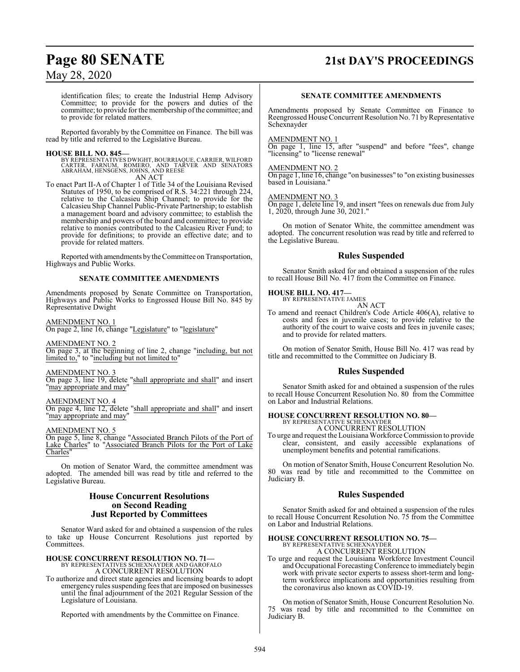## **Page 80 SENATE 21st DAY'S PROCEEDINGS**

May 28, 2020

identification files; to create the Industrial Hemp Advisory Committee; to provide for the powers and duties of the committee; to provide for the membership ofthe committee; and to provide for related matters.

Reported favorably by the Committee on Finance. The bill was read by title and referred to the Legislative Bureau.

**HOUSE BILL NO. 845—** BY REPRESENTATIVES DWIGHT, BOURRIAQUE, CARRIER, WILFORD CARTER, FARNUM, ROMERO, AND TARVER AND SENATORS ABRAHAM, HENSGENS, JOHNS, AND REESE AN ACT

To enact Part II-A of Chapter 1 of Title 34 of the Louisiana Revised To enact Part II-A of Chapter 1 of Title 34 of the Louisiana Revised<br>Statutes of 1950, to be comprised of R.S. 34:221 through 224, relative to the Calcasieu Ship Channel; to provide for the Calcasieu Ship Channel Public-Private Partnership; to establish a management board and advisory committee; to establish the membership and powers of the board and committee; to provide relative to monies contributed to the Calcasieu River Fund; to provide for definitions; to provide an effective date; and to provide for related matters.

Reported with amendments by the Committee on Transportation, Highways and Public Works.

## **SENATE COMMITTEE AMENDMENTS**

Amendments proposed by Senate Committee on Transportation, Highways and Public Works to Engrossed House Bill No. 845 by Representative Dwight

AMENDMENT NO. 1

On page 2, line 16, change "Legislature" to "legislature"

AMENDMENT NO. 2

On page 3, at the beginning of line 2, change "including, but not limited to," to "including but not limited to"

### AMENDMENT NO. 3

On page 3, line 19, delete "shall appropriate and shall" and insert "may appropriate and may"

### AMENDMENT NO. 4

On page 4, line 12, delete "shall appropriate and shall" and insert "may appropriate and may"

### AMENDMENT NO. 5

On page 5, line 8, change "Associated Branch Pilots of the Port of Lake Charles" to "Associated Branch Pilots for the Port of Lake Charles"

On motion of Senator Ward, the committee amendment was adopted. The amended bill was read by title and referred to the Legislative Bureau.

## **House Concurrent Resolutions on Second Reading Just Reported by Committees**

Senator Ward asked for and obtained a suspension of the rules to take up House Concurrent Resolutions just reported by Committees.

## **HOUSE CONCURRENT RESOLUTION NO. 71—** BY REPRESENTATIVES SCHEXNAYDER AND GAROFALO

A CONCURRENT RESOLUTION

To authorize and direct state agencies and licensing boards to adopt emergency rules suspending fees that are imposed on businesses until the final adjournment of the 2021 Regular Session of the Legislature of Louisiana.

Reported with amendments by the Committee on Finance.

## **SENATE COMMITTEE AMENDMENTS**

Amendments proposed by Senate Committee on Finance to Reengrossed House Concurrent Resolution No. 71 by Representative Schexnayder

### AMENDMENT NO. 1

On page 1, line 15, after "suspend" and before "fees", change "licensing" to "license renewal"

## AMENDMENT NO. 2

On page 1, line 16, change "on businesses" to "on existing businesses based in Louisiana."

## AMENDMENT NO. 3

On page 1, delete line 19, and insert "fees on renewals due from July 1, 2020, through June 30, 2021."

On motion of Senator White, the committee amendment was adopted. The concurrent resolution was read by title and referred to the Legislative Bureau.

## **Rules Suspended**

Senator Smith asked for and obtained a suspension of the rules to recall House Bill No. 417 from the Committee on Finance.

## **HOUSE BILL NO. 417—** BY REPRESENTATIVE JAMES

AN ACT

To amend and reenact Children's Code Article 406(A), relative to costs and fees in juvenile cases; to provide relative to the authority of the court to waive costs and fees in juvenile cases; and to provide for related matters.

On motion of Senator Smith, House Bill No. 417 was read by title and recommitted to the Committee on Judiciary B.

## **Rules Suspended**

Senator Smith asked for and obtained a suspension of the rules to recall House Concurrent Resolution No. 80 from the Committee on Labor and Industrial Relations.

# **HOUSE CONCURRENT RESOLUTION NO. 80—** BY REPRESENTATIVE SCHEXNAYDER A CONCURRENT RESOLUTION

To urge and request the Louisiana Workforce Commission to provide clear, consistent, and easily accessible explanations of unemployment benefits and potential ramifications.

On motion of Senator Smith, House Concurrent Resolution No. 80 was read by title and recommitted to the Committee on Judiciary B.

## **Rules Suspended**

Senator Smith asked for and obtained a suspension of the rules to recall House Concurrent Resolution No. 75 from the Committee on Labor and Industrial Relations.

## **HOUSE CONCURRENT RESOLUTION NO. 75—**

BY REPRESENTATIVE SCHEXNAYDER A CONCURRENT RESOLUTION

To urge and request the Louisiana Workforce Investment Council and Occupational Forecasting Conference to immediately begin work with private sector experts to assess short-term and longterm workforce implications and opportunities resulting from the coronavirus also known as COVID-19.

On motion of Senator Smith, House Concurrent Resolution No. 75 was read by title and recommitted to the Committee on Judiciary B.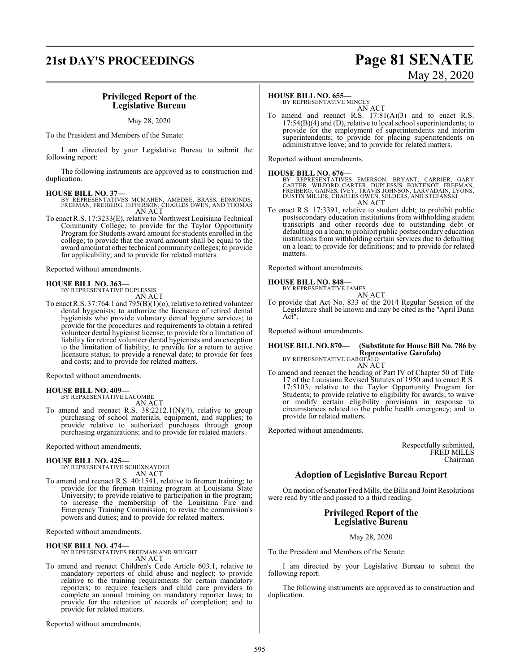## **21st DAY'S PROCEEDINGS Page 81 SENATE**

## **Privileged Report of the Legislative Bureau**

### May 28, 2020

To the President and Members of the Senate:

I am directed by your Legislative Bureau to submit the following report:

The following instruments are approved as to construction and duplication.

- **HOUSE BILL NO. 37—** BY REPRESENTATIVES MCMAHEN, AMEDEE, BRASS, EDMONDS, FREEMAN, FREIBERG, JEFFERSON, CHARLES OWEN, AND THOMAS AN ACT
- To enact R.S. 17:3233(E), relative to Northwest Louisiana Technical Community College; to provide for the Taylor Opportunity Program for Students award amount for students enrolled in the college; to provide that the award amount shall be equal to the award amount at other technical community colleges; to provide for applicability; and to provide for related matters.

Reported without amendments.

## **HOUSE BILL NO. 363—**

BY REPRESENTATIVE DUPLESSIS AN ACT

To enact R.S. 37:764.1 and 795(B)(1)(o), relative to retired volunteer dental hygienists; to authorize the licensure of retired dental hygienists who provide voluntary dental hygiene services; to provide for the procedures and requirements to obtain a retired volunteer dental hygienist license; to provide for a limitation of liability for retired volunteer dental hygienists and an exception to the limitation of liability; to provide for a return to active licensure status; to provide a renewal date; to provide for fees and costs; and to provide for related matters.

Reported without amendments.

**HOUSE BILL NO. 409—** BY REPRESENTATIVE LACOMBE

AN ACT

To amend and reenact R.S. 38:2212.1(N)(4), relative to group purchasing of school materials, equipment, and supplies; to provide relative to authorized purchases through group purchasing organizations; and to provide for related matters.

Reported without amendments.

**HOUSE BILL NO. 425—** BY REPRESENTATIVE SCHEXNAYDER AN ACT

To amend and reenact R.S. 40:1541, relative to firemen training; to provide for the firemen training program at Louisiana State University; to provide relative to participation in the program; to increase the membership of the Louisiana Fire and Emergency Training Commission; to revise the commission's powers and duties; and to provide for related matters.

Reported without amendments.

**HOUSE BILL NO. 474—** BY REPRESENTATIVES FREEMAN AND WRIGHT AN ACT

To amend and reenact Children's Code Article 603.1, relative to mandatory reporters of child abuse and neglect; to provide relative to the training requirements for certain mandatory reporters; to require teachers and child care providers to complete an annual training on mandatory reporter laws; to provide for the retention of records of completion; and to provide for related matters.

Reported without amendments.

## **HOUSE BILL NO. 655—**

BY REPRESENTATIVE MINCEY AN ACT

To amend and reenact R.S.  $17:81(A)(3)$  and to enact R.S.  $17:54(B)(4)$  and (D), relative to local school superintendents; to provide for the employment of superintendents and interim superintendents; to provide for placing superintendents on administrative leave; and to provide for related matters.

Reported without amendments.

**HOUSE BILL NO. 676—**<br>BY REPRESENTATIVES EMERSON, BRYANT, CARRIER, GARY<br>CARTER, WILFORD CARTER, DUPLESSIS, FONTENOT, FREEMAN,<br>FREIBERG, GAINES, IVEY, TRAVIS JOHNSON, LARVADAIN, LYONS,<br>DUSTIN MILLER, CHARLES OWEN, SELDERS, AN ACT

To enact R.S. 17:3391, relative to student debt; to prohibit public postsecondary education institutions from withholding student transcripts and other records due to outstanding debt or defaulting on a loan; to prohibit public postsecondary education institutions from withholding certain services due to defaulting on a loan; to provide for definitions; and to provide for related matters.

Reported without amendments.

## **HOUSE BILL NO. 848—** BY REPRESENTATIVE JAMES

AN ACT

To provide that Act No. 833 of the 2014 Regular Session of the Legislature shall be known and may be cited as the "April Dunn Act".

Reported without amendments.

## **HOUSE BILL NO. 870— (Substitute for House Bill No. 786 by Representative Garofalo)**

BY REPRESENTATIVE GAROFALO AN ACT

To amend and reenact the heading of Part IV of Chapter 50 of Title 17 of the Louisiana Revised Statutes of 1950 and to enact R.S. 17:5103, relative to the Taylor Opportunity Program for Students; to provide relative to eligibility for awards; to waive or modify certain eligibility provisions in response to circumstances related to the public health emergency; and to provide for related matters.

Reported without amendments.

Respectfully submitted, FRED MILLS Chairman

## **Adoption of Legislative Bureau Report**

On motion of Senator Fred Mills, the Bills and Joint Resolutions were read by title and passed to a third reading.

## **Privileged Report of the Legislative Bureau**

May 28, 2020

To the President and Members of the Senate:

I am directed by your Legislative Bureau to submit the following report:

The following instruments are approved as to construction and duplication.

# May 28, 2020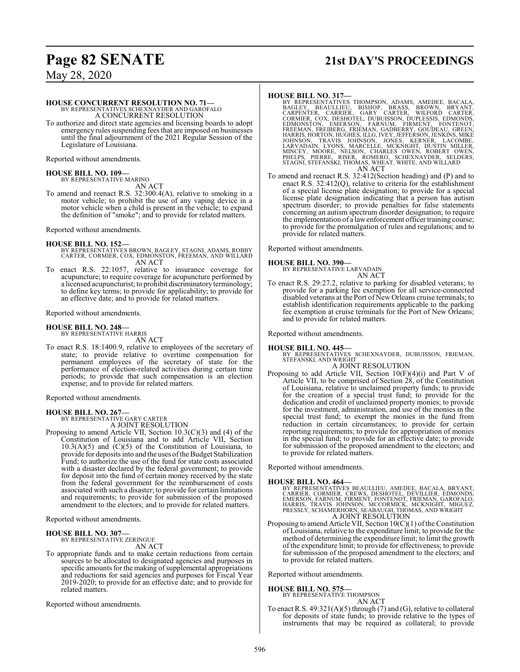## **Page 82 SENATE 21st DAY'S PROCEEDINGS**

May 28, 2020

#### **HOUSE CONCURRENT RESOLUTION NO. 71—** BY REPRESENTATIVES SCHEXNAYDER AND GAROFALO

A CONCURRENT RESOLUTION

To authorize and direct state agencies and licensing boards to adopt emergency rules suspending fees that are imposed on businesses until the final adjournment of the 2021 Regular Session of the Legislature of Louisiana.

Reported without amendments.

## **HOUSE BILL NO. 109—**

BY REPRESENTATIVE MARINO AN ACT

To amend and reenact R.S. 32:300.4(A), relative to smoking in a motor vehicle; to prohibit the use of any vaping device in a motor vehicle when a child is present in the vehicle; to expand the definition of "smoke"; and to provide for related matters.

Reported without amendments.

- **HOUSE BILL NO. 152—** BY REPRESENTATIVES BROWN, BAGLEY, STAGNI, ADAMS, ROBBY CARTER, CORMIER, COX, EDMONSTON, FREEMAN, AND WILLARD AN ACT
- To enact R.S. 22:1057, relative to insurance coverage for acupuncture; to require coverage for acupuncture performed by a licensed acupuncturist; to prohibit discriminatory terminology; to define key terms; to provide for applicability; to provide for an effective date; and to provide for related matters.

Reported without amendments.

## **HOUSE BILL NO. 248—**

BY REPRESENTATIVE HARRIS AN ACT

To enact R.S. 18:1400.9, relative to employees of the secretary of state; to provide relative to overtime compensation for permanent employees of the secretary of state for the performance of election-related activities during certain time periods; to provide that such compensation is an election expense; and to provide for related matters.

Reported without amendments.

## **HOUSE BILL NO. 267—**

BY REPRESENTATIVE GARY CARTER A JOINT RESOLUTION

Proposing to amend Article VII, Section 10.3(C)(3) and (4) of the Constitution of Louisiana and to add Article VII, Section  $10.3(A)(5)$  and  $(C)(5)$  of the Constitution of Louisiana, to provide for deposits into and the uses ofthe Budget Stabilization Fund; to authorize the use of the fund for state costs associated with a disaster declared by the federal government; to provide for deposit into the fund of certain money received by the state from the federal government for the reimbursement of costs associated with such a disaster; to provide for certain limitations and requirements; to provide for submission of the proposed amendment to the electors; and to provide for related matters.

Reported without amendments.

## **HOUSE BILL NO. 307—**

BY REPRESENTATIVE ZERINGUE AN ACT

To appropriate funds and to make certain reductions from certain sources to be allocated to designated agencies and purposes in specific amounts for the making of supplemental appropriations and reductions for said agencies and purposes for Fiscal Year 2019-2020; to provide for an effective date; and to provide for related matters.

Reported without amendments.

- HOUSE BILL NO. 317—<br>
BY REPRESENTATIVES THOMPSON, ADAMS, AMEDEE, BACALA,<br>
BAGLEY, BEAULLIEU, BISHOP, BRASS, BROWN, BRYANT,<br>
CARPENTER, CARRIER, GARY CARTER, WILFORD CARTER,<br>
CORMIER, COX, DESHOTEL, DUBUISSON, DUPLESSIS, ED
- To amend and reenact R.S. 32:412(Section heading) and (P) and to enact R.S. 32:412(Q), relative to criteria for the establishment of a special license plate designation; to provide for a special license plate designation indicating that a person has autism spectrum disorder; to provide penalties for false statements concerning an autism spectrum disorder designation; to require the implementation of a lawenforcement officer training course; to provide for the promulgation of rules and regulations; and to provide for related matters.

Reported without amendments.

**HOUSE BILL NO. 390—** BY REPRESENTATIVE LARVADAIN AN ACT

To enact R.S. 29:27.2, relative to parking for disabled veterans; to provide for a parking fee exemption for all service-connected disabled veterans at the Port of New Orleans cruise terminals; to establish identification requirements applicable to the parking fee exemption at cruise terminals for the Port of New Orleans; and to provide for related matters.

Reported without amendments.

**HOUSE BILL NO. 445—** BY REPRESENTATIVES SCHEXNAYDER, DUBUISSON, FRIEMAN, STEFANSKI, AND WRIGHT

## A JOINT RESOLUTION

Proposing to add Article VII, Section 10(F)(4)(i) and Part V of Article VII, to be comprised of Section 28, of the Constitution of Louisiana, relative to unclaimed property funds; to provide for the creation of a special trust fund; to provide for the dedication and credit of unclaimed property monies; to provide for the investment, administration, and use of the monies in the special trust fund; to exempt the monies in the fund from reduction in certain circumstances; to provide for certain reporting requirements; to provide for appropriation of monies in the special fund; to provide for an effective date; to provide for submission of the proposed amendment to the electors; and to provide for related matters.

Reported without amendments.

## **HOUSE BILL NO. 464—**

BY REPRESENTATIVES BEAULLIEU, AMEDEE, BACALA, BRYANT,<br>CARRIER, CORMIER, CREWS, DESHOTEL, DEVILLIER, EDMONDS,<br>EMERSON, FARNUM, FIRMENT, FONTENOT, FRIEMAN, GAROFALO,<br>HARRIS, TRAVIS JOHNSON, MCCORMICK, MCKNIGHT, MIGUEZ,<br>PRESS A JOINT RESOLUTION

Proposing to amend Article VII, Section  $10(C)(1)$  of the Constitution of Louisiana, relative to the expenditure limit; to provide for the method of determining the expenditure limit; to limit the growth of the expenditure limit; to provide for effectiveness; to provide for submission of the proposed amendment to the electors; and to provide for related matters.

Reported without amendments.

**HOUSE BILL NO. 575—**

BY REPRESENTATIVE THOMPSON AN ACT

To enact R.S.  $49:321(A)(5)$  through (7) and (G), relative to collateral for deposits of state funds; to provide relative to the types of instruments that may be required as collateral; to provide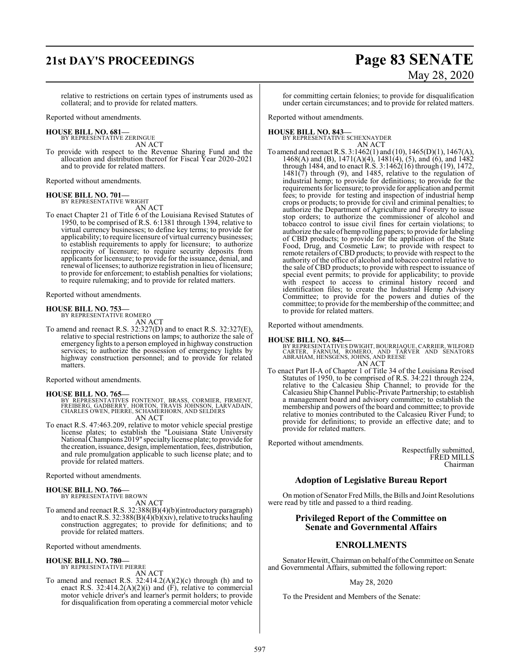## **21st DAY'S PROCEEDINGS Page 83 SENATE**

# May 28, 2020

relative to restrictions on certain types of instruments used as collateral; and to provide for related matters.

Reported without amendments.

### **HOUSE BILL NO. 681—**

BY REPRESENTATIVE ZERINGUE AN ACT

To provide with respect to the Revenue Sharing Fund and the allocation and distribution thereof for Fiscal Year 2020-2021 and to provide for related matters.

Reported without amendments.

### **HOUSE BILL NO. 701—** BY REPRESENTATIVE WRIGHT

AN ACT

To enact Chapter 21 of Title 6 of the Louisiana Revised Statutes of 1950, to be comprised of R.S. 6:1381 through 1394, relative to virtual currency businesses; to define key terms; to provide for applicability; to require licensure of virtual currency businesses; to establish requirements to apply for licensure; to authorize reciprocity of licensure; to require security deposits from applicants for licensure; to provide for the issuance, denial, and renewal of licenses; to authorize registration in lieu of licensure; to provide for enforcement; to establish penalties for violations; to require rulemaking; and to provide for related matters.

Reported without amendments.

## **HOUSE BILL NO. 753—**

BY REPRESENTATIVE ROMERO

AN ACT To amend and reenact R.S. 32:327(D) and to enact R.S. 32:327(E), relative to special restrictions on lamps; to authorize the sale of emergency lights to a person employed in highway construction services; to authorize the possession of emergency lights by highway construction personnel; and to provide for related matters.

Reported without amendments.

## **HOUSE BILL NO. 765—**

BY REPRESENTATIVES FONTENOT, BRASS, CORMIER, FIRMENT, FREIBERG, GADBERRY, HORTON, TRAVIS JOHNSON, LARVADAIN, CHARLES OWEN, PIERRE, SCHAMERHORN, AND SELDERS AN ACT

To enact R.S. 47:463.209, relative to motor vehicle special prestige license plates; to establish the "Louisiana State University National Champions2019" specialtylicense plate; to provide for the creation, issuance, design, implementation, fees, distribution, and rule promulgation applicable to such license plate; and to provide for related matters.

Reported without amendments.

## **HOUSE BILL NO. 766—**

BY REPRESENTATIVE BROWN

AN ACT To amend and reenact R.S. 32:388(B)(4)(b)(introductory paragraph) and to enact R.S. 32:388(B)(4)(b)(xiv), relative to trucks hauling construction aggregates; to provide for definitions; and to provide for related matters.

Reported without amendments.

## **HOUSE BILL NO. 780—** BY REPRESENTATIVE PIERRE

AN ACT

To amend and reenact R.S.  $32:414.2(A)(2)(c)$  through (h) and to enact R.S. 32:414.2(A)(2)(i) and  $(F)$ , relative to commercial motor vehicle driver's and learner's permit holders; to provide for disqualification from operating a commercial motor vehicle

for committing certain felonies; to provide for disqualification under certain circumstances; and to provide for related matters.

Reported without amendments.

### **HOUSE BILL NO. 843—** BY REPRESENTATIVE SCHEXNAYDER

AN ACT

To amend and reenact R.S. 3:1462(1) and (10), 1465(D)(1), 1467(A), 1468(A) and (B), 1471(A)(4), 1481(4), (5), and (6), and 1482 through 1484, and to enact R.S. 3:1462(16) through (19), 1472, 1481(7) through (9), and 1485, relative to the regulation of industrial hemp; to provide for definitions; to provide for the requirements for licensure; to provide for application and permit fees; to provide for testing and inspection of industrial hemp crops or products; to provide for civil and criminal penalties; to authorize the Department of Agriculture and Forestry to issue stop orders; to authorize the commissioner of alcohol and tobacco control to issue civil fines for certain violations; to authorize the sale of hemp rolling papers; to provide for labeling of CBD products; to provide for the application of the State Food, Drug, and Cosmetic Law; to provide with respect to remote retailers of CBD products; to provide with respect to the authority of the office of alcohol and tobacco control relative to the sale of CBD products; to provide with respect to issuance of special event permits; to provide for applicability; to provide with respect to access to criminal history record and identification files; to create the Industrial Hemp Advisory Committee; to provide for the powers and duties of the committee; to provide for the membership of the committee; and to provide for related matters.

Reported without amendments.

## **HOUSE BILL NO. 845—**

BY REPRESENTATIVES DWIGHT, BOURRIAQUE, CARRIER, WILFORD<br>CARTER, FARNUM, ROMERO, AND TARVER AND SENATORS<br>ABRAHAM, HENSGENS, JOHNS, AND REESE AN ACT

To enact Part II-A of Chapter 1 of Title 34 of the Louisiana Revised Statutes of 1950, to be comprised of R.S. 34:221 through 224, relative to the Calcasieu Ship Channel; to provide for the Calcasieu Ship Channel Public-Private Partnership; to establish a management board and advisory committee; to establish the membership and powers of the board and committee; to provide relative to monies contributed to the Calcasieu River Fund; to

provide for definitions; to provide an effective date; and to provide for related matters.

Reported without amendments.

Respectfully submitted, FRED MILLS Chairman

## **Adoption of Legislative Bureau Report**

On motion of Senator Fred Mills, the Bills and Joint Resolutions were read by title and passed to a third reading.

## **Privileged Report of the Committee on Senate and Governmental Affairs**

## **ENROLLMENTS**

Senator Hewitt, Chairman on behalf of the Committee on Senate and Governmental Affairs, submitted the following report:

## May 28, 2020

To the President and Members of the Senate: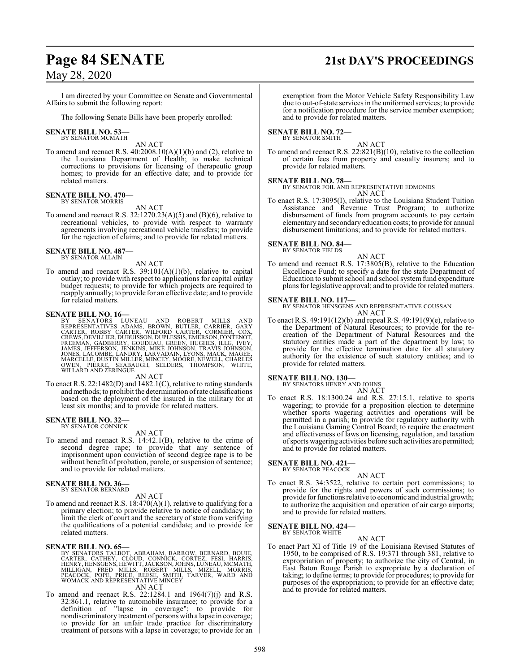## **Page 84 SENATE 21st DAY'S PROCEEDINGS**

## May 28, 2020

I am directed by your Committee on Senate and Governmental Affairs to submit the following report:

The following Senate Bills have been properly enrolled:

#### **SENATE BILL NO. 53—** BY SENATOR MCMATH

## AN ACT

To amend and reenact R.S.  $40:2008.10(A)(1)(b)$  and (2), relative to the Louisiana Department of Health; to make technical corrections to provisions for licensing of therapeutic group homes; to provide for an effective date; and to provide for related matters.

#### **SENATE BILL NO. 470—** BY SENATOR MORRIS

AN ACT

To amend and reenact R.S.  $32:1270.23(A)(5)$  and  $(B)(6)$ , relative to recreational vehicles, to provide with respect to warranty agreements involving recreational vehicle transfers; to provide for the rejection of claims; and to provide for related matters.

#### **SENATE BILL NO. 487—** BY SENATOR ALLAIN

AN ACT

To amend and reenact R.S. 39:101(A)(1)(b), relative to capital outlay; to provide with respect to applications for capital outlay budget requests; to provide for which projects are required to reapply annually; to provide for an effective date; and to provide for related matters.

## **SENATE BILL NO. 16—**

BY SENATORS LUNEAU AND ROBERT MILLS AND<br>REPRESENTATIVES ADAMS, BROWN, BUTLER, CARRIER, GARY<br>CARTER, ROBBY CARTER, WILFORD CARTER, CORMIER, COX,<br>CREWS, DEVILLIER,DUBUISSON,DUPLESSIS,EMERSON,FONTENOT,<br>FREEMAN, GADBERRY, GOUD

AN ACT

To enact R.S. 22:1482(D) and 1482.1(C), relative to rating standards andmethods; to prohibit the determination ofrate classifications based on the deployment of the insured in the military for at least six months; and to provide for related matters.

## **SENATE BILL NO. 32—**<br>BY SENATOR CONNICK

AN ACT

To amend and reenact R.S. 14:42.1(B), relative to the crime of second degree rape; to provide that any sentence of imprisonment upon conviction of second degree rape is to be without benefit of probation, parole, or suspension of sentence; and to provide for related matters.

#### **SENATE BILL NO. 36—** BY SENATOR BERNARD

AN ACT

To amend and reenact R.S. 18:470(A)(1), relative to qualifying for a primary election; to provide relative to notice of candidacy; to limit the clerk of court and the secretary of state from verifying the qualifications of a potential candidate; and to provide for related matters.

## **SENATE BILL NO. 65—**

- BY SENATORS TALBOT, ABRAHAM, BARROW, BERNARD, BOUIE,<br>CARTER, CATHEY, CLOUD, CONNICK, CORTEZ, FESI, HARRIS,<br>HENRY, HENSGENS,HEWITT, JACKSON, JOHNS, LUNEAU, MCMATH,<br>MILLIGAN, FRED MILLS, ROBERT MILLS, MIZELL, MORRIS,<br>PEACOCK AN ACT
- To amend and reenact R.S. 22:1284.1 and 1964(7)(j) and R.S. 32:861.1, relative to automobile insurance; to provide for a definition of "lapse in coverage"; to provide for nondiscriminatory treatment of persons with a lapse in coverage; to provide for an unfair trade practice for discriminatory treatment of persons with a lapse in coverage; to provide for an

exemption from the Motor Vehicle Safety Responsibility Law due to out-of-state services in the uniformed services; to provide for a notification procedure for the service member exemption; and to provide for related matters.

#### **SENATE BILL NO. 72—** BY SENATOR SMITH

AN ACT

To amend and reenact R.S. 22:821(B)(10), relative to the collection of certain fees from property and casualty insurers; and to provide for related matters.

## **SENATE BILL NO. 78—**

BY SENATOR FOIL AND REPRESENTATIVE EDMONDS AN ACT

To enact R.S. 17:3095(I), relative to the Louisiana Student Tuition Assistance and Revenue Trust Program; to authorize disbursement of funds from program accounts to pay certain elementary and secondary education costs; to provide for annual disbursement limitations; and to provide for related matters.

## **SENATE BILL NO. 84—** BY SENATOR FIELDS

AN ACT

To amend and reenact R.S. 17:3805(B), relative to the Education Excellence Fund; to specify a date for the state Department of Education to submit school and school system fund expenditure plans for legislative approval; and to provide for related matters.

## **SENATE BILL NO. 117—**

BY SENATOR HENSGENS AND REPRESENTATIVE COUSSAN AN ACT

To enact R.S. 49:191(12)(b) and repeal R.S. 49:191(9)(e), relative to the Department of Natural Resources; to provide for the recreation of the Department of Natural Resources and the statutory entities made a part of the department by law; to provide for the effective termination date for all statutory authority for the existence of such statutory entities; and to provide for related matters.

## **SENATE BILL NO. 130—**

BY SENATORS HENRY AND JOHNS AN ACT

To enact R.S. 18:1300.24 and R.S. 27:15.1, relative to sports wagering; to provide for a proposition election to determine whether sports wagering activities and operations will be permitted in a parish; to provide for regulatory authority with the Louisiana Gaming Control Board; to require the enactment and effectiveness of laws on licensing, regulation, and taxation ofsports wagering activities before such activities are permitted; and to provide for related matters.

**SENATE BILL NO. 421—** BY SENATOR PEACOCK

## AN ACT

To enact R.S. 34:3522, relative to certain port commissions; to provide for the rights and powers of such commissions; to provide for functions relative to economic and industrial growth; to authorize the acquisition and operation of air cargo airports; and to provide for related matters.

#### **SENATE BILL NO. 424—** BY SENATOR WHITE

AN ACT To enact Part XI of Title 19 of the Louisiana Revised Statutes of 1950, to be comprised of R.S. 19:371 through 381, relative to expropriation of property; to authorize the city of Central, in East Baton Rouge Parish to expropriate by a declaration of taking; to define terms; to provide for procedures; to provide for purposes of the expropriation; to provide for an effective date; and to provide for related matters.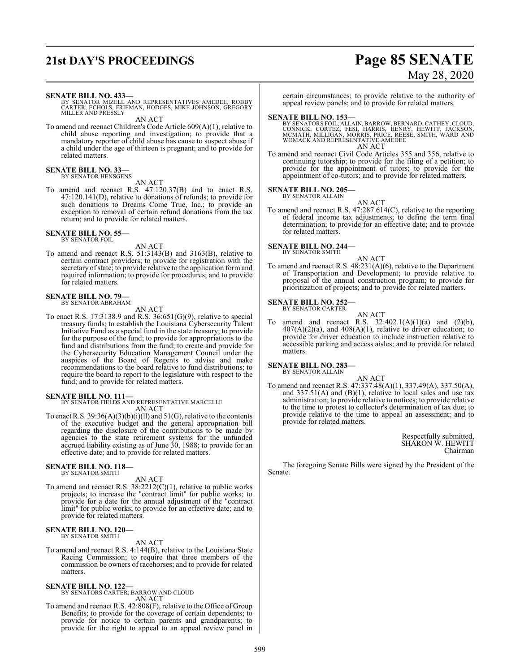## **21st DAY'S PROCEEDINGS Page 85 SENATE**

# May 28, 2020

### **SENATE BILL NO. 433—**

BY SENATOR MIZELL AND REPRESENTATIVES AMEDEE, ROBBY CARTER, ECHOLS, FRIEMAN, HODGES, MIKE JOHNSON, GREGORY MILLER AND PRESSLY

AN ACT

To amend and reenact Children's Code Article 609(A)(1), relative to child abuse reporting and investigation; to provide that a mandatory reporter of child abuse has cause to suspect abuse if a child under the age of thirteen is pregnant; and to provide for related matters.

#### **SENATE BILL NO. 33—** BY SENATOR HENSGENS

AN ACT

To amend and reenact R.S. 47:120.37(B) and to enact R.S. 47:120.141(D), relative to donations of refunds; to provide for such donations to Dreams Come True, Inc.; to provide an exception to removal of certain refund donations from the tax return; and to provide for related matters.

## **SENATE BILL NO. 55—**<br>BY SENATOR FOIL

AN ACT

To amend and reenact R.S. 51:3143(B) and 3163(B), relative to certain contract providers; to provide for registration with the secretary of state; to provide relative to the application form and required information; to provide for procedures; and to provide for related matters.

## **SENATE BILL NO. 79—** BY SENATOR ABRAHAM

AN ACT

To enact R.S. 17:3138.9 and R.S. 36:651(G)(9), relative to special treasury funds; to establish the Louisiana Cybersecurity Talent Initiative Fund as a special fund in the state treasury; to provide for the purpose of the fund; to provide for appropriations to the fund and distributions from the fund; to create and provide for the Cybersecurity Education Management Council under the auspices of the Board of Regents to advise and make recommendations to the board relative to fund distributions; to require the board to report to the legislature with respect to the fund; and to provide for related matters.

## **SENATE BILL NO. 111—**

BY SENATOR FIELDS AND REPRESENTATIVE MARCELLE AN ACT

To enact R.S.  $39:36(A)(3)(b)(i)(ll)$  and  $51(G)$ , relative to the contents of the executive budget and the general appropriation bill regarding the disclosure of the contributions to be made by agencies to the state retirement systems for the unfunded accrued liability existing as of June 30, 1988; to provide for an effective date; and to provide for related matters.

#### **SENATE BILL NO. 118—** BY SENATOR SMITH

### AN ACT

To amend and reenact R.S. 38:2212(C)(1), relative to public works projects; to increase the "contract limit" for public works; to provide for a date for the annual adjustment of the "contract limit" for public works; to provide for an effective date; and to provide for related matters.

#### **SENATE BILL NO. 120—** BY SENATOR SMITH

AN ACT

To amend and reenact R.S. 4:144(B), relative to the Louisiana State Racing Commission; to require that three members of the commission be owners of racehorses; and to provide for related matters.

## **SENATE BILL NO. 122—** BY SENATORS CARTER, BARROW AND CLOUD

AN ACT

To amend and reenact R.S. 42:808(F), relative to the Office of Group Benefits; to provide for the coverage of certain dependents; to provide for notice to certain parents and grandparents; to provide for the right to appeal to an appeal review panel in certain circumstances; to provide relative to the authority of appeal review panels; and to provide for related matters.

**SENATE BILL NO. 153—**<br>BY SENATORS FOIL, ALLAIN, BARROW, BERNARD, CATHEY, CLOUD, CONNICK, CORTEZ, FESI, HARRIS, HEWIT, JACKSON, MCMATH, MILLIGAN, MORRIS, PRICE, REESE, SMITH, WARD AND WOMACK AND REPRESENTATIVE AMEDEE AN AC

To amend and reenact Civil Code Articles 355 and 356, relative to To amend and reenact Civil Code Articles 355 and 356, relative to continuing tutorship; to provide for the filing of a petition; to provide for the appointment of tutors; to provide for the appointment of co-tutors; and to provide for related matters.

#### **SENATE BILL NO. 205—** BY SENATOR ALLAIN

AN ACT To amend and reenact R.S. 47:287.614(C), relative to the reporting of federal income tax adjustments; to define the term final determination; to provide for an effective date; and to provide for related matters.

## **SENATE BILL NO. 244—**



AN ACT To amend and reenact R.S. 48:231(A)(6), relative to the Department of Transportation and Development; to provide relative to proposal of the annual construction program; to provide for prioritization of projects; and to provide for related matters.

#### **SENATE BILL NO. 252—** BY SENATOR CARTER

AN ACT To amend and reenact R.S.  $32:402.1(A)(1)(a)$  and  $(2)(b)$ ,  $407(A)(2)(a)$ , and  $408(A)(1)$ , relative to driver education; to provide for driver education to include instruction relative to accessible parking and access aisles; and to provide for related matters.

**SENATE BILL NO. 283—**

BY SENATOR ALLAIN

AN ACT To amend and reenact R.S. 47:337.48(A)(1), 337.49(A), 337.50(A), and 337.51(A) and (B)(1), relative to local sales and use tax administration; to provide relative to notices; to provide relative to the time to protest to collector's determination of tax due; to provide relative to the time to appeal an assessment; and to provide for related matters.

> Respectfully submitted, SHARON W. HEWITT Chairman

The foregoing Senate Bills were signed by the President of the Senate.